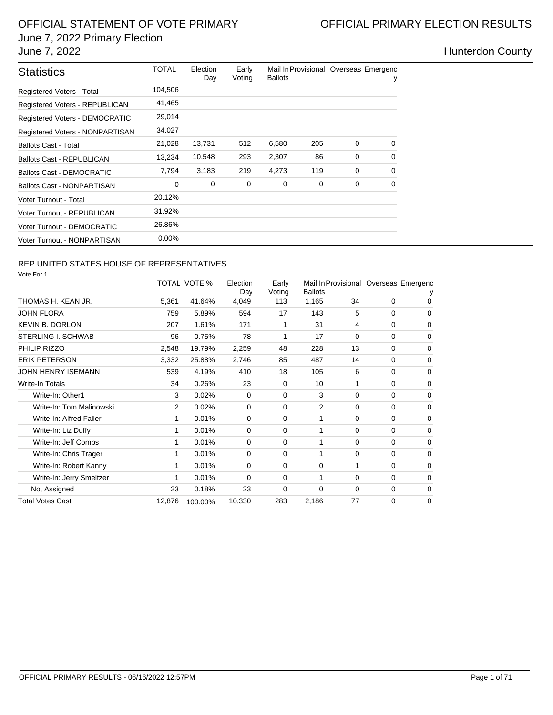## OFFICIAL STATEMENT OF VOTE PRIMARY **CONSIDERITY OF A SET OF FICIAL PRIMARY ELECTION RESULTS** June 7, 2022 Primary Election June 7, 2022 **Hunterdon County**

| <b>Statistics</b>                | TOTAL    | Election<br>Day | Early<br>Voting | <b>Ballots</b> |     | Mail In Provisional Overseas Emergenc | у        |
|----------------------------------|----------|-----------------|-----------------|----------------|-----|---------------------------------------|----------|
| Registered Voters - Total        | 104,506  |                 |                 |                |     |                                       |          |
| Registered Voters - REPUBLICAN   | 41,465   |                 |                 |                |     |                                       |          |
| Registered Voters - DEMOCRATIC   | 29,014   |                 |                 |                |     |                                       |          |
| Registered Voters - NONPARTISAN  | 34,027   |                 |                 |                |     |                                       |          |
| <b>Ballots Cast - Total</b>      | 21,028   | 13,731          | 512             | 6,580          | 205 | 0                                     | $\Omega$ |
| <b>Ballots Cast - REPUBLICAN</b> | 13,234   | 10,548          | 293             | 2,307          | 86  | $\Omega$                              | 0        |
| Ballots Cast - DEMOCRATIC        | 7,794    | 3,183           | 219             | 4,273          | 119 | 0                                     | $\Omega$ |
| Ballots Cast - NONPARTISAN       | $\Omega$ | 0               | 0               | 0              | 0   | 0                                     | 0        |
| Voter Turnout - Total            | 20.12%   |                 |                 |                |     |                                       |          |
| Voter Turnout - REPUBLICAN       | 31.92%   |                 |                 |                |     |                                       |          |
| Voter Turnout - DEMOCRATIC       | 26.86%   |                 |                 |                |     |                                       |          |
| Voter Turnout - NONPARTISAN      | $0.00\%$ |                 |                 |                |     |                                       |          |

## REP UNITED STATES HOUSE OF REPRESENTATIVES

Vote For 1

| $V \cup U \cup V \cup V$  |                |              |                 |                 |                |          |          |                                       |
|---------------------------|----------------|--------------|-----------------|-----------------|----------------|----------|----------|---------------------------------------|
|                           |                | TOTAL VOTE % | Election<br>Day | Early<br>Voting | <b>Ballots</b> |          |          | Mail In Provisional Overseas Emergenc |
| THOMAS H. KEAN JR.        | 5,361          | 41.64%       | 4,049           | 113             | 1,165          | 34       | 0        | 0                                     |
| <b>JOHN FLORA</b>         | 759            | 5.89%        | 594             | 17              | 143            | 5        | $\Omega$ | $\mathbf 0$                           |
| <b>KEVIN B. DORLON</b>    | 207            | 1.61%        | 171             | 1               | 31             | 4        | 0        | $\mathbf 0$                           |
| <b>STERLING I. SCHWAB</b> | 96             | 0.75%        | 78              | 1               | 17             | 0        | 0        | $\mathbf 0$                           |
| PHILIP RIZZO              | 2,548          | 19.79%       | 2,259           | 48              | 228            | 13       | $\Omega$ | $\mathbf 0$                           |
| <b>ERIK PETERSON</b>      | 3,332          | 25.88%       | 2,746           | 85              | 487            | 14       | $\Omega$ | $\mathbf 0$                           |
| <b>JOHN HENRY ISEMANN</b> | 539            | 4.19%        | 410             | 18              | 105            | 6        | $\Omega$ | $\Omega$                              |
| <b>Write-In Totals</b>    | 34             | 0.26%        | 23              | 0               | 10             |          | $\Omega$ | $\Omega$                              |
| Write-In: Other1          | 3              | 0.02%        | 0               | 0               | 3              | $\Omega$ | $\Omega$ | $\mathbf 0$                           |
| Write-In: Tom Malinowski  | $\overline{2}$ | 0.02%        | $\Omega$        | 0               | 2              | $\Omega$ | $\Omega$ | $\mathbf 0$                           |
| Write-In: Alfred Faller   | 1              | 0.01%        | 0               | 0               | 1              | $\Omega$ | $\Omega$ | $\Omega$                              |
| Write-In: Liz Duffy       | 1              | 0.01%        | 0               | $\mathbf 0$     | 1              | $\Omega$ | 0        | $\mathbf 0$                           |
| Write-In: Jeff Combs      | 1              | 0.01%        | 0               | $\mathbf 0$     | 1              | $\Omega$ | $\Omega$ | $\mathbf 0$                           |
| Write-In: Chris Trager    | 1              | 0.01%        | 0               | $\mathbf 0$     | 1              | 0        | $\Omega$ | $\mathbf 0$                           |
| Write-In: Robert Kanny    | 1              | 0.01%        | $\Omega$        | 0               | $\Omega$       |          | $\Omega$ | $\Omega$                              |
| Write-In: Jerry Smeltzer  | 1              | 0.01%        | $\Omega$        | 0               | 1              | 0        | 0        | $\mathbf 0$                           |
| Not Assigned              | 23             | 0.18%        | 23              | 0               | $\Omega$       | $\Omega$ | 0        | $\mathbf 0$                           |
| <b>Total Votes Cast</b>   | 12,876         | 100.00%      | 10,330          | 283             | 2,186          | 77       | 0        | $\mathbf 0$                           |
|                           |                |              |                 |                 |                |          |          |                                       |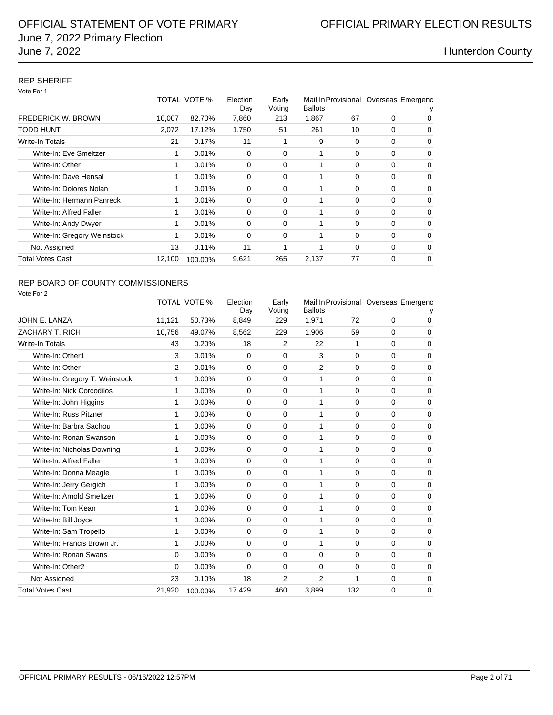## REP SHERIFF

Vote For 1

|                             |        | TOTAL VOTE % | Election<br>Day | Early<br>Voting | <b>Ballots</b> |          |          | Mail In Provisional Overseas Emergenc |
|-----------------------------|--------|--------------|-----------------|-----------------|----------------|----------|----------|---------------------------------------|
| <b>FREDERICK W. BROWN</b>   | 10,007 | 82.70%       | 7,860           | 213             | 1,867          | 67       | 0        | 0                                     |
| TODD HUNT                   | 2,072  | 17.12%       | 1,750           | 51              | 261            | 10       | 0        | 0                                     |
| <b>Write-In Totals</b>      | 21     | 0.17%        | 11              | 1               | 9              | 0        | 0        | 0                                     |
| Write-In: Eve Smeltzer      |        | 0.01%        | 0               | 0               |                | 0        | 0        | 0                                     |
| Write-In: Other             | 1      | 0.01%        | 0               | 0               | 1              | 0        | 0        | $\Omega$                              |
| Write-In: Dave Hensal       | 1      | 0.01%        | 0               | 0               | 1              | 0        | 0        | $\Omega$                              |
| Write-In: Dolores Nolan     | 1      | 0.01%        | 0               | 0               | 1              | 0        | 0        | 0                                     |
| Write-In: Hermann Panreck   | 1      | 0.01%        | 0               | 0               | 1              | $\Omega$ | 0        | $\Omega$                              |
| Write-In: Alfred Faller     | 1      | 0.01%        | 0               | 0               |                | 0        | 0        | 0                                     |
| Write-In: Andy Dwyer        | 1      | 0.01%        | 0               | 0               | 1              | 0        | $\Omega$ | 0                                     |
| Write-In: Gregory Weinstock | 1      | 0.01%        | 0               | 0               |                | 0        | 0        | $\Omega$                              |
| Not Assigned                | 13     | 0.11%        | 11              | 1               | 1              | $\Omega$ | $\Omega$ | $\Omega$                              |
| Total Votes Cast            | 12,100 | 100.00%      | 9,621           | 265             | 2,137          | 77       | 0        | $\Omega$                              |

## REP BOARD OF COUNTY COMMISSIONERS

| Vote For 2                     |          |                     |                 |                 |                |             |          |                                       |
|--------------------------------|----------|---------------------|-----------------|-----------------|----------------|-------------|----------|---------------------------------------|
|                                |          | <b>TOTAL VOTE %</b> | Election<br>Day | Early<br>Voting | <b>Ballots</b> |             |          | Mail In Provisional Overseas Emergenc |
| JOHN E. LANZA                  | 11,121   | 50.73%              | 8,849           | 229             | 1,971          | 72          | $\Omega$ | 0                                     |
| ZACHARY T. RICH                | 10,756   | 49.07%              | 8,562           | 229             | 1,906          | 59          | $\Omega$ | $\mathbf 0$                           |
| Write-In Totals                | 43       | 0.20%               | 18              | 2               | 22             | 1           | $\Omega$ | 0                                     |
| Write-In: Other1               | 3        | 0.01%               | $\mathbf 0$     | 0               | 3              | $\Omega$    | $\Omega$ | $\mathbf 0$                           |
| Write-In: Other                | 2        | 0.01%               | $\mathbf 0$     | 0               | 2              | $\Omega$    | $\Omega$ | $\mathbf 0$                           |
| Write-In: Gregory T. Weinstock | 1        | 0.00%               | $\mathbf 0$     | 0               | 1              | $\mathbf 0$ | $\Omega$ | $\mathbf 0$                           |
| Write-In: Nick Corcodilos      | 1        | 0.00%               | $\Omega$        | 0               | 1              | $\Omega$    | $\Omega$ | $\mathbf 0$                           |
| Write-In: John Higgins         | 1        | 0.00%               | $\Omega$        | 0               | 1              | $\Omega$    | $\Omega$ | $\mathbf 0$                           |
| Write-In: Russ Pitzner         | 1        | 0.00%               | $\Omega$        | 0               | 1              | $\mathbf 0$ | $\Omega$ | $\mathbf 0$                           |
| Write-In: Barbra Sachou        | 1        | 0.00%               | $\Omega$        | 0               | 1              | $\Omega$    | $\Omega$ | $\mathbf 0$                           |
| Write-In: Ronan Swanson        | 1        | 0.00%               | $\mathbf 0$     | 0               | 1              | $\mathbf 0$ | 0        | 0                                     |
| Write-In: Nicholas Downing     | 1        | 0.00%               | $\Omega$        | 0               | 1              | $\Omega$    | $\Omega$ | $\mathbf 0$                           |
| Write-In: Alfred Faller        | 1        | 0.00%               | $\mathbf 0$     | 0               | 1              | $\Omega$    | $\Omega$ | $\mathbf 0$                           |
| Write-In: Donna Meagle         | 1        | 0.00%               | $\Omega$        | 0               | 1              | $\Omega$    | $\Omega$ | $\mathbf 0$                           |
| Write-In: Jerry Gergich        | 1        | 0.00%               | $\Omega$        | 0               | 1              | $\Omega$    | $\Omega$ | $\mathbf 0$                           |
| Write-In: Arnold Smeltzer      | 1        | 0.00%               | $\Omega$        | 0               | 1              | $\mathbf 0$ | $\Omega$ | $\mathbf 0$                           |
| Write-In: Tom Kean             | 1        | 0.00%               | $\Omega$        | 0               | 1              | $\Omega$    | $\Omega$ | $\mathbf 0$                           |
| Write-In: Bill Joyce           | 1        | 0.00%               | $\Omega$        | 0               | 1              | $\Omega$    | $\Omega$ | $\Omega$                              |
| Write-In: Sam Tropello         | 1        | 0.00%               | $\mathbf 0$     | 0               | 1              | $\Omega$    | 0        | $\mathbf 0$                           |
| Write-In: Francis Brown Jr.    | 1        | 0.00%               | $\mathbf 0$     | 0               | 1              | $\mathbf 0$ | $\Omega$ | $\mathbf 0$                           |
| Write-In: Ronan Swans          | $\Omega$ | 0.00%               | $\Omega$        | 0               | $\Omega$       | $\Omega$    | $\Omega$ | $\mathbf 0$                           |
| Write-In: Other2               | $\Omega$ | 0.00%               | $\Omega$        | 0               | $\Omega$       | $\mathbf 0$ | $\Omega$ | $\mathbf 0$                           |
| Not Assigned                   | 23       | 0.10%               | 18              | 2               | $\overline{2}$ | 1           | 0        | 0                                     |
| <b>Total Votes Cast</b>        | 21,920   | 100.00%             | 17,429          | 460             | 3,899          | 132         | 0        | $\mathbf 0$                           |
|                                |          |                     |                 |                 |                |             |          |                                       |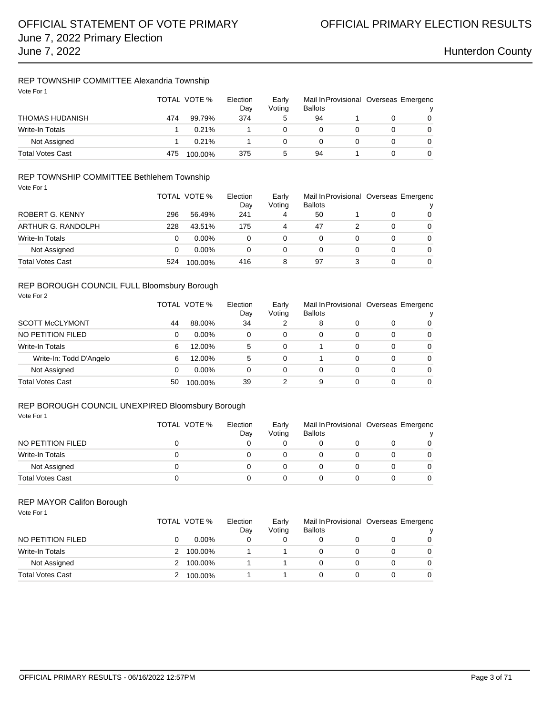### REP TOWNSHIP COMMITTEE Alexandria Township Vote For 1

| VOTE FOR T       |     | TOTAL VOTE %<br>Election<br>Early<br>Voting<br>Day |     |              | <b>Ballots</b> | Mail In Provisional Overseas Emergenc |  |
|------------------|-----|----------------------------------------------------|-----|--------------|----------------|---------------------------------------|--|
| THOMAS HUDANISH  | 474 | 99.79%                                             | 374 | 5            | 94             |                                       |  |
| Write-In Totals  |     | 0.21%                                              |     |              |                |                                       |  |
| Not Assigned     |     | 0.21%                                              |     | 0            |                |                                       |  |
| Total Votes Cast | 475 | 100.00%                                            | 375 | $\mathbf{b}$ | 94             |                                       |  |

### REP TOWNSHIP COMMITTEE Bethlehem Township

| Vote For 1              |     |              |                                                      |   |    |   |                                            |          |  |
|-------------------------|-----|--------------|------------------------------------------------------|---|----|---|--------------------------------------------|----------|--|
|                         |     | TOTAL VOTE % | Election<br>Early<br>Voting<br><b>Ballots</b><br>Day |   |    |   | Mail In Provisional Overseas Emergenc<br>v |          |  |
| ROBERT G. KENNY         | 296 | 56.49%       | 241                                                  | 4 | 50 |   | 0                                          | $\Omega$ |  |
| ARTHUR G. RANDOLPH      | 228 | 43.51%       | 175                                                  | 4 | 47 | 2 | 0                                          | $\Omega$ |  |
| <b>Write-In Totals</b>  | 0   | $0.00\%$     | 0                                                    | 0 | 0  |   | 0                                          | $\Omega$ |  |
| Not Assigned            | 0   | $0.00\%$     | 0                                                    | 0 |    |   | 0                                          | $\Omega$ |  |
| <b>Total Votes Cast</b> | 524 | 100.00%      | 416                                                  | 8 | 97 |   | 0                                          | $\Omega$ |  |

### REP BOROUGH COUNCIL FULL Bloomsbury Borough Vote For 2

|                         |    | TOTAL VOTE % | Election<br>Day | Early<br>Voting | Mail In Provisional Overseas Emergenc<br><b>Ballots</b> |   |   |                |
|-------------------------|----|--------------|-----------------|-----------------|---------------------------------------------------------|---|---|----------------|
| <b>SCOTT McCLYMONT</b>  | 44 | 88.00%       | 34              | 2               | 8                                                       |   | O | $\overline{0}$ |
| NO PETITION FILED       | 0  | $0.00\%$     | 0               | 0               | 0                                                       | 0 | 0 | 0              |
| <b>Write-In Totals</b>  | 6  | 12.00%       | 5               | 0               |                                                         | 0 | 0 | 0              |
| Write-In: Todd D'Angelo | 6  | 12.00%       | 5               | 0               |                                                         | 0 | 0 | $\Omega$       |
| Not Assigned            | 0  | $0.00\%$     | 0               | 0               | 0                                                       | 0 | 0 | $\overline{0}$ |
| <b>Total Votes Cast</b> | 50 | 100.00%      | 39              | 2               | 9                                                       | 0 | 0 | $\Omega$       |

### REP BOROUGH COUNCIL UNEXPIRED Bloomsbury Borough

| Vote For 1              |              |                 |                 |                                                         |  |          |
|-------------------------|--------------|-----------------|-----------------|---------------------------------------------------------|--|----------|
|                         | TOTAL VOTE % | Election<br>Day | Early<br>Voting | Mail In Provisional Overseas Emergenc<br><b>Ballots</b> |  |          |
| NO PETITION FILED       |              |                 | 0               |                                                         |  | $\Omega$ |
| Write-In Totals         |              |                 | 0               |                                                         |  | $\Omega$ |
| Not Assigned            |              | 0               | 0               |                                                         |  | $\Omega$ |
| <b>Total Votes Cast</b> |              |                 | $^{\circ}$      |                                                         |  | $\Omega$ |

### REP MAYOR Califon Borough

Vote For 1

|                         | TOTAL VOTE % | Election<br>Dav | Early<br>Votina | <b>Ballots</b> |  | Mail In Provisional Overseas Emergenc |
|-------------------------|--------------|-----------------|-----------------|----------------|--|---------------------------------------|
| NO PETITION FILED       |              | $0.00\%$        |                 |                |  | 0                                     |
| Write-In Totals         |              | 100.00%         |                 |                |  | 0                                     |
| Not Assigned            |              | 100.00%         |                 |                |  | 0                                     |
| <b>Total Votes Cast</b> |              | 100.00%         |                 |                |  | 0                                     |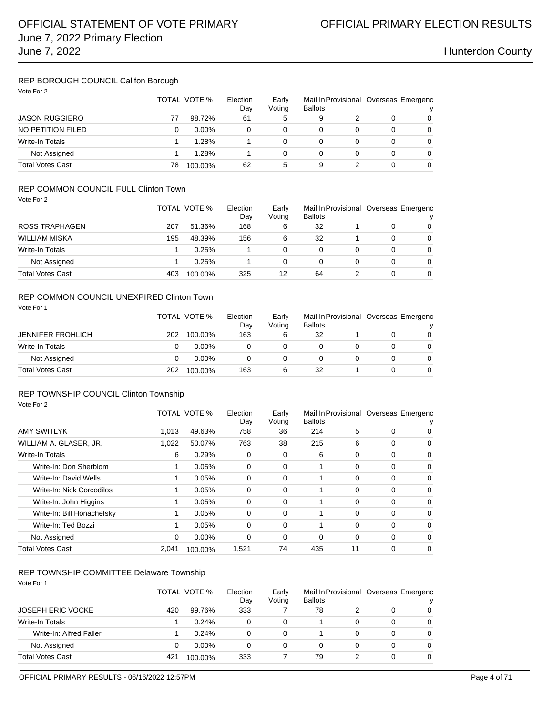## REP BOROUGH COUNCIL Califon Borough

| Vote For 2              |    | TOTAL VOTE % | Election<br>Day | Early<br>Voting | <b>Ballots</b> |   |   | Mail In Provisional Overseas Emergenc<br>ν |
|-------------------------|----|--------------|-----------------|-----------------|----------------|---|---|--------------------------------------------|
| <b>JASON RUGGIERO</b>   | 77 | 98.72%       | 61              | 5               | 9              |   | 0 | 0                                          |
| NO PETITION FILED       | 0  | $0.00\%$     | 0               | 0               | 0              | 0 | 0 | 0                                          |
| Write-In Totals         |    | 1.28%        |                 | 0               | 0              | 0 | 0 | 0                                          |
| Not Assigned            |    | 1.28%        |                 | 0               | 0              | 0 | 0 | 0                                          |
| <b>Total Votes Cast</b> | 78 | 100.00%      | 62              | 5               | 9              |   | 0 | 0                                          |

## REP COMMON COUNCIL FULL Clinton Town

| Vote For 2              |     |              |          |        |                |   |   |                                       |
|-------------------------|-----|--------------|----------|--------|----------------|---|---|---------------------------------------|
|                         |     | TOTAL VOTE % | Election | Early  |                |   |   | Mail In Provisional Overseas Emergenc |
|                         |     |              | Day      | Voting | <b>Ballots</b> |   |   | ν                                     |
| <b>ROSS TRAPHAGEN</b>   | 207 | 51.36%       | 168      | 6      | 32             |   | 0 | $\Omega$                              |
| <b>WILLIAM MISKA</b>    | 195 | 48.39%       | 156      | 6      | 32             |   | 0 | $\Omega$                              |
| Write-In Totals         |     | 0.25%        |          | 0      | 0              | 0 | 0 | $\Omega$                              |
| Not Assigned            |     | 0.25%        |          | 0      | 0              | 0 | 0 | $\Omega$                              |
| <b>Total Votes Cast</b> | 403 | 100.00%      | 325      | 12     | 64             |   | 0 | $\overline{0}$                        |

### REP COMMON COUNCIL UNEXPIRED Clinton Town

| Vote For 1               |     |              |          |        |                |  |   |                                       |
|--------------------------|-----|--------------|----------|--------|----------------|--|---|---------------------------------------|
|                          |     | TOTAL VOTE % | Election | Early  |                |  |   | Mail In Provisional Overseas Emergenc |
|                          |     |              | Day      | Voting | <b>Ballots</b> |  |   | v                                     |
| <b>JENNIFER FROHLICH</b> | 202 | 100.00%      | 163      | 6      | 32             |  | 0 | $\Omega$                              |
| Write-In Totals          |     | $0.00\%$     | 0        |        |                |  | 0 | 0                                     |
| Not Assigned             |     | $0.00\%$     | 0        | 0      |                |  | 0 | $\Omega$                              |
| <b>Total Votes Cast</b>  | 202 | 100.00%      | 163      | 6      | 32             |  | O | 0                                     |

### REP TOWNSHIP COUNCIL Clinton Township

| Vote For 2                 |       |              |                 |                 |                |          |          |                                       |
|----------------------------|-------|--------------|-----------------|-----------------|----------------|----------|----------|---------------------------------------|
|                            |       | TOTAL VOTE % | Election<br>Day | Early<br>Voting | <b>Ballots</b> |          |          | Mail In Provisional Overseas Emergenc |
| <b>AMY SWITLYK</b>         | 1.013 | 49.63%       | 758             | 36              | 214            | 5        | $\Omega$ | 0                                     |
| WILLIAM A. GLASER, JR.     | 1,022 | 50.07%       | 763             | 38              | 215            | 6        | $\Omega$ | $\Omega$                              |
| <b>Write-In Totals</b>     | 6     | 0.29%        | 0               | 0               | 6              | 0        | $\Omega$ | 0                                     |
| Write-In: Don Sherblom     | 1     | 0.05%        | 0               | 0               |                | 0        | $\Omega$ | $\Omega$                              |
| Write-In: David Wells      | 1     | 0.05%        | 0               | 0               |                | 0        | $\Omega$ | 0                                     |
| Write-In: Nick Corcodilos  | 1     | 0.05%        | 0               | 0               |                | 0        | $\Omega$ | $\Omega$                              |
| Write-In: John Higgins     | 1     | 0.05%        | 0               | 0               |                | 0        | 0        | $\Omega$                              |
| Write-In: Bill Honachefsky | 1     | 0.05%        | 0               | $\Omega$        |                | 0        | $\Omega$ | 0                                     |
| Write-In: Ted Bozzi        | 1     | 0.05%        | $\Omega$        | 0               |                | $\Omega$ | $\Omega$ | $\Omega$                              |
| Not Assigned               | 0     | $0.00\%$     | 0               | 0               | $\Omega$       | 0        | $\Omega$ | $\Omega$                              |
| <b>Total Votes Cast</b>    | 2.041 | 100.00%      | 1,521           | 74              | 435            | 11       | 0        | $\Omega$                              |

## REP TOWNSHIP COMMITTEE Delaware Township

| Vote For 1               | TOTAL VOTE % |          | Election<br>Day | Early<br>Voting | <b>Ballots</b> |   | Mail In Provisional Overseas Emergenc<br>ν |   |
|--------------------------|--------------|----------|-----------------|-----------------|----------------|---|--------------------------------------------|---|
| <b>JOSEPH ERIC VOCKE</b> | 420          | 99.76%   | 333             |                 | 78             |   | 0                                          | 0 |
| <b>Write-In Totals</b>   |              | 0.24%    | 0               | 0               |                | 0 | 0                                          | 0 |
| Write-In: Alfred Faller  |              | 0.24%    | 0               | 0               |                | 0 | 0                                          | 0 |
| Not Assigned             | 0            | $0.00\%$ | 0               | 0               | 0              | 0 | 0                                          | 0 |
| <b>Total Votes Cast</b>  | 421          | 100.00%  | 333             |                 | 79             |   | 0                                          | 0 |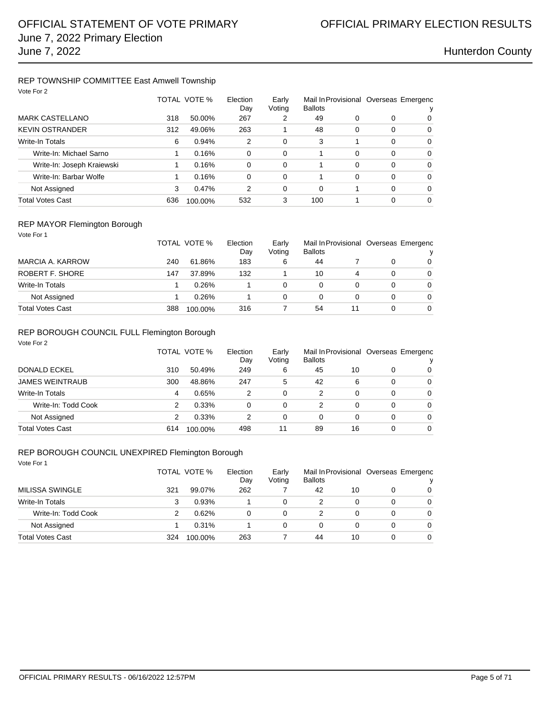### REP TOWNSHIP COMMITTEE East Amwell Township Vote For 2

| VULE FULZ                  |     | TOTAL VOTE % | Election<br>Day | Early<br>Voting | <b>Ballots</b> |          |          | Mail In Provisional Overseas Emergenc |
|----------------------------|-----|--------------|-----------------|-----------------|----------------|----------|----------|---------------------------------------|
| <b>MARK CASTELLANO</b>     | 318 | 50.00%       | 267             | 2               | 49             | 0        | 0        | 0                                     |
| <b>KEVIN OSTRANDER</b>     | 312 | 49.06%       | 263             |                 | 48             | 0        | 0        | $\Omega$                              |
| <b>Write-In Totals</b>     | 6   | 0.94%        | 2               | 0               | 3              |          | $\Omega$ | $\Omega$                              |
| Write-In: Michael Sarno    |     | 0.16%        | 0               | 0               |                | 0        | $\Omega$ | $\Omega$                              |
| Write-In: Joseph Kraiewski |     | 0.16%        | $\Omega$        | 0               |                | $\Omega$ | $\Omega$ | $\Omega$                              |
| Write-In: Barbar Wolfe     |     | 0.16%        | $\Omega$        | $\Omega$        |                | 0        | $\Omega$ | $\Omega$                              |
| Not Assigned               | 3   | 0.47%        | 2               | 0               | $\Omega$       |          | $\Omega$ | $\Omega$                              |
| <b>Total Votes Cast</b>    | 636 | 100.00%      | 532             | 3               | 100            |          | $\Omega$ | $\Omega$                              |

### REP MAYOR Flemington Borough

| Vote For 1              |     |                          |            |                 |                |    |                                       |          |
|-------------------------|-----|--------------------------|------------|-----------------|----------------|----|---------------------------------------|----------|
|                         |     | TOTAL VOTE %<br>Election |            | Early<br>Voting | <b>Ballots</b> |    | Mail In Provisional Overseas Emergenc |          |
| MARCIA A. KARROW        | 240 | 61.86%                   | Dav<br>183 | 6               | 44             |    | 0                                     | 0        |
| <b>ROBERT F. SHORE</b>  |     | 37.89%                   |            |                 |                |    |                                       |          |
|                         | 147 |                          | 132        |                 | 10             | 4  | 0                                     | $\Omega$ |
| Write-In Totals         |     | 0.26%                    |            | 0               | 0              | 0  | 0                                     | $\Omega$ |
| Not Assigned            |     | 0.26%                    |            | 0               | 0              | 0  | 0                                     | $\Omega$ |
| <b>Total Votes Cast</b> | 388 | 100.00%                  | 316        |                 | 54             | 11 | 0                                     | $\Omega$ |

## REP BOROUGH COUNCIL FULL Flemington Borough

| Vote For 2             |     |              |                 |                 |                |    |          |                                       |
|------------------------|-----|--------------|-----------------|-----------------|----------------|----|----------|---------------------------------------|
|                        |     | TOTAL VOTE % | Election<br>Day | Early<br>Voting | <b>Ballots</b> |    |          | Mail In Provisional Overseas Emergenc |
| DONALD ECKEL           | 310 | 50.49%       | 249             | 6               | 45             | 10 | 0        | 0                                     |
| <b>JAMES WEINTRAUB</b> | 300 | 48.86%       | 247             | 5               | 42             | 6  | $\Omega$ | $\Omega$                              |
| <b>Write-In Totals</b> | 4   | 0.65%        | 2               | 0               | 2              | 0  | $\Omega$ | $\Omega$                              |
| Write-In: Todd Cook    | 2   | 0.33%        | $\Omega$        | 0               | 2              | 0  | $\Omega$ | $\Omega$                              |
| Not Assigned           | 2   | 0.33%        | 2               | 0               | 0              | 0  | 0        | $\Omega$                              |
| Total Votes Cast       | 614 | 100.00%      | 498             | 11              | 89             | 16 | 0        | $\Omega$                              |

### REP BOROUGH COUNCIL UNEXPIRED Flemington Borough

| Vote For 1             |     | TOTAL VOTE % | Election<br>Day | Early<br>Voting | <b>Ballots</b> |    | Mail In Provisional Overseas Emergenc<br>v |          |
|------------------------|-----|--------------|-----------------|-----------------|----------------|----|--------------------------------------------|----------|
| <b>MILISSA SWINGLE</b> | 321 | 99.07%       | 262             |                 | 42             | 10 | 0                                          | $\Omega$ |
| Write-In Totals        | 3   | 0.93%        |                 | 0               | 2              | 0  | 0                                          | $\Omega$ |
| Write-In: Todd Cook    | 2   | 0.62%        | 0               | 0               | 2              | 0  | 0                                          | $\Omega$ |
| Not Assigned           |     | 0.31%        |                 | 0               | 0              | 0  | 0                                          | $\Omega$ |
| Total Votes Cast       | 324 | 100.00%      | 263             |                 | 44             | 10 | 0                                          | $\Omega$ |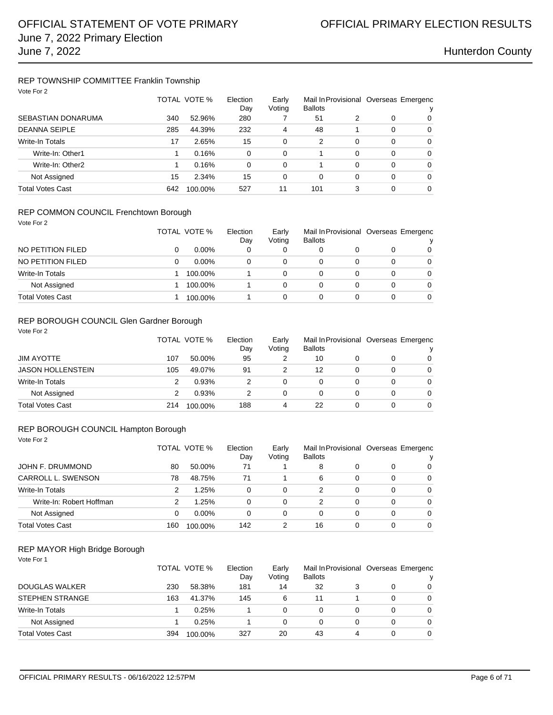### REP TOWNSHIP COMMITTEE Franklin Township Vote For 2

| VOTE FOR 2           |              |         |                 |                 |                |          |          |                                       |
|----------------------|--------------|---------|-----------------|-----------------|----------------|----------|----------|---------------------------------------|
|                      | TOTAL VOTE % |         | Election<br>Day | Early<br>Voting | <b>Ballots</b> |          |          | Mail In Provisional Overseas Emergenc |
| SEBASTIAN DONARUMA   | 340          | 52.96%  | 280             |                 | 51             | 2        | 0        | 0                                     |
| <b>DEANNA SEIPLE</b> | 285          | 44.39%  | 232             | 4               | 48             |          | $\Omega$ | $\Omega$                              |
| Write-In Totals      | 17           | 2.65%   | 15              | 0               | 2              | 0        | $\Omega$ | $\Omega$                              |
| Write-In: Other1     |              | 0.16%   | $\Omega$        | 0               |                | 0        | $\Omega$ | $\Omega$                              |
| Write-In: Other2     |              | 0.16%   | $\Omega$        | 0               |                | $\Omega$ | $\Omega$ | $\Omega$                              |
| Not Assigned         | 15           | 2.34%   | 15              | 0               | 0              | 0        | $\Omega$ | $\Omega$                              |
| Total Votes Cast     | 642          | 100.00% | 527             | 11              | 101            | 3        | $\Omega$ | $\Omega$                              |

### REP COMMON COUNCIL Frenchtown Borough

| Vote For 2 |  |  |
|------------|--|--|
|            |  |  |

|                   | TOTAL VOTE % | Election<br>Day | Early<br>Votina | Mail In Provisional Overseas Emergenc<br><b>Ballots</b> |   |   |
|-------------------|--------------|-----------------|-----------------|---------------------------------------------------------|---|---|
| NO PETITION FILED | $0.00\%$     | 0               | 0               |                                                         | 0 | 0 |
| NO PETITION FILED | $0.00\%$     | 0               | $\Omega$        | 0                                                       | 0 | 0 |
| Write-In Totals   | 100.00%      |                 | 0               | 0                                                       | 0 | 0 |
| Not Assigned      | 100.00%      |                 | 0               | 0                                                       | 0 | 0 |
| Total Votes Cast  | 100.00%      |                 | 0               |                                                         | 0 | 0 |
|                   |              |                 |                 |                                                         |   |   |

## REP BOROUGH COUNCIL Glen Gardner Borough

| Vote For 2               | TOTAL VOTE % |         | Election<br>Day | Early<br>Voting | <b>Ballots</b> |   | Mail In Provisional Overseas Emergenc<br>v |          |
|--------------------------|--------------|---------|-----------------|-----------------|----------------|---|--------------------------------------------|----------|
| <b>JIM AYOTTE</b>        | 107          | 50.00%  | 95              | 2               | 10             |   | 0                                          | $\Omega$ |
| <b>JASON HOLLENSTEIN</b> | 105          | 49.07%  | 91              | 2               | 12             |   | 0                                          | $\Omega$ |
| <b>Write-In Totals</b>   | 2            | 0.93%   | 2               | 0               | 0              | 0 | 0                                          | $\Omega$ |
| Not Assigned             | 2            | 0.93%   | 2               | 0               | 0              | 0 | 0                                          | $\Omega$ |
| <b>Total Votes Cast</b>  | 214          | 100.00% | 188             | 4               | 22             |   | 0                                          | $\Omega$ |

## REP BOROUGH COUNCIL Hampton Borough

| .          |  | ------ |  |
|------------|--|--------|--|
| Vote For 2 |  |        |  |

|                          |     | TOTAL VOTE % | Election<br>Day | Early<br>Voting | Mail In Provisional Overseas Emergenc<br><b>Ballots</b> |          |   | v        |
|--------------------------|-----|--------------|-----------------|-----------------|---------------------------------------------------------|----------|---|----------|
| JOHN F. DRUMMOND         | 80  | 50.00%       | 71              |                 | 8                                                       |          | 0 | 0        |
| CARROLL L. SWENSON       | 78  | 48.75%       | 71              |                 | 6                                                       | $\Omega$ | 0 | $\Omega$ |
| Write-In Totals          | 2   | 1.25%        | 0               | 0               | 2                                                       | 0        | 0 | 0        |
| Write-In: Robert Hoffman | 2   | 1.25%        | 0               | 0               | 2                                                       | 0        | 0 | 0        |
| Not Assigned             | 0   | $0.00\%$     | 0               | 0               | 0                                                       | 0        | 0 | 0        |
| <b>Total Votes Cast</b>  | 160 | 100.00%      | 142             | 2               | 16                                                      | 0        | 0 | 0        |

### REP MAYOR High Bridge Borough

| Vote For 1              |     | TOTAL VOTE % | Election<br>Day | Early<br>Voting | <b>Ballots</b> |   |   | Mail In Provisional Overseas Emergenc<br>v |
|-------------------------|-----|--------------|-----------------|-----------------|----------------|---|---|--------------------------------------------|
| <b>DOUGLAS WALKER</b>   | 230 | 58.38%       | 181             | 14              | 32             |   | 0 | $\Omega$                                   |
| <b>STEPHEN STRANGE</b>  | 163 | 41.37%       | 145             | 6               | 11             |   | 0 | $\Omega$                                   |
| <b>Write-In Totals</b>  |     | 0.25%        |                 | 0               | 0              | 0 | 0 | $\Omega$                                   |
| Not Assigned            |     | 0.25%        |                 | 0               | 0              |   | 0 | $\Omega$                                   |
| <b>Total Votes Cast</b> | 394 | 100.00%      | 327             | 20              | 43             | 4 | 0 | $\Omega$                                   |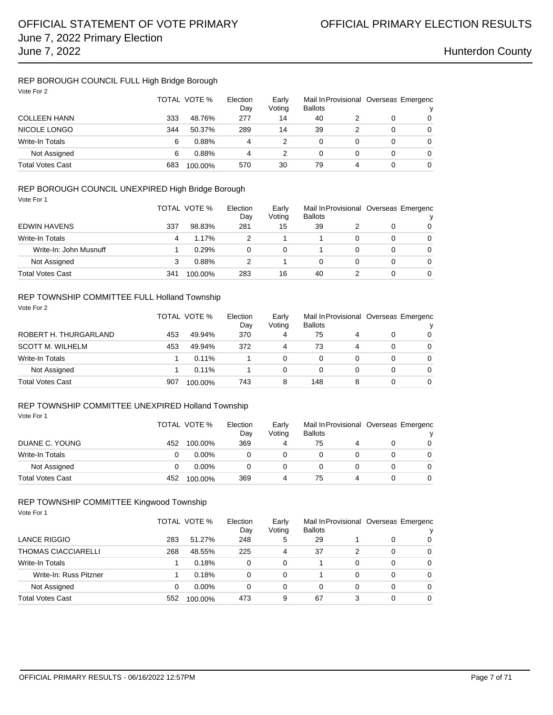## REP BOROUGH COUNCIL FULL High Bridge Borough

| Vote For 2              |     | TOTAL VOTE % | Election<br>Day | Early<br>Voting | <b>Ballots</b> |   |   | Mail In Provisional Overseas Emergenc<br>v |
|-------------------------|-----|--------------|-----------------|-----------------|----------------|---|---|--------------------------------------------|
| <b>COLLEEN HANN</b>     | 333 | 48.76%       | 277             | 14              | 40             |   | 0 | $\Omega$                                   |
| <b>NICOLE LONGO</b>     | 344 | 50.37%       | 289             | 14              | 39             |   | 0 | $\Omega$                                   |
| <b>Write-In Totals</b>  | 6   | 0.88%        | 4               |                 | 0              |   | 0 | $\Omega$                                   |
| Not Assigned            | 6   | 0.88%        | 4               |                 | 0              |   | 0 | $\Omega$                                   |
| <b>Total Votes Cast</b> | 683 | 100.00%      | 570             | 30              | 79             | 4 | 0 | $\Omega$                                   |

### REP BOROUGH COUNCIL UNEXPIRED High Bridge Borough

Vote For 1

|                         |     | TOTAL VOTE % | Election<br>Day | Early<br>Voting | <b>Ballots</b> |   |          | Mail In Provisional Overseas Emergenc |
|-------------------------|-----|--------------|-----------------|-----------------|----------------|---|----------|---------------------------------------|
| <b>EDWIN HAVENS</b>     | 337 | 98.83%       | 281             | 15              | 39             |   | $\Omega$ | 0                                     |
| Write-In Totals         | 4   | 1.17%        |                 |                 |                | 0 | 0        | $\Omega$                              |
| Write-In: John Musnuff  |     | 0.29%        | 0               | 0               |                | 0 | 0        | 0                                     |
| Not Assigned            |     | 0.88%        | 2               |                 | 0              | 0 | 0        | $\Omega$                              |
| <b>Total Votes Cast</b> | 341 | 100.00%      | 283             | 16              | 40             |   | 0        | 0                                     |

### REP TOWNSHIP COMMITTEE FULL Holland Township

| Vote For 2              |     | TOTAL VOTE % | Election<br>Day | Early<br>Voting | Mail In Provisional Overseas Emergenc<br><b>Ballots</b> |          |   | v        |
|-------------------------|-----|--------------|-----------------|-----------------|---------------------------------------------------------|----------|---|----------|
| ROBERT H. THURGARLAND   | 453 | 49.94%       | 370             | 4               | 75                                                      | 4        | 0 | $\Omega$ |
| <b>SCOTT M. WILHELM</b> | 453 | 49.94%       | 372             | 4               | 73                                                      | 4        | 0 | $\Omega$ |
| Write-In Totals         |     | $0.11\%$     |                 | 0               | 0                                                       | $\Omega$ | 0 | $\Omega$ |
| Not Assigned            |     | 0.11%        |                 | 0               | 0                                                       | 0        | 0 | $\Omega$ |
| <b>Total Votes Cast</b> | 907 | 100.00%      | 743             | 8               | 148                                                     | 8        | 0 | $\Omega$ |

### REP TOWNSHIP COMMITTEE UNEXPIRED Holland Township Vote For 1

|                         |     | TOTAL VOTE %<br>Election |     | Early<br>Votina | <b>Ballots</b> |  | Mail In Provisional Overseas Emergenc |          |
|-------------------------|-----|--------------------------|-----|-----------------|----------------|--|---------------------------------------|----------|
| DUANE C. YOUNG          | 452 | 100.00%                  | 369 |                 | 75             |  |                                       | 0        |
| Write-In Totals         |     | $0.00\%$                 |     | 0               |                |  |                                       | 0        |
| Not Assigned            |     | $0.00\%$                 |     | 0               |                |  |                                       | $\Omega$ |
| <b>Total Votes Cast</b> | 452 | 100.00%                  | 369 |                 | 75             |  |                                       | $\Omega$ |

### REP TOWNSHIP COMMITTEE Kingwood Township

Vote For 1

|                        |     | TOTAL VOTE % | Election<br>Day | Early<br>Voting | Mail In Provisional Overseas Emergenc<br><b>Ballots</b> |   |   |          |
|------------------------|-----|--------------|-----------------|-----------------|---------------------------------------------------------|---|---|----------|
| LANCE RIGGIO           | 283 | 51.27%       | 248             | 5               | 29                                                      |   | 0 | 0        |
| THOMAS CIACCIARELLI    | 268 | 48.55%       | 225             | 4               | 37                                                      |   | 0 | 0        |
| Write-In Totals        |     | 0.18%        | 0               | $\Omega$        |                                                         | 0 | 0 | $\Omega$ |
| Write-In: Russ Pitzner |     | 0.18%        | $\Omega$        | 0               |                                                         | 0 | 0 | $\Omega$ |
| Not Assigned           | 0   | $0.00\%$     | 0               | 0               | 0                                                       | 0 | 0 | $\Omega$ |
| Total Votes Cast       | 552 | 100.00%      | 473             | 9               | 67                                                      |   | 0 | 0        |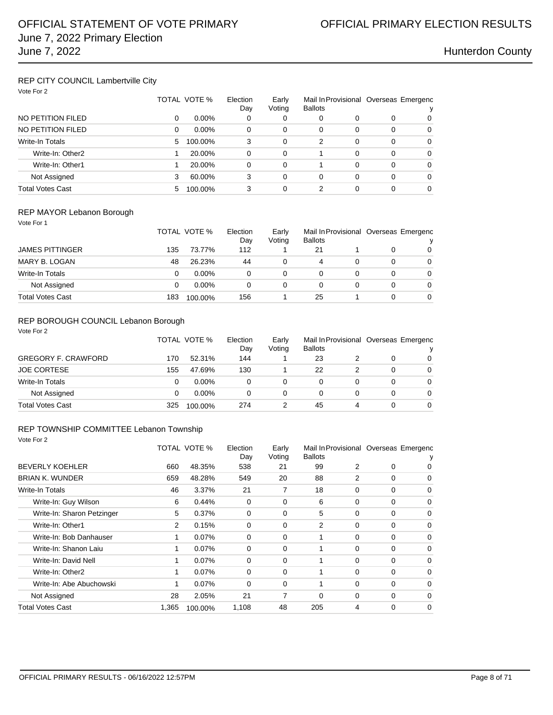## REP CITY COUNCIL Lambertville City

| Vote For 2 |  |  |
|------------|--|--|
|------------|--|--|

|                        |    | TOTAL VOTE % | Election<br>Dav | Early<br>Voting | Mail In Provisional Overseas Emergenc<br><b>Ballots</b> |   |   |   |
|------------------------|----|--------------|-----------------|-----------------|---------------------------------------------------------|---|---|---|
| NO PETITION FILED      | 0  | $0.00\%$     | 0               | 0               | 0                                                       | 0 | 0 | 0 |
| NO PETITION FILED      | 0  | $0.00\%$     | $\Omega$        | $\Omega$        | 0                                                       | 0 | 0 | 0 |
| <b>Write-In Totals</b> | 5. | 100.00%      | 3               | $\Omega$        | 2                                                       | 0 | 0 | 0 |
| Write-In: Other2       |    | 20.00%       | 0               | $\Omega$        |                                                         | 0 | 0 | 0 |
| Write-In: Other1       |    | 20.00%       | 0               | $\Omega$        |                                                         | 0 | 0 | 0 |
| Not Assigned           | 3  | 60.00%       | 3               | $\Omega$        | 0                                                       | 0 | 0 | 0 |
| Total Votes Cast       | 5  | 100.00%      | 3               | 0               | 2                                                       |   | 0 | 0 |

### REP MAYOR Lebanon Borough

| Vote For 1       |     |              |                 |                 |                                                         |   |   |          |
|------------------|-----|--------------|-----------------|-----------------|---------------------------------------------------------|---|---|----------|
|                  |     | TOTAL VOTE % | Election<br>Day | Early<br>Voting | Mail In Provisional Overseas Emergenc<br><b>Ballots</b> |   |   | ν        |
|                  |     |              |                 |                 |                                                         |   |   |          |
| JAMES PITTINGER  | 135 | 73.77%       | 112             |                 | 21                                                      |   | 0 | 0        |
| MARY B. LOGAN    | 48  | 26.23%       | 44              | 0               | 4                                                       | 0 | 0 | 0        |
| Write-In Totals  |     | $0.00\%$     | 0               | 0               | 0                                                       | 0 | 0 | 0        |
| Not Assigned     |     | $0.00\%$     | 0               | 0               | 0                                                       |   | 0 | 0        |
| Total Votes Cast | 183 | 100.00%      | 156             |                 | 25                                                      |   | 0 | $\Omega$ |

## REP BOROUGH COUNCIL Lebanon Borough

| Vote For 2                 |     |              |                 |                 |                |   |                                            |          |
|----------------------------|-----|--------------|-----------------|-----------------|----------------|---|--------------------------------------------|----------|
|                            |     | TOTAL VOTE % | Election<br>Day | Early<br>Voting | <b>Ballots</b> |   | Mail In Provisional Overseas Emergenc<br>v |          |
| <b>GREGORY F. CRAWFORD</b> | 170 | 52.31%       | 144             |                 | 23             |   | 0                                          | $\Omega$ |
| <b>JOE CORTESE</b>         | 155 | 47.69%       | 130             |                 | 22             |   | 0                                          | $\Omega$ |
| <b>Write-In Totals</b>     | 0   | $0.00\%$     | 0               | 0               | 0              | 0 | 0                                          | 0        |
| Not Assigned               | 0   | $0.00\%$     | 0               | 0               | 0              | 0 | 0                                          | $\Omega$ |
| <b>Total Votes Cast</b>    | 325 | 100.00%      | 274             | 2               | 45             | 4 | 0                                          | $\Omega$ |

## REP TOWNSHIP COMMITTEE Lebanon Township

Vote For 2

|                            |                | TOTAL VOTE % | Election<br>Day | Early<br>Voting | <b>Ballots</b> |          |          | Mail In Provisional Overseas Emergenc |
|----------------------------|----------------|--------------|-----------------|-----------------|----------------|----------|----------|---------------------------------------|
| <b>BEVERLY KOEHLER</b>     | 660            | 48.35%       | 538             | 21              | 99             | 2        | 0        | 0                                     |
| <b>BRIAN K. WUNDER</b>     | 659            | 48.28%       | 549             | 20              | 88             | 2        | 0        | 0                                     |
| Write-In Totals            | 46             | 3.37%        | 21              | 7               | 18             | $\Omega$ | $\Omega$ | $\mathbf 0$                           |
| Write-In: Guy Wilson       | 6              | 0.44%        | 0               | 0               | 6              | 0        | 0        | 0                                     |
| Write-In: Sharon Petzinger | 5              | 0.37%        | 0               | $\Omega$        | 5              | 0        | $\Omega$ | $\mathbf 0$                           |
| Write-In: Other1           | $\overline{2}$ | 0.15%        | $\mathbf 0$     | 0               | 2              | 0        | $\Omega$ | 0                                     |
| Write-In: Bob Danhauser    | 1              | 0.07%        | $\mathbf 0$     | 0               | 1              | $\Omega$ | 0        | $\mathbf 0$                           |
| Write-In: Shanon Laiu      | 1              | 0.07%        | 0               | $\Omega$        | 1              | $\Omega$ | 0        | 0                                     |
| Write-In: David Nell       | 1              | 0.07%        | 0               | 0               |                | $\Omega$ | 0        | $\mathbf 0$                           |
| Write-In: Other2           | 1              | 0.07%        | $\Omega$        | $\Omega$        | 1              | $\Omega$ | 0        | $\Omega$                              |
| Write-In: Abe Abuchowski   | 1              | 0.07%        | $\Omega$        | 0               |                | 0        | $\Omega$ | $\mathbf 0$                           |
| Not Assigned               | 28             | 2.05%        | 21              | 7               | $\Omega$       | $\Omega$ | $\Omega$ | $\Omega$                              |
| <b>Total Votes Cast</b>    | 1,365          | 100.00%      | 1,108           | 48              | 205            | 4        | 0        | 0                                     |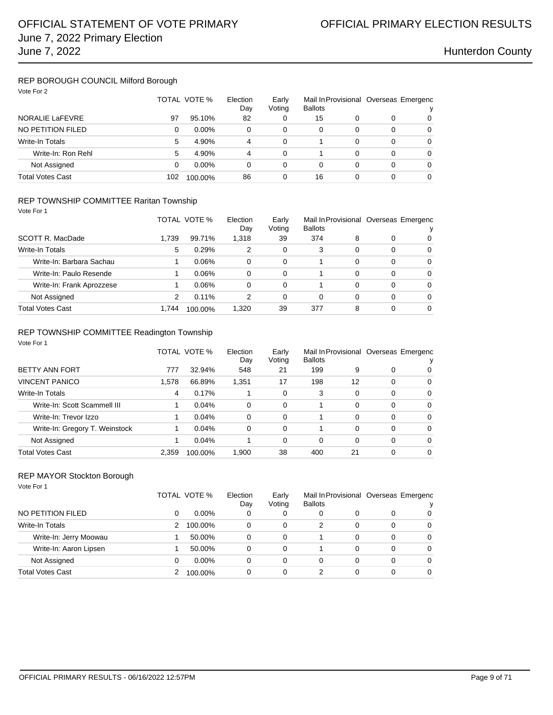### REP BOROUGH COUNCIL Milford Borough Vote For 2

| VULE FUI Z              |     | TOTAL VOTE % | Election<br>Day | Early<br>Voting | Mail In Provisional Overseas Emergenc<br><b>Ballots</b> |   |   |   |
|-------------------------|-----|--------------|-----------------|-----------------|---------------------------------------------------------|---|---|---|
| <b>NORALIE LaFEVRE</b>  | 97  | 95.10%       | 82              |                 | 15                                                      |   | 0 | 0 |
| NO PETITION FILED       | 0   | $0.00\%$     | 0               | 0               | 0                                                       | 0 | 0 | 0 |
| Write-In Totals         | 5   | 4.90%        | 4               | $\Omega$        |                                                         | 0 | 0 | 0 |
| Write-In: Ron Rehl      | 5   | 4.90%        | 4               | $\Omega$        |                                                         | 0 | 0 | 0 |
| Not Assigned            | 0   | $0.00\%$     | 0               | 0               | 0                                                       |   | 0 | 0 |
| <b>Total Votes Cast</b> | 102 | 100.00%      | 86              |                 | 16                                                      |   | 0 | 0 |

### REP TOWNSHIP COMMITTEE Raritan Township

| Vote For 1 |  |
|------------|--|
|            |  |

|                           |       | TOTAL VOTE % | Election<br>Day | Early<br>Voting | Mail In Provisional Overseas Emergenc<br><b>Ballots</b> |          |   | v        |
|---------------------------|-------|--------------|-----------------|-----------------|---------------------------------------------------------|----------|---|----------|
| SCOTT R. MacDade          | 1.739 | 99.71%       | 1,318           | 39              | 374                                                     | 8        | 0 | 0        |
| Write-In Totals           | 5     | 0.29%        | 2               | 0               | 3                                                       | 0        | 0 | $\Omega$ |
| Write-In: Barbara Sachau  |       | 0.06%        | 0               | 0               |                                                         | 0        | 0 | $\Omega$ |
| Write-In: Paulo Resende   |       | 0.06%        | 0               | $\Omega$        |                                                         | 0        | 0 | $\Omega$ |
| Write-In: Frank Aprozzese |       | 0.06%        | 0               | 0               |                                                         | $\Omega$ | 0 | $\Omega$ |
| Not Assigned              | 2     | $0.11\%$     | 2               | 0               | 0                                                       | 0        | 0 | $\Omega$ |
| Total Votes Cast          | 1.744 | 100.00%      | 1,320           | 39              | 377                                                     | 8        | 0 | $\Omega$ |

## REP TOWNSHIP COMMITTEE Readington Township

| Vote For 1                     |       |              |                 |                 |                |          |          |                                            |
|--------------------------------|-------|--------------|-----------------|-----------------|----------------|----------|----------|--------------------------------------------|
|                                |       | TOTAL VOTE % | Election<br>Day | Early<br>Voting | <b>Ballots</b> |          |          | Mail In Provisional Overseas Emergenc<br>ν |
| <b>BETTY ANN FORT</b>          | 777   | 32.94%       | 548             | 21              | 199            | 9        | 0        | 0                                          |
| <b>VINCENT PANICO</b>          | 1.578 | 66.89%       | 1,351           | 17              | 198            | 12       | 0        | 0                                          |
| <b>Write-In Totals</b>         | 4     | 0.17%        |                 | 0               | 3              | $\Omega$ | 0        | $\Omega$                                   |
| Write-In: Scott Scammell III   |       | 0.04%        | 0               | $\Omega$        |                | $\Omega$ | $\Omega$ | $\Omega$                                   |
| Write-In: Trevor Izzo          |       | 0.04%        | 0               | $\Omega$        |                | $\Omega$ | 0        | 0                                          |
| Write-In: Gregory T. Weinstock |       | 0.04%        | 0               | $\Omega$        |                | $\Omega$ | 0        | $\Omega$                                   |
| Not Assigned                   |       | 0.04%        |                 | 0               | $\Omega$       | $\Omega$ | $\Omega$ | $\Omega$                                   |
| <b>Total Votes Cast</b>        | 2.359 | 100.00%      | 1,900           | 38              | 400            | 21       | 0        | 0                                          |

### REP MAYOR Stockton Borough

| Vote For 1              |   |              |                 |                 |                                                         |   |   |          |
|-------------------------|---|--------------|-----------------|-----------------|---------------------------------------------------------|---|---|----------|
|                         |   | TOTAL VOTE % | Election<br>Day | Early<br>Voting | Mail In Provisional Overseas Emergenc<br><b>Ballots</b> |   |   | v        |
| NO PETITION FILED       | 0 | $0.00\%$     | 0               | 0               | 0                                                       | 0 | 0 | 0        |
| <b>Write-In Totals</b>  | 2 | 100.00%      | 0               | $\Omega$        | 2                                                       | 0 | 0 | $\Omega$ |
| Write-In: Jerry Moowau  |   | 50.00%       | 0               | $\Omega$        |                                                         | 0 | 0 | 0        |
| Write-In: Aaron Lipsen  |   | 50.00%       | 0               | $\Omega$        |                                                         | 0 | 0 | 0        |
| Not Assigned            | 0 | $0.00\%$     | 0               | 0               | 0                                                       | 0 | 0 | $\Omega$ |
| <b>Total Votes Cast</b> |   | 100.00%      | 0               | 0               | 2                                                       | 0 | 0 | $\Omega$ |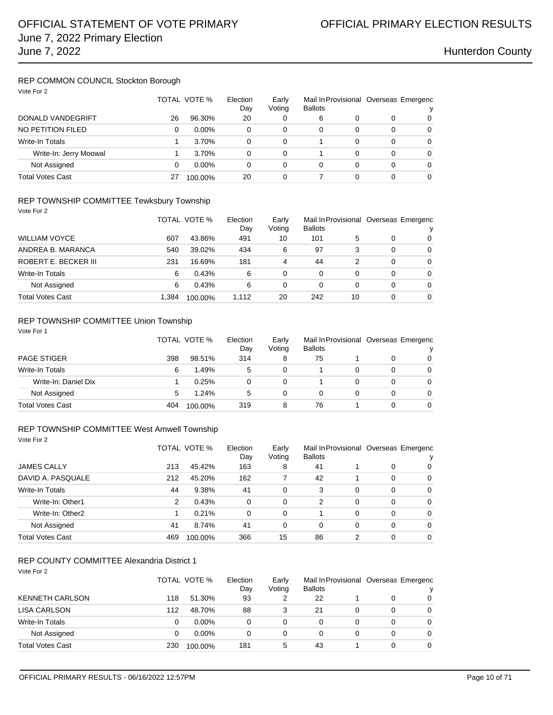### REP COMMON COUNCIL Stockton Borough Vote For 2

| VOTE FOR 2              |    | TOTAL VOTE % | Election<br>Early<br>Voting<br>Day |          | <b>Ballots</b> |          | Mail In Provisional Overseas Emergenc<br>v |          |
|-------------------------|----|--------------|------------------------------------|----------|----------------|----------|--------------------------------------------|----------|
| DONALD VANDEGRIFT       | 26 | 96.30%       | 20                                 | 0        | 6              | 0        | 0                                          | 0        |
| NO PETITION FILED       | 0  | $0.00\%$     | 0                                  | 0        | $\Omega$       | $\Omega$ | 0                                          | 0        |
| Write-In Totals         |    | 3.70%        | 0                                  | 0        |                | 0        | 0                                          | $\Omega$ |
| Write-In: Jerry Moowal  |    | 3.70%        | 0                                  | 0        |                | 0        | 0                                          | 0        |
| Not Assigned            | 0  | $0.00\%$     | 0                                  | $\Omega$ | $\Omega$       | 0        | 0                                          | $\Omega$ |
| <b>Total Votes Cast</b> | 27 | 100.00%      | 20                                 | 0        |                | 0        |                                            | 0        |

### REP TOWNSHIP COMMITTEE Tewksbury Township

Vote For 2

|                      |       | TOTAL VOTE % | Election<br>Dav | Early<br>Voting | <b>Ballots</b> |    |   | Mail In Provisional Overseas Emergenc<br>v |
|----------------------|-------|--------------|-----------------|-----------------|----------------|----|---|--------------------------------------------|
| WILLIAM VOYCE        | 607   | 43.86%       | 491             | 10              | 101            | 5  | 0 | $\Omega$                                   |
| ANDREA B. MARANCA    | 540   | 39.02%       | 434             | 6               | 97             | 3  | 0 | $\Omega$                                   |
| ROBERT E. BECKER III | 231   | 16.69%       | 181             | 4               | 44             |    | 0 | $\Omega$                                   |
| Write-In Totals      | 6     | 0.43%        | 6               | 0               | 0              |    | 0 | $\Omega$                                   |
| Not Assigned         | 6     | 0.43%        | 6               | 0               | 0              |    | 0 | $\Omega$                                   |
| Total Votes Cast     | 1.384 | 100.00%      | 1,112           | 20              | 242            | 10 | 0 | $\Omega$                                   |

## REP TOWNSHIP COMMITTEE Union Township

| Vote For 1              |     | TOTAL VOTE % | Election<br>Day | Early<br>Voting | <b>Ballots</b> |   |   | Mail In Provisional Overseas Emergenc<br>ν |
|-------------------------|-----|--------------|-----------------|-----------------|----------------|---|---|--------------------------------------------|
| <b>PAGE STIGER</b>      | 398 | 98.51%       | 314             | 8               | 75             |   | 0 | 0                                          |
| Write-In Totals         | 6   | 1.49%        | 5               | 0               |                | 0 | 0 | $\Omega$                                   |
| Write-In: Daniel Dix    |     | 0.25%        | 0               | 0               |                | 0 | 0 | $\Omega$                                   |
| Not Assigned            | 5   | 1.24%        | 5               | 0               | 0              | 0 | 0 | $\Omega$                                   |
| <b>Total Votes Cast</b> | 404 | 100.00%      | 319             | 8               | 76             |   | 0 | $\Omega$                                   |

### REP TOWNSHIP COMMITTEE West Amwell Township

Vote For 2

|                         |     | TOTAL VOTE % | Election<br>Day | Early<br>Voting | <b>Ballots</b> |   |   | Mail In Provisional Overseas Emergenc<br>ν |
|-------------------------|-----|--------------|-----------------|-----------------|----------------|---|---|--------------------------------------------|
| <b>JAMES CALLY</b>      | 213 | 45.42%       | 163             | 8               | 41             |   | 0 | 0                                          |
| DAVID A. PASQUALE       | 212 | 45.20%       | 162             |                 | 42             |   | 0 | 0                                          |
| Write-In Totals         | 44  | 9.38%        | 41              | 0               | 3              | 0 | 0 | 0                                          |
| Write-In: Other1        | 2   | 0.43%        | 0               | 0               | 2              | 0 | 0 | $\mathbf 0$                                |
| Write-In: Other2        |     | 0.21%        | 0               | $\Omega$        |                | 0 | 0 | 0                                          |
| Not Assigned            | 41  | 8.74%        | 41              | 0               | 0              | 0 | 0 | $\mathbf 0$                                |
| <b>Total Votes Cast</b> | 469 | 100.00%      | 366             | 15              | 86             | 2 | 0 | $\Omega$                                   |

## REP COUNTY COMMITTEE Alexandria District 1

Vote For 2

|                         |     | TOTAL VOTE % | Election<br>Day | Early<br>Voting | Mail In Provisional Overseas Emergenc<br><b>Ballots</b> |   |   |
|-------------------------|-----|--------------|-----------------|-----------------|---------------------------------------------------------|---|---|
| <b>KENNETH CARLSON</b>  | 118 | 51.30%       | 93              |                 | 22                                                      |   | 0 |
| LISA CARLSON            | 112 | 48.70%       | 88              | 3               | 21                                                      |   | 0 |
| Write-In Totals         | 0   | $0.00\%$     | 0               | 0               | 0                                                       | 0 | 0 |
| Not Assigned            | 0   | $0.00\%$     | 0               | $\Omega$        | 0                                                       |   | 0 |
| <b>Total Votes Cast</b> | 230 | 100.00%      | 181             | 5               | 43                                                      | 0 | 0 |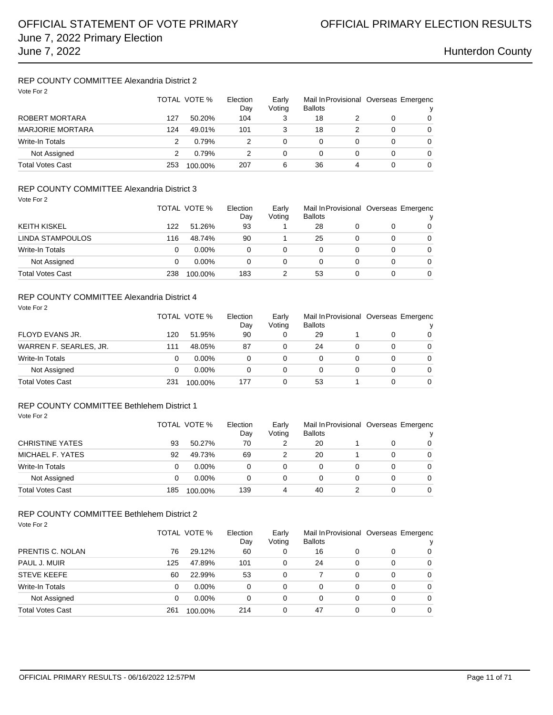## REP COUNTY COMMITTEE Alexandria District 2

| Vote For 2              |     | TOTAL VOTE % | Election<br>Day | Early<br>Voting | Mail In Provisional Overseas Emergenc<br><b>Ballots</b> |   |   | v |
|-------------------------|-----|--------------|-----------------|-----------------|---------------------------------------------------------|---|---|---|
| ROBERT MORTARA          | 127 | 50.20%       | 104             | 3               | 18                                                      |   | 0 | 0 |
| <b>MARJORIE MORTARA</b> | 124 | 49.01%       | 101             | 3               | 18                                                      |   | 0 | 0 |
| <b>Write-In Totals</b>  | 2   | 0.79%        | 2               |                 | 0                                                       |   | 0 | 0 |
| Not Assigned            | 2   | 0.79%        | 2               | 0               | 0                                                       | 0 | 0 | 0 |
| <b>Total Votes Cast</b> | 253 | 100.00%      | 207             | 6               | 36                                                      | 4 | 0 | 0 |

### REP COUNTY COMMITTEE Alexandria District 3 Vote For 2

| 1000 I UI 4             |     | TOTAL VOTE % | Election<br>Day | Early<br>Voting | <b>Ballots</b> |   | Mail In Provisional Overseas Emergenc<br>v |
|-------------------------|-----|--------------|-----------------|-----------------|----------------|---|--------------------------------------------|
| <b>KEITH KISKEL</b>     | 122 | 51.26%       | 93              |                 | 28             |   | $\Omega$                                   |
| LINDA STAMPOULOS        | 116 | 48.74%       | 90              |                 | 25             | 0 | $\Omega$                                   |
| Write-In Totals         | 0   | $0.00\%$     | 0               |                 |                | 0 | $\Omega$                                   |
| Not Assigned            | 0   | $0.00\%$     | 0               | 0               |                | 0 | $\Omega$                                   |
| <b>Total Votes Cast</b> | 238 | 100.00%      | 183             |                 | 53             | 0 | $\Omega$                                   |

### REP COUNTY COMMITTEE Alexandria District 4

| Vote For 2              |     | TOTAL VOTE % | Election<br>Day | Early<br>Voting | <b>Ballots</b> |   |   | Mail In Provisional Overseas Emergenc<br>v |
|-------------------------|-----|--------------|-----------------|-----------------|----------------|---|---|--------------------------------------------|
| FLOYD EVANS JR.         | 120 | 51.95%       | 90              | 0               | 29             |   | 0 | $\Omega$                                   |
| WARREN F. SEARLES, JR.  | 111 | 48.05%       | 87              | 0               | 24             | 0 | 0 | $\Omega$                                   |
| Write-In Totals         | 0   | $0.00\%$     | 0               | 0               | 0              | 0 | 0 | $\Omega$                                   |
| Not Assigned            | 0   | $0.00\%$     | 0               | 0               | 0              | 0 | 0 | $\Omega$                                   |
| <b>Total Votes Cast</b> | 231 | 100.00%      | 177             | 0               | 53             |   | 0 | $\Omega$                                   |

## REP COUNTY COMMITTEE Bethlehem District 1

Vote For 2

|                         |     | TOTAL VOTE % |     | Early<br>Voting | <b>Ballots</b> |   | Mail In Provisional Overseas Emergenc |          |
|-------------------------|-----|--------------|-----|-----------------|----------------|---|---------------------------------------|----------|
| <b>CHRISTINE YATES</b>  | 93  | 50.27%       | 70  |                 | 20             |   | 0                                     | 0        |
| MICHAEL F. YATES        | 92  | 49.73%       | 69  | 2               | 20             |   | 0                                     | 0        |
| Write-In Totals         |     | $0.00\%$     |     | 0               | 0              | 0 |                                       | 0        |
| Not Assigned            |     | $0.00\%$     | 0   | 0               | 0              | 0 | 0                                     | $\Omega$ |
| <b>Total Votes Cast</b> | 185 | 100.00%      | 139 |                 | 40             |   |                                       | 0        |

## REP COUNTY COMMITTEE Bethlehem District 2

| Vote For 2              |     |              |                 |                 |                |   |          |                                            |
|-------------------------|-----|--------------|-----------------|-----------------|----------------|---|----------|--------------------------------------------|
|                         |     | TOTAL VOTE % | Election<br>Day | Early<br>Voting | <b>Ballots</b> |   |          | Mail In Provisional Overseas Emergenc<br>v |
| PRENTIS C. NOLAN        | 76  | 29.12%       | 60              | 0               | 16             | 0 | 0        | $\Omega$                                   |
| PAUL J. MUIR            | 125 | 47.89%       | 101             | 0               | 24             | 0 | 0        | $\Omega$                                   |
| <b>STEVE KEEFE</b>      | 60  | 22.99%       | 53              | $\Omega$        |                | 0 | $\Omega$ | $\Omega$                                   |
| Write-In Totals         | 0   | $0.00\%$     | 0               | $\Omega$        | 0              | 0 | 0        | $\Omega$                                   |
| Not Assigned            | 0   | $0.00\%$     | 0               | 0               | 0              | 0 | 0        | $\Omega$                                   |
| <b>Total Votes Cast</b> | 261 | 100.00%      | 214             | 0               | 47             | 0 | 0        | $\Omega$                                   |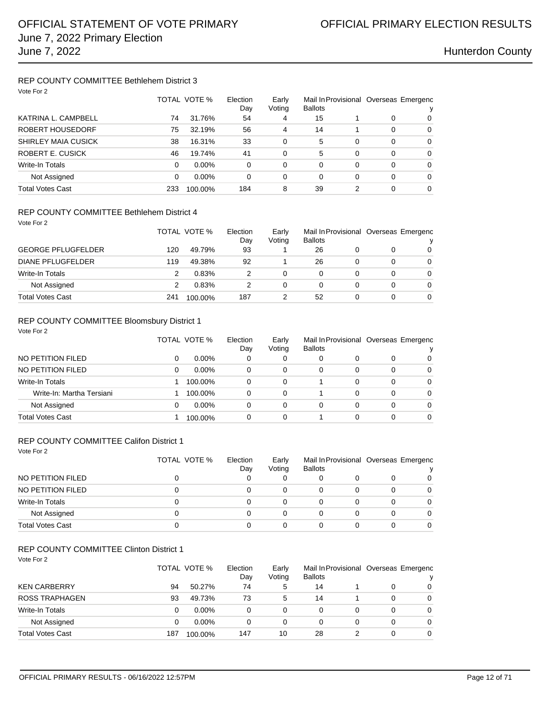## REP COUNTY COMMITTEE Bethlehem District 3

| Vote For 2                 |     |              |                 |                 |                |          |          |                                       |
|----------------------------|-----|--------------|-----------------|-----------------|----------------|----------|----------|---------------------------------------|
|                            |     | TOTAL VOTE % | Election<br>Day | Early<br>Voting | <b>Ballots</b> |          |          | Mail In Provisional Overseas Emergenc |
| KATRINA L. CAMPBELL        | 74  | 31.76%       | 54              | 4               | 15             |          | 0        | 0                                     |
| ROBERT HOUSEDORF           | 75  | 32.19%       | 56              | 4               | 14             |          | $\Omega$ | $\Omega$                              |
| <b>SHIRLEY MAIA CUSICK</b> | 38  | 16.31%       | 33              | 0               | 5              | $\Omega$ | $\Omega$ | $\Omega$                              |
| ROBERT E. CUSICK           | 46  | 19.74%       | 41              | 0               | 5              | $\Omega$ | $\Omega$ | $\Omega$                              |
| <b>Write-In Totals</b>     | 0   | $0.00\%$     | 0               | 0               | 0              | 0        | $\Omega$ | $\Omega$                              |
| Not Assigned               | 0   | $0.00\%$     | 0               | 0               | 0              | 0        | $\Omega$ | $\Omega$                              |
| <b>Total Votes Cast</b>    | 233 | 100.00%      | 184             | 8               | 39             |          | 0        | $\Omega$                              |

### REP COUNTY COMMITTEE Bethlehem District 4

| Vote For 2                |     | TOTAL VOTE % | Election | Early  |                |   |   | Mail In Provisional Overseas Emergenc |
|---------------------------|-----|--------------|----------|--------|----------------|---|---|---------------------------------------|
|                           |     |              | Dav      | Voting | <b>Ballots</b> |   |   | v                                     |
| <b>GEORGE PFLUGFELDER</b> | 120 | 49.79%       | 93       |        | 26             |   | 0 | $\Omega$                              |
| <b>DIANE PFLUGFELDER</b>  | 119 | 49.38%       | 92       |        | 26             |   | 0 | $\Omega$                              |
| Write-In Totals           | 2   | 0.83%        | 2        | 0      | 0              | 0 | 0 | $\Omega$                              |
| Not Assigned              | 2   | 0.83%        | 2        | 0      | 0              |   | 0 | $\Omega$                              |
| <b>Total Votes Cast</b>   | 241 | 100.00%      | 187      |        | 52             |   | 0 | $\Omega$                              |

### REP COUNTY COMMITTEE Bloomsbury District 1

| Vote For 2                |   |              |                 |                 |                |   |   |                                       |
|---------------------------|---|--------------|-----------------|-----------------|----------------|---|---|---------------------------------------|
|                           |   | TOTAL VOTE % | Election<br>Day | Early<br>Voting | <b>Ballots</b> |   |   | Mail In Provisional Overseas Emergenc |
| NO PETITION FILED         | 0 | $0.00\%$     | 0               | 0               |                | 0 | 0 | 0                                     |
| NO PETITION FILED         | 0 | $0.00\%$     | 0               | 0               | 0              | 0 | 0 | $\Omega$                              |
| Write-In Totals           |   | 100.00%      | 0               | 0               |                | 0 | 0 | $\Omega$                              |
| Write-In: Martha Tersiani |   | 100.00%      | $\Omega$        | 0               |                | 0 | 0 | $\Omega$                              |
| Not Assigned              | 0 | $0.00\%$     | 0               | 0               | 0              | 0 | 0 | $\Omega$                              |
| <b>Total Votes Cast</b>   |   | 100.00%      | 0               | 0               |                | 0 | 0 | 0                                     |

### REP COUNTY COMMITTEE Califon District 1

| Vote For 2              | TOTAL VOTE % | Election<br>Day | Early<br>Voting | <b>Ballots</b> |   | Mail In Provisional Overseas Emergenc |          |
|-------------------------|--------------|-----------------|-----------------|----------------|---|---------------------------------------|----------|
| NO PETITION FILED       |              |                 | 0               |                |   | 0                                     | 0        |
| NO PETITION FILED       | 0            | 0               | 0               | 0              | 0 | 0                                     | 0        |
| Write-In Totals         | 0            |                 | 0               | 0              | 0 | $\Omega$                              | $\Omega$ |
| Not Assigned            |              |                 | 0               | 0              | 0 | 0                                     | 0        |
| <b>Total Votes Cast</b> |              |                 | 0               | 0              | 0 | 0                                     | $\Omega$ |

### REP COUNTY COMMITTEE Clinton District 1

| Vote For 2 |  |
|------------|--|

|                         |     | TOTAL VOTE % |     | Early<br>Voting | Mail In Provisional Overseas Emergenc<br><b>Ballots</b> |  |   |                |
|-------------------------|-----|--------------|-----|-----------------|---------------------------------------------------------|--|---|----------------|
| <b>KEN CARBERRY</b>     | 94  | 50.27%       | 74  | 5               | 14                                                      |  |   | $\Omega$       |
| <b>ROSS TRAPHAGEN</b>   | 93  | 49.73%       | 73  | 5               | 14                                                      |  | 0 | $\Omega$       |
| Write-In Totals         | 0   | $0.00\%$     | 0   | 0               |                                                         |  | 0 | $\overline{0}$ |
| Not Assigned            | 0   | $0.00\%$     | 0   | 0               |                                                         |  | 0 | $\Omega$       |
| <b>Total Votes Cast</b> | 187 | 100.00%      | 147 | 10              | 28                                                      |  | 0 | 0              |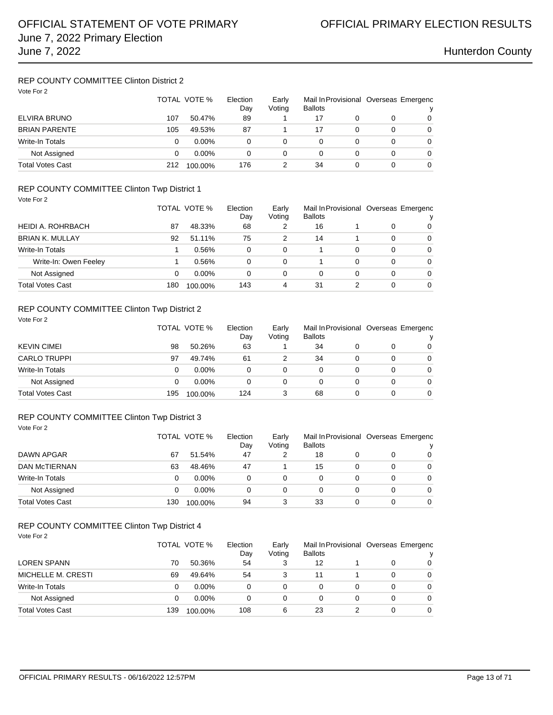## REP COUNTY COMMITTEE Clinton District 2

| Vote For 2              | TOTAL VOTE % |          | Election<br>Day | Early<br>Voting | <b>Ballots</b> |   | Mail In Provisional Overseas Emergenc<br>v |   |
|-------------------------|--------------|----------|-----------------|-----------------|----------------|---|--------------------------------------------|---|
| ELVIRA BRUNO            | 107          | 50.47%   | 89              |                 | 17             |   | 0                                          | 0 |
| <b>BRIAN PARENTE</b>    | 105          | 49.53%   | 87              |                 | 17             | 0 | 0                                          | 0 |
| Write-In Totals         | 0            | $0.00\%$ | 0               | 0               | 0              |   | 0                                          | 0 |
| Not Assigned            | 0            | $0.00\%$ | 0               | $\Omega$        | 0              | 0 | 0                                          | 0 |
| <b>Total Votes Cast</b> | 212          | 100.00%  | 176             |                 | 34             | 0 | 0                                          | 0 |

### REP COUNTY COMMITTEE Clinton Twp District 1 Vote For 2

| $VUR + VIE$            |     | TOTAL VOTE % |     | Early<br>Voting | <b>Ballots</b> |   |   | Mail In Provisional Overseas Emergenc |
|------------------------|-----|--------------|-----|-----------------|----------------|---|---|---------------------------------------|
| HEIDI A. ROHRBACH      | 87  | 48.33%       | 68  | 2               | 16             |   | 0 | 0                                     |
| <b>BRIAN K. MULLAY</b> | 92  | 51.11%       | 75  | 2               | 14             |   | 0 | $\Omega$                              |
| Write-In Totals        |     | 0.56%        | 0   | 0               |                | 0 | 0 | $\Omega$                              |
| Write-In: Owen Feeley  |     | 0.56%        | 0   | 0               |                | 0 | 0 | $\Omega$                              |
| Not Assigned           | 0   | $0.00\%$     | 0   | 0               | 0              | 0 | 0 | $\Omega$                              |
| Total Votes Cast       | 180 | 100.00%      | 143 | 4               | 31             | 2 | 0 | $\Omega$                              |

## REP COUNTY COMMITTEE Clinton Twp District 2

| Vote For 2              |     | TOTAL VOTE % | Election<br>Day | Early<br>Voting | <b>Ballots</b> |   | Mail In Provisional Overseas Emergenc |                |
|-------------------------|-----|--------------|-----------------|-----------------|----------------|---|---------------------------------------|----------------|
| <b>KEVIN CIMEI</b>      | 98  | 50.26%       | 63              |                 | 34             |   | 0                                     | v<br>0         |
| <b>CARLO TRUPPI</b>     | 97  | 49.74%       | 61              |                 | 34             | 0 | 0                                     | $\overline{0}$ |
| Write-In Totals         | 0   | $0.00\%$     | 0               | 0               | $\Omega$       | 0 | 0                                     | $\Omega$       |
| Not Assigned            | 0   | $0.00\%$     | 0               | 0               | $\Omega$       | 0 | 0                                     | 0              |
| <b>Total Votes Cast</b> | 195 | 100.00%      | 124             | 3               | 68             | 0 | 0                                     | 0              |

### REP COUNTY COMMITTEE Clinton Twp District 3 Vote For 2

|                         |     | TOTAL VOTE % |    | Early<br>Voting | <b>Ballots</b> | Mail In Provisional Overseas Emergenc |   |          |
|-------------------------|-----|--------------|----|-----------------|----------------|---------------------------------------|---|----------|
| DAWN APGAR              | 67  | 51.54%       | 47 |                 | 18             |                                       | 0 | 0        |
| <b>DAN MCTIERNAN</b>    | 63  | 48.46%       | 47 |                 | 15             | 0                                     | 0 | 0        |
| <b>Write-In Totals</b>  | 0   | $0.00\%$     | 0  | 0               |                |                                       | 0 | 0        |
| Not Assigned            | 0   | $0.00\%$     | 0  | 0               |                | 0                                     | 0 | $\Omega$ |
| <b>Total Votes Cast</b> | 130 | 100.00%      | 94 |                 | 33             | 0                                     | 0 | 0        |

### REP COUNTY COMMITTEE Clinton Twp District 4 Vote For 2

|                         |     | TOTAL VOTE %<br>Election |     | Early<br>Voting | <b>Ballots</b> |   | Mail In Provisional Overseas Emergenc |          |
|-------------------------|-----|--------------------------|-----|-----------------|----------------|---|---------------------------------------|----------|
| <b>LOREN SPANN</b>      | 70  | 50.36%                   | 54  | 3               | 12             |   |                                       | 0        |
| MICHELLE M. CRESTI      | 69  | 49.64%                   | 54  |                 | 11             |   | 0                                     | $\Omega$ |
| Write-In Totals         |     | $0.00\%$                 | 0   | 0               | 0              | 0 | 0                                     | $\Omega$ |
| Not Assigned            |     | $0.00\%$                 | 0   | 0               | 0              | 0 | 0                                     | $\Omega$ |
| <b>Total Votes Cast</b> | 139 | 100.00%                  | 108 | 6               | 23             |   | 0                                     | 0        |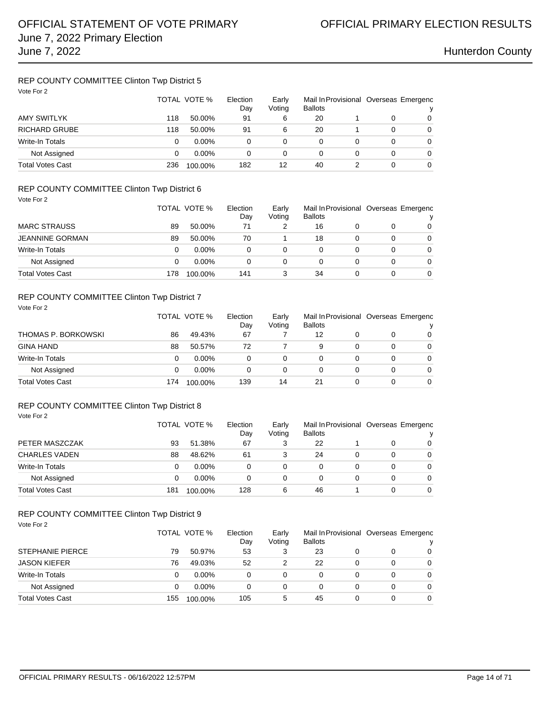## REP COUNTY COMMITTEE Clinton Twp District 5

| Vote For 2              | TOTAL VOTE % |          | Election<br>Day | Early<br>Voting | Mail In Provisional Overseas Emergenc<br><b>Ballots</b> |   |   | v |
|-------------------------|--------------|----------|-----------------|-----------------|---------------------------------------------------------|---|---|---|
| AMY SWITLYK             | 118          | 50.00%   | 91              | 6               | 20                                                      |   | 0 | 0 |
| <b>RICHARD GRUBE</b>    | 118          | 50.00%   | 91              | 6               | 20                                                      |   | 0 | 0 |
| <b>Write-In Totals</b>  | 0            | $0.00\%$ | 0               | 0               | 0                                                       |   | 0 | 0 |
| Not Assigned            | 0            | $0.00\%$ | 0               | 0               | 0                                                       | 0 | 0 | 0 |
| <b>Total Votes Cast</b> | 236          | 100.00%  | 182             | 12              | 40                                                      |   | 0 | 0 |

## REP COUNTY COMMITTEE Clinton Twp District 6

| Vote For 2              |     |              |                 |                 |                |   |   |                                       |
|-------------------------|-----|--------------|-----------------|-----------------|----------------|---|---|---------------------------------------|
|                         |     | TOTAL VOTE % | Election<br>Day | Early<br>Voting | <b>Ballots</b> |   |   | Mail In Provisional Overseas Emergenc |
| <b>MARC STRAUSS</b>     | 89  | 50.00%       | 71              | 2               | 16             | 0 | 0 | 0                                     |
| <b>JEANNINE GORMAN</b>  | 89  | 50.00%       | 70              |                 | 18             | 0 | 0 | $\Omega$                              |
| Write-In Totals         | 0   | $0.00\%$     | 0               | 0               | 0              | 0 | 0 | $\Omega$                              |
| Not Assigned            | 0   | $0.00\%$     | 0               | 0               | 0              | 0 | 0 | $\Omega$                              |
| <b>Total Votes Cast</b> | 178 | 100.00%      | 141             | 3               | 34             | 0 | 0 | 0                                     |

## REP COUNTY COMMITTEE Clinton Twp District 7

| Vote For 2              |     | TOTAL VOTE % | Election<br>Day | Early<br>Voting | <b>Ballots</b> | Mail In Provisional Overseas Emergenc |   | v        |
|-------------------------|-----|--------------|-----------------|-----------------|----------------|---------------------------------------|---|----------|
| THOMAS P. BORKOWSKI     | 86  | 49.43%       | 67              |                 | 12             |                                       | 0 | $\Omega$ |
| <b>GINA HAND</b>        | 88  | 50.57%       | 72              |                 | 9              |                                       | 0 | $\Omega$ |
| <b>Write-In Totals</b>  | 0   | $0.00\%$     | 0               | 0               | 0              | 0                                     | 0 | $\Omega$ |
| Not Assigned            | 0   | $0.00\%$     | 0               | 0               | 0              |                                       | 0 | $\Omega$ |
| <b>Total Votes Cast</b> | 174 | 100.00%      | 139             | 14              | 21             |                                       | 0 | $\Omega$ |

### REP COUNTY COMMITTEE Clinton Twp District 8 Vote For 2

|                         |     | TOTAL VOTE % | Election<br>Dav | Early<br>Voting | <b>Ballots</b> |   |          | Mail In Provisional Overseas Emergenc |
|-------------------------|-----|--------------|-----------------|-----------------|----------------|---|----------|---------------------------------------|
| PETER MASZCZAK          | 93  | 51.38%       | 67              |                 | 22             |   | 0        | 0                                     |
| <b>CHARLES VADEN</b>    | 88  | 48.62%       | 61              | 3               | 24             | 0 | 0        | 0                                     |
| Write-In Totals         | 0   | $0.00\%$     |                 | 0               | 0              | 0 | $\Omega$ | 0                                     |
| Not Assigned            | 0   | $0.00\%$     | 0               | 0               | 0              | 0 | 0        | $\Omega$                              |
| <b>Total Votes Cast</b> | 181 | 100.00%      | 128             | 6               | 46             |   |          | 0                                     |

### REP COUNTY COMMITTEE Clinton Twp District 9

| Vote For 2              |     | TOTAL VOTE % | Election<br>Day | Early<br>Voting | Mail In Provisional Overseas Emergenc<br><b>Ballots</b> |   |   | ν        |  |
|-------------------------|-----|--------------|-----------------|-----------------|---------------------------------------------------------|---|---|----------|--|
| <b>STEPHANIE PIERCE</b> | 79  | 50.97%       | 53              | 3               | 23                                                      | 0 | O | 0        |  |
| <b>JASON KIEFER</b>     | 76  | 49.03%       | 52              | 2               | 22                                                      | 0 | 0 | $\Omega$ |  |
| Write-In Totals         | 0   | $0.00\%$     | 0               | 0               | 0                                                       | 0 | 0 | 0        |  |
| Not Assigned            | 0   | $0.00\%$     | 0               | $\Omega$        | 0                                                       | 0 | 0 | $\Omega$ |  |
| <b>Total Votes Cast</b> | 155 | 100.00%      | 105             | 5               | 45                                                      | 0 | 0 | $\Omega$ |  |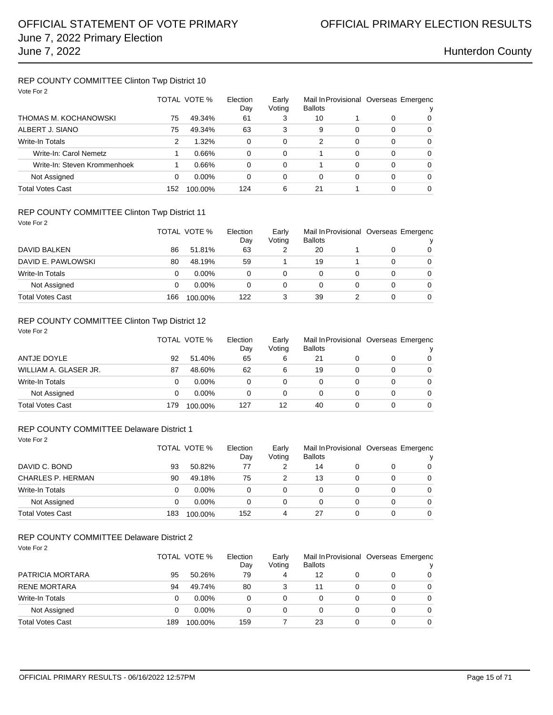## REP COUNTY COMMITTEE Clinton Twp District 10

| Vote For 2                   |     |              |                 |                 |                |   |          |                                            |
|------------------------------|-----|--------------|-----------------|-----------------|----------------|---|----------|--------------------------------------------|
|                              |     | TOTAL VOTE % | Election<br>Day | Early<br>Voting | <b>Ballots</b> |   |          | Mail In Provisional Overseas Emergenc<br>v |
| THOMAS M. KOCHANOWSKI        | 75  | 49.34%       | 61              | 3               | 10             |   | 0        | 0                                          |
| ALBERT J. SIANO              | 75  | 49.34%       | 63              | 3               | 9              | 0 | $\Omega$ | $\Omega$                                   |
| <b>Write-In Totals</b>       | 2   | 1.32%        | $\Omega$        | $\Omega$        | 2              | 0 | $\Omega$ | $\Omega$                                   |
| Write-In: Carol Nemetz       |     | 0.66%        | $\Omega$        | 0               |                | 0 | $\Omega$ | $\Omega$                                   |
| Write-In: Steven Krommenhoek |     | 0.66%        | 0               | $\Omega$        |                | 0 | $\Omega$ | $\Omega$                                   |
| Not Assigned                 | 0   | $0.00\%$     | 0               | 0               | 0              | 0 | 0        | $\Omega$                                   |
| Total Votes Cast             | 152 | 100.00%      | 124             | 6               | 21             |   | 0        | $\Omega$                                   |

### REP COUNTY COMMITTEE Clinton Twp District 11

| Vote For 2              |     |              |                 |                 |                |   |   |                                            |
|-------------------------|-----|--------------|-----------------|-----------------|----------------|---|---|--------------------------------------------|
|                         |     | TOTAL VOTE % | Election<br>Day | Early<br>Voting | <b>Ballots</b> |   |   | Mail In Provisional Overseas Emergenc<br>v |
| DAVID BALKEN            | 86  | 51.81%       | 63              |                 | 20             |   | 0 | $\Omega$                                   |
| DAVID E. PAWLOWSKI      | 80  | 48.19%       | 59              |                 | 19             |   | 0 | $\Omega$                                   |
| <b>Write-In Totals</b>  | 0   | $0.00\%$     | $\Omega$        | 0               | 0              | 0 | 0 | $\Omega$                                   |
| Not Assigned            | 0   | $0.00\%$     | $\Omega$        | 0               | 0              | 0 | 0 | $\Omega$                                   |
| <b>Total Votes Cast</b> | 166 | 100.00%      | 122             | 3               | 39             |   | 0 | $\Omega$                                   |

## REP COUNTY COMMITTEE Clinton Twp District 12

| Vote For 2              |     | TOTAL VOTE % | Election<br>Day | Early<br>Voting | <b>Ballots</b> |   |   | Mail In Provisional Overseas Emergenc<br>v |
|-------------------------|-----|--------------|-----------------|-----------------|----------------|---|---|--------------------------------------------|
| ANTJE DOYLE             | 92  | 51.40%       | 65              | 6               | 21             |   | 0 | $\Omega$                                   |
| WILLIAM A. GLASER JR.   | 87  | 48.60%       | 62              | 6               | 19             |   | 0 | $\Omega$                                   |
| <b>Write-In Totals</b>  | 0   | $0.00\%$     | 0               | 0               | 0              | 0 | 0 | $\Omega$                                   |
| Not Assigned            | 0   | $0.00\%$     | 0               | 0               | 0              | 0 | 0 | $\Omega$                                   |
| <b>Total Votes Cast</b> | 179 | 100.00%      | 127             | 12              | 40             | 0 | 0 | $\Omega$                                   |

### REP COUNTY COMMITTEE Delaware District 1

| Vote For 2 |  |
|------------|--|
|            |  |

|                   |     | TOTAL VOTE % | Election<br>Day | Early<br>Voting | Mail In Provisional Overseas Emergenc<br><b>Ballots</b> |   | v        |
|-------------------|-----|--------------|-----------------|-----------------|---------------------------------------------------------|---|----------|
| DAVID C. BOND     | 93  | 50.82%       | 77              |                 | 14                                                      | 0 | $\Omega$ |
| CHARLES P. HERMAN | 90  | 49.18%       | 75              |                 | 13                                                      | 0 | $\Omega$ |
| Write-In Totals   |     | $0.00\%$     | 0               | 0               | 0                                                       | 0 | $\Omega$ |
| Not Assigned      |     | $0.00\%$     | 0               | 0               | 0                                                       | 0 | $\Omega$ |
| Total Votes Cast  | 183 | 100.00%      | 152             | 4               | 27                                                      | 0 | 0        |

## REP COUNTY COMMITTEE Delaware District 2

| Vote For 2              |     |              |          |        |                |   |          |                                       |
|-------------------------|-----|--------------|----------|--------|----------------|---|----------|---------------------------------------|
|                         |     | TOTAL VOTE % | Election | Early  |                |   |          | Mail In Provisional Overseas Emergenc |
|                         |     |              | Day      | Voting | <b>Ballots</b> |   |          |                                       |
| PATRICIA MORTARA        | 95  | 50.26%       | 79       | 4      | 12             | 0 | $\Omega$ | 0                                     |
| <b>RENE MORTARA</b>     | 94  | 49.74%       | 80       | 3      | 11             | 0 | 0        | $\overline{0}$                        |
| <b>Write-In Totals</b>  |     | $0.00\%$     | 0        | 0      | 0              | 0 | 0        | $\Omega$                              |
| Not Assigned            |     | $0.00\%$     | 0        | 0      | 0              | 0 | 0        | $\overline{0}$                        |
| <b>Total Votes Cast</b> | 189 | 100.00%      | 159      |        | 23             | 0 | 0        | $\Omega$                              |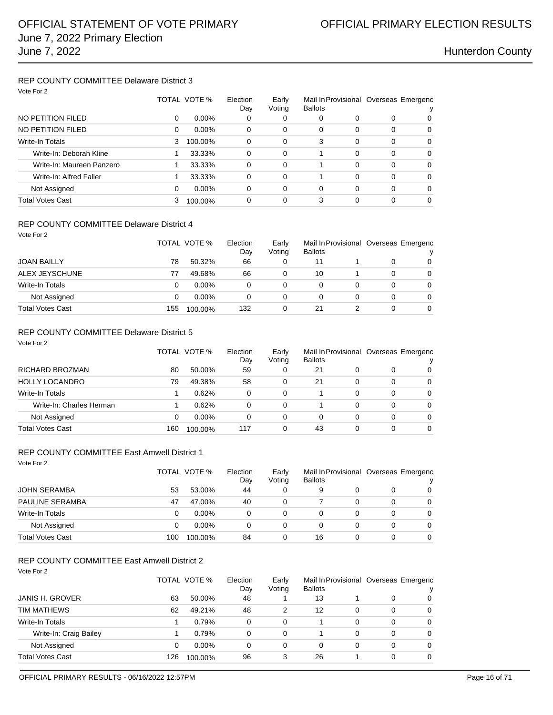### REP COUNTY COMMITTEE Delaware District 3 Vote For 2

| VOTE FOR 2                |   |              |                 |                 |                                                         |          |          |          |
|---------------------------|---|--------------|-----------------|-----------------|---------------------------------------------------------|----------|----------|----------|
|                           |   | TOTAL VOTE % | Election<br>Day | Early<br>Voting | Mail In Provisional Overseas Emergenc<br><b>Ballots</b> |          |          |          |
| NO PETITION FILED         | 0 | $0.00\%$     | 0               | 0               | 0                                                       | 0        | 0        | 0        |
| NO PETITION FILED         | 0 | $0.00\%$     | 0               | 0               | 0                                                       | 0        | 0        | 0        |
| <b>Write-In Totals</b>    | 3 | 100.00%      | 0               | $\Omega$        | 3                                                       | $\Omega$ | 0        | $\Omega$ |
| Write-In: Deborah Kline   |   | 33.33%       | 0               | 0               |                                                         | 0        | 0        | 0        |
| Write-In: Maureen Panzero |   | 33.33%       | 0               | 0               |                                                         | 0        | 0        | $\Omega$ |
| Write-In: Alfred Faller   |   | 33.33%       | 0               | $\Omega$        |                                                         | $\Omega$ | $\Omega$ | $\Omega$ |
| Not Assigned              | 0 | $0.00\%$     | 0               | 0               | 0                                                       | 0        | $\Omega$ | $\Omega$ |
| <b>Total Votes Cast</b>   | 3 | 100.00%      | 0               | 0               | 3                                                       |          | 0        | $\Omega$ |

### REP COUNTY COMMITTEE Delaware District 4

| Vote For 2              |     |              |          |        |                |   |   |                                       |
|-------------------------|-----|--------------|----------|--------|----------------|---|---|---------------------------------------|
|                         |     | TOTAL VOTE % | Election | Early  |                |   |   | Mail In Provisional Overseas Emergenc |
|                         |     |              | Day      | Voting | <b>Ballots</b> |   |   | ν                                     |
| <b>JOAN BAILLY</b>      | 78  | 50.32%       | 66       | 0      | 11             |   | 0 | $\Omega$                              |
| ALEX JEYSCHUNE          | 77  | 49.68%       | 66       | 0      | 10             |   | 0 | $\Omega$                              |
| Write-In Totals         | 0   | $0.00\%$     | 0        | 0      | 0              | 0 | 0 | $\Omega$                              |
| Not Assigned            | 0   | $0.00\%$     | 0        | 0      | 0              | 0 | 0 | $\Omega$                              |
| <b>Total Votes Cast</b> | 155 | 100.00%      | 132      | 0      | 21             |   | 0 | $\overline{0}$                        |

## REP COUNTY COMMITTEE Delaware District 5

| Vote For 2               |     | TOTAL VOTE % | Election | Early    |                |   |          | Mail In Provisional Overseas Emergenc |
|--------------------------|-----|--------------|----------|----------|----------------|---|----------|---------------------------------------|
|                          |     |              | Day      | Voting   | <b>Ballots</b> |   |          |                                       |
| RICHARD BROZMAN          | 80  | 50.00%       | 59       | 0        | 21             | 0 | 0        | 0                                     |
| <b>HOLLY LOCANDRO</b>    | 79  | 49.38%       | 58       | $\Omega$ | 21             | 0 | 0        | $\Omega$                              |
| Write-In Totals          |     | 0.62%        | 0        | 0        |                | 0 | 0        | $\Omega$                              |
| Write-In: Charles Herman |     | 0.62%        | 0        | 0        |                | 0 | $\Omega$ | $\Omega$                              |
| Not Assigned             | 0   | $0.00\%$     | $\Omega$ | 0        | 0              | 0 | 0        | $\Omega$                              |
| Total Votes Cast         | 160 | 100.00%      | 117      | 0        | 43             | 0 | $\Omega$ | $\Omega$                              |

## REP COUNTY COMMITTEE East Amwell District 1

| Vote For 2              |     | TOTAL VOTE % | Election<br>Day | Early<br>Voting | <b>Ballots</b> |   |   | Mail In Provisional Overseas Emergenc<br>v |
|-------------------------|-----|--------------|-----------------|-----------------|----------------|---|---|--------------------------------------------|
| <b>JOHN SERAMBA</b>     | 53  | 53.00%       | 44              | 0               | 9              |   | 0 | 0                                          |
| <b>PAULINE SERAMBA</b>  | 47  | 47.00%       | 40              | 0               |                | 0 | 0 | $\Omega$                                   |
| Write-In Totals         | 0   | $0.00\%$     | 0               | 0               | 0              | 0 | 0 | 0                                          |
| Not Assigned            | 0   | $0.00\%$     | 0               | 0               | 0              |   | 0 | $\Omega$                                   |
| <b>Total Votes Cast</b> | 100 | 100.00%      | 84              | 0               | 16             |   | 0 | $\Omega$                                   |

## REP COUNTY COMMITTEE East Amwell District 2

| Vote For 2 |  |
|------------|--|
|            |  |

|                        |     | TOTAL VOTE % | Election<br>Day | Early<br>Voting | <b>Ballots</b> |   | Mail In Provisional Overseas Emergenc | v |
|------------------------|-----|--------------|-----------------|-----------------|----------------|---|---------------------------------------|---|
| <b>JANIS H. GROVER</b> | 63  | 50.00%       | 48              |                 | 13             |   | 0                                     | 0 |
| TIM MATHEWS            | 62  | 49.21%       | 48              | 2               | 12             | 0 | 0                                     | 0 |
| Write-In Totals        |     | 0.79%        | 0               | 0               |                | 0 | 0                                     | 0 |
| Write-In: Craig Bailey |     | 0.79%        | 0               | $\Omega$        |                | 0 | 0                                     | 0 |
| Not Assigned           | 0   | $0.00\%$     | 0               | 0               | 0              | 0 | 0                                     | 0 |
| Total Votes Cast       | 126 | 100.00%      | 96              | 3               | 26             |   | 0                                     | 0 |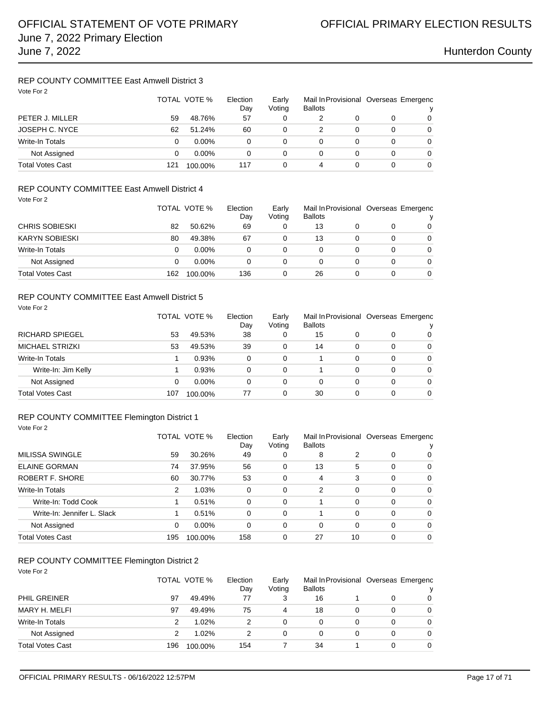### REP COUNTY COMMITTEE East Amwell District 3 Vote For 2

| Vote For 2              |     | TOTAL VOTE % | Election<br>Day | Early<br>Voting | Mail In Provisional Overseas Emergenc<br><b>Ballots</b> |   |   | ν        |
|-------------------------|-----|--------------|-----------------|-----------------|---------------------------------------------------------|---|---|----------|
| PETER J. MILLER         | 59  | 48.76%       | 57              | 0               |                                                         |   | 0 | 0        |
| JOSEPH C. NYCE          | 62  | 51.24%       | 60              | 0               |                                                         | 0 | 0 | $\Omega$ |
| Write-In Totals         | 0   | $0.00\%$     | 0               | $\Omega$        | 0                                                       |   | 0 | 0        |
| Not Assigned            | 0   | $0.00\%$     | 0               | $\Omega$        | 0                                                       |   | 0 | 0        |
| <b>Total Votes Cast</b> | 121 | 100.00%      | 117             | 0               | 4                                                       |   | 0 | 0        |

## REP COUNTY COMMITTEE East Amwell District 4

| Vote For 2              |     |              |                 |                 |                |   |   |                                            |
|-------------------------|-----|--------------|-----------------|-----------------|----------------|---|---|--------------------------------------------|
|                         |     | TOTAL VOTE % | Election<br>Day | Early<br>Voting | <b>Ballots</b> |   |   | Mail In Provisional Overseas Emergenc<br>ν |
|                         |     |              |                 |                 |                |   |   |                                            |
| <b>CHRIS SOBIESKI</b>   | 82  | 50.62%       | 69              | 0               | 13             |   |   | 0                                          |
| <b>KARYN SOBIESKI</b>   | 80  | 49.38%       | 67              | 0               | 13             |   | 0 | $\Omega$                                   |
| Write-In Totals         | 0   | $0.00\%$     | 0               | 0               | 0              | 0 | 0 | $\Omega$                                   |
| Not Assigned            | 0   | $0.00\%$     | 0               | 0               | 0              | 0 | 0 | $\Omega$                                   |
| <b>Total Votes Cast</b> | 162 | 100.00%      | 136             | 0               | 26             |   | 0 | $\Omega$                                   |

### REP COUNTY COMMITTEE East Amwell District 5

| Vote For 2             |     | TOTAL VOTE % | Election<br>Day | Early<br>Voting | <b>Ballots</b> |   |          | Mail In Provisional Overseas Emergenc<br>ν |
|------------------------|-----|--------------|-----------------|-----------------|----------------|---|----------|--------------------------------------------|
| <b>RICHARD SPIEGEL</b> | 53  | 49.53%       | 38              | 0               | 15             | 0 | 0        | 0                                          |
| MICHAEL STRIZKI        | 53  | 49.53%       | 39              | 0               | 14             | 0 | 0        | $\Omega$                                   |
| Write-In Totals        |     | 0.93%        | 0               | 0               |                | 0 | $\Omega$ | $\Omega$                                   |
| Write-In: Jim Kelly    |     | 0.93%        | $\Omega$        | 0               |                | 0 | 0        | $\Omega$                                   |
| Not Assigned           | 0   | $0.00\%$     | 0               | 0               | 0              | 0 | $\Omega$ | $\Omega$                                   |
| Total Votes Cast       | 107 | 100.00%      | 77              | 0               | 30             |   | $\Omega$ | $\Omega$                                   |

### REP COUNTY COMMITTEE Flemington District 1 Vote For 2

|                             |     | TOTAL VOTE % | Election<br>Day | Early<br>Voting | <b>Ballots</b> |          |   | Mail In Provisional Overseas Emergenc |
|-----------------------------|-----|--------------|-----------------|-----------------|----------------|----------|---|---------------------------------------|
| MILISSA SWINGLE             | 59  | 30.26%       | 49              | 0               | 8              |          | 0 | $\Omega$                              |
| <b>ELAINE GORMAN</b>        | 74  | 37.95%       | 56              | 0               | 13             | 5        | 0 | $\Omega$                              |
| <b>ROBERT F. SHORE</b>      | 60  | 30.77%       | 53              | 0               | 4              | 3        | 0 | $\Omega$                              |
| Write-In Totals             | 2   | 1.03%        | 0               | 0               | $\overline{2}$ | $\Omega$ | 0 | $\Omega$                              |
| Write-In: Todd Cook         |     | 0.51%        | 0               | $\Omega$        |                | $\Omega$ | 0 | $\Omega$                              |
| Write-In: Jennifer L. Slack |     | 0.51%        | 0               | $\Omega$        |                | $\Omega$ | 0 | $\Omega$                              |
| Not Assigned                | 0   | $0.00\%$     | 0               | 0               | 0              | $\Omega$ | 0 | $\Omega$                              |
| Total Votes Cast            | 195 | 100.00%      | 158             | 0               | 27             | 10       | 0 | $\Omega$                              |

## REP COUNTY COMMITTEE Flemington District 2

|  | Vote For: |  |
|--|-----------|--|
|--|-----------|--|

|                  |     | TOTAL VOTE % | Election<br>Day | Early<br>Voting | <b>Ballots</b> |   | Mail In Provisional Overseas Emergenc | ν |
|------------------|-----|--------------|-----------------|-----------------|----------------|---|---------------------------------------|---|
| PHIL GREINER     | 97  | 49.49%       | 77              | 3               | 16             |   |                                       | 0 |
| MARY H. MELFI    | 97  | 49.49%       | 75              | 4               | 18             | 0 |                                       | 0 |
| Write-In Totals  | 2   | 1.02%        | 2               |                 | $\Omega$       | 0 | 0                                     | 0 |
| Not Assigned     | 2   | 1.02%        | 2               |                 | 0              |   | 0                                     | 0 |
| Total Votes Cast | 196 | 100.00%      | 154             |                 | 34             |   | 0                                     | 0 |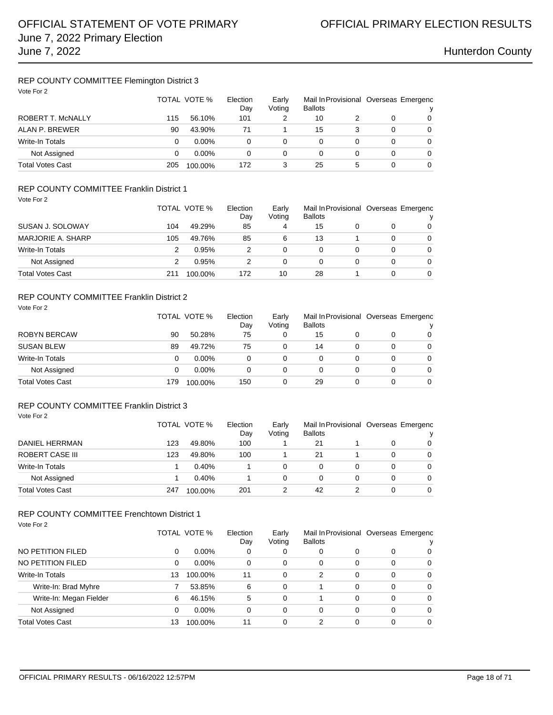## REP COUNTY COMMITTEE Flemington District 3

| Vote For 2               | TOTAL VOTE %<br>Election<br>Day |          | Early<br>Voting | Mail In Provisional Overseas Emergenc<br><b>Ballots</b> |    |   |   |          |
|--------------------------|---------------------------------|----------|-----------------|---------------------------------------------------------|----|---|---|----------|
| <b>ROBERT T. McNALLY</b> | 115                             | 56.10%   | 101             |                                                         | 10 |   | 0 | 0        |
| ALAN P. BREWER           | 90                              | 43.90%   | 71              |                                                         | 15 |   | 0 | 0        |
| Write-In Totals          | 0                               | $0.00\%$ | 0               | 0                                                       | 0  |   | 0 | $\Omega$ |
| Not Assigned             | 0                               | $0.00\%$ | 0               | 0                                                       | 0  | 0 | 0 | $\Omega$ |
| <b>Total Votes Cast</b>  | 205                             | 100.00%  | 172             | 3                                                       | 25 | 5 | 0 | 0        |

### REP COUNTY COMMITTEE Franklin District 1 Vote For 2

| , , , , , , , <u>,</u>  |     | TOTAL VOTE % | Election<br>Day | Early<br>Voting | <b>Ballots</b> |   |   | Mail In Provisional Overseas Emergenc<br>v |
|-------------------------|-----|--------------|-----------------|-----------------|----------------|---|---|--------------------------------------------|
| SUSAN J. SOLOWAY        | 104 | 49.29%       | 85              | 4               | 15             |   |   | $\Omega$                                   |
| MARJORIE A. SHARP       | 105 | 49.76%       | 85              | 6               | 13             |   |   | $\Omega$                                   |
| Write-In Totals         | 2   | 0.95%        |                 | 0               | 0              | 0 | 0 | $\Omega$                                   |
| Not Assigned            |     | 0.95%        | っ               | 0               | 0              |   | 0 | $\Omega$                                   |
| <b>Total Votes Cast</b> | 211 | 100.00%      | 172             | 10              | 28             |   |   | 0                                          |

### REP COUNTY COMMITTEE Franklin District 2

| Vote For 2              |     | TOTAL VOTE % |     | Early<br>Voting | Mail In Provisional Overseas Emergenc<br><b>Ballots</b> |   |   | v        |
|-------------------------|-----|--------------|-----|-----------------|---------------------------------------------------------|---|---|----------|
| <b>ROBYN BERCAW</b>     | 90  | 50.28%       | 75  | 0               | 15                                                      |   | 0 | $\Omega$ |
| <b>SUSAN BLEW</b>       | 89  | 49.72%       | 75  | 0               | 14                                                      | 0 | 0 | $\Omega$ |
| Write-In Totals         | 0   | $0.00\%$     | 0   | 0               | 0                                                       | 0 | 0 | $\Omega$ |
| Not Assigned            | 0   | $0.00\%$     | 0   | 0               | 0                                                       | 0 | 0 | $\Omega$ |
| <b>Total Votes Cast</b> | 179 | 100.00%      | 150 | 0               | 29                                                      | 0 | 0 | $\Omega$ |

## REP COUNTY COMMITTEE Franklin District 3

Vote For 2

| DANIEL HERRMAN          |     | TOTAL VOTE % | Election<br>Early<br>Voting<br><b>Ballots</b><br>Day |   | Mail In Provisional Overseas Emergenc |  |          |          |
|-------------------------|-----|--------------|------------------------------------------------------|---|---------------------------------------|--|----------|----------|
|                         | 123 | 49.80%       | 100                                                  |   | 21                                    |  | 0        | 0        |
| ROBERT CASE III         | 123 | 49.80%       | 100                                                  |   | 21                                    |  | 0        | 0        |
| Write-In Totals         |     | 0.40%        |                                                      | 0 |                                       |  | 0        | $\Omega$ |
| Not Assigned            |     | 0.40%        |                                                      | 0 |                                       |  | $\Omega$ | $\Omega$ |
| <b>Total Votes Cast</b> | 247 | 100.00%      | 201                                                  |   | 42                                    |  | 0        | 0        |

## REP COUNTY COMMITTEE Frenchtown District 1

| Vote For 2              |    |              |                 |                 |                |          |          |                                       |
|-------------------------|----|--------------|-----------------|-----------------|----------------|----------|----------|---------------------------------------|
|                         |    | TOTAL VOTE % | Election<br>Day | Early<br>Voting | <b>Ballots</b> |          |          | Mail In Provisional Overseas Emergenc |
| NO PETITION FILED       | 0  | $0.00\%$     | 0               | 0               | 0              | 0        | 0        | 0                                     |
| NO PETITION FILED       | 0  | $0.00\%$     | 0               | 0               | 0              | 0        | $\Omega$ | $\Omega$                              |
| <b>Write-In Totals</b>  | 13 | 100.00%      | 11              | $\Omega$        | 2              | 0        | $\Omega$ | $\Omega$                              |
| Write-In: Brad Myhre    |    | 53.85%       | 6               | $\Omega$        |                | $\Omega$ | $\Omega$ | $\Omega$                              |
| Write-In: Megan Fielder | 6  | 46.15%       | 5               | $\Omega$        |                | 0        | $\Omega$ | $\Omega$                              |
| Not Assigned            | 0  | $0.00\%$     | 0               | 0               | 0              | 0        | 0        | $\Omega$                              |
| <b>Total Votes Cast</b> | 13 | 100.00%      | 11              | 0               | 2              |          | 0        | 0                                     |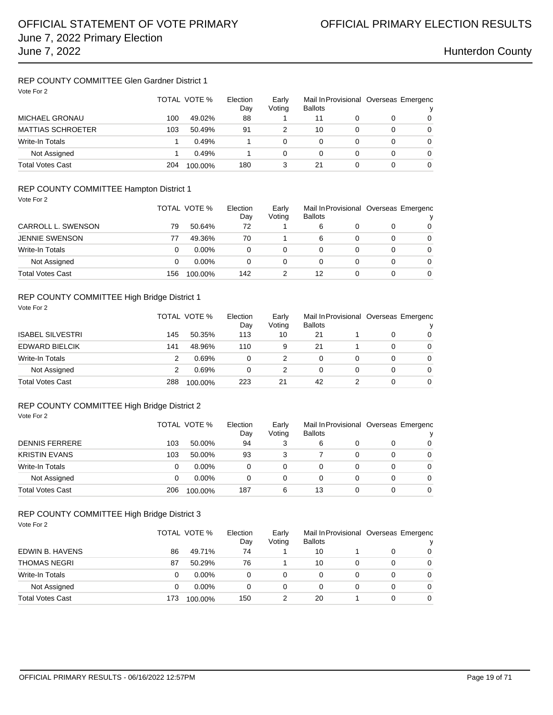## REP COUNTY COMMITTEE Glen Gardner District 1

| Vote For 2               |     | TOTAL VOTE % | Election<br>Day | Early<br>Voting | <b>Ballots</b> |   | Mail In Provisional Overseas Emergenc |   |
|--------------------------|-----|--------------|-----------------|-----------------|----------------|---|---------------------------------------|---|
| <b>MICHAEL GRONAU</b>    | 100 | 49.02%       | 88              |                 | 11             |   |                                       | 0 |
| <b>MATTIAS SCHROETER</b> | 103 | 50.49%       | 91              | 2               | 10             |   | 0                                     | 0 |
| <b>Write-In Totals</b>   |     | 0.49%        |                 | 0               | 0              | 0 | 0                                     | 0 |
| Not Assigned             |     | 0.49%        |                 | 0               | 0              | 0 | 0                                     | 0 |
| <b>Total Votes Cast</b>  | 204 | 100.00%      | 180             | 3               | 21             | 0 | 0                                     | 0 |

## REP COUNTY COMMITTEE Hampton District 1

| Vote For 2              |     |              |                 |                 |                |   |                                       |          |
|-------------------------|-----|--------------|-----------------|-----------------|----------------|---|---------------------------------------|----------|
|                         |     | TOTAL VOTE % | Election<br>Dav | Early<br>Voting | <b>Ballots</b> |   | Mail In Provisional Overseas Emergenc |          |
| CARROLL L. SWENSON      | 79  | 50.64%       | 72              |                 | 6              | 0 | 0                                     | 0        |
| <b>JENNIE SWENSON</b>   | 77  | 49.36%       | 70              |                 | 6              | 0 | 0                                     | $\Omega$ |
| Write-In Totals         | 0   | $0.00\%$     | 0               | 0               | 0              | 0 | 0                                     | $\Omega$ |
| Not Assigned            | 0   | $0.00\%$     | 0               | 0               | 0              | 0 | 0                                     | $\Omega$ |
| <b>Total Votes Cast</b> | 156 | 100.00%      | 142             | 2               | 12             | 0 | 0                                     | $\Omega$ |

### REP COUNTY COMMITTEE High Bridge District 1

| Vote For 2              |     | TOTAL VOTE %<br>Election |     | Early<br>Voting | Mail In Provisional Overseas Emergenc<br><b>Ballots</b> |   |   | v        |
|-------------------------|-----|--------------------------|-----|-----------------|---------------------------------------------------------|---|---|----------|
| <b>ISABEL SILVESTRI</b> | 145 | 50.35%                   | 113 | 10              | 21                                                      |   | 0 | $\Omega$ |
| <b>EDWARD BIELCIK</b>   | 141 | 48.96%                   | 110 | 9               | 21                                                      |   | 0 | $\Omega$ |
| Write-In Totals         | 2   | 0.69%                    | 0   | 2               | 0                                                       | 0 | 0 | $\Omega$ |
| Not Assigned            | 2   | 0.69%                    | 0   | 2               | 0                                                       | 0 | 0 | $\Omega$ |
| <b>Total Votes Cast</b> | 288 | 100.00%                  | 223 | 21              | 42                                                      |   | 0 | $\Omega$ |

## REP COUNTY COMMITTEE High Bridge District 2

| Vote For 2              |     | TOTAL VOTE %<br>Election |     | Early<br>Voting | Mail In Provisional Overseas Emergenc<br><b>Ballots</b> |   |          |          |
|-------------------------|-----|--------------------------|-----|-----------------|---------------------------------------------------------|---|----------|----------|
| <b>DENNIS FERRERE</b>   | 103 | 50.00%                   | 94  | 3               | 6                                                       | 0 | 0        | 0        |
| <b>KRISTIN EVANS</b>    | 103 | 50.00%                   | 93  | 3               |                                                         | 0 | 0        | $\Omega$ |
| Write-In Totals         | 0   | $0.00\%$                 | 0   | 0               | 0                                                       | 0 | 0        | 0        |
| Not Assigned            | 0   | $0.00\%$                 | 0   | 0               | 0                                                       | 0 | $\Omega$ | $\Omega$ |
| <b>Total Votes Cast</b> | 206 | 100.00%                  | 187 | 6               | 13                                                      | 0 | 0        | $\Omega$ |

## REP COUNTY COMMITTEE High Bridge District 3

| Vote For 2              |     | TOTAL VOTE % | Election<br>Day | Early<br>Voting | Mail In Provisional Overseas Emergenc<br><b>Ballots</b> |   |   | ν        |  |
|-------------------------|-----|--------------|-----------------|-----------------|---------------------------------------------------------|---|---|----------|--|
| EDWIN B. HAVENS         | 86  | 49.71%       | 74              |                 | 10                                                      |   | 0 | 0        |  |
| <b>THOMAS NEGRI</b>     | 87  | 50.29%       | 76              |                 | 10                                                      | 0 | 0 | 0        |  |
| Write-In Totals         | 0   | $0.00\%$     | 0               | $\Omega$        | 0                                                       | 0 | 0 | $\Omega$ |  |
| Not Assigned            | 0   | $0.00\%$     | 0               | $\Omega$        | 0                                                       | 0 | 0 | $\Omega$ |  |
| <b>Total Votes Cast</b> | 173 | 100.00%      | 150             | 2               | 20                                                      |   | 0 | $\Omega$ |  |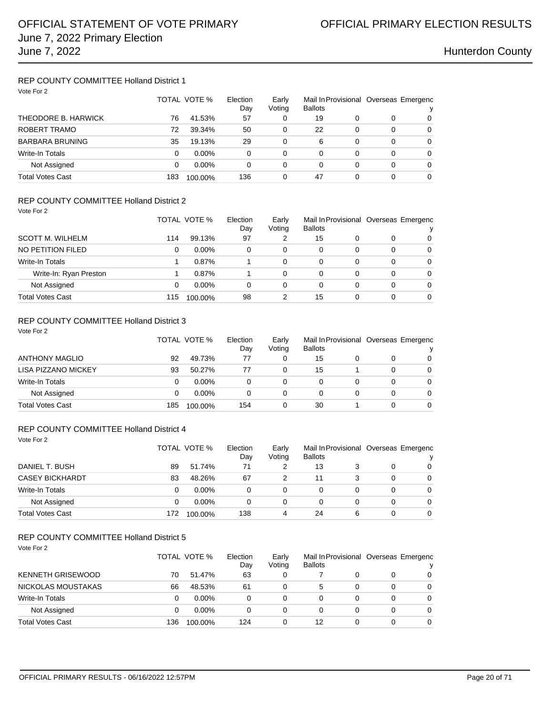### REP COUNTY COMMITTEE Holland District 1 Vote For 2

| VOTE FOR 2             |     | TOTAL VOTE % | Election  | Early    | <b>Ballots</b> | Mail In Provisional Overseas Emergenc |   |          |
|------------------------|-----|--------------|-----------|----------|----------------|---------------------------------------|---|----------|
| THEODORE B. HARWICK    | 76  | 41.53%       | Day<br>57 | Voting   | 19             | 0                                     | 0 | v<br>0   |
| ROBERT TRAMO           | 72  | 39.34%       | 50        | 0        | 22             | $\Omega$                              | 0 | 0        |
|                        |     |              |           |          |                |                                       |   |          |
| <b>BARBARA BRUNING</b> | 35  | 19.13%       | 29        | 0        | 6              | 0                                     | 0 | 0        |
| Write-In Totals        | 0   | $0.00\%$     | 0         | $\Omega$ | 0              | 0                                     | 0 | 0        |
| Not Assigned           | 0   | $0.00\%$     | 0         | $\Omega$ | 0              | 0                                     | 0 | $\Omega$ |
| Total Votes Cast       | 183 | 100.00%      | 136       | 0        | 47             | 0                                     | 0 | 0        |

## REP COUNTY COMMITTEE Holland District 2

Vote For 2

|                         |     | TOTAL VOTE % | Election<br>Day | Early<br>Voting | <b>Ballots</b> |   |   | Mail In Provisional Overseas Emergenc<br>v |
|-------------------------|-----|--------------|-----------------|-----------------|----------------|---|---|--------------------------------------------|
| <b>SCOTT M. WILHELM</b> | 114 | 99.13%       | 97              | 2               | 15             |   |   | $\Omega$                                   |
| NO PETITION FILED       | 0   | $0.00\%$     | 0               | 0               | 0              | 0 | 0 | $\Omega$                                   |
| Write-In Totals         |     | 0.87%        |                 | 0               | 0              |   | 0 | $\Omega$                                   |
| Write-In: Ryan Preston  |     | $0.87\%$     |                 | 0               | 0              |   | 0 | $\Omega$                                   |
| Not Assigned            |     | $0.00\%$     | 0               | 0               | 0              |   | 0 | $\Omega$                                   |
| <b>Total Votes Cast</b> | 115 | 100.00%      | 98              |                 | 15             |   | 0 | $\Omega$                                   |

## REP COUNTY COMMITTEE Holland District 3

| Vote For 2                 | TOTAL VOTE % |          | Election<br>Day | Early<br>Voting | <b>Ballots</b> |   | Mail In Provisional Overseas Emergenc |          |
|----------------------------|--------------|----------|-----------------|-----------------|----------------|---|---------------------------------------|----------|
| <b>ANTHONY MAGLIO</b>      | 92           | 49.73%   | 77              | 0               | 15             |   |                                       | 0        |
| <b>LISA PIZZANO MICKEY</b> | 93           | 50.27%   | 77              | 0               | 15             |   | 0                                     | $\Omega$ |
| <b>Write-In Totals</b>     | 0            | $0.00\%$ | $\Omega$        | 0               | 0              | 0 | 0                                     | $\Omega$ |
| Not Assigned               | 0            | $0.00\%$ | 0               | 0               | 0              | 0 | 0                                     | $\Omega$ |
| <b>Total Votes Cast</b>    | 185          | 100.00%  | 154             | 0               | 30             |   | 0                                     | $\Omega$ |

### REP COUNTY COMMITTEE Holland District 4

Vote For 2

|                         |     | TOTAL VOTE % | Election<br>Dav | Early<br>Voting | Mail In Provisional Overseas Emergenc<br><b>Ballots</b> |   |   | v        |
|-------------------------|-----|--------------|-----------------|-----------------|---------------------------------------------------------|---|---|----------|
| DANIEL T. BUSH          | 89  | 51.74%       | 71              |                 | 13                                                      |   |   | $\Omega$ |
| <b>CASEY BICKHARDT</b>  | 83  | 48.26%       | 67              |                 | 11                                                      |   |   | $\Omega$ |
| Write-In Totals         | 0   | $0.00\%$     | 0               | 0               | 0                                                       |   | O | $\Omega$ |
| Not Assigned            |     | $0.00\%$     | 0               | 0               | 0                                                       |   | O | $\Omega$ |
| <b>Total Votes Cast</b> | 172 | 100.00%      | 138             | 4               | 24                                                      | 6 |   | 0        |

## REP COUNTY COMMITTEE Holland District 5

| Vote For 2               |     |              |                 |                 |                |   |   |                                            |
|--------------------------|-----|--------------|-----------------|-----------------|----------------|---|---|--------------------------------------------|
|                          |     | TOTAL VOTE % | Election<br>Day | Early<br>Voting | <b>Ballots</b> |   |   | Mail In Provisional Overseas Emergenc<br>v |
| <b>KENNETH GRISEWOOD</b> | 70  | 51.47%       | 63              | 0               |                | 0 | 0 | $\Omega$                                   |
| NICKOLAS MOUSTAKAS       | 66  | 48.53%       | 61              | 0               | 5              | 0 | 0 | $\Omega$                                   |
| <b>Write-In Totals</b>   | 0   | $0.00\%$     | 0               | 0               | 0              |   | 0 | $\Omega$                                   |
| Not Assigned             | 0   | $0.00\%$     | 0               | 0               | 0              |   | 0 | $\Omega$                                   |
| <b>Total Votes Cast</b>  | 136 | 100.00%      | 124             | 0               | 12             |   | 0 | 0                                          |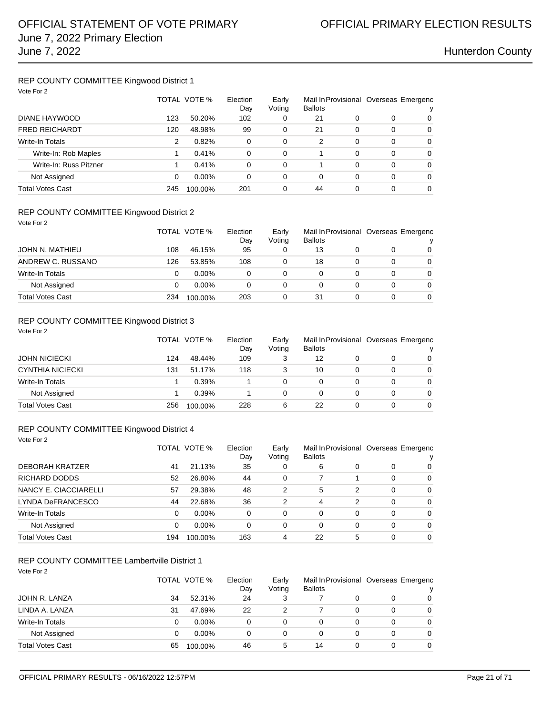## REP COUNTY COMMITTEE Kingwood District 1

| Vote For 2             |     |              |                 |                 |                                                         |          |          |          |
|------------------------|-----|--------------|-----------------|-----------------|---------------------------------------------------------|----------|----------|----------|
|                        |     | TOTAL VOTE % | Election<br>Day | Early<br>Voting | Mail In Provisional Overseas Emergenc<br><b>Ballots</b> |          |          |          |
| DIANE HAYWOOD          | 123 | 50.20%       | 102             | 0               | 21                                                      | 0        | 0        | 0        |
| <b>FRED REICHARDT</b>  | 120 | 48.98%       | 99              | 0               | 21                                                      | 0        | $\Omega$ | 0        |
| <b>Write-In Totals</b> | 2   | 0.82%        | $\Omega$        | 0               | 2                                                       | 0        | $\Omega$ | $\Omega$ |
| Write-In: Rob Maples   |     | 0.41%        | $\Omega$        | 0               |                                                         | $\Omega$ | $\Omega$ | $\Omega$ |
| Write-In: Russ Pitzner |     | 0.41%        | $\Omega$        | 0               |                                                         | 0        | $\Omega$ | $\Omega$ |
| Not Assigned           | 0   | $0.00\%$     | 0               | 0               | 0                                                       | 0        | $\Omega$ | 0        |
| Total Votes Cast       | 245 | 100.00%      | 201             | 0               | 44                                                      | 0        | $\Omega$ | 0        |

### REP COUNTY COMMITTEE Kingwood District 2

| Vote For 2              |     |              |                 |                 |                                                         |   |   |          |  |
|-------------------------|-----|--------------|-----------------|-----------------|---------------------------------------------------------|---|---|----------|--|
|                         |     | TOTAL VOTE % | Election<br>Day | Early<br>Voting | Mail In Provisional Overseas Emergenc<br><b>Ballots</b> |   |   | v        |  |
| JOHN N. MATHIEU         | 108 | 46.15%       | 95              | 0               | 13                                                      |   | 0 | $\Omega$ |  |
| ANDREW C. RUSSANO       | 126 | 53.85%       | 108             | 0               | 18                                                      |   | 0 | $\Omega$ |  |
| Write-In Totals         | 0   | $0.00\%$     | $\Omega$        | $\Omega$        | 0                                                       | 0 | 0 | $\Omega$ |  |
| Not Assigned            | 0   | $0.00\%$     | $\Omega$        | 0               | 0                                                       | 0 | 0 | $\Omega$ |  |
| <b>Total Votes Cast</b> | 234 | 100.00%      | 203             | 0               | 31                                                      |   | 0 | $\Omega$ |  |

## REP COUNTY COMMITTEE Kingwood District 3

| Vote For 2              | TOTAL VOTE % |         | Election<br>Day | Early<br>Voting |    |   | Mail In Provisional Overseas Emergenc<br>v |          |
|-------------------------|--------------|---------|-----------------|-----------------|----|---|--------------------------------------------|----------|
| <b>JOHN NICIECKI</b>    | 124          | 48.44%  | 109             | 3               | 12 |   | 0                                          | $\Omega$ |
| <b>CYNTHIA NICIECKI</b> | 131          | 51.17%  | 118             | 3               | 10 | 0 | 0                                          | $\Omega$ |
| <b>Write-In Totals</b>  |              | 0.39%   |                 | 0               | 0  | 0 | 0                                          | $\Omega$ |
| Not Assigned            |              | 0.39%   |                 | 0               | 0  | 0 | 0                                          | $\Omega$ |
| <b>Total Votes Cast</b> | 256          | 100.00% | 228             | 6               | 22 | 0 | 0                                          | $\Omega$ |

### REP COUNTY COMMITTEE Kingwood District 4

Vote For 2

|                         |     | TOTAL VOTE % | Election<br>Day | Early<br>Voting | Mail In Provisional Overseas Emergenc<br><b>Ballots</b> |   |          |                |
|-------------------------|-----|--------------|-----------------|-----------------|---------------------------------------------------------|---|----------|----------------|
| <b>DEBORAH KRATZER</b>  | 41  | 21.13%       | 35              | 0               | 6                                                       | 0 | 0        | 0              |
| RICHARD DODDS           | 52  | 26.80%       | 44              | $\Omega$        |                                                         |   | 0        | $\mathbf 0$    |
| NANCY E. CIACCIARELLI   | 57  | 29.38%       | 48              | 2               | 5                                                       | 2 | 0        | 0              |
| LYNDA DeFRANCESCO       | 44  | 22.68%       | 36              | 2               | 4                                                       | 2 | $\Omega$ | $\overline{0}$ |
| <b>Write-In Totals</b>  | 0   | $0.00\%$     | 0               | 0               | 0                                                       | 0 | 0        | 0              |
| Not Assigned            | 0   | $0.00\%$     | 0               | 0               | 0                                                       | 0 | 0        | $\Omega$       |
| <b>Total Votes Cast</b> | 194 | 100.00%      | 163             | 4               | 22                                                      | 5 | 0        | $\Omega$       |

## REP COUNTY COMMITTEE Lambertville District 1

Vote For 2

|                         |    | TOTAL VOTE % |    | Early<br>Voting | <b>Ballots</b> |   | Mail In Provisional Overseas Emergenc<br>ν |   |  |
|-------------------------|----|--------------|----|-----------------|----------------|---|--------------------------------------------|---|--|
| JOHN R. LANZA           | 34 | 52.31%       | 24 |                 |                |   |                                            | 0 |  |
| LINDA A. LANZA          | 31 | 47.69%       | 22 |                 |                | 0 |                                            | 0 |  |
| Write-In Totals         |    | $0.00\%$     | 0  |                 | 0              |   |                                            | 0 |  |
| Not Assigned            |    | $0.00\%$     | 0  | 0               | 0              |   |                                            | 0 |  |
| <b>Total Votes Cast</b> | 65 | 100.00%      | 46 | 5               | 14             |   |                                            | 0 |  |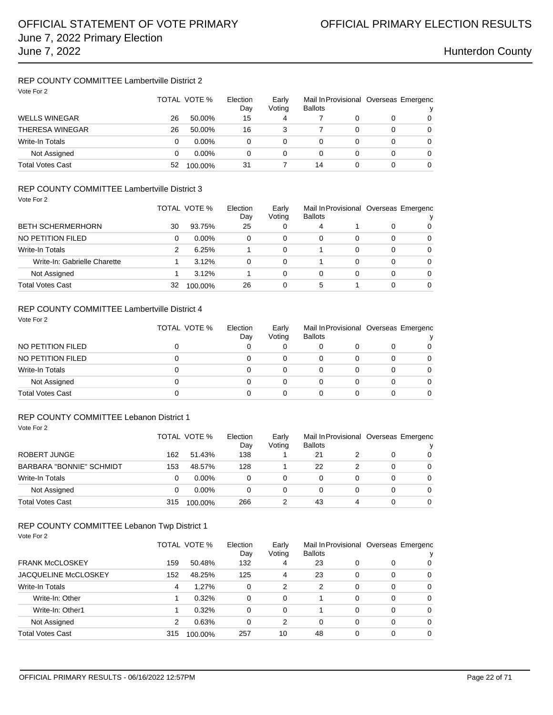## REP COUNTY COMMITTEE Lambertville District 2

| Vote For 2              |    | TOTAL VOTE %<br>Election |    | Early<br>Voting | <b>Ballots</b> |   | Mail In Provisional Overseas Emergenc<br>v |   |  |
|-------------------------|----|--------------------------|----|-----------------|----------------|---|--------------------------------------------|---|--|
| <b>WELLS WINEGAR</b>    | 26 | 50.00%                   | 15 | 4               |                |   |                                            | 0 |  |
| <b>THERESA WINEGAR</b>  | 26 | 50.00%                   | 16 | 3               |                | 0 | 0                                          | 0 |  |
| Write-In Totals         | 0  | $0.00\%$                 | 0  | 0               | 0              | 0 | 0                                          | 0 |  |
| Not Assigned            | 0  | $0.00\%$                 | 0  | 0               | 0              | 0 | 0                                          | 0 |  |
| <b>Total Votes Cast</b> | 52 | 100.00%                  | 31 |                 | 14             | 0 | 0                                          | 0 |  |

## REP COUNTY COMMITTEE Lambertville District 3

| Vote For 2                   |    | TOTAL VOTE % | Election<br>Day | Early<br>Voting | <b>Ballots</b> |   |   | Mail In Provisional Overseas Emergenc |
|------------------------------|----|--------------|-----------------|-----------------|----------------|---|---|---------------------------------------|
| <b>BETH SCHERMERHORN</b>     | 30 | 93.75%       | 25              | 0               | 4              |   | 0 | 0                                     |
| NO PETITION FILED            | 0  | $0.00\%$     | 0               | 0               | 0              | 0 | 0 | 0                                     |
| Write-In Totals              | 2  | 6.25%        |                 | 0               |                | 0 | 0 | $\Omega$                              |
| Write-In: Gabrielle Charette |    | 3.12%        | 0               | 0               |                | 0 | 0 | $\Omega$                              |
| Not Assigned                 |    | 3.12%        |                 | 0               | 0              | 0 | 0 | $\Omega$                              |
| Total Votes Cast             | 32 | 100.00%      | 26              | 0               | 5              |   | 0 | 0                                     |

## REP COUNTY COMMITTEE Lambertville District 4

| Vote For 2              | TOTAL VOTE % | Election<br>Day | Early<br>Voting | <b>Ballots</b> |   | Mail In Provisional Overseas Emergenc |          |  |
|-------------------------|--------------|-----------------|-----------------|----------------|---|---------------------------------------|----------|--|
| NO PETITION FILED       |              | 0               | 0               | 0              |   | 0                                     | 0        |  |
| NO PETITION FILED       | 0            | 0               | 0               | 0              | 0 | 0                                     | $\Omega$ |  |
| Write-In Totals         | 0            | 0               | 0               | 0              |   | 0                                     | 0        |  |
| Not Assigned            |              | 0               | 0               | 0              | 0 | 0                                     | $\Omega$ |  |
| <b>Total Votes Cast</b> |              |                 | 0               | 0              | 0 |                                       | 0        |  |

### REP COUNTY COMMITTEE Lebanon District 1 Vote For 2

|                          | TOTAL VOTE % |          | Election<br>Day | Early<br>Voting | <b>Ballots</b> |   | Mail In Provisional Overseas Emergenc |          |
|--------------------------|--------------|----------|-----------------|-----------------|----------------|---|---------------------------------------|----------|
| ROBERT JUNGE             | 162          | 51.43%   | 138             |                 | 21             |   |                                       | 0        |
| BARBARA "BONNIE" SCHMIDT | 153          | 48.57%   | 128             |                 | 22             |   | 0                                     | $\Omega$ |
| Write-In Totals          |              | $0.00\%$ |                 | 0               |                |   | 0                                     | $\Omega$ |
| Not Assigned             | 0            | $0.00\%$ | 0               | 0               |                |   | 0                                     | $\Omega$ |
| <b>Total Votes Cast</b>  | 315          | 100.00%  | 266             |                 | 43             | 4 | 0                                     | 0        |

### REP COUNTY COMMITTEE Lebanon Twp District 1 Vote For 2

|                             |     | TOTAL VOTE % | Election<br>Day | Early<br>Voting | <b>Ballots</b> |   |   | Mail In Provisional Overseas Emergenc |
|-----------------------------|-----|--------------|-----------------|-----------------|----------------|---|---|---------------------------------------|
| <b>FRANK McCLOSKEY</b>      | 159 | 50.48%       | 132             | 4               | 23             | 0 | 0 | 0                                     |
| <b>JACQUELINE McCLOSKEY</b> | 152 | 48.25%       | 125             | 4               | 23             | 0 | 0 | 0                                     |
| Write-In Totals             | 4   | 1.27%        | 0               | 2               | 2              | 0 | 0 | $\Omega$                              |
| Write-In: Other             |     | 0.32%        | 0               | $\Omega$        |                | 0 | 0 | $\Omega$                              |
| Write-In: Other1            |     | 0.32%        | 0               | 0               |                | 0 | 0 | 0                                     |
| Not Assigned                | 2   | 0.63%        | 0               | 2               | 0              | 0 | 0 | $\Omega$                              |
| Total Votes Cast            | 315 | 100.00%      | 257             | 10              | 48             | 0 | 0 | $\Omega$                              |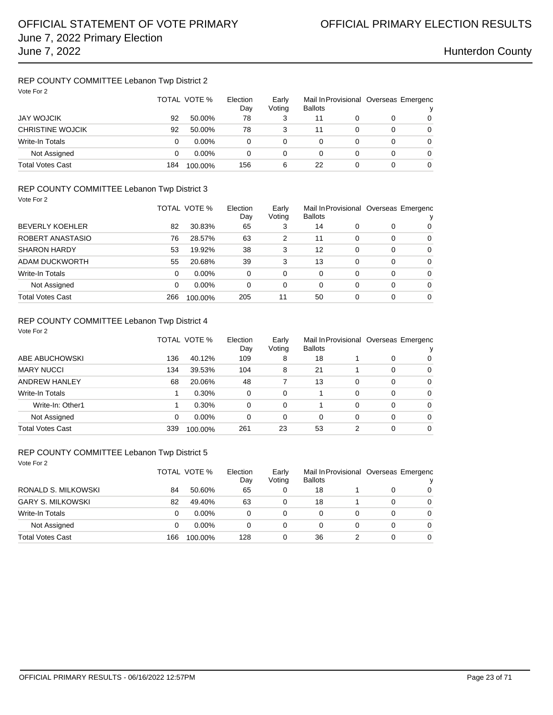## REP COUNTY COMMITTEE Lebanon Twp District 2

| Vote For 2              | TOTAL VOTE % |          | Election<br>Day | Early<br>Voting | Mail In Provisional Overseas Emergenc<br><b>Ballots</b> |   |   |   |
|-------------------------|--------------|----------|-----------------|-----------------|---------------------------------------------------------|---|---|---|
| <b>JAY WOJCIK</b>       | 92           | 50.00%   | 78              | 3               | 11                                                      |   |   | 0 |
| <b>CHRISTINE WOJCIK</b> | 92           | 50.00%   | 78              | 3               | 11                                                      |   | 0 | 0 |
| Write-In Totals         | 0            | $0.00\%$ | 0               | 0               | 0                                                       |   | 0 | 0 |
| Not Assigned            | 0            | $0.00\%$ | 0               | 0               | 0                                                       | 0 | 0 | 0 |
| <b>Total Votes Cast</b> | 184          | 100.00%  | 156             | 6               | 22                                                      |   | 0 | 0 |

### REP COUNTY COMMITTEE Lebanon Twp District 3 Vote For 2

| $VUR + VIE$             |     | TOTAL VOTE %<br>Election |     | Early<br>Voting | <b>Ballots</b> |   | Mail In Provisional Overseas Emergenc<br>ν |          |
|-------------------------|-----|--------------------------|-----|-----------------|----------------|---|--------------------------------------------|----------|
| <b>BEVERLY KOEHLER</b>  | 82  | 30.83%                   | 65  | 3               | 14             | 0 | 0                                          | 0        |
| ROBERT ANASTASIO        | 76  | 28.57%                   | 63  | 2               | 11             | 0 | 0                                          | 0        |
| <b>SHARON HARDY</b>     | 53  | 19.92%                   | 38  | 3               | 12             | 0 | 0                                          | 0        |
| ADAM DUCKWORTH          | 55  | 20.68%                   | 39  | 3               | 13             | 0 | 0                                          | $\Omega$ |
| Write-In Totals         | 0   | $0.00\%$                 | 0   | 0               | $\Omega$       | 0 | 0                                          | $\Omega$ |
| Not Assigned            | 0   | $0.00\%$                 | 0   | 0               | 0              | 0 | 0                                          | $\Omega$ |
| <b>Total Votes Cast</b> | 266 | 100.00%                  | 205 | 11              | 50             | 0 | 0                                          | $\Omega$ |

### REP COUNTY COMMITTEE Lebanon Twp District 4

| Vote For 2              |     |              |                 |                 |                                                         |   |   |          |  |
|-------------------------|-----|--------------|-----------------|-----------------|---------------------------------------------------------|---|---|----------|--|
|                         |     | TOTAL VOTE % | Election<br>Day | Early<br>Voting | Mail In Provisional Overseas Emergenc<br><b>Ballots</b> |   |   | ٧        |  |
| ABE ABUCHOWSKI          | 136 | 40.12%       | 109             | 8               | 18                                                      |   | 0 | $\Omega$ |  |
| <b>MARY NUCCI</b>       | 134 | 39.53%       | 104             | 8               | 21                                                      |   | 0 | $\Omega$ |  |
| ANDREW HANLEY           | 68  | 20.06%       | 48              |                 | 13                                                      | 0 | 0 | $\Omega$ |  |
| Write-In Totals         |     | 0.30%        | 0               | 0               |                                                         | 0 | 0 | 0        |  |
| Write-In: Other1        |     | 0.30%        | 0               | 0               |                                                         | 0 | 0 | $\Omega$ |  |
| Not Assigned            | 0   | $0.00\%$     | 0               | 0               | 0                                                       | 0 | 0 | $\Omega$ |  |
| <b>Total Votes Cast</b> | 339 | 100.00%      | 261             | 23              | 53                                                      | 2 | 0 | $\Omega$ |  |

### REP COUNTY COMMITTEE Lebanon Twp District 5

| Vote For 2               |     | TOTAL VOTE % | Election<br>Day |   | Mail In Provisional Overseas Emergenc<br>Early<br><b>Ballots</b><br>Voting |   |   |          |  |
|--------------------------|-----|--------------|-----------------|---|----------------------------------------------------------------------------|---|---|----------|--|
| RONALD S. MILKOWSKI      | 84  | 50.60%       | 65              | 0 | 18                                                                         |   | 0 | 0        |  |
| <b>GARY S. MILKOWSKI</b> | 82  | 49.40%       | 63              | 0 | 18                                                                         |   | 0 | $\Omega$ |  |
| Write-In Totals          | 0   | $0.00\%$     | 0               | 0 | $\Omega$                                                                   | 0 | 0 | $\Omega$ |  |
| Not Assigned             | 0   | $0.00\%$     | 0               | 0 | $\Omega$                                                                   | 0 | 0 | $\Omega$ |  |
| <b>Total Votes Cast</b>  | 166 | 100.00%      | 128             | 0 | 36                                                                         |   | 0 | 0        |  |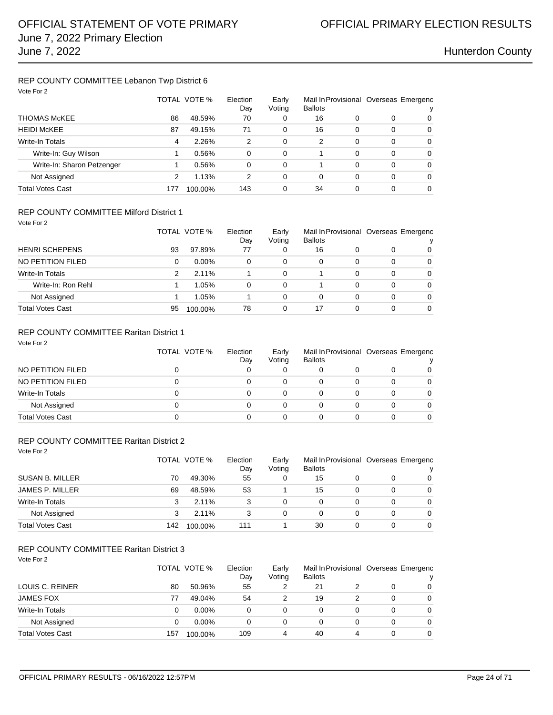## REP COUNTY COMMITTEE Lebanon Twp District 6

| Vote For 2                 |     |              |                 |                 |                                                         |   |          |          |  |
|----------------------------|-----|--------------|-----------------|-----------------|---------------------------------------------------------|---|----------|----------|--|
|                            |     | TOTAL VOTE % | Election<br>Day | Early<br>Voting | Mail In Provisional Overseas Emergenc<br><b>Ballots</b> |   |          | ν        |  |
| <b>THOMAS McKEE</b>        | 86  | 48.59%       | 70              | 0               | 16                                                      | 0 | 0        | 0        |  |
| <b>HEIDI McKEE</b>         | 87  | 49.15%       | 71              | 0               | 16                                                      | 0 | $\Omega$ | $\Omega$ |  |
| <b>Write-In Totals</b>     | 4   | 2.26%        | 2               | 0               | $\overline{2}$                                          | 0 | 0        | $\Omega$ |  |
| Write-In: Guy Wilson       |     | 0.56%        | 0               | 0               |                                                         | 0 | 0        | $\Omega$ |  |
| Write-In: Sharon Petzenger |     | 0.56%        | 0               | 0               |                                                         | 0 | 0        | 0        |  |
| Not Assigned               | 2   | 1.13%        | 2               | 0               | 0                                                       | 0 | 0        | $\Omega$ |  |
| <b>Total Votes Cast</b>    | 177 | 100.00%      | 143             | 0               | 34                                                      |   | 0        | 0        |  |

### REP COUNTY COMMITTEE Milford District 1

| Vote For 2              |    |              |                 |                 |                |   |   |                                       |
|-------------------------|----|--------------|-----------------|-----------------|----------------|---|---|---------------------------------------|
|                         |    | TOTAL VOTE % | Election<br>Day | Early<br>Voting | <b>Ballots</b> |   |   | Mail In Provisional Overseas Emergenc |
| <b>HENRI SCHEPENS</b>   | 93 | 97.89%       | 77              | 0               | 16             | 0 | 0 | 0                                     |
| NO PETITION FILED       | 0  | $0.00\%$     | 0               | 0               | 0              | 0 | 0 | $\Omega$                              |
| <b>Write-In Totals</b>  | 2  | 2.11%        |                 | 0               |                | 0 | 0 | $\Omega$                              |
| Write-In: Ron Rehl      |    | 1.05%        | $\Omega$        | 0               |                | 0 | 0 | 0                                     |
| Not Assigned            |    | 1.05%        |                 | 0               | 0              | 0 | 0 | $\Omega$                              |
| <b>Total Votes Cast</b> | 95 | 100.00%      | 78              | 0               | 17             | 0 | 0 | 0                                     |

### REP COUNTY COMMITTEE Raritan District 1

| Vote For 2              | TOTAL VOTE % | Election<br>Day | Early<br>Voting | <b>Ballots</b> |          | Mail In Provisional Overseas Emergenc |          |  |
|-------------------------|--------------|-----------------|-----------------|----------------|----------|---------------------------------------|----------|--|
| NO PETITION FILED       |              |                 | 0               |                | 0        |                                       | 0        |  |
| NO PETITION FILED       | 0            | 0               | 0               | 0              | 0        | 0                                     | $\Omega$ |  |
| Write-In Totals         | 0            |                 | 0               | 0              | $\Omega$ | 0                                     | 0        |  |
| Not Assigned            | 0            | 0               | 0               | 0              | 0        | 0                                     | 0        |  |
| <b>Total Votes Cast</b> |              |                 | 0               |                | 0        |                                       |          |  |

## REP COUNTY COMMITTEE Raritan District 2

| Vote For 2              | TOTAL VOTE % |         | Election | Early<br>Voting | <b>Ballots</b> |   | Mail In Provisional Overseas Emergenc |          |
|-------------------------|--------------|---------|----------|-----------------|----------------|---|---------------------------------------|----------|
|                         |              |         | Day      |                 |                |   |                                       |          |
| <b>SUSAN B. MILLER</b>  | 70           | 49.30%  | 55       | 0               | 15             | 0 | 0                                     | 0        |
| <b>JAMES P. MILLER</b>  | 69           | 48.59%  | 53       |                 | 15             | 0 | $\Omega$                              | 0        |
| Write-In Totals         | 3            | 2.11%   | 3        | 0               | 0              | 0 | 0                                     | $\Omega$ |
| Not Assigned            | 3            | 2.11%   | 3        | 0               | 0              | 0 | 0                                     | $\Omega$ |
| <b>Total Votes Cast</b> | 142          | 100.00% | 111      |                 | 30             | 0 | 0                                     | 0        |

| Vote For 2              |     | TOTAL VOTE % | Election<br>Day | Early<br>Voting | <b>Ballots</b> |   | Mail In Provisional Overseas Emergenc |          |  |
|-------------------------|-----|--------------|-----------------|-----------------|----------------|---|---------------------------------------|----------|--|
| LOUIS C. REINER         | 80  | 50.96%       | 55              | 2               | 21             |   | 0                                     | 0        |  |
| <b>JAMES FOX</b>        | 77  | 49.04%       | 54              | 2               | 19             | 2 | 0                                     | $\Omega$ |  |
| Write-In Totals         | 0   | $0.00\%$     | 0               | 0               | 0              | 0 | 0                                     | 0        |  |
| Not Assigned            | 0   | $0.00\%$     | 0               | 0               | 0              | 0 | 0                                     | 0        |  |
| <b>Total Votes Cast</b> | 157 | 100.00%      | 109             | 4               | 40             | 4 | 0                                     | 0        |  |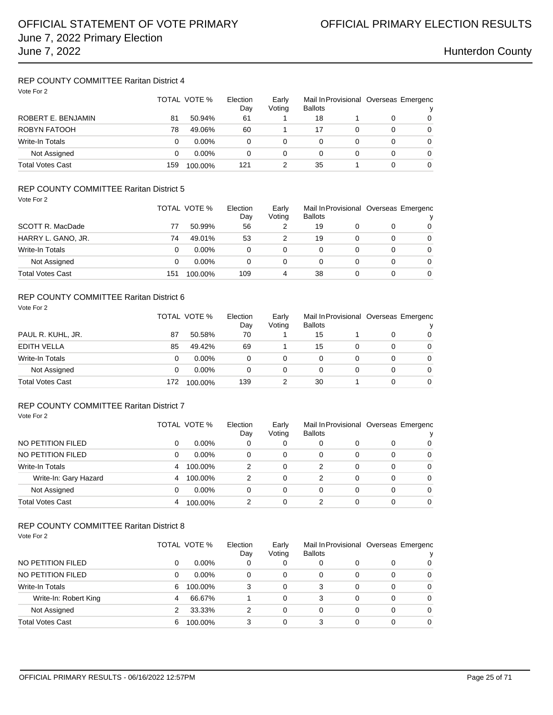## REP COUNTY COMMITTEE Raritan District 4

| Vote For 2              |     | TOTAL VOTE % | Election<br>Day | Early<br>Voting |          |   | Mail In Provisional Overseas Emergenc<br>v |   |
|-------------------------|-----|--------------|-----------------|-----------------|----------|---|--------------------------------------------|---|
| ROBERT E. BENJAMIN      | 81  | 50.94%       | 61              |                 | 18       |   | 0                                          | 0 |
| ROBYN FATOOH            | 78  | 49.06%       | 60              |                 | 17       | 0 | 0                                          | 0 |
| <b>Write-In Totals</b>  | 0   | $0.00\%$     | 0               | 0               | 0        | 0 | 0                                          | 0 |
| Not Assigned            | 0   | $0.00\%$     | 0               | 0               | $\Omega$ | 0 | 0                                          | 0 |
| <b>Total Votes Cast</b> | 159 | 100.00%      | 121             | 2               | 35       |   | 0                                          | 0 |

### REP COUNTY COMMITTEE Raritan District 5 Vote For 2

| * Y Y Y Y Y I A<br>SCOTT R. MacDade |     | TOTAL VOTE % |     | Early<br>Voting | <b>Ballots</b> |          | Mail In Provisional Overseas Emergenc |
|-------------------------------------|-----|--------------|-----|-----------------|----------------|----------|---------------------------------------|
|                                     | 77  | 50.99%       | 56  |                 | 19             | 0        | $\overline{0}$                        |
| HARRY L. GANO, JR.                  | 74  | 49.01%       | 53  |                 | 19             | $\Omega$ | 0                                     |
| Write-In Totals                     |     | $0.00\%$     | 0   | 0               |                | 0        | 0                                     |
| Not Assigned                        |     | $0.00\%$     | 0   | 0               |                | 0        | $\Omega$                              |
| <b>Total Votes Cast</b>             | 151 | 100.00%      | 109 | 4               | 38             | 0        | 0                                     |

### REP COUNTY COMMITTEE Raritan District 6

| Vote For 2              |     | TOTAL VOTE %<br>Election |     | Early<br>Voting | <b>Ballots</b> |   | Mail In Provisional Overseas Emergenc |          |
|-------------------------|-----|--------------------------|-----|-----------------|----------------|---|---------------------------------------|----------|
| PAUL R. KUHL, JR.       | 87  | 50.58%                   | 70  |                 | 15             |   | 0                                     | $\Omega$ |
| <b>EDITH VELLA</b>      | 85  | 49.42%                   | 69  |                 | 15             | 0 | 0                                     | $\Omega$ |
| <b>Write-In Totals</b>  | 0   | $0.00\%$                 | 0   | 0               | 0              | 0 | 0                                     | $\Omega$ |
| Not Assigned            | 0   | $0.00\%$                 | 0   | 0               | 0              | 0 | 0                                     | $\Omega$ |
| <b>Total Votes Cast</b> | 172 | 100.00%                  | 139 | 2               | 30             |   | 0                                     | $\Omega$ |

## REP COUNTY COMMITTEE Raritan District 7

Vote For 2

|                         |   | TOTAL VOTE % | Election<br>Early<br>Voting<br>Dav |   | Mail In Provisional Overseas Emergenc<br><b>Ballots</b> |   |   |          |
|-------------------------|---|--------------|------------------------------------|---|---------------------------------------------------------|---|---|----------|
| NO PETITION FILED       | 0 | $0.00\%$     | 0                                  | 0 | 0                                                       | 0 | 0 | 0        |
| NO PETITION FILED       | 0 | $0.00\%$     | 0                                  | 0 | 0                                                       | 0 | 0 | 0        |
| Write-In Totals         | 4 | 100.00%      | 2                                  | 0 | 2                                                       | 0 | 0 | 0        |
| Write-In: Gary Hazard   | 4 | 100.00%      | 2                                  | 0 | 2                                                       | 0 | 0 | $\Omega$ |
| Not Assigned            | 0 | $0.00\%$     | 0                                  | 0 | 0                                                       | 0 | 0 | $\Omega$ |
| <b>Total Votes Cast</b> | 4 | 100.00%      | 2                                  | 0 | 2                                                       | 0 | 0 | $\Omega$ |

### REP COUNTY COMMITTEE Raritan District 8 Vote For 2

|                         |   | TOTAL VOTE % | Election<br>Day | Early<br>Voting | Mail In Provisional Overseas Emergenc<br><b>Ballots</b> |   |   |          |
|-------------------------|---|--------------|-----------------|-----------------|---------------------------------------------------------|---|---|----------|
| NO PETITION FILED       | 0 | $0.00\%$     | 0               | 0               | 0                                                       |   | 0 | 0        |
| NO PETITION FILED       | 0 | $0.00\%$     | 0               | 0               | 0                                                       | 0 | 0 | 0        |
| <b>Write-In Totals</b>  | 6 | 100.00%      | 3               | 0               | 3                                                       | 0 | 0 | 0        |
| Write-In: Robert King   | 4 | 66.67%       |                 | 0               | 3                                                       | 0 | 0 | $\Omega$ |
| Not Assigned            |   | 33.33%       |                 | 0               | 0                                                       | 0 | 0 | $\Omega$ |
| <b>Total Votes Cast</b> | 6 | 100.00%      | 3               | 0               | 3                                                       |   | 0 | 0        |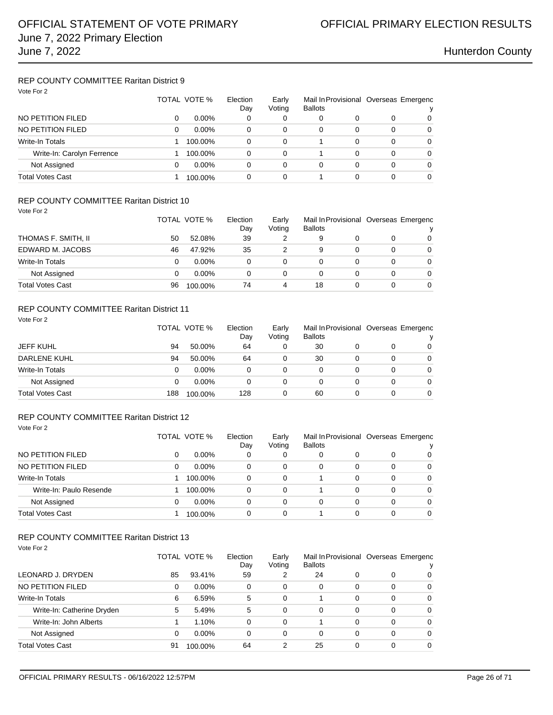### REP COUNTY COMMITTEE Raritan District 9 Vote For 2

| VOIE FUIZ                  | TOTAL VOTE % |          | Election<br>Day | Early<br>Voting | <b>Ballots</b> |   | Mail In Provisional Overseas Emergenc<br>v |          |
|----------------------------|--------------|----------|-----------------|-----------------|----------------|---|--------------------------------------------|----------|
| NO PETITION FILED          | 0            | $0.00\%$ | 0               | 0               | 0              | 0 |                                            | 0        |
| NO PETITION FILED          | 0            | $0.00\%$ | 0               | 0               | 0              | 0 | 0                                          | $\Omega$ |
| Write-In Totals            |              | 100.00%  | 0               | $\Omega$        |                | 0 | 0                                          | 0        |
| Write-In: Carolyn Ferrence |              | 100.00%  | 0               | 0               |                | 0 | 0                                          | 0        |
| Not Assigned               | 0            | $0.00\%$ | 0               | $\Omega$        | $\Omega$       | 0 | 0                                          | $\Omega$ |
| <b>Total Votes Cast</b>    |              | 100.00%  | 0               | 0               |                | 0 |                                            | 0        |

### REP COUNTY COMMITTEE Raritan District 10

Vote For 2

Vote For 2

|                         |    | TOTAL VOTE % | Election<br>Day | Mail In Provisional Overseas Emergenc<br>Early<br>Voting<br><b>Ballots</b> |    |  | v        |
|-------------------------|----|--------------|-----------------|----------------------------------------------------------------------------|----|--|----------|
| THOMAS F. SMITH, II     | 50 | 52.08%       | 39              |                                                                            | 9  |  | $\Omega$ |
| EDWARD M. JACOBS        | 46 | 47.92%       | 35              |                                                                            | 9  |  | $\Omega$ |
| Write-In Totals         |    | $0.00\%$     | 0               | 0                                                                          |    |  | $\Omega$ |
| Not Assigned            |    | $0.00\%$     | 0               | 0                                                                          | 0  |  | $\Omega$ |
| <b>Total Votes Cast</b> | 96 | 100.00%      | 74              | 4                                                                          | 18 |  | $\Omega$ |

## REP COUNTY COMMITTEE Raritan District 11

| <b>JEFF KUHL</b>        |     | TOTAL VOTE % | Election<br>Day | Early<br>Voting<br><b>Ballots</b> |    | Mail In Provisional Overseas Emergenc |          |   |
|-------------------------|-----|--------------|-----------------|-----------------------------------|----|---------------------------------------|----------|---|
|                         | 94  | 50.00%       | 64              | 0                                 | 30 |                                       | 0        | 0 |
| <b>DARLENE KUHL</b>     | 94  | 50.00%       | 64              | 0                                 | 30 | 0                                     | 0        | 0 |
| Write-In Totals         | 0   | $0.00\%$     | 0               | 0                                 | 0  | 0                                     | 0        | 0 |
| Not Assigned            |     | $0.00\%$     | 0               | 0                                 |    |                                       | $\Omega$ | 0 |
| <b>Total Votes Cast</b> | 188 | 100.00%      | 128             | 0                                 | 60 | 0                                     | 0        | 0 |

### REP COUNTY COMMITTEE Raritan District 12 Vote For 2

|                         |   | TOTAL VOTE % | Election<br>Early<br><b>Ballots</b><br>Voting<br>Day |   | Mail In Provisional Overseas Emergenc |   |          |          |
|-------------------------|---|--------------|------------------------------------------------------|---|---------------------------------------|---|----------|----------|
| NO PETITION FILED       | 0 | $0.00\%$     | 0                                                    | 0 | 0                                     | 0 | 0        | 0        |
| NO PETITION FILED       | 0 | $0.00\%$     | 0                                                    | 0 | 0                                     | 0 | 0        | 0        |
| Write-In Totals         |   | 100.00%      | 0                                                    | 0 |                                       | 0 | $\Omega$ | $\Omega$ |
| Write-In: Paulo Resende |   | 100.00%      | 0                                                    | 0 |                                       | 0 | $\Omega$ | $\Omega$ |
| Not Assigned            | 0 | $0.00\%$     | 0                                                    | 0 | 0                                     | 0 | 0        | $\Omega$ |
| <b>Total Votes Cast</b> |   | 100.00%      | 0                                                    | 0 |                                       | 0 | 0        | $\Omega$ |

| Vote For 2                 |    |              |    |                 |                                                         |   |          |          |  |
|----------------------------|----|--------------|----|-----------------|---------------------------------------------------------|---|----------|----------|--|
|                            |    | TOTAL VOTE % |    | Early<br>Voting | Mail In Provisional Overseas Emergenc<br><b>Ballots</b> |   |          | ν        |  |
| LEONARD J. DRYDEN          | 85 | 93.41%       | 59 | 2               | 24                                                      | 0 | 0        | 0        |  |
| NO PETITION FILED          | 0  | $0.00\%$     | 0  | 0               | 0                                                       | 0 | $\Omega$ | $\Omega$ |  |
| <b>Write-In Totals</b>     | 6  | 6.59%        | 5  | $\Omega$        |                                                         | 0 | $\Omega$ | $\Omega$ |  |
| Write-In: Catherine Dryden | 5  | 5.49%        | 5  | 0               | 0                                                       | 0 | $\Omega$ | $\Omega$ |  |
| Write-In: John Alberts     |    | 1.10%        | 0  | 0               |                                                         | 0 | $\Omega$ | $\Omega$ |  |
| Not Assigned               | 0  | $0.00\%$     | 0  | 0               | 0                                                       | 0 | 0        | $\Omega$ |  |
| <b>Total Votes Cast</b>    | 91 | 100.00%      | 64 | 2               | 25                                                      | 0 | 0        | $\Omega$ |  |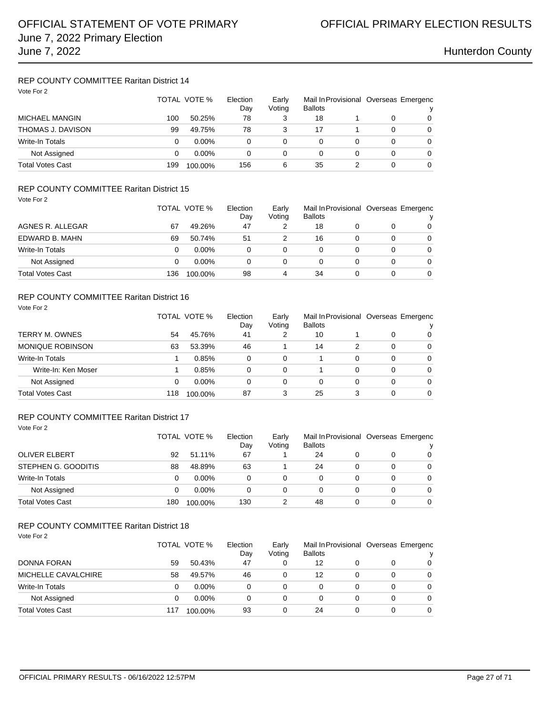## REP COUNTY COMMITTEE Raritan District 14

| Vote For 2              |     | TOTAL VOTE % | Election<br>Day | Mail In Provisional Overseas Emergenc<br>Early<br>Voting<br><b>Ballots</b> |    |   |   |          |  |
|-------------------------|-----|--------------|-----------------|----------------------------------------------------------------------------|----|---|---|----------|--|
| MICHAEL MANGIN          | 100 | 50.25%       | 78              | 3                                                                          | 18 |   | 0 | 0        |  |
| THOMAS J. DAVISON       | 99  | 49.75%       | 78              | 3                                                                          | 17 |   | 0 | 0        |  |
| <b>Write-In Totals</b>  | 0   | $0.00\%$     | 0               | 0                                                                          |    |   | 0 | $\Omega$ |  |
| Not Assigned            | 0   | $0.00\%$     | 0               | 0                                                                          | 0  | 0 | 0 | $\Omega$ |  |
| <b>Total Votes Cast</b> | 199 | 100.00%      | 156             | 6                                                                          | 35 |   | 0 | 0        |  |

### REP COUNTY COMMITTEE Raritan District 15 Vote For 2

| * Y Y Y Y Y I A         |     | TOTAL VOTE % | Election<br>Day | Early<br>Voting | <b>Ballots</b> |   |   | Mail In Provisional Overseas Emergenc<br>v |
|-------------------------|-----|--------------|-----------------|-----------------|----------------|---|---|--------------------------------------------|
| AGNES R. ALLEGAR        | 67  | 49.26%       | 47              |                 | 18             |   |   | $\Omega$                                   |
| EDWARD B. MAHN          | 69  | 50.74%       | 51              |                 | 16             |   | O | 0                                          |
| Write-In Totals         | 0   | $0.00\%$     | 0               | 0               | 0              | 0 | 0 | $\Omega$                                   |
| Not Assigned            | 0   | $0.00\%$     | 0               | 0               | 0              |   | 0 | $\Omega$                                   |
| <b>Total Votes Cast</b> | 136 | 100.00%      | 98              | 4               | 34             |   |   | 0                                          |

### REP COUNTY COMMITTEE Raritan District 16

| Vote For 2              |     |              |                 |                 |                |   |   |                                            |
|-------------------------|-----|--------------|-----------------|-----------------|----------------|---|---|--------------------------------------------|
|                         |     | TOTAL VOTE % | Election<br>Day | Early<br>Voting | <b>Ballots</b> |   |   | Mail In Provisional Overseas Emergenc<br>v |
| TERRY M. OWNES          | 54  | 45.76%       | 41              | 2               | 10             |   | 0 | $\Omega$                                   |
| <b>MONIQUE ROBINSON</b> | 63  | 53.39%       | 46              |                 | 14             | 2 | 0 | 0                                          |
| <b>Write-In Totals</b>  |     | 0.85%        | 0               | 0               |                | 0 | 0 | $\Omega$                                   |
| Write-In: Ken Moser     |     | 0.85%        | 0               | $\Omega$        |                | 0 | 0 | $\Omega$                                   |
| Not Assigned            | 0   | $0.00\%$     | 0               | 0               | 0              | 0 | 0 | $\Omega$                                   |
| Total Votes Cast        | 118 | 100.00%      | 87              | 3               | 25             | 3 | 0 | $\Omega$                                   |

### REP COUNTY COMMITTEE Raritan District 17 Vote For 2

|                         |     | TOTAL VOTE % | Election<br>Day | Mail In Provisional Overseas Emergenc<br>Early<br>Voting<br><b>Ballots</b> |    |  |          |          |
|-------------------------|-----|--------------|-----------------|----------------------------------------------------------------------------|----|--|----------|----------|
| <b>OLIVER ELBERT</b>    | 92  | 51.11%       | 67              |                                                                            | 24 |  |          | 0        |
| STEPHEN G. GOODITIS     | 88  | 48.89%       | 63              |                                                                            | 24 |  | $\Omega$ | 0        |
| Write-In Totals         | 0   | $0.00\%$     | 0               | 0                                                                          |    |  | 0        | $\Omega$ |
| Not Assigned            | 0   | $0.00\%$     | 0               | 0                                                                          |    |  | 0        | 0        |
| <b>Total Votes Cast</b> | 180 | 100.00%      | 130             |                                                                            | 48 |  | 0        | $\Omega$ |

| Vote For 2              |     | TOTAL VOTE % | Election<br>Day | Early<br>Voting | <b>Ballots</b> |   | Mail In Provisional Overseas Emergenc |          |
|-------------------------|-----|--------------|-----------------|-----------------|----------------|---|---------------------------------------|----------|
| <b>DONNA FORAN</b>      | 59  | 50.43%       | 47              | 0               | 12             | 0 | 0                                     | 0        |
| MICHELLE CAVALCHIRE     | 58  | 49.57%       | 46              | 0               | 12             | 0 | 0                                     | $\Omega$ |
| Write-In Totals         | 0   | $0.00\%$     | 0               | 0               | 0              | 0 | 0                                     | $\Omega$ |
| Not Assigned            | 0   | $0.00\%$     | 0               | 0               | 0              | 0 | 0                                     | $\Omega$ |
| <b>Total Votes Cast</b> | 117 | 100.00%      | 93              | 0               | 24             | 0 | 0                                     | $\Omega$ |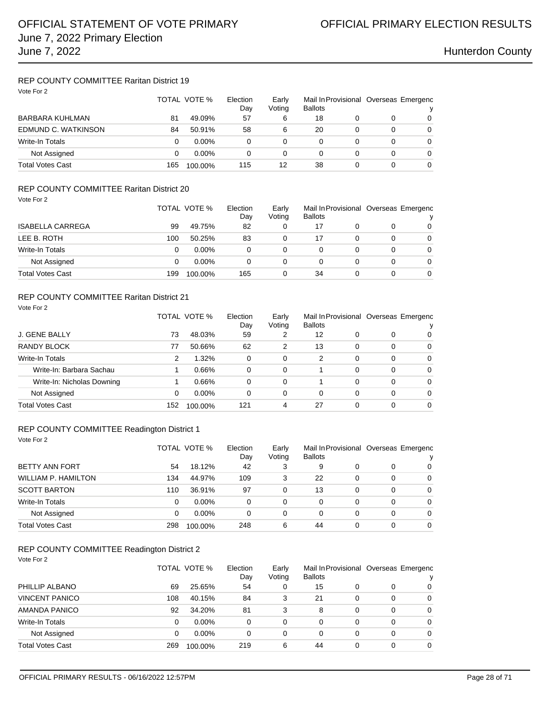## REP COUNTY COMMITTEE Raritan District 19

| Vote For 2              | TOTAL VOTE % |          | Election<br>Day | Early<br>Voting | <b>Ballots</b> |  | Mail In Provisional Overseas Emergenc |   |
|-------------------------|--------------|----------|-----------------|-----------------|----------------|--|---------------------------------------|---|
| BARBARA KUHLMAN         | 81           | 49.09%   | 57              | 6               | 18             |  |                                       | 0 |
| EDMUND C. WATKINSON     | 84           | 50.91%   | 58              | 6               | 20             |  | 0                                     | 0 |
| Write-In Totals         | 0            | $0.00\%$ | 0               | 0               | 0              |  | 0                                     | 0 |
| Not Assigned            | 0            | $0.00\%$ | 0               | 0               | 0              |  | 0                                     | 0 |
| <b>Total Votes Cast</b> | 165          | 100.00%  | 115             | 12              | 38             |  | 0                                     | 0 |

## REP COUNTY COMMITTEE Raritan District 20

| Vote For 2              |     |              |           |                 |                                                         |  |   |          |  |
|-------------------------|-----|--------------|-----------|-----------------|---------------------------------------------------------|--|---|----------|--|
|                         |     | TOTAL VOTE % |           | Early<br>Voting | Mail In Provisional Overseas Emergenc<br><b>Ballots</b> |  |   | ν        |  |
| <b>ISABELLA CARREGA</b> | 99  | 49.75%       | Day<br>82 | 0               | 17                                                      |  |   | $\Omega$ |  |
| LEE B. ROTH             | 100 | 50.25%       | 83        | 0               | 17                                                      |  | 0 | $\Omega$ |  |
| <b>Write-In Totals</b>  | 0   | $0.00\%$     | 0         | 0               | 0                                                       |  | 0 | $\Omega$ |  |
| Not Assigned            | 0   | $0.00\%$     | 0         | 0               | 0                                                       |  | 0 | $\Omega$ |  |
| <b>Total Votes Cast</b> | 199 | 100.00%      | 165       | 0               | 34                                                      |  | 0 | $\Omega$ |  |

### REP COUNTY COMMITTEE Raritan District 21

| Vote For 2                 |     |              |                 |                 |                                                         |          |          |          |
|----------------------------|-----|--------------|-----------------|-----------------|---------------------------------------------------------|----------|----------|----------|
|                            |     | TOTAL VOTE % | Election<br>Day | Early<br>Voting | Mail In Provisional Overseas Emergenc<br><b>Ballots</b> |          |          |          |
| J. GENE BALLY              | 73  | 48.03%       | 59              | 2               | 12                                                      | 0        | 0        | 0        |
| RANDY BLOCK                | 77  | 50.66%       | 62              | 2               | 13                                                      | 0        | $\Omega$ | $\Omega$ |
| <b>Write-In Totals</b>     | 2   | 1.32%        | 0               | $\Omega$        | 2                                                       | $\Omega$ | $\Omega$ | $\Omega$ |
| Write-In: Barbara Sachau   |     | 0.66%        | 0               | $\Omega$        |                                                         | $\Omega$ | 0        | $\Omega$ |
| Write-In: Nicholas Downing |     | 0.66%        | 0               | $\Omega$        |                                                         | 0        | 0        | $\Omega$ |
| Not Assigned               | 0   | $0.00\%$     | 0               | $\Omega$        | 0                                                       | $\Omega$ | $\Omega$ | $\Omega$ |
| Total Votes Cast           | 152 | 100.00%      | 121             | 4               | 27                                                      | 0        | $\Omega$ | 0        |

### REP COUNTY COMMITTEE Readington District 1

| Vote For 2 |
|------------|
|------------|

|                            |     | TOTAL VOTE % | Election<br>Day | Early<br>Voting | Mail In Provisional Overseas Emergenc<br><b>Ballots</b> |   |   |          |
|----------------------------|-----|--------------|-----------------|-----------------|---------------------------------------------------------|---|---|----------|
| <b>BETTY ANN FORT</b>      | 54  | 18.12%       | 42              | 3               | 9                                                       |   | 0 | 0        |
| <b>WILLIAM P. HAMILTON</b> | 134 | 44.97%       | 109             | 3               | 22                                                      | 0 | 0 | 0        |
| <b>SCOTT BARTON</b>        | 110 | 36.91%       | 97              | 0               | 13                                                      | 0 | 0 | $\Omega$ |
| <b>Write-In Totals</b>     | 0   | $0.00\%$     | 0               | 0               | 0                                                       | 0 | 0 | $\Omega$ |
| Not Assigned               | 0   | $0.00\%$     | 0               | 0               | 0                                                       | 0 | 0 | 0        |
| <b>Total Votes Cast</b>    | 298 | 100.00%      | 248             | 6               | 44                                                      | 0 | 0 | $\Omega$ |

### REP COUNTY COMMITTEE Readington District 2

| Vote For 2 |  |              |
|------------|--|--------------|
|            |  | <b>TOTAL</b> |

| $VUR + VIZ$            | TOTAL VOTE % |          | Election<br>Day | Early<br>Voting | <b>Ballots</b> |          | Mail In Provisional Overseas Emergenc |          |  |
|------------------------|--------------|----------|-----------------|-----------------|----------------|----------|---------------------------------------|----------|--|
| PHILLIP ALBANO         | 69           | 25.65%   | 54              | 0               | 15             |          | 0                                     | $\Omega$ |  |
| <b>VINCENT PANICO</b>  | 108          | 40.15%   | 84              | 3               | 21             | 0        | 0                                     | 0        |  |
| AMANDA PANICO          | 92           | 34.20%   | 81              | 3               | 8              | 0        | $\Omega$                              | $\Omega$ |  |
| <b>Write-In Totals</b> | 0            | $0.00\%$ | 0               | 0               | 0              | 0        | $\Omega$                              | $\Omega$ |  |
| Not Assigned           | 0            | $0.00\%$ | 0               | 0               | 0              | $\Omega$ | $\Omega$                              | $\Omega$ |  |
| Total Votes Cast       | 269          | 100.00%  | 219             | 6               | 44             | 0        | $\Omega$                              | 0        |  |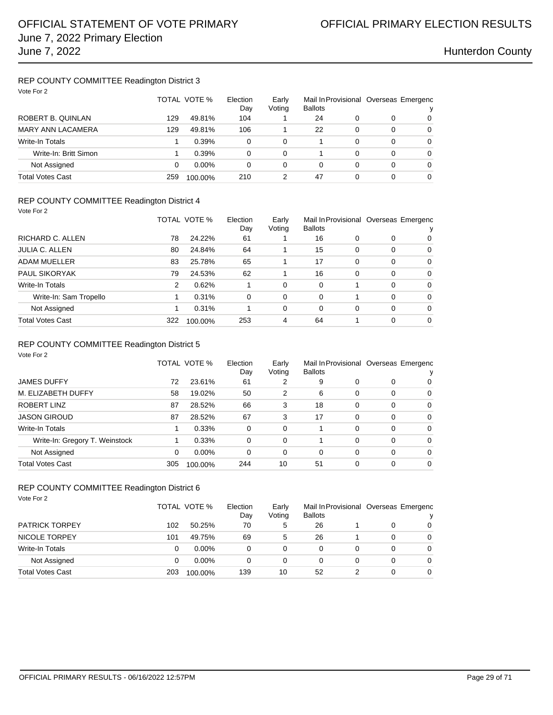### REP COUNTY COMMITTEE Readington District 3 Vote For 2

| VOTE FOR 2              |     | TOTAL VOTE % | Election<br>Day | Early<br>Voting | <b>Ballots</b> |   | Mail In Provisional Overseas Emergenc | v |
|-------------------------|-----|--------------|-----------------|-----------------|----------------|---|---------------------------------------|---|
| ROBERT B. QUINLAN       | 129 | 49.81%       | 104             |                 | 24             | 0 | 0                                     | 0 |
| MARY ANN LACAMERA       | 129 | 49.81%       | 106             |                 | 22             | 0 | 0                                     | 0 |
| Write-In Totals         |     | 0.39%        | 0               | 0               |                | 0 | 0                                     | 0 |
| Write-In: Britt Simon   |     | 0.39%        | 0               | $\Omega$        |                | 0 | 0                                     | 0 |
| Not Assigned            | 0   | $0.00\%$     | 0               | 0               | 0              | 0 | 0                                     | 0 |
| <b>Total Votes Cast</b> | 259 | 100.00%      | 210             | 2               | 47             | 0 | 0                                     | 0 |
|                         |     |              |                 |                 |                |   |                                       |   |

### REP COUNTY COMMITTEE Readington District 4

|                        |     | TOTAL VOTE % |          | Early<br>Voting | Mail In Provisional Overseas Emergenc<br><b>Ballots</b> |          |          | v        |
|------------------------|-----|--------------|----------|-----------------|---------------------------------------------------------|----------|----------|----------|
| RICHARD C. ALLEN       | 78  | 24.22%       | 61       |                 | 16                                                      | 0        | 0        | 0        |
| JULIA C. ALLEN         | 80  | 24.84%       | 64       |                 | 15                                                      | $\Omega$ | 0        | 0        |
| ADAM MUELLER           | 83  | 25.78%       | 65       |                 | 17                                                      | $\Omega$ | $\Omega$ | $\Omega$ |
| <b>PAUL SIKORYAK</b>   | 79  | 24.53%       | 62       |                 | 16                                                      | $\Omega$ | $\Omega$ | $\Omega$ |
| Write-In Totals        | 2   | 0.62%        |          | 0               | 0                                                       |          | $\Omega$ | $\Omega$ |
| Write-In: Sam Tropello |     | 0.31%        | $\Omega$ | $\Omega$        | 0                                                       |          | $\Omega$ | $\Omega$ |
| Not Assigned           |     | 0.31%        |          | 0               | 0                                                       | 0        | $\Omega$ | $\Omega$ |
| Total Votes Cast       | 322 | 100.00%      | 253      | 4               | 64                                                      |          | 0        | $\Omega$ |

### REP COUNTY COMMITTEE Readington District 5

| Vote For 2                     |     |              |                 |                 |                |          |                                            |             |
|--------------------------------|-----|--------------|-----------------|-----------------|----------------|----------|--------------------------------------------|-------------|
|                                |     | TOTAL VOTE % | Election<br>Day | Early<br>Voting | <b>Ballots</b> |          | Mail In Provisional Overseas Emergenc<br>у |             |
| <b>JAMES DUFFY</b>             | 72  | 23.61%       | 61              | 2               | 9              | 0        | 0                                          | 0           |
| M. ELIZABETH DUFFY             | 58  | 19.02%       | 50              | 2               | 6              | 0        | 0                                          | 0           |
| ROBERT LINZ                    | 87  | 28.52%       | 66              | 3               | 18             | 0        | $\Omega$                                   | $\Omega$    |
| <b>JASON GIROUD</b>            | 87  | 28.52%       | 67              | 3               | 17             | 0        | 0                                          | $\Omega$    |
| <b>Write-In Totals</b>         |     | 0.33%        | 0               | 0               | 1              | 0        | 0                                          | $\mathbf 0$ |
| Write-In: Gregory T. Weinstock |     | 0.33%        | 0               | 0               | 1              | $\Omega$ | 0                                          | 0           |
| Not Assigned                   | 0   | $0.00\%$     | 0               | 0               | 0              | $\Omega$ | $\Omega$                                   | $\Omega$    |
| <b>Total Votes Cast</b>        | 305 | 100.00%      | 244             | 10              | 51             | 0        | 0                                          | $\Omega$    |

### REP COUNTY COMMITTEE Readington District 6

Vote For 2

|                         |     | TOTAL VOTE % | Election<br>Day | Early<br>Voting | Mail In Provisional Overseas Emergenc<br><b>Ballots</b> |   |          |
|-------------------------|-----|--------------|-----------------|-----------------|---------------------------------------------------------|---|----------|
| <b>PATRICK TORPEY</b>   | 102 | 50.25%       | 70              | 5               | 26                                                      | 0 | 0        |
| NICOLE TORPEY           | 101 | 49.75%       | 69              | 5               | 26                                                      | 0 | 0        |
| Write-In Totals         |     | $0.00\%$     |                 | 0               |                                                         | 0 | $\Omega$ |
| Not Assigned            |     | $0.00\%$     |                 | 0               |                                                         | 0 | $\Omega$ |
| <b>Total Votes Cast</b> | 203 | 100.00%      | 139             | 10              | 52                                                      | 0 | 0        |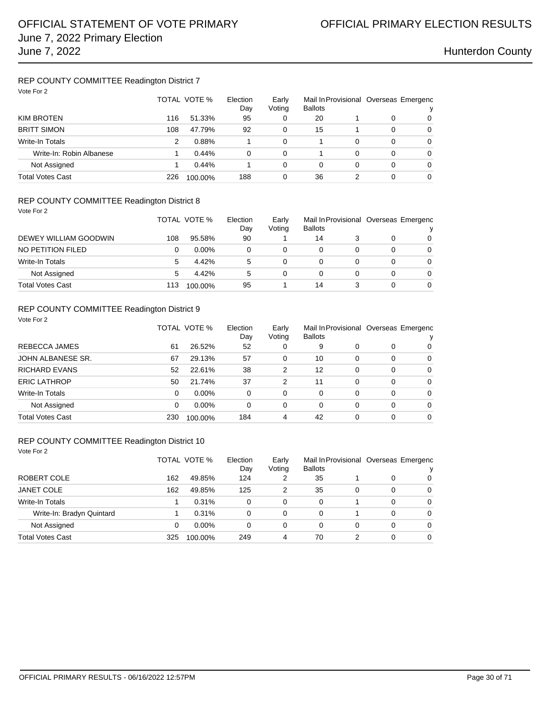## REP COUNTY COMMITTEE Readington District 7

| Vote For 2               |     |              |                 |                 |                                                         |   |   |          |
|--------------------------|-----|--------------|-----------------|-----------------|---------------------------------------------------------|---|---|----------|
|                          |     | TOTAL VOTE % | Election<br>Day | Early<br>Voting | Mail In Provisional Overseas Emergenc<br><b>Ballots</b> |   |   | v        |
| KIM BROTEN               | 116 | 51.33%       | 95              | 0               | 20                                                      |   | 0 | 0        |
| <b>BRITT SIMON</b>       | 108 | 47.79%       | 92              | 0               | 15                                                      |   | 0 | 0        |
| Write-In Totals          | 2   | 0.88%        |                 | $\Omega$        |                                                         | 0 | 0 | $\Omega$ |
| Write-In: Robin Albanese |     | $0.44\%$     | 0               | $\Omega$        |                                                         | 0 | 0 | 0        |
| Not Assigned             |     | $0.44\%$     |                 | $\Omega$        | 0                                                       | 0 | 0 | 0        |
| Total Votes Cast         | 226 | 100.00%      | 188             | 0               | 36                                                      | 2 | 0 | 0        |

### REP COUNTY COMMITTEE Readington District 8

| Vote For 2 |  |
|------------|--|
|            |  |

|                       |     | TOTAL VOTE % | Election<br>Day | Early<br>Voting | Mail In Provisional Overseas Emergenc<br><b>Ballots</b> |   | $\mathbf{v}$ |
|-----------------------|-----|--------------|-----------------|-----------------|---------------------------------------------------------|---|--------------|
| DEWEY WILLIAM GOODWIN | 108 | 95.58%       | 90              |                 | 14                                                      |   | $\Omega$     |
| NO PETITION FILED     |     | $0.00\%$     |                 | 0               | 0                                                       | 0 | $\Omega$     |
| Write-In Totals       | 5   | 4.42%        | 5               |                 | 0                                                       | 0 | $\Omega$     |
| Not Assigned          | 5   | 4.42%        | 5               | $\Omega$        | 0                                                       | 0 | $\Omega$     |
| Total Votes Cast      | 113 | 100.00%      | 95              |                 | 14                                                      | 0 | $\Omega$     |

### REP COUNTY COMMITTEE Readington District 9 Vote For 2

|                         |          | TOTAL VOTE % | Election<br>Day | Early<br>Voting | <b>Ballots</b> |   |          | Mail In Provisional Overseas Emergenc<br>v |
|-------------------------|----------|--------------|-----------------|-----------------|----------------|---|----------|--------------------------------------------|
| REBECCA JAMES           | 61       | 26.52%       | 52              | 0               | 9              |   | 0        | 0                                          |
| JOHN ALBANESE SR.       | 67       | 29.13%       | 57              | 0               | 10             | 0 | 0        | 0                                          |
| <b>RICHARD EVANS</b>    | 52       | 22.61%       | 38              | 2               | 12             | 0 | $\Omega$ | $\mathbf 0$                                |
| <b>ERIC LATHROP</b>     | 50       | 21.74%       | 37              | 2               | 11             | 0 | $\Omega$ | $\Omega$                                   |
| Write-In Totals         | $\Omega$ | $0.00\%$     | 0               | 0               | 0              | 0 | 0        | $\Omega$                                   |
| Not Assigned            | $\Omega$ | $0.00\%$     | 0               | 0               | 0              | 0 | 0        | $\Omega$                                   |
| <b>Total Votes Cast</b> | 230      | 100.00%      | 184             | 4               | 42             |   | 0        | $\Omega$                                   |

### REP COUNTY COMMITTEE Readington District 10

| Vote For 2                |     |              |                 |                 |                                                         |   |          |          |
|---------------------------|-----|--------------|-----------------|-----------------|---------------------------------------------------------|---|----------|----------|
|                           |     | TOTAL VOTE % | Election<br>Day | Early<br>Voting | Mail In Provisional Overseas Emergenc<br><b>Ballots</b> |   |          |          |
| ROBERT COLE               | 162 | 49.85%       | 124             | 2               | 35                                                      |   | 0        | 0        |
| <b>JANET COLE</b>         | 162 | 49.85%       | 125             | 2               | 35                                                      | 0 | $\Omega$ | 0        |
| <b>Write-In Totals</b>    |     | 0.31%        | 0               | 0               | 0                                                       |   | 0        | $\Omega$ |
| Write-In: Bradyn Quintard |     | 0.31%        | 0               | 0               | 0                                                       |   | 0        | $\Omega$ |
| Not Assigned              | 0   | $0.00\%$     | 0               | 0               | 0                                                       | 0 | 0        | $\Omega$ |
| Total Votes Cast          | 325 | 100.00%      | 249             | 4               | 70                                                      | 2 | 0        | 0        |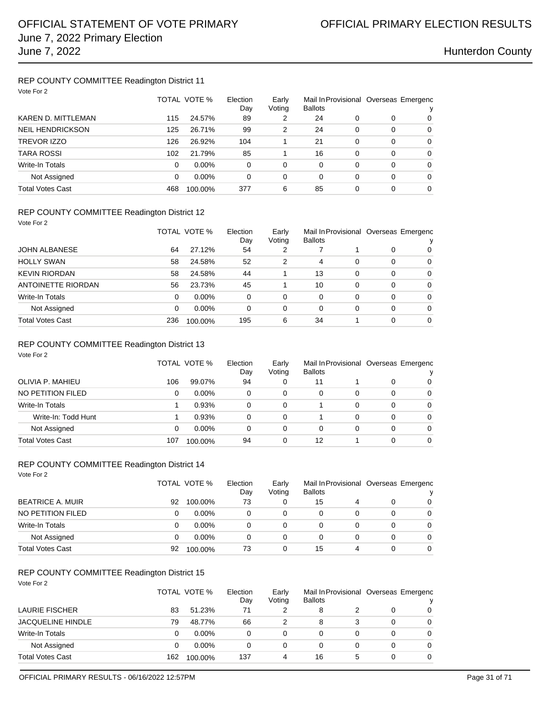## REP COUNTY COMMITTEE Readington District 11

| Vote For 2                |     |              |                 |                 |                |   |          |                                            |
|---------------------------|-----|--------------|-----------------|-----------------|----------------|---|----------|--------------------------------------------|
|                           |     | TOTAL VOTE % | Election<br>Day | Early<br>Voting | <b>Ballots</b> |   |          | Mail In Provisional Overseas Emergenc<br>ν |
| <b>KAREN D. MITTLEMAN</b> | 115 | 24.57%       | 89              | 2               | 24             | 0 | 0        | 0                                          |
| <b>NEIL HENDRICKSON</b>   | 125 | 26.71%       | 99              | 2               | 24             | 0 | $\Omega$ | 0                                          |
| TREVOR IZZO               | 126 | 26.92%       | 104             |                 | 21             | 0 | $\Omega$ | $\Omega$                                   |
| <b>TARA ROSSI</b>         | 102 | 21.79%       | 85              |                 | 16             | 0 | $\Omega$ | $\Omega$                                   |
| Write-In Totals           | 0   | $0.00\%$     | 0               | $\Omega$        | 0              | 0 | $\Omega$ | $\Omega$                                   |
| Not Assigned              | 0   | $0.00\%$     | 0               | 0               | 0              | 0 | $\Omega$ | 0                                          |
| <b>Total Votes Cast</b>   | 468 | 100.00%      | 377             | 6               | 85             | 0 | $\Omega$ | $\Omega$                                   |

### REP COUNTY COMMITTEE Readington District 12

| Vote For 2           |          |              |                 |                 |                |          |          |                                       |  |
|----------------------|----------|--------------|-----------------|-----------------|----------------|----------|----------|---------------------------------------|--|
|                      |          | TOTAL VOTE % | Election<br>Day | Early<br>Voting | <b>Ballots</b> |          |          | Mail In Provisional Overseas Emergenc |  |
| <b>JOHN ALBANESE</b> | 64       | 27.12%       | 54              | 2               |                |          | 0        | 0                                     |  |
| <b>HOLLY SWAN</b>    | 58       | 24.58%       | 52              | 2               | 4              | $\Omega$ | $\Omega$ | 0                                     |  |
| <b>KEVIN RIORDAN</b> | 58       | 24.58%       | 44              |                 | 13             | $\Omega$ | $\Omega$ | 0                                     |  |
| ANTOINETTE RIORDAN   | 56       | 23.73%       | 45              |                 | 10             | 0        | $\Omega$ | 0                                     |  |
| Write-In Totals      | $\Omega$ | $0.00\%$     | 0               | 0               | 0              | 0        | $\Omega$ | 0                                     |  |
| Not Assigned         | $\Omega$ | $0.00\%$     | 0               | 0               | 0              | 0        | $\Omega$ | $\Omega$                              |  |
| Total Votes Cast     | 236      | 100.00%      | 195             | 6               | 34             |          | $\Omega$ | $\Omega$                              |  |

### REP COUNTY COMMITTEE Readington District 13

| Vote For 2          |     | TOTAL VOTE % | Election | Early  | Mail In Provisional Overseas Emergenc |   |          |          |
|---------------------|-----|--------------|----------|--------|---------------------------------------|---|----------|----------|
|                     |     |              | Day      | Voting | <b>Ballots</b>                        |   |          |          |
| OLIVIA P. MAHIEU    | 106 | 99.07%       | 94       | 0      | 11                                    |   | 0        | 0        |
| NO PETITION FILED   | 0   | $0.00\%$     | 0        | 0      | 0                                     | 0 | 0        | $\Omega$ |
| Write-In Totals     |     | 0.93%        | 0        | 0      |                                       | 0 | 0        | 0        |
| Write-In: Todd Hunt |     | 0.93%        | 0        | 0      |                                       | 0 | 0        | 0        |
| Not Assigned        | 0   | $0.00\%$     | 0        | 0      | 0                                     | 0 | 0        | 0        |
| Total Votes Cast    | 107 | 100.00%      | 94       | 0      | 12                                    |   | $\Omega$ | $\Omega$ |

### REP COUNTY COMMITTEE Readington District 14

| Vote For 2              |    |              |                 |                 |                |   |   |                                            |
|-------------------------|----|--------------|-----------------|-----------------|----------------|---|---|--------------------------------------------|
|                         |    | TOTAL VOTE % | Election<br>Day | Early<br>Voting | <b>Ballots</b> |   |   | Mail In Provisional Overseas Emergenc<br>v |
| <b>BEATRICE A. MUIR</b> | 92 | 100.00%      | 73              | 0               | 15             | 4 | 0 | $\Omega$                                   |
| NO PETITION FILED       | 0  | $0.00\%$     | 0               | 0               | 0              |   | 0 | $\Omega$                                   |
| <b>Write-In Totals</b>  | 0  | $0.00\%$     | $\Omega$        | 0               | 0              | 0 | 0 | $\Omega$                                   |
| Not Assigned            | 0  | $0.00\%$     | 0               | 0               | 0              | 0 | 0 | $\Omega$                                   |
| <b>Total Votes Cast</b> | 92 | 100.00%      | 73              | 0               | 15             | 4 | 0 | $\Omega$                                   |

## REP COUNTY COMMITTEE Readington District 15

| Vote For 2               | TOTAL VOTE % |          | Election<br>Day | Early<br>Voting | Mail In Provisional Overseas Emergenc<br><b>Ballots</b> |   |   | v |  |
|--------------------------|--------------|----------|-----------------|-----------------|---------------------------------------------------------|---|---|---|--|
| <b>LAURIE FISCHER</b>    | 83           | 51.23%   | 71              |                 | 8                                                       |   | 0 | 0 |  |
| <b>JACQUELINE HINDLE</b> | 79           | 48.77%   | 66              | 2               | 8                                                       |   | 0 | 0 |  |
| <b>Write-In Totals</b>   | 0            | $0.00\%$ | 0               | 0               | 0                                                       | 0 | 0 | 0 |  |
| Not Assigned             | 0            | $0.00\%$ | 0               | 0               | 0                                                       | 0 | 0 | 0 |  |
| Total Votes Cast         | 162          | 100.00%  | 137             | 4               | 16                                                      | 5 | 0 | 0 |  |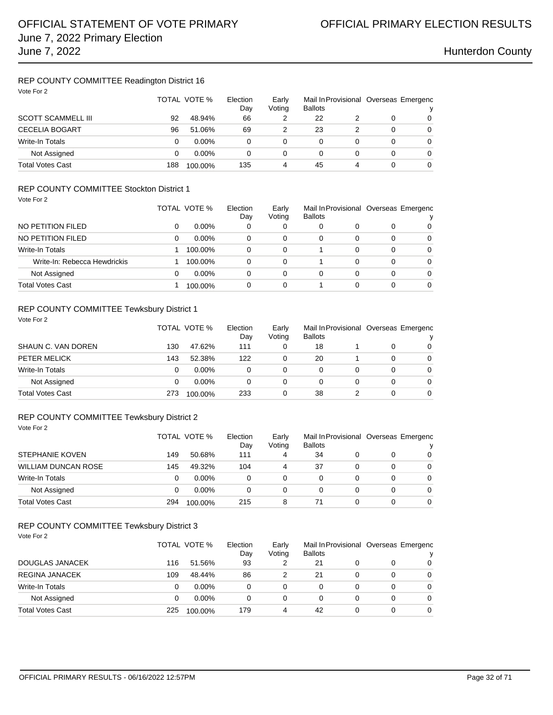## REP COUNTY COMMITTEE Readington District 16

| Vote For 2                |     | TOTAL VOTE % | Election<br>Day | Early<br>Voting | Mail In Provisional Overseas Emergenc<br><b>Ballots</b> |   |   |          |
|---------------------------|-----|--------------|-----------------|-----------------|---------------------------------------------------------|---|---|----------|
| <b>SCOTT SCAMMELL III</b> | 92  | 48.94%       | 66              |                 | 22                                                      |   | 0 | $\Omega$ |
| <b>CECELIA BOGART</b>     | 96  | 51.06%       | 69              |                 | 23                                                      | 2 | 0 | 0        |
| <b>Write-In Totals</b>    | 0   | $0.00\%$     | 0               | 0               | 0                                                       |   | 0 | $\Omega$ |
| Not Assigned              | 0   | $0.00\%$     | 0               | 0               | 0                                                       | 0 | 0 | $\Omega$ |
| <b>Total Votes Cast</b>   | 188 | 100.00%      | 135             | 4               | 45                                                      | 4 | 0 | $\Omega$ |

## REP COUNTY COMMITTEE Stockton District 1

| Vote For 2                   |   | TOTAL VOTE % | Election<br>Day | Early<br>Voting | Mail In Provisional Overseas Emergenc<br><b>Ballots</b> |   |          | v        |
|------------------------------|---|--------------|-----------------|-----------------|---------------------------------------------------------|---|----------|----------|
| NO PETITION FILED            | 0 | $0.00\%$     | 0               | 0               | 0                                                       | 0 | 0        | 0        |
| NO PETITION FILED            | 0 | $0.00\%$     | $\Omega$        | 0               | 0                                                       | 0 | 0        | $\Omega$ |
| <b>Write-In Totals</b>       |   | 100.00%      | 0               | 0               |                                                         | 0 | $\Omega$ | $\Omega$ |
| Write-In: Rebecca Hewdrickis |   | 100.00%      | 0               | $\Omega$        |                                                         | 0 | $\Omega$ | $\Omega$ |
| Not Assigned                 | 0 | $0.00\%$     | $\Omega$        | 0               | 0                                                       | 0 | 0        | $\Omega$ |
| <b>Total Votes Cast</b>      |   | 100.00%      | 0               | 0               |                                                         | 0 | 0        | 0        |

### REP COUNTY COMMITTEE Tewksbury District 1 Vote For 2

| SHAUN C. VAN DOREN      |     | TOTAL VOTE % | Election<br>Day | Early<br>Voting | Mail In Provisional Overseas Emergenc<br><b>Ballots</b> |   |                |  |
|-------------------------|-----|--------------|-----------------|-----------------|---------------------------------------------------------|---|----------------|--|
|                         | 130 | 47.62%       | 111             | 0               | 18                                                      |   | $\overline{0}$ |  |
| PETER MELICK            | 143 | 52.38%       | 122             |                 | 20                                                      | 0 | 0              |  |
| Write-In Totals         | 0   | $0.00\%$     | 0               | 0               | 0                                                       | 0 | 0              |  |
| Not Assigned            |     | $0.00\%$     | 0               | 0               | 0                                                       | 0 | $\Omega$       |  |
| <b>Total Votes Cast</b> | 273 | 100.00%      | 233             | 0               | 38                                                      | 0 | $\overline{0}$ |  |

### REP COUNTY COMMITTEE Tewksbury District 2 Vote For 2

| STEPHANIE KOVEN            |     | TOTAL VOTE % | Election<br>Day | Early<br>Voting | <b>Ballots</b> |   |   | Mail In Provisional Overseas Emergenc |  |
|----------------------------|-----|--------------|-----------------|-----------------|----------------|---|---|---------------------------------------|--|
|                            | 149 | 50.68%       | 111             | 4               | 34             |   | 0 | 0                                     |  |
| <b>WILLIAM DUNCAN ROSE</b> | 145 | 49.32%       | 104             | 4               | 37             |   | 0 | 0                                     |  |
| Write-In Totals            | 0   | $0.00\%$     | 0               | 0               |                |   | 0 | $\Omega$                              |  |
| Not Assigned               | 0   | $0.00\%$     | 0               | 0               |                |   | 0 | $\Omega$                              |  |
| <b>Total Votes Cast</b>    | 294 | 100.00%      | 215             | 8               | 71             | 0 | 0 | 0                                     |  |

### REP COUNTY COMMITTEE Tewksbury District 3 Vote For 2

|                         |     | TOTAL VOTE % | Election<br>Dav | Early<br><b>Ballots</b><br>Voting |    |   | Mail In Provisional Overseas Emergenc |          |  |
|-------------------------|-----|--------------|-----------------|-----------------------------------|----|---|---------------------------------------|----------|--|
| DOUGLAS JANACEK         | 116 | 51.56%       | 93              |                                   | 21 | 0 |                                       | 0        |  |
| <b>REGINA JANACEK</b>   | 109 | 48.44%       | 86              |                                   | 21 | 0 | 0                                     | $\Omega$ |  |
| Write-In Totals         | 0   | $0.00\%$     | 0               | 0                                 |    | 0 | 0                                     | $\Omega$ |  |
| Not Assigned            | 0   | $0.00\%$     | 0               | 0                                 | 0  | 0 | 0                                     | $\Omega$ |  |
| <b>Total Votes Cast</b> | 225 | 100.00%      | 179             | 4                                 | 42 | 0 |                                       | $\Omega$ |  |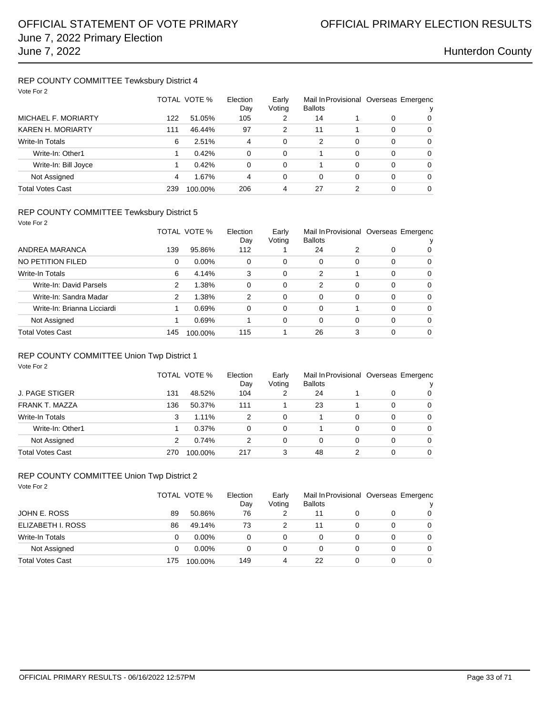### REP COUNTY COMMITTEE Tewksbury District 4 Vote For 2

| Vote For 2              |              |         |                 |                 |                |   |                                       |          |
|-------------------------|--------------|---------|-----------------|-----------------|----------------|---|---------------------------------------|----------|
|                         | TOTAL VOTE % |         | Election<br>Day | Early<br>Voting | <b>Ballots</b> |   | Mail In Provisional Overseas Emergenc |          |
| MICHAEL F. MORIARTY     | 122          | 51.05%  | 105             | 2               | 14             |   | 0                                     | 0        |
| KAREN H. MORIARTY       | 111          | 46.44%  | 97              | 2               | 11             |   | 0                                     | $\Omega$ |
| <b>Write-In Totals</b>  | 6            | 2.51%   | 4               | $\Omega$        | 2              | 0 | $\Omega$                              | $\Omega$ |
| Write-In: Other1        |              | 0.42%   | 0               | $\Omega$        |                | 0 | 0                                     | $\Omega$ |
| Write-In: Bill Joyce    |              | 0.42%   | 0               | $\Omega$        |                | 0 | $\Omega$                              | $\Omega$ |
| Not Assigned            | 4            | 1.67%   | 4               | 0               | 0              | 0 | 0                                     | $\Omega$ |
| <b>Total Votes Cast</b> | 239          | 100.00% | 206             | 4               | 27             | 2 | 0                                     | $\Omega$ |

### REP COUNTY COMMITTEE Tewksbury District 5

| Vote For 2                  |     |              |                 |                 |                |   |          |                                            |
|-----------------------------|-----|--------------|-----------------|-----------------|----------------|---|----------|--------------------------------------------|
|                             |     | TOTAL VOTE % | Election<br>Day | Early<br>Voting | <b>Ballots</b> |   |          | Mail In Provisional Overseas Emergenc<br>ν |
| ANDREA MARANCA              | 139 | 95.86%       | 112             |                 | 24             | 2 | 0        | 0                                          |
| NO PETITION FILED           | 0   | $0.00\%$     | 0               | 0               | 0              | 0 | $\Omega$ | $\Omega$                                   |
| Write-In Totals             | 6   | 4.14%        | 3               | $\Omega$        | 2              |   | $\Omega$ | $\Omega$                                   |
| Write-In: David Parsels     | 2   | 1.38%        | 0               | $\Omega$        | 2              | 0 | $\Omega$ | $\Omega$                                   |
| Write-In: Sandra Madar      | 2   | 1.38%        | 2               | $\Omega$        | 0              | 0 | $\Omega$ | $\Omega$                                   |
| Write-In: Brianna Licciardi |     | 0.69%        | 0               | 0               | 0              |   | $\Omega$ | $\Omega$                                   |
| Not Assigned                | 1   | 0.69%        |                 | $\Omega$        | 0              | 0 | $\Omega$ | $\Omega$                                   |
| <b>Total Votes Cast</b>     | 145 | 100.00%      | 115             |                 | 26             | 3 | $\Omega$ | $\Omega$                                   |

## REP COUNTY COMMITTEE Union Twp District 1

| Vote For 2             |     |              |                 |                 |                                                         |   |          |          |
|------------------------|-----|--------------|-----------------|-----------------|---------------------------------------------------------|---|----------|----------|
|                        |     | TOTAL VOTE % | Election<br>Day | Early<br>Voting | Mail In Provisional Overseas Emergenc<br><b>Ballots</b> |   |          | v        |
| J. PAGE STIGER         | 131 | 48.52%       | 104             | 2               | 24                                                      |   | 0        | $\Omega$ |
| <b>FRANK T. MAZZA</b>  | 136 | 50.37%       | 111             |                 | 23                                                      |   | 0        | $\Omega$ |
| <b>Write-In Totals</b> | 3   | 1.11%        | 2               | 0               |                                                         | 0 | $\Omega$ | $\Omega$ |
| Write-In: Other1       |     | 0.37%        | $\Omega$        | 0               |                                                         | 0 | $\Omega$ | $\Omega$ |
| Not Assigned           | 2   | 0.74%        | 2               | 0               | 0                                                       | 0 | $\Omega$ | $\Omega$ |
| Total Votes Cast       | 270 | 100.00%      | 217             | 3               | 48                                                      | 2 | $\Omega$ | $\Omega$ |

## REP COUNTY COMMITTEE Union Twp District 2

| Vote For 2              |              |          |                 |                 |                |   |                                       |   |
|-------------------------|--------------|----------|-----------------|-----------------|----------------|---|---------------------------------------|---|
|                         | TOTAL VOTE % |          | Election<br>Dav | Early<br>Voting | <b>Ballots</b> |   | Mail In Provisional Overseas Emergenc |   |
| JOHN E. ROSS            | 89           | 50.86%   | 76              | 2               | 11             | 0 | 0                                     | 0 |
| ELIZABETH I. ROSS       | 86           | 49.14%   | 73              | 2               | 11             | 0 | 0                                     | 0 |
| Write-In Totals         | 0            | $0.00\%$ | 0               | 0               | 0              | 0 | 0                                     | 0 |
| Not Assigned            | 0            | $0.00\%$ | 0               | 0               |                | 0 | 0                                     | 0 |
| <b>Total Votes Cast</b> | 175          | 100.00%  | 149             | 4               | 22             | 0 | 0                                     | 0 |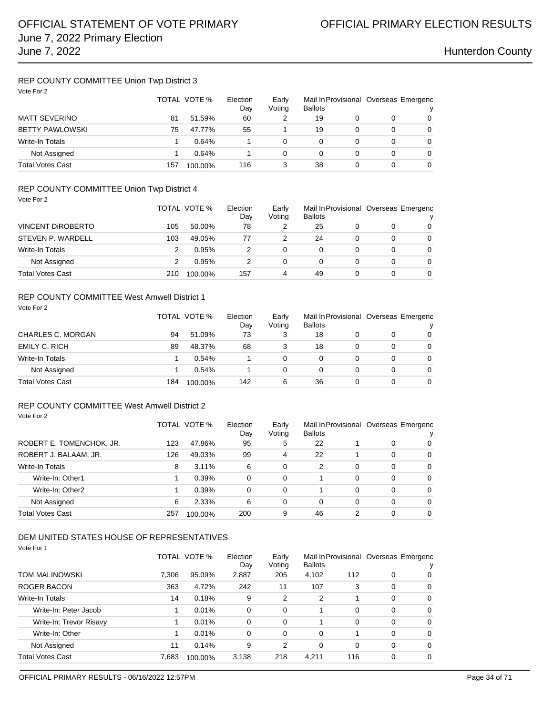### REP COUNTY COMMITTEE Union Twp District 3 Vote For 2

| Vote For 2              |     | TOTAL VOTE % | Election<br>Day | Early<br>Voting | <b>Ballots</b> | Mail In Provisional Overseas Emergenc |   |   |  |
|-------------------------|-----|--------------|-----------------|-----------------|----------------|---------------------------------------|---|---|--|
| <b>MATT SEVERINO</b>    | 81  | 51.59%       | 60              |                 | 19             |                                       | 0 | 0 |  |
| <b>BETTY PAWLOWSKI</b>  | 75  | 47.77%       | 55              |                 | 19             |                                       | 0 | 0 |  |
| <b>Write-In Totals</b>  |     | 0.64%        |                 |                 | 0              |                                       | 0 | 0 |  |
| Not Assigned            |     | 0.64%        |                 | 0               | 0              |                                       | 0 | 0 |  |
| <b>Total Votes Cast</b> | 157 | 100.00%      | 116             | 3               | 38             |                                       | 0 | 0 |  |

## REP COUNTY COMMITTEE Union Twp District 4

| Vote For 2               |     |              |                 |   |                                   |   |                                       |          |
|--------------------------|-----|--------------|-----------------|---|-----------------------------------|---|---------------------------------------|----------|
|                          |     | TOTAL VOTE % | Election<br>Day |   | Early<br><b>Ballots</b><br>Voting |   | Mail In Provisional Overseas Emergenc |          |
| <b>VINCENT DIROBERTO</b> | 105 | 50.00%       | 78              | 2 | 25                                | 0 | 0                                     | 0        |
| STEVEN P. WARDELL        | 103 | 49.05%       | 77              | 2 | 24                                | 0 | 0                                     | 0        |
| Write-In Totals          | 2   | 0.95%        | 2               | 0 | 0                                 | 0 | 0                                     | $\Omega$ |
| Not Assigned             | 2   | 0.95%        | 2               | 0 | 0                                 | 0 | 0                                     | $\Omega$ |
| <b>Total Votes Cast</b>  | 210 | 100.00%      | 157             | 4 | 49                                | 0 | 0                                     | 0        |

### REP COUNTY COMMITTEE West Amwell District 1

| Vote For 2               |     | TOTAL VOTE % |     | Early<br>Voting | Mail In Provisional Overseas Emergenc<br><b>Ballots</b> |   |   | v        |
|--------------------------|-----|--------------|-----|-----------------|---------------------------------------------------------|---|---|----------|
| <b>CHARLES C. MORGAN</b> | 94  | 51.09%       | 73  | 3               | 18                                                      |   | 0 | $\Omega$ |
| <b>EMILY C. RICH</b>     | 89  | 48.37%       | 68  | 3               | 18                                                      |   | 0 | $\Omega$ |
| <b>Write-In Totals</b>   |     | 0.54%        |     | 0               | 0                                                       | 0 | 0 | $\Omega$ |
| Not Assigned             |     | 0.54%        |     | 0               | 0                                                       |   | 0 | $\Omega$ |
| <b>Total Votes Cast</b>  | 184 | 100.00%      | 142 | 6               | 36                                                      |   | 0 | $\Omega$ |

## REP COUNTY COMMITTEE West Amwell District 2

|                          |     | TOTAL VOTE % | Election<br>Day | Early<br>Mail In Provisional Overseas Emergenc<br>Voting<br><b>Ballots</b> |    |   |   |          |
|--------------------------|-----|--------------|-----------------|----------------------------------------------------------------------------|----|---|---|----------|
| ROBERT E. TOMENCHOK, JR. | 123 | 47.86%       | 95              | 5                                                                          | 22 |   | 0 | $\Omega$ |
| ROBERT J. BALAAM, JR.    | 126 | 49.03%       | 99              | 4                                                                          | 22 |   | 0 | 0        |
| Write-In Totals          | 8   | 3.11%        | 6               | 0                                                                          | 2  | 0 | 0 | $\Omega$ |
| Write-In: Other1         |     | 0.39%        | 0               | 0                                                                          |    | 0 | 0 | $\Omega$ |
| Write-In: Other2         |     | 0.39%        | 0               | 0                                                                          |    | 0 | 0 | $\Omega$ |
| Not Assigned             | 6   | 2.33%        | 6               | 0                                                                          | 0  | 0 | 0 | $\Omega$ |
| Total Votes Cast         | 257 | 100.00%      | 200             | 9                                                                          | 46 | 2 | 0 | $\Omega$ |

### DEM UNITED STATES HOUSE OF REPRESENTATIVES

|  | Vote For 1 |  |  |
|--|------------|--|--|
|--|------------|--|--|

Vote For 2

|                         | TOTAL VOTE % |         | Election<br>Day | Early<br>Voting | <b>Ballots</b> |     | Mail In Provisional Overseas Emergenc |          |
|-------------------------|--------------|---------|-----------------|-----------------|----------------|-----|---------------------------------------|----------|
| <b>TOM MALINOWSKI</b>   | 7.306        | 95.09%  | 2,887           | 205             | 4,102          | 112 | 0                                     | 0        |
| ROGER BACON             | 363          | 4.72%   | 242             | 11              | 107            | 3   | $\Omega$                              | 0        |
| <b>Write-In Totals</b>  | 14           | 0.18%   | 9               | 2               | 2              |     | $\Omega$                              | $\Omega$ |
| Write-In: Peter Jacob   |              | 0.01%   | $\mathbf 0$     | 0               |                | 0   | $\Omega$                              | $\Omega$ |
| Write-In: Trevor Risavy |              | 0.01%   | $\Omega$        | $\Omega$        |                | 0   | $\Omega$                              | $\Omega$ |
| Write-In: Other         |              | 0.01%   | 0               | 0               | 0              |     | $\Omega$                              | $\Omega$ |
| Not Assigned            | 11           | 0.14%   | 9               | 2               | 0              | 0   | $\Omega$                              | $\Omega$ |
| <b>Total Votes Cast</b> | 7.683        | 100.00% | 3,138           | 218             | 4.211          | 116 | $\Omega$                              | $\Omega$ |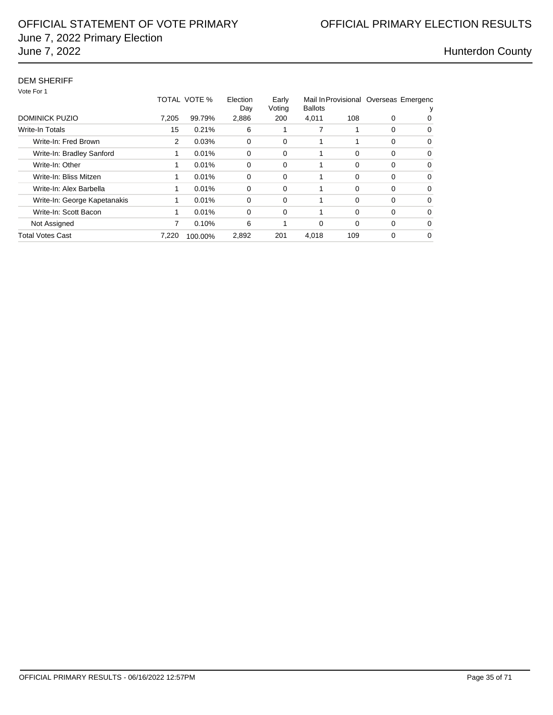## DEM SHERIFF

Vote For 1

|                              |       | TOTAL VOTE % | Election<br>Day | Early<br>Voting | Mail In Provisional Overseas Emergenc<br><b>Ballots</b> |          |          |   |  |
|------------------------------|-------|--------------|-----------------|-----------------|---------------------------------------------------------|----------|----------|---|--|
| DOMINICK PUZIO               | 7.205 | 99.79%       | 2,886           | 200             | 4,011                                                   | 108      | 0        | 0 |  |
| <b>Write-In Totals</b>       | 15    | 0.21%        | 6               |                 |                                                         |          | $\Omega$ | 0 |  |
| Write-In: Fred Brown         | 2     | 0.03%        | 0               | 0               |                                                         |          | 0        | 0 |  |
| Write-In: Bradley Sanford    |       | 0.01%        | 0               | $\Omega$        |                                                         | $\Omega$ | 0        | 0 |  |
| Write-In: Other              |       | 0.01%        | 0               | $\Omega$        |                                                         | $\Omega$ | $\Omega$ | 0 |  |
| Write-In: Bliss Mitzen       |       | 0.01%        | 0               | $\Omega$        |                                                         | $\Omega$ | $\Omega$ | 0 |  |
| Write-In: Alex Barbella      |       | 0.01%        | 0               | $\Omega$        |                                                         | $\Omega$ | 0        | 0 |  |
| Write-In: George Kapetanakis | 1     | 0.01%        | 0               | $\Omega$        |                                                         | $\Omega$ | 0        | 0 |  |
| Write-In: Scott Bacon        | 1     | 0.01%        | $\Omega$        | $\Omega$        |                                                         | $\Omega$ | 0        | 0 |  |
| Not Assigned                 | 7     | 0.10%        | 6               |                 | 0                                                       | $\Omega$ | 0        | 0 |  |
| <b>Total Votes Cast</b>      | 7.220 | 100.00%      | 2,892           | 201             | 4.018                                                   | 109      | 0        | 0 |  |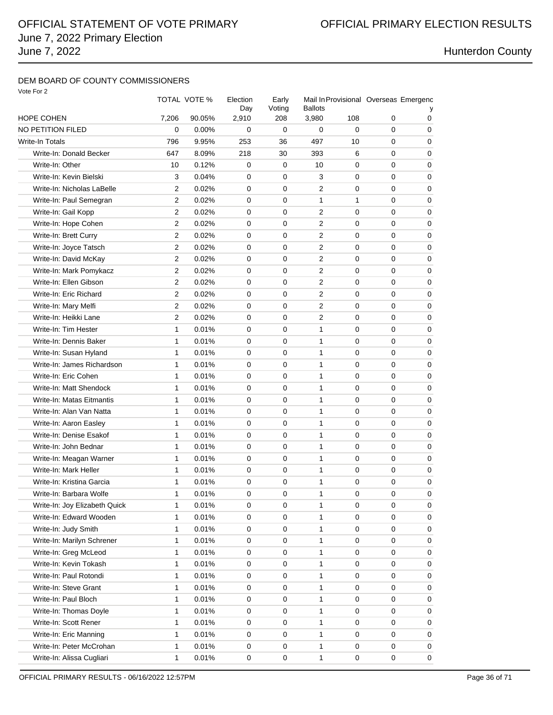# June 7, 2022 Primary Election June 7, 2022 **Hunterdon County**

## DEM BOARD OF COUNTY COMMISSIONERS

| Vote For |  |  |
|----------|--|--|
|----------|--|--|

|                               |                | TOTAL VOTE % | Election<br>Day | Early<br>Voting | Mail In Provisional Overseas Emergenc<br><b>Ballots</b> |             |   |             |
|-------------------------------|----------------|--------------|-----------------|-----------------|---------------------------------------------------------|-------------|---|-------------|
| HOPE COHEN                    | 7,206          | 90.05%       | 2,910           | 208             | 3,980                                                   | 108         | 0 | 0           |
| NO PETITION FILED             | 0              | 0.00%        | $\mathbf 0$     | 0               | 0                                                       | $\Omega$    | 0 | 0           |
| Write-In Totals               | 796            | 9.95%        | 253             | 36              | 497                                                     | 10          | 0 | 0           |
| Write-In: Donald Becker       | 647            | 8.09%        | 218             | 30              | 393                                                     | 6           | 0 | 0           |
| Write-In: Other               | 10             | 0.12%        | 0               | 0               | 10                                                      | 0           | 0 | 0           |
| Write-In: Kevin Bielski       | 3              | 0.04%        | 0               | $\mathbf 0$     | 3                                                       | 0           | 0 | 0           |
| Write-In: Nicholas LaBelle    | 2              | 0.02%        | 0               | $\mathbf 0$     | 2                                                       | 0           | 0 | 0           |
| Write-In: Paul Semegran       | 2              | 0.02%        | 0               | 0               | 1                                                       | 1           | 0 | 0           |
| Write-In: Gail Kopp           | $\overline{2}$ | 0.02%        | $\mathbf 0$     | $\mathbf 0$     | 2                                                       | 0           | 0 | 0           |
| Write-In: Hope Cohen          | 2              | 0.02%        | $\mathbf 0$     | 0               | 2                                                       | 0           | 0 | 0           |
| Write-In: Brett Curry         | 2              | 0.02%        | 0               | 0               | 2                                                       | 0           | 0 | 0           |
| Write-In: Joyce Tatsch        | 2              | 0.02%        | 0               | 0               | 2                                                       | 0           | 0 | 0           |
| Write-In: David McKay         | $\overline{2}$ | 0.02%        | $\mathbf 0$     | 0               | 2                                                       | $\mathbf 0$ | 0 | 0           |
| Write-In: Mark Pomykacz       | 2              | 0.02%        | $\mathbf 0$     | 0               | 2                                                       | 0           | 0 | 0           |
| Write-In: Ellen Gibson        | 2              | 0.02%        | 0               | $\mathbf 0$     | 2                                                       | 0           | 0 | 0           |
| Write-In: Eric Richard        | 2              | 0.02%        | 0               | 0               | 2                                                       | 0           | 0 | 0           |
| Write-In: Mary Melfi          | 2              | 0.02%        | 0               | 0               | 2                                                       | 0           | 0 | 0           |
| Write-In: Heikki Lane         | $\overline{2}$ | 0.02%        | 0               | 0               | 2                                                       | 0           | 0 | 0           |
| Write-In: Tim Hester          | 1              | 0.01%        | $\mathbf 0$     | $\mathbf 0$     | 1                                                       | 0           | 0 | 0           |
| Write-In: Dennis Baker        | 1              | 0.01%        | 0               | 0               | 1                                                       | 0           | 0 | 0           |
| Write-In: Susan Hyland        | 1              | 0.01%        | 0               | $\mathbf 0$     | $\mathbf{1}$                                            | 0           | 0 | 0           |
| Write-In: James Richardson    | 1              | 0.01%        | $\mathbf 0$     | $\mathbf 0$     | 1                                                       | 0           | 0 | 0           |
| Write-In: Eric Cohen          | 1              | 0.01%        | 0               | 0               | 1                                                       | 0           | 0 | 0           |
| Write-In: Matt Shendock       | 1              | 0.01%        | 0               | 0               | 1                                                       | 0           | 0 | 0           |
| Write-In: Matas Eitmantis     | 1              | 0.01%        | $\mathbf 0$     | 0               | $\mathbf{1}$                                            | $\mathbf 0$ | 0 | 0           |
| Write-In: Alan Van Natta      | 1              | 0.01%        | $\mathbf 0$     | 0               | 1                                                       | $\mathbf 0$ | 0 | 0           |
| Write-In: Aaron Easley        | 1              | 0.01%        | 0               | $\mathbf 0$     | 1                                                       | $\mathbf 0$ | 0 | 0           |
| Write-In: Denise Esakof       | 1              | 0.01%        | 0               | 0               | 1                                                       | 0           | 0 | 0           |
| Write-In: John Bednar         | 1              | 0.01%        | 0               | 0               | 1                                                       | 0           | 0 | 0           |
| Write-In: Meagan Warner       | 1              | 0.01%        | 0               | 0               | 1                                                       | 0           | 0 | 0           |
| Write-In: Mark Heller         | 1              | 0.01%        | $\mathbf 0$     | $\mathbf 0$     | 1                                                       | $\mathbf 0$ | 0 | 0           |
| Write-In: Kristina Garcia     | 1              | 0.01%        | 0               | 0               | 1                                                       | 0           | 0 | 0           |
| Write-In: Barbara Wolfe       | 1              | 0.01%        | $\mathbf 0$     | 0               | $\mathbf{1}$                                            | 0           | 0 | 0           |
| Write-In: Joy Elizabeth Quick | 1              | 0.01%        | 0               | 0               | 1                                                       | 0           | 0 | 0           |
| Write-In: Edward Wooden       | 1              | 0.01%        | 0               | 0               | 1                                                       | 0           | 0 | 0           |
| Write-In: Judy Smith          | 1              | 0.01%        | 0               | 0               | 1                                                       | 0           | 0 | 0           |
| Write-In: Marilyn Schrener    | 1              | 0.01%        | 0               | 0               | 1                                                       | 0           | 0 | $\mathbf 0$ |
| Write-In: Greg McLeod         | 1              | 0.01%        | 0               | 0               | 1                                                       | 0           | 0 | 0           |
| Write-In: Kevin Tokash        | 1              | 0.01%        | 0               | 0               | 1                                                       | 0           | 0 | 0           |
| Write-In: Paul Rotondi        | 1              | 0.01%        | 0               | 0               | 1                                                       | 0           | 0 | 0           |
| Write-In: Steve Grant         | 1              | 0.01%        | 0               | 0               | 1                                                       | 0           | 0 | 0           |
| Write-In: Paul Bloch          | 1              | 0.01%        | 0               | 0               | 1                                                       | 0           | 0 | 0           |
| Write-In: Thomas Doyle        | 1              | 0.01%        | $\mathbf 0$     | $\mathbf 0$     | 1                                                       | $\mathbf 0$ | 0 | 0           |
| Write-In: Scott Rener         | 1              | 0.01%        | 0               | 0               | 1                                                       | 0           | 0 | 0           |
| Write-In: Eric Manning        | 1              | 0.01%        | 0               | 0               | 1                                                       | 0           | 0 | 0           |
| Write-In: Peter McCrohan      | 1              | 0.01%        | 0               | 0               | 1                                                       | 0           | 0 | 0           |
| Write-In: Alissa Cugliari     | 1              | 0.01%        | 0               | 0               | 1                                                       | 0           | 0 | 0           |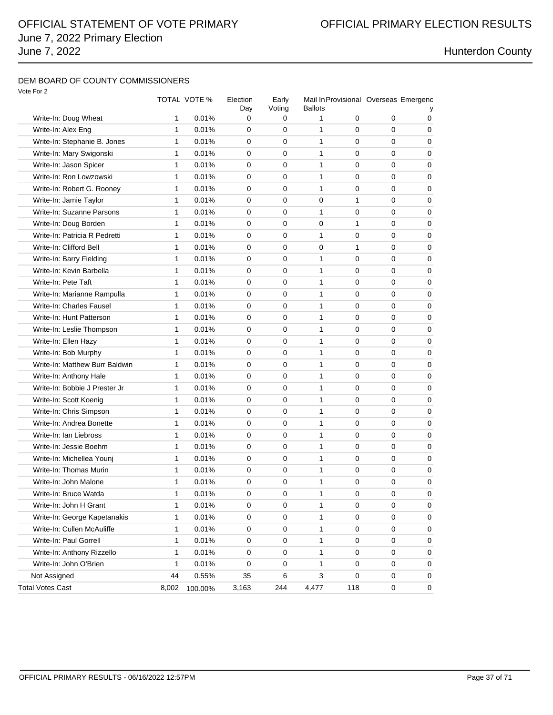## DEM BOARD OF COUNTY COMMISSIONERS

|                                |       | TOTAL VOTE % | Election<br>Day | Early<br>Voting | Ballots      |     |             | Mail In Provisional Overseas Emergenc |
|--------------------------------|-------|--------------|-----------------|-----------------|--------------|-----|-------------|---------------------------------------|
| Write-In: Doug Wheat           | 1     | 0.01%        | 0               | 0               | 1            | 0   | 0           | 0                                     |
| Write-In: Alex Eng             | 1     | 0.01%        | 0               | 0               | 1            | 0   | 0           | 0                                     |
| Write-In: Stephanie B. Jones   | 1     | 0.01%        | 0               | 0               | $\mathbf{1}$ | 0   | 0           | 0                                     |
| Write-In: Mary Swigonski       | 1     | 0.01%        | $\mathbf 0$     | 0               | $\mathbf{1}$ | 0   | 0           | 0                                     |
| Write-In: Jason Spicer         | 1     | 0.01%        | $\mathbf 0$     | $\mathbf 0$     | $\mathbf{1}$ | 0   | 0           | 0                                     |
| Write-In: Ron Lowzowski        | 1     | 0.01%        | 0               | 0               | 1            | 0   | 0           | 0                                     |
| Write-In: Robert G. Rooney     | 1     | 0.01%        | $\Omega$        | 0               | 1            | 0   | 0           | $\Omega$                              |
| Write-In: Jamie Taylor         | 1     | 0.01%        | 0               | 0               | 0            | 1   | 0           | 0                                     |
| Write-In: Suzanne Parsons      | 1     | 0.01%        | 0               | 0               | 1            | 0   | 0           | 0                                     |
| Write-In: Doug Borden          | 1     | 0.01%        | 0               | $\mathbf 0$     | 0            | 1   | 0           | 0                                     |
| Write-In: Patricia R Pedretti  | 1     | 0.01%        | 0               | 0               | 1            | 0   | 0           | 0                                     |
| Write-In: Clifford Bell        | 1     | 0.01%        | 0               | 0               | 0            | 1   | 0           | 0                                     |
| Write-In: Barry Fielding       | 1     | 0.01%        | 0               | 0               | 1            | 0   | 0           | $\Omega$                              |
| Write-In: Kevin Barbella       | 1     | 0.01%        | 0               | 0               | 1            | 0   | 0           | 0                                     |
| Write-In: Pete Taft            | 1     | 0.01%        | 0               | 0               | $\mathbf{1}$ | 0   | 0           | 0                                     |
| Write-In: Marianne Rampulla    | 1     | 0.01%        | $\mathbf 0$     | 0               | 1            | 0   | 0           | 0                                     |
| Write-In: Charles Fausel       | 1     | 0.01%        | 0               | 0               | 1            | 0   | 0           | 0                                     |
| Write-In: Hunt Patterson       | 1     | 0.01%        | 0               | 0               | 1            | 0   | 0           | 0                                     |
| Write-In: Leslie Thompson      | 1     | 0.01%        | $\Omega$        | 0               | 1            | 0   | 0           | 0                                     |
| Write-In: Ellen Hazy           | 1     | 0.01%        | 0               | 0               | 1            | 0   | 0           | 0                                     |
| Write-In: Bob Murphy           | 1     | 0.01%        | $\mathbf 0$     | 0               | $\mathbf{1}$ | 0   | 0           | 0                                     |
| Write-In: Matthew Burr Baldwin | 1     | 0.01%        | $\mathbf 0$     | $\mathbf 0$     | 1            | 0   | 0           | 0                                     |
| Write-In: Anthony Hale         | 1     | 0.01%        | 0               | 0               | 1            | 0   | 0           | 0                                     |
| Write-In: Bobbie J Prester Jr  | 1     | 0.01%        | 0               | 0               | 1            | 0   | 0           | 0                                     |
| Write-In: Scott Koenig         | 1     | 0.01%        | 0               | 0               | 1            | 0   | 0           | 0                                     |
| Write-In: Chris Simpson        | 1     | 0.01%        | 0               | 0               | 1            | 0   | 0           | 0                                     |
| Write-In: Andrea Bonette       | 1     | 0.01%        | 0               | 0               | $\mathbf{1}$ | 0   | 0           | 0                                     |
| Write-In: Ian Liebross         | 1     | 0.01%        | $\mathbf 0$     | 0               | $\mathbf{1}$ | 0   | 0           | 0                                     |
| Write-In: Jessie Boehm         | 1     | 0.01%        | $\mathbf 0$     | $\mathbf 0$     | $\mathbf{1}$ | 0   | 0           | 0                                     |
| Write-In: Michellea Younj      | 1     | 0.01%        | 0               | 0               | 1            | 0   | 0           | 0                                     |
| Write-In: Thomas Murin         | 1     | 0.01%        | 0               | 0               | 1            | 0   | 0           | 0                                     |
| Write-In: John Malone          | 1     | 0.01%        | 0               | 0               | 1            | 0   | 0           | 0                                     |
| Write-In: Bruce Watda          | 1     | 0.01%        | 0               | 0               | 1            | 0   | 0           | 0                                     |
| Write-In: John H Grant         | 1     | 0.01%        | $\mathbf 0$     | $\pmb{0}$       | 1            | 0   | $\mathbf 0$ | 0                                     |
| Write-In: George Kapetanakis   | 1     | 0.01%        | 0               | $\pmb{0}$       | 1            | 0   | 0           | 0                                     |
| Write-In: Cullen McAuliffe     | 1     | 0.01%        | $\mathbf 0$     | 0               | 1            | 0   | 0           | 0                                     |
| Write-In: Paul Gorrell         | 1     | 0.01%        | 0               | 0               | 1            | 0   | 0           | 0                                     |
| Write-In: Anthony Rizzello     | 1     | 0.01%        | 0               | 0               | 1            | 0   | 0           | 0                                     |
| Write-In: John O'Brien         | 1     | 0.01%        | 0               | 0               | 1            | 0   | 0           | 0                                     |
| Not Assigned                   | 44    | 0.55%        | 35              | 6               | 3            | 0   | 0           | 0                                     |
| <b>Total Votes Cast</b>        | 8,002 | 100.00%      | 3,163           | 244             | 4,477        | 118 | 0           | 0                                     |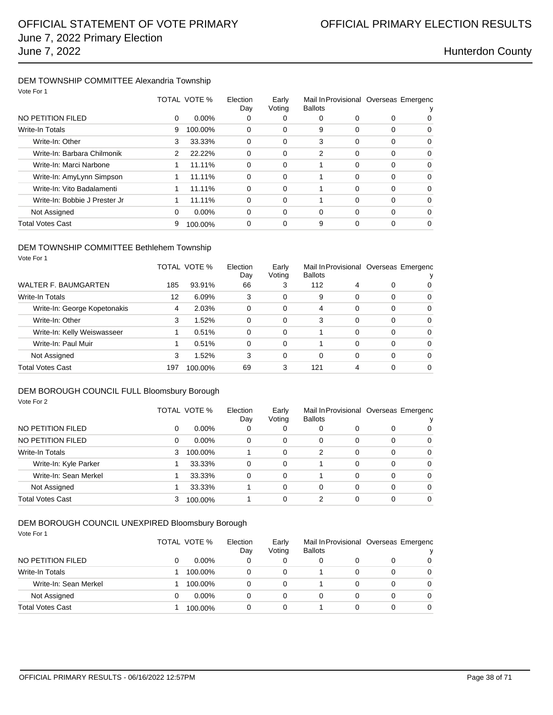### DEM TOWNSHIP COMMITTEE Alexandria Township Vote For 1

| VOLE FOR 1                    |               |              |                 |                 |                                                         |          |          |          |
|-------------------------------|---------------|--------------|-----------------|-----------------|---------------------------------------------------------|----------|----------|----------|
|                               |               | TOTAL VOTE % | Election<br>Day | Early<br>Voting | Mail In Provisional Overseas Emergenc<br><b>Ballots</b> |          |          |          |
| NO PETITION FILED             | 0             | $0.00\%$     | 0               | 0               | 0                                                       | 0        | $\Omega$ | 0        |
| <b>Write-In Totals</b>        | 9             | 100.00%      | 0               | 0               | 9                                                       | 0        | $\Omega$ | 0        |
| Write-In: Other               | 3             | 33.33%       | 0               | 0               | 3                                                       | 0        | $\Omega$ | 0        |
| Write-In: Barbara Chilmonik   | $\mathcal{P}$ | 22.22%       | 0               | 0               | $\overline{2}$                                          | 0        | $\Omega$ | 0        |
| Write-In: Marci Narbone       |               | 11.11%       | 0               | 0               |                                                         | $\Omega$ | $\Omega$ | 0        |
| Write-In: AmyLynn Simpson     | 1             | 11.11%       | 0               | 0               |                                                         | 0        | $\Omega$ | $\Omega$ |
| Write-In: Vito Badalamenti    |               | 11.11%       | 0               | 0               |                                                         | 0        | $\Omega$ | 0        |
| Write-In: Bobbie J Prester Jr | 1             | 11.11%       | 0               | 0               |                                                         | 0        | $\Omega$ | $\Omega$ |
| Not Assigned                  | 0             | $0.00\%$     | 0               | 0               | $\Omega$                                                | 0        | $\Omega$ | 0        |
| <b>Total Votes Cast</b>       | 9             | 100.00%      | 0               | 0               | 9                                                       | 0        | $\Omega$ | 0        |
|                               |               |              |                 |                 |                                                         |          |          |          |

### DEM TOWNSHIP COMMITTEE Bethlehem Township Vote For 1

|                              |     | TOTAL VOTE % | Election<br>Day | Early<br>Voting | <b>Ballots</b> |   |   | Mail In Provisional Overseas Emergenc |
|------------------------------|-----|--------------|-----------------|-----------------|----------------|---|---|---------------------------------------|
| WALTER F. BAUMGARTEN         | 185 | 93.91%       | 66              | 3               | 112            | 4 | 0 | $\Omega$                              |
| <b>Write-In Totals</b>       | 12  | 6.09%        | 3               | 0               | 9              | 0 | 0 | $\Omega$                              |
| Write-In: George Kopetonakis | 4   | 2.03%        | 0               | 0               | 4              | 0 | 0 | $\Omega$                              |
| Write-In: Other              | 3   | 1.52%        | 0               | 0               | 3              | 0 | 0 | $\Omega$                              |
| Write-In: Kelly Weiswasseer  |     | 0.51%        | 0               | 0               |                | 0 | 0 | $\Omega$                              |
| Write-In: Paul Muir          |     | 0.51%        | $\Omega$        | 0               |                | 0 | 0 | $\Omega$                              |
| Not Assigned                 | 3   | 1.52%        | 3               | 0               | 0              | 0 | 0 | $\Omega$                              |
| Total Votes Cast             | 197 | 100.00%      | 69              | 3               | 121            | 4 | ი | $\Omega$                              |

### DEM BOROUGH COUNCIL FULL Bloomsbury Borough

| Vote For 2              |   |              |                 |                 |                |   |                                       |   |
|-------------------------|---|--------------|-----------------|-----------------|----------------|---|---------------------------------------|---|
|                         |   | TOTAL VOTE % | Election<br>Dav | Early<br>Voting | <b>Ballots</b> |   | Mail In Provisional Overseas Emergenc |   |
| NO PETITION FILED       | 0 | $0.00\%$     | 0               | 0               | 0              | 0 | 0                                     | 0 |
| NO PETITION FILED       | 0 | $0.00\%$     | 0               | 0               | 0              | 0 | 0                                     | 0 |
| Write-In Totals         | 3 | 100.00%      |                 | 0               | 2              | 0 | 0                                     | 0 |
| Write-In: Kyle Parker   |   | 33.33%       | 0               | 0               |                | 0 | 0                                     | 0 |
| Write-In: Sean Merkel   |   | 33.33%       | 0               | 0               |                | 0 | 0                                     | 0 |
| Not Assigned            |   | 33.33%       |                 | 0               | 0              | 0 | 0                                     | 0 |
| <b>Total Votes Cast</b> | 3 | 100.00%      |                 | 0               | 2              | 0 | 0                                     | 0 |

### DEM BOROUGH COUNCIL UNEXPIRED Bloomsbury Borough Vote For 1

|                         | TOTAL VOTE % |              | Early<br>Voting | <b>Ballots</b> |  | Mail In Provisional Overseas Emergenc |          |
|-------------------------|--------------|--------------|-----------------|----------------|--|---------------------------------------|----------|
| NO PETITION FILED       | $0.00\%$     | $\mathbf{0}$ | 0               |                |  |                                       | 0        |
| Write-In Totals         | 100.00%      | 0            | 0               |                |  |                                       | $\Omega$ |
| Write-In: Sean Merkel   | 100.00%      | 0            | 0               |                |  | 0                                     | $\Omega$ |
| Not Assigned            | $0.00\%$     | 0            | 0               |                |  |                                       | $\Omega$ |
| <b>Total Votes Cast</b> | 100.00%      | 0            | 0               |                |  |                                       | 0        |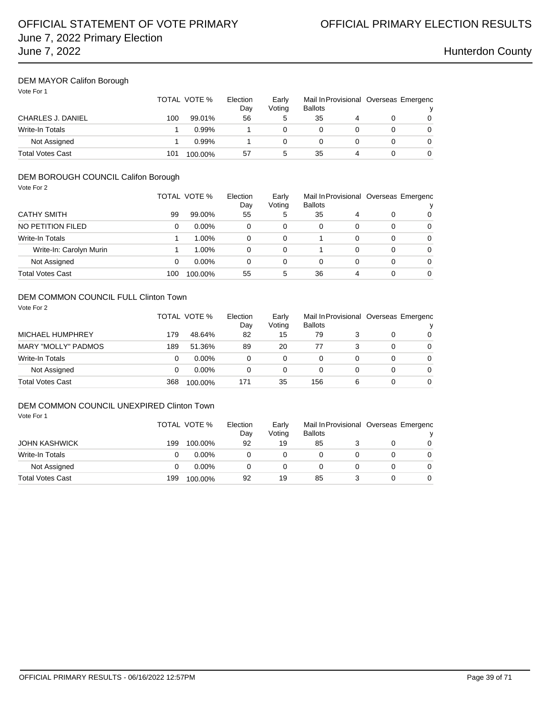## DEM MAYOR Califon Borough

Vote For 1

|                          |     | TOTAL VOTE % | Election<br>Day | Earlv<br>Votina | <b>Ballots</b> |  | Mail In Provisional Overseas Emergenc |
|--------------------------|-----|--------------|-----------------|-----------------|----------------|--|---------------------------------------|
| <b>CHARLES J. DANIEL</b> | 100 | 99.01%       | 56              |                 | 35             |  | 0                                     |
| Write-In Totals          |     | 0.99%        |                 |                 |                |  |                                       |
| Not Assigned             |     | 0.99%        |                 |                 | 0              |  | 0                                     |
| <b>Total Votes Cast</b>  | 101 | 100.00%      | 57              |                 | 35             |  |                                       |

## DEM BOROUGH COUNCIL Califon Borough

| Vote For 2              |     |              |                 |                 |                                                         |          |   |          |
|-------------------------|-----|--------------|-----------------|-----------------|---------------------------------------------------------|----------|---|----------|
|                         |     | TOTAL VOTE % | Election<br>Day | Early<br>Voting | Mail In Provisional Overseas Emergenc<br><b>Ballots</b> |          |   |          |
| <b>CATHY SMITH</b>      | 99  | 99.00%       | 55              | 5               | 35                                                      | 4        | 0 | 0        |
| NO PETITION FILED       | 0   | $0.00\%$     | 0               | 0               | 0                                                       | 0        | 0 | 0        |
| Write-In Totals         |     | 1.00%        | 0               | 0               |                                                         | $\Omega$ | 0 | $\Omega$ |
| Write-In: Carolyn Murin |     | 1.00%        | 0               | 0               |                                                         | 0        | 0 | 0        |
| Not Assigned            | 0   | $0.00\%$     | 0               | 0               | 0                                                       | 0        | 0 | 0        |
| <b>Total Votes Cast</b> | 100 | 100.00%      | 55              | 5               | 36                                                      | 4        | 0 | 0        |

### DEM COMMON COUNCIL FULL Clinton Town

| Vote For 2                 |     | TOTAL VOTE % | Election<br>Day | Early<br>Voting | <b>Ballots</b> |   |   | Mail In Provisional Overseas Emergenc<br>v |
|----------------------------|-----|--------------|-----------------|-----------------|----------------|---|---|--------------------------------------------|
| MICHAEL HUMPHREY           | 179 | 48.64%       | 82              | 15              | 79             |   | 0 | $\Omega$                                   |
| <b>MARY "MOLLY" PADMOS</b> | 189 | 51.36%       | 89              | 20              | 77             |   | 0 | $\Omega$                                   |
| <b>Write-In Totals</b>     | 0   | $0.00\%$     | 0               | 0               | 0              | 0 | 0 | $\Omega$                                   |
| Not Assigned               | 0   | $0.00\%$     | 0               | 0               | 0              |   | 0 | $\Omega$                                   |
| <b>Total Votes Cast</b>    | 368 | 100.00%      | 171             | 35              | 156            | 6 | 0 | $\Omega$                                   |

### DEM COMMON COUNCIL UNEXPIRED Clinton Town Vote For 1

|                      |     | TOTAL VOTE % | Election<br>Day | Early<br>Voting | Mail In Provisional Overseas Emergenc<br><b>Ballots</b> |  |          |
|----------------------|-----|--------------|-----------------|-----------------|---------------------------------------------------------|--|----------|
| <b>JOHN KASHWICK</b> | 199 | 100.00%      | 92              | 19              | 85                                                      |  | 0        |
| Write-In Totals      |     | $0.00\%$     |                 | 0               |                                                         |  | $\Omega$ |
| Not Assigned         |     | $0.00\%$     | 0               | 0               |                                                         |  | $\Omega$ |
| Total Votes Cast     | 199 | 100.00%      | 92              | 19              | 85                                                      |  | 0        |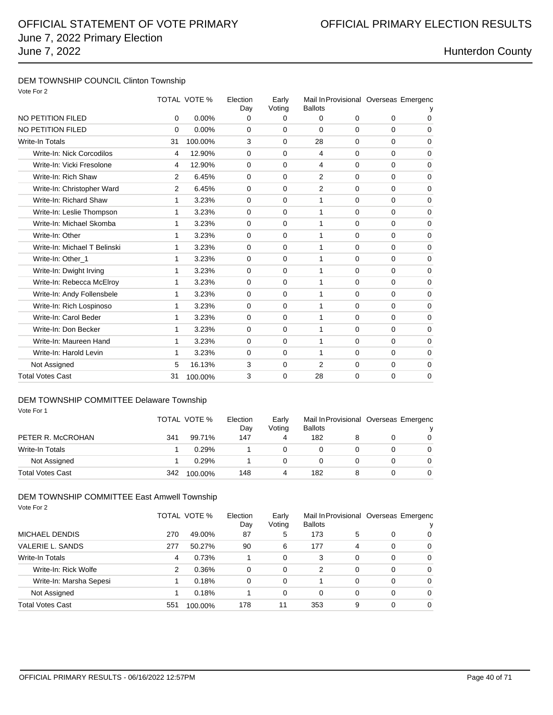# June 7, 2022 Primary Election June 7, 2022 **Hunterdon County**

### DEM TOWNSHIP COUNCIL Clinton Township Vote For 2

| vote For 2                   |    | TOTAL VOTE % | Election<br>Day | Early<br>Voting | Mail In Provisional Overseas Emergenc<br><b>Ballots</b> |             |             |             |
|------------------------------|----|--------------|-----------------|-----------------|---------------------------------------------------------|-------------|-------------|-------------|
| NO PETITION FILED            | 0  | 0.00%        | 0               | 0               | 0                                                       | $\mathbf 0$ | $\mathbf 0$ | $\Omega$    |
| <b>NO PETITION FILED</b>     | 0  | 0.00%        | $\Omega$        | $\mathbf 0$     | $\mathbf 0$                                             | $\Omega$    | $\Omega$    | $\mathbf 0$ |
| Write-In Totals              | 31 | 100.00%      | 3               | $\mathbf 0$     | 28                                                      | $\Omega$    | $\Omega$    | 0           |
| Write-In: Nick Corcodilos    | 4  | 12.90%       | $\Omega$        | $\mathbf 0$     | $\overline{4}$                                          | $\Omega$    | $\Omega$    | $\mathbf 0$ |
| Write-In: Vicki Fresolone    | 4  | 12.90%       | 0               | 0               | 4                                                       | $\mathbf 0$ | 0           | 0           |
| Write-In: Rich Shaw          | 2  | 6.45%        | 0               | $\mathbf 0$     | 2                                                       | $\mathbf 0$ | 0           | $\mathbf 0$ |
| Write-In: Christopher Ward   | 2  | 6.45%        | $\Omega$        | 0               | 2                                                       | $\Omega$    | 0           | $\mathbf 0$ |
| Write-In: Richard Shaw       | 1  | 3.23%        | $\Omega$        | $\Omega$        | 1                                                       | $\Omega$    | $\Omega$    | $\mathbf 0$ |
| Write-In: Leslie Thompson    | 1  | 3.23%        | $\Omega$        | $\Omega$        | 1                                                       | $\Omega$    | $\Omega$    | $\mathbf 0$ |
| Write-In: Michael Skomba     | 1  | 3.23%        | $\Omega$        | $\Omega$        | 1                                                       | $\Omega$    | $\Omega$    | $\mathbf 0$ |
| Write-In: Other              | 1  | 3.23%        | $\Omega$        | $\Omega$        | 1                                                       | $\Omega$    | $\Omega$    | $\mathbf 0$ |
| Write-In: Michael T Belinski | 1  | 3.23%        | $\Omega$        | $\Omega$        | 1                                                       | $\Omega$    | $\Omega$    | $\mathbf 0$ |
| Write-In: Other 1            | 1  | 3.23%        | $\Omega$        | $\Omega$        | 1                                                       | $\Omega$    | $\Omega$    | 0           |
| Write-In: Dwight Irving      | 1  | 3.23%        | $\Omega$        | $\Omega$        | 1                                                       | $\Omega$    | $\Omega$    | $\mathbf 0$ |
| Write-In: Rebecca McElroy    | 1  | 3.23%        | $\Omega$        | $\Omega$        | 1                                                       | $\Omega$    | $\Omega$    | $\Omega$    |
| Write-In: Andy Follensbele   | 1  | 3.23%        | $\mathbf 0$     | 0               | 1                                                       | $\Omega$    | $\mathbf 0$ | $\mathbf 0$ |
| Write-In: Rich Lospinoso     | 1  | 3.23%        | $\Omega$        | 0               | 1                                                       | $\Omega$    | $\mathbf 0$ | $\mathbf 0$ |
| Write-In: Carol Beder        | 1  | 3.23%        | $\Omega$        | $\mathbf 0$     | 1                                                       | $\Omega$    | $\mathbf 0$ | $\mathbf 0$ |
| Write-In: Don Becker         | 1  | 3.23%        | $\Omega$        | 0               | 1                                                       | $\Omega$    | $\mathbf 0$ | $\mathbf 0$ |
| Write-In: Maureen Hand       | 1  | 3.23%        | $\Omega$        | $\mathbf 0$     | 1                                                       | $\Omega$    | $\Omega$    | $\Omega$    |
| Write-In: Harold Levin       | 1  | 3.23%        | $\mathbf 0$     | $\mathbf 0$     | $\mathbf{1}$                                            | $\mathbf 0$ | $\mathbf 0$ | $\mathbf 0$ |
| Not Assigned                 | 5  | 16.13%       | 3               | $\mathbf 0$     | $\overline{2}$                                          | $\Omega$    | $\mathbf 0$ | $\mathbf 0$ |
| <b>Total Votes Cast</b>      | 31 | 100.00%      | 3               | $\Omega$        | 28                                                      | $\Omega$    | 0           | $\mathbf 0$ |

## DEM TOWNSHIP COMMITTEE Delaware Township

| Vote For 1 |  |  |  |
|------------|--|--|--|
|------------|--|--|--|

|                         |     | TOTAL VOTE % | Election<br>Day | Early<br>Voting | <b>Ballots</b> |  | Mail In Provisional Overseas Emergenc |
|-------------------------|-----|--------------|-----------------|-----------------|----------------|--|---------------------------------------|
| PETER R. McCROHAN       | 341 | 99.71%       | 147             | 4               | 182            |  | 0                                     |
| Write-In Totals         |     | 0.29%        |                 | 0               |                |  | 0                                     |
| Not Assigned            |     | 0.29%        |                 | 0               |                |  | 0                                     |
| <b>Total Votes Cast</b> | 342 | 100.00%      | 148             | 4               | 182            |  | 0                                     |

## DEM TOWNSHIP COMMITTEE East Amwell Township

| Vote For 2              |     |              |                 |                 |                                                         |   |   |          |
|-------------------------|-----|--------------|-----------------|-----------------|---------------------------------------------------------|---|---|----------|
|                         |     | TOTAL VOTE % | Election<br>Day | Early<br>Voting | Mail In Provisional Overseas Emergenc<br><b>Ballots</b> |   |   |          |
| MICHAEL DENDIS          | 270 | 49.00%       | 87              | 5               | 173                                                     | 5 | 0 | 0        |
| VALERIE L. SANDS        | 277 | 50.27%       | 90              | 6               | 177                                                     | 4 | 0 | 0        |
| Write-In Totals         | 4   | 0.73%        |                 | 0               | 3                                                       | 0 | 0 | $\Omega$ |
| Write-In: Rick Wolfe    | 2   | 0.36%        | $\Omega$        | 0               | 2                                                       | 0 | 0 | $\Omega$ |
| Write-In: Marsha Sepesi |     | 0.18%        | $\Omega$        | 0               |                                                         | 0 | 0 | $\Omega$ |
| Not Assigned            |     | 0.18%        |                 | 0               | 0                                                       | 0 | 0 | $\Omega$ |
| <b>Total Votes Cast</b> | 551 | 100.00%      | 178             | 11              | 353                                                     | 9 | 0 | 0        |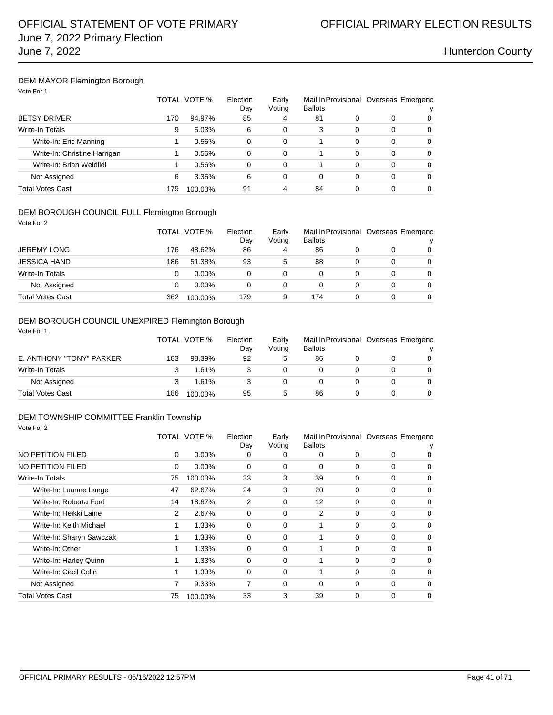### DEM MAYOR Flemington Borough

| Vote For 1 |  |  |
|------------|--|--|
|------------|--|--|

|                              |     | TOTAL VOTE % | Election<br>Dav<br>85 | Early<br>Voting<br>4 | <b>Ballots</b> |   | Mail In Provisional Overseas Emergenc |          |
|------------------------------|-----|--------------|-----------------------|----------------------|----------------|---|---------------------------------------|----------|
| <b>BETSY DRIVER</b>          | 170 | 94.97%       |                       |                      | 81             | 0 | 0                                     | 0        |
| <b>Write-In Totals</b>       | 9   | 5.03%        | 6                     | $\Omega$             | 3              | 0 | 0                                     | 0        |
| Write-In: Eric Manning       |     | 0.56%        | 0                     | $\Omega$             |                | 0 | 0                                     | 0        |
| Write-In: Christine Harrigan |     | 0.56%        | 0                     | $\Omega$             |                | 0 | 0                                     | $\Omega$ |
| Write-In: Brian Weidlidi     |     | 0.56%        | $\Omega$              | $\Omega$             |                | 0 | 0                                     | 0        |
| Not Assigned                 | 6   | 3.35%        | 6                     | $\Omega$             | 0              | 0 | 0                                     | 0        |
| Total Votes Cast             | 179 | 100.00%      | 91                    | 4                    | 84             |   | 0                                     | 0        |

### DEM BOROUGH COUNCIL FULL Flemington Borough

| Vote For 2              |     |              |                 |                 |                |   |   |                                            |
|-------------------------|-----|--------------|-----------------|-----------------|----------------|---|---|--------------------------------------------|
|                         |     | TOTAL VOTE % | Election<br>Day | Early<br>Voting | <b>Ballots</b> |   |   | Mail In Provisional Overseas Emergenc<br>v |
| <b>JEREMY LONG</b>      | 176 | 48.62%       | 86              | 4               | 86             |   | 0 | $\Omega$                                   |
| <b>JESSICA HAND</b>     | 186 | 51.38%       | 93              | 5               | 88             | 0 | 0 | $\Omega$                                   |
| <b>Write-In Totals</b>  | 0   | $0.00\%$     | $\Omega$        | $\Omega$        | 0              | 0 | 0 | $\Omega$                                   |
| Not Assigned            | 0   | $0.00\%$     | $\Omega$        | 0               | 0              | 0 | 0 | $\Omega$                                   |
| <b>Total Votes Cast</b> | 362 | 100.00%      | 179             | 9               | 174            | 0 | 0 | $\Omega$                                   |

## DEM BOROUGH COUNCIL UNEXPIRED Flemington Borough

| Vote For 1               |     |              |                 |                 |                |                                       |          |
|--------------------------|-----|--------------|-----------------|-----------------|----------------|---------------------------------------|----------|
|                          |     | TOTAL VOTE % | Election<br>Dav | Early<br>Voting | <b>Ballots</b> | Mail In Provisional Overseas Emergenc |          |
| E. ANTHONY "TONY" PARKER | 183 | 98.39%       | 92              | 5               | 86             |                                       | 0        |
| Write-In Totals          |     | 1.61%        |                 | 0               |                |                                       | $\Omega$ |
| Not Assigned             |     | 1.61%        |                 | 0               |                |                                       | $\Omega$ |
| <b>Total Votes Cast</b>  | 186 | 100.00%      | 95              | $\mathbf{5}$    | 86             |                                       | 0        |

### DEM TOWNSHIP COMMITTEE Franklin Township Vote For 2

|                          |                | TOTAL VOTE % | Election<br>Day | Early<br>Voting | <b>Ballots</b> |          |          | Mail In Provisional Overseas Emergenc |
|--------------------------|----------------|--------------|-----------------|-----------------|----------------|----------|----------|---------------------------------------|
| NO PETITION FILED        | 0              | $0.00\%$     | 0               | 0               | 0              | 0        | 0        | $\mathbf{0}$                          |
| NO PETITION FILED        | 0              | 0.00%        | 0               | 0               | 0              | 0        | 0        | 0                                     |
| Write-In Totals          | 75             | 100.00%      | 33              | 3               | 39             | 0        | $\Omega$ | $\Omega$                              |
| Write-In: Luanne Lange   | 47             | 62.67%       | 24              | 3               | 20             | 0        | 0        | 0                                     |
| Write-In: Roberta Ford   | 14             | 18.67%       | 2               | 0               | 12             | 0        | 0        | 0                                     |
| Write-In: Heikki Laine   | $\overline{2}$ | 2.67%        | 0               | 0               | 2              | 0        | $\Omega$ | 0                                     |
| Write-In: Keith Michael  |                | 1.33%        | 0               | 0               |                | 0        | 0        | 0                                     |
| Write-In: Sharyn Sawczak | 1              | 1.33%        | $\mathbf 0$     | $\Omega$        | 1              | 0        | $\Omega$ | $\Omega$                              |
| Write-In: Other          | 1              | 1.33%        | 0               | 0               | 1              | $\Omega$ | $\Omega$ | $\Omega$                              |
| Write-In: Harley Quinn   |                | 1.33%        | 0               | 0               |                | 0        | 0        | 0                                     |
| Write-In: Cecil Colin    | 1              | 1.33%        | $\Omega$        | 0               | 1              | 0        | $\Omega$ | $\Omega$                              |
| Not Assigned             | 7              | 9.33%        | 7               | $\Omega$        | $\Omega$       | 0        | 0        | $\Omega$                              |
| Total Votes Cast         | 75             | 100.00%      | 33              | 3               | 39             | $\Omega$ | 0        | $\Omega$                              |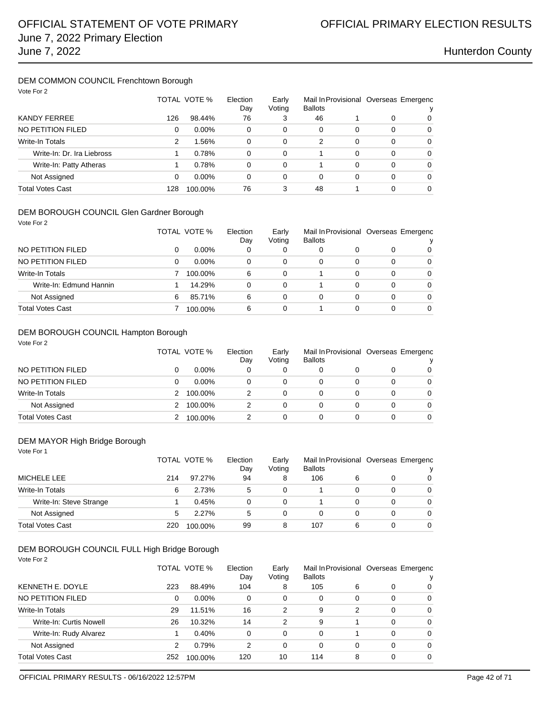## DEM COMMON COUNCIL Frenchtown Borough

| Vote For 2                 |     |                                                    |          |                |    |   |                                       |          |  |
|----------------------------|-----|----------------------------------------------------|----------|----------------|----|---|---------------------------------------|----------|--|
|                            |     | TOTAL VOTE %<br>Election<br>Early<br>Voting<br>Day |          | <b>Ballots</b> |    |   | Mail In Provisional Overseas Emergenc |          |  |
| <b>KANDY FERREE</b>        | 126 | 98.44%                                             | 76       | 3              | 46 |   | 0                                     | 0        |  |
| NO PETITION FILED          | 0   | $0.00\%$                                           | 0        | 0              | 0  | 0 | $\Omega$                              | $\Omega$ |  |
| Write-In Totals            | 2   | 1.56%                                              | $\Omega$ | 0              | 2  | 0 | $\Omega$                              | $\Omega$ |  |
| Write-In: Dr. Ira Liebross |     | 0.78%                                              | 0        | 0              |    | 0 | $\Omega$                              | $\Omega$ |  |
| Write-In: Patty Atheras    |     | 0.78%                                              | 0        | 0              |    | 0 | 0                                     | $\Omega$ |  |
| Not Assigned               | 0   | $0.00\%$                                           | 0        | 0              | 0  | 0 | 0                                     | $\Omega$ |  |
| <b>Total Votes Cast</b>    | 128 | 100.00%                                            | 76       | 3              | 48 |   | 0                                     | 0        |  |

### DEM BOROUGH COUNCIL Glen Gardner Borough

| Vote For 2              |   |              |                 |                 |                                                         |   |   |          |  |
|-------------------------|---|--------------|-----------------|-----------------|---------------------------------------------------------|---|---|----------|--|
|                         |   | TOTAL VOTE % | Election<br>Day | Early<br>Voting | Mail In Provisional Overseas Emergenc<br><b>Ballots</b> |   |   |          |  |
| NO PETITION FILED       | 0 | $0.00\%$     | 0               | 0               | 0                                                       | 0 | 0 | $\Omega$ |  |
| NO PETITION FILED       | 0 | $0.00\%$     | 0               | 0               | 0                                                       | 0 | 0 | $\Omega$ |  |
| Write-In Totals         |   | 100.00%      | 6               | 0               |                                                         | 0 | 0 | $\Omega$ |  |
| Write-In: Edmund Hannin |   | 14.29%       | 0               | 0               |                                                         | 0 | 0 | $\Omega$ |  |
| Not Assigned            | 6 | 85.71%       | 6               | 0               | 0                                                       | 0 | 0 | $\Omega$ |  |
| Total Votes Cast        |   | 100.00%      | 6               | 0               |                                                         | 0 | 0 | $\Omega$ |  |

### DEM BOROUGH COUNCIL Hampton Borough

| Vote For 2              |   | TOTAL VOTE % | Election<br>Day | Early<br>Voting | <b>Ballots</b> |   |   | Mail In Provisional Overseas Emergenc<br>ν |
|-------------------------|---|--------------|-----------------|-----------------|----------------|---|---|--------------------------------------------|
| NO PETITION FILED       | 0 | $0.00\%$     | 0               | 0               | 0              |   | 0 | 0                                          |
| NO PETITION FILED       | 0 | $0.00\%$     | 0               | 0               | 0              | 0 | 0 | 0                                          |
| <b>Write-In Totals</b>  |   | 100.00%      | 2               | 0               | 0              | 0 | 0 | 0                                          |
| Not Assigned            |   | 100.00%      | 2               | 0               | 0              | 0 | 0 | 0                                          |
| <b>Total Votes Cast</b> |   | 100.00%      | 2               | 0               | 0              | 0 | 0 | 0                                          |

### DEM MAYOR High Bridge Borough

Vote For 1

|                         |     | TOTAL VOTE % | Election<br>Day | Early<br>Voting | Mail In Provisional Overseas Emergenc<br><b>Ballots</b> |   |   | v        |
|-------------------------|-----|--------------|-----------------|-----------------|---------------------------------------------------------|---|---|----------|
| <b>MICHELE LEE</b>      | 214 | 97.27%       | 94              | 8               | 106                                                     | 6 |   | 0        |
| Write-In Totals         | 6   | 2.73%        | 5               | 0               |                                                         |   |   | $\Omega$ |
| Write-In: Steve Strange |     | 0.45%        |                 | 0               |                                                         |   |   | $\Omega$ |
| Not Assigned            | 5   | 2.27%        | 5               | 0               |                                                         |   | 0 | $\Omega$ |
| <b>Total Votes Cast</b> | 220 | 100.00%      | 99              | 8               | 107                                                     | 6 |   | 0        |

### DEM BOROUGH COUNCIL FULL High Bridge Borough

Vote For 2

|                         |     | TOTAL VOTE % | Election<br>Day | Early<br>Voting | <b>Ballots</b> | Mail In Provisional Overseas Emergenc |          | v        |  |
|-------------------------|-----|--------------|-----------------|-----------------|----------------|---------------------------------------|----------|----------|--|
| KENNETH E. DOYLE        | 223 | 88.49%       | 104             | 8               | 105            | 6                                     | 0        | 0        |  |
| NO PETITION FILED       | 0   | $0.00\%$     | 0               | 0               | 0              | 0                                     | $\Omega$ | $\Omega$ |  |
| <b>Write-In Totals</b>  | 29  | 11.51%       | 16              | 2               | 9              | 2                                     | $\Omega$ | $\Omega$ |  |
| Write-In: Curtis Nowell | 26  | 10.32%       | 14              | 2               | 9              |                                       | $\Omega$ | $\Omega$ |  |
| Write-In: Rudy Alvarez  |     | 0.40%        | $\Omega$        | 0               | 0              |                                       | $\Omega$ | $\Omega$ |  |
| Not Assigned            | 2   | 0.79%        | 2               | 0               | 0              | 0                                     | $\Omega$ | $\Omega$ |  |
| Total Votes Cast        | 252 | 100.00%      | 120             | 10              | 114            | 8                                     | $\Omega$ | 0        |  |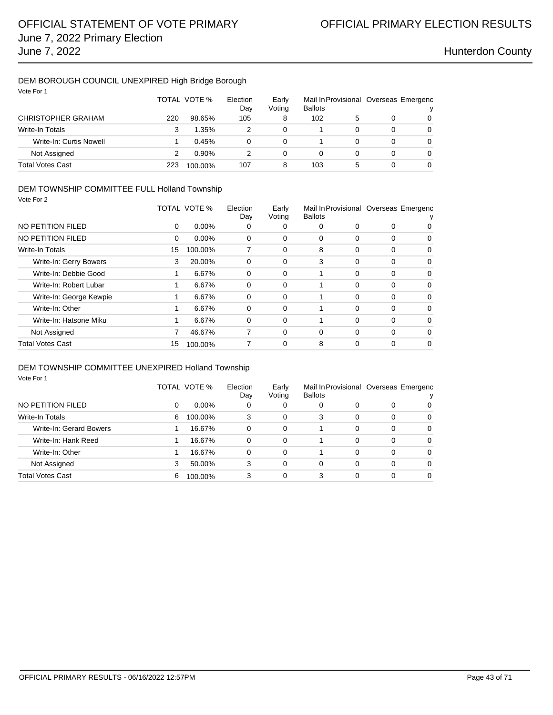### DEM BOROUGH COUNCIL UNEXPIRED High Bridge Borough Vote For 1

| vote For 1                |     | TOTAL VOTE % | Election<br>Day | Early<br>Voting | Mail In Provisional Overseas Emergenc<br><b>Ballots</b> |   |   | ν |
|---------------------------|-----|--------------|-----------------|-----------------|---------------------------------------------------------|---|---|---|
| <b>CHRISTOPHER GRAHAM</b> | 220 | 98.65%       | 105             | 8               | 102                                                     | 5 | 0 | 0 |
| <b>Write-In Totals</b>    | 3   | 1.35%        |                 | 0               |                                                         |   | 0 | 0 |
| Write-In: Curtis Nowell   |     | 0.45%        | 0               | 0               |                                                         |   | 0 | 0 |
| Not Assigned              |     | $0.90\%$     |                 | 0               | 0                                                       |   | 0 | 0 |
| <b>Total Votes Cast</b>   | 223 | 100.00%      | 107             | 8               | 103                                                     | 5 | 0 | 0 |

### DEM TOWNSHIP COMMITTEE FULL Holland Township

| Vote For 2              |          |              |                 |                 |                |   |          |                                       |
|-------------------------|----------|--------------|-----------------|-----------------|----------------|---|----------|---------------------------------------|
|                         |          | TOTAL VOTE % | Election<br>Day | Early<br>Voting | <b>Ballots</b> |   |          | Mail In Provisional Overseas Emergenc |
| NO PETITION FILED       | $\Omega$ | $0.00\%$     | 0               | 0               | 0              | 0 | 0        | 0                                     |
| NO PETITION FILED       | $\Omega$ | $0.00\%$     | 0               | 0               | 0              | 0 | 0        | 0                                     |
| Write-In Totals         | 15       | 100.00%      | 7               | 0               | 8              | 0 | 0        | 0                                     |
| Write-In: Gerry Bowers  | 3        | 20.00%       | $\Omega$        | 0               | 3              | 0 | 0        | 0                                     |
| Write-In: Debbie Good   |          | 6.67%        | 0               | 0               | 1              | 0 | $\Omega$ | 0                                     |
| Write-In: Robert Lubar  |          | 6.67%        | 0               | 0               |                | 0 | 0        | 0                                     |
| Write-In: George Kewpie |          | 6.67%        | 0               | 0               |                | 0 | $\Omega$ | 0                                     |
| Write-In: Other         |          | 6.67%        | 0               | 0               |                | 0 | 0        | 0                                     |
| Write-In: Hatsone Miku  |          | 6.67%        | 0               | 0               | 1              | 0 | 0        | 0                                     |
| Not Assigned            | 7        | 46.67%       | 7               | 0               | 0              | 0 | $\Omega$ | 0                                     |
| <b>Total Votes Cast</b> | 15       | 100.00%      | 7               | 0               | 8              | 0 | $\Omega$ | 0                                     |

## DEM TOWNSHIP COMMITTEE UNEXPIRED Holland Township

Vote For 1

|                         |   | TOTAL VOTE %  | Election<br>Day | Early<br>Voting<br><b>Ballots</b> |   |   | Mail In Provisional Overseas Emergenc |          |
|-------------------------|---|---------------|-----------------|-----------------------------------|---|---|---------------------------------------|----------|
| NO PETITION FILED       | 0 | $0.00\%$<br>0 |                 | 0                                 | 0 | 0 | 0                                     | 0        |
| Write-In Totals         | 6 | 100.00%       | 3               | 0                                 | 3 | 0 | 0                                     | 0        |
| Write-In: Gerard Bowers |   | 16.67%        | 0               | 0                                 |   | 0 | $\Omega$                              | $\Omega$ |
| Write-In: Hank Reed     |   | 16.67%        | 0               | 0                                 |   | 0 | 0                                     | 0        |
| Write-In: Other         |   | 16.67%        | 0               | 0                                 |   | 0 | 0                                     | $\Omega$ |
| Not Assigned            | 3 | 50.00%        | 3               | 0                                 | 0 | 0 | 0                                     | $\Omega$ |
| Total Votes Cast        | 6 | 100.00%       | 3               | 0                                 | 3 | 0 | 0                                     | 0        |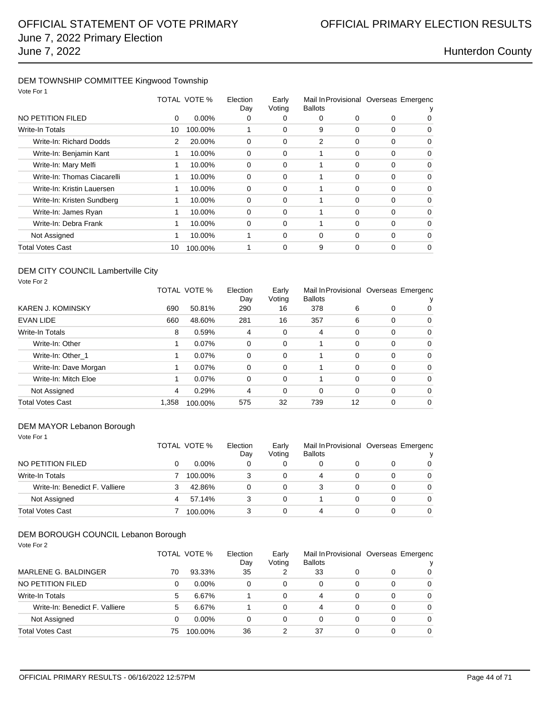### DEM TOWNSHIP COMMITTEE Kingwood Township Vote For 1

| VOTE FOR T                  |    |                                                    |          |                |                                       |          |          |          |
|-----------------------------|----|----------------------------------------------------|----------|----------------|---------------------------------------|----------|----------|----------|
|                             |    | TOTAL VOTE %<br>Election<br>Early<br>Day<br>Voting |          | <b>Ballots</b> | Mail In Provisional Overseas Emergenc |          |          |          |
| NO PETITION FILED           | 0  | $0.00\%$                                           | 0        | O              | 0                                     | 0        | $\Omega$ |          |
| Write-In Totals             | 10 | 100.00%                                            |          | 0              | 9                                     | 0        | 0        | 0        |
| Write-In: Richard Dodds     | 2  | 20.00%                                             | 0        | $\Omega$       | 2                                     | 0        | 0        | 0        |
| Write-In: Benjamin Kant     | 1  | 10.00%                                             | 0        | 0              |                                       | 0        | $\Omega$ | 0        |
| Write-In: Mary Melfi        | 1  | 10.00%                                             | 0        | 0              |                                       | $\Omega$ | $\Omega$ | 0        |
| Write-In: Thomas Ciacarelli | 1  | 10.00%                                             | 0        | 0              |                                       | 0        | 0        | 0        |
| Write-In: Kristin Lauersen  | 1  | 10.00%                                             | $\Omega$ | $\Omega$       |                                       | 0        | $\Omega$ | $\Omega$ |
| Write-In: Kristen Sundberg  | 1  | 10.00%                                             | 0        | 0              |                                       | $\Omega$ | $\Omega$ | 0        |
| Write-In: James Ryan        | 1  | 10.00%                                             | 0        | $\Omega$       |                                       | 0        | $\Omega$ | $\Omega$ |
| Write-In: Debra Frank       | 1  | 10.00%                                             | 0        | 0              | 1                                     | 0        | $\Omega$ | 0        |
| Not Assigned                | 1  | 10.00%                                             | 1        | 0              | 0                                     | 0        | $\Omega$ | $\Omega$ |
| Total Votes Cast            | 10 | 100.00%                                            |          | 0              | 9                                     | $\Omega$ | 0        | $\Omega$ |
|                             |    |                                                    |          |                |                                       |          |          |          |

### DEM CITY COUNCIL Lambertville City Vote For 2

|                          |       | TOTAL VOTE % | Election<br>Day | Early<br>Voting | <b>Ballots</b> |    |          | Mail In Provisional Overseas Emergenc |
|--------------------------|-------|--------------|-----------------|-----------------|----------------|----|----------|---------------------------------------|
| <b>KAREN J. KOMINSKY</b> | 690   | 50.81%       | 290             | 16              | 378            | 6  | 0        | 0                                     |
| <b>EVAN LIDE</b>         | 660   | 48.60%       | 281             | 16              | 357            | 6  | 0        | 0                                     |
| <b>Write-In Totals</b>   | 8     | 0.59%        | $\overline{4}$  | 0               | 4              | 0  | $\Omega$ | 0                                     |
| Write-In: Other          | 1     | $0.07\%$     | 0               | 0               |                | 0  | $\Omega$ | 0                                     |
| Write-In: Other 1        |       | 0.07%        | 0               | 0               |                | 0  | $\Omega$ | 0                                     |
| Write-In: Dave Morgan    |       | $0.07\%$     | $\Omega$        | $\Omega$        |                | 0  | $\Omega$ | $\Omega$                              |
| Write-In: Mitch Eloe     |       | $0.07\%$     | $\Omega$        | $\Omega$        |                | 0  | $\Omega$ | 0                                     |
| Not Assigned             | 4     | 0.29%        | 4               | 0               | 0              | 0  | 0        | 0                                     |
| <b>Total Votes Cast</b>  | 1.358 | 100.00%      | 575             | 32              | 739            | 12 | 0        | 0                                     |

### DEM MAYOR Lebanon Borough

Vote For 1

| NO PETITION FILED              | TOTAL VOTE % | Election<br>Dav | Early<br>Voting | Mail In Provisional Overseas Emergenc<br><b>Ballots</b> |   |   |          |  |
|--------------------------------|--------------|-----------------|-----------------|---------------------------------------------------------|---|---|----------|--|
|                                | $0.00\%$     | 0               | 0               |                                                         |   |   | 0        |  |
| Write-In Totals                | 100.00%      |                 | 0               | 4                                                       |   | 0 | 0        |  |
| Write-In: Benedict F. Valliere | 42.86%       | 0               | 0               |                                                         |   | 0 | 0        |  |
| Not Assigned                   | 57.14%       | 3               | 0               |                                                         |   | 0 | $\Omega$ |  |
| <b>Total Votes Cast</b>        | 100.00%      |                 | 0               | 4                                                       | 0 | 0 | 0        |  |

## DEM BOROUGH COUNCIL Lebanon Borough

| Vote For 2                     |    |              |                 |                 |                |   |          |                                       |
|--------------------------------|----|--------------|-----------------|-----------------|----------------|---|----------|---------------------------------------|
|                                |    | TOTAL VOTE % | Election<br>Day | Early<br>Voting | <b>Ballots</b> |   |          | Mail In Provisional Overseas Emergenc |
| MARLENE G. BALDINGER           | 70 | 93.33%       | 35              | 2               | 33             | 0 | 0        | 0                                     |
| NO PETITION FILED              | 0  | $0.00\%$     | $\Omega$        | 0               | 0              | 0 | 0        | $\Omega$                              |
| Write-In Totals                | 5  | 6.67%        |                 | 0               | 4              | 0 | $\Omega$ | $\Omega$                              |
| Write-In: Benedict F. Valliere | 5  | 6.67%        |                 | 0               | 4              | 0 | 0        | $\Omega$                              |
| Not Assigned                   | 0  | $0.00\%$     | $\Omega$        | 0               | 0              | 0 | 0        | $\Omega$                              |
| <b>Total Votes Cast</b>        | 75 | 100.00%      | 36              | 2               | 37             | 0 | 0        | 0                                     |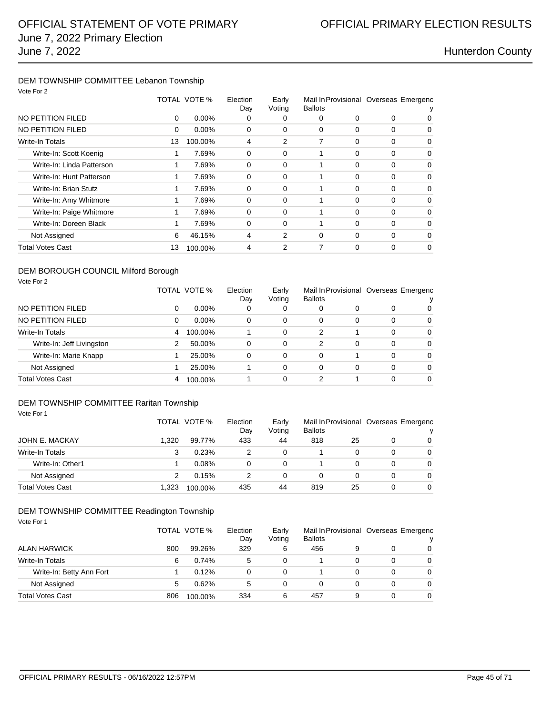## DEM TOWNSHIP COMMITTEE Lebanon Township

| Vote For 2                |    |              |                 |                 |                                                         |   |          |          |
|---------------------------|----|--------------|-----------------|-----------------|---------------------------------------------------------|---|----------|----------|
|                           |    | TOTAL VOTE % | Election<br>Day | Early<br>Voting | Mail In Provisional Overseas Emergenc<br><b>Ballots</b> |   |          |          |
| NO PETITION FILED         | 0  | $0.00\%$     | 0               | 0               | 0                                                       | 0 | 0        | O        |
| NO PETITION FILED         | 0  | $0.00\%$     | 0               | $\Omega$        | $\Omega$                                                | 0 | 0        | 0        |
| Write-In Totals           | 13 | 100.00%      | 4               | 2               | 7                                                       | 0 | 0        | 0        |
| Write-In: Scott Koenig    | 1  | 7.69%        | $\mathbf 0$     | 0               |                                                         | 0 | 0        | 0        |
| Write-In: Linda Patterson | 1  | 7.69%        | $\Omega$        | 0               | 1                                                       | 0 | $\Omega$ | 0        |
| Write-In: Hunt Patterson  | 1  | 7.69%        | 0               | $\Omega$        | 1                                                       | 0 | 0        | 0        |
| Write-In: Brian Stutz     | 1  | 7.69%        | 0               | 0               | 1                                                       | 0 | 0        | 0        |
| Write-In: Amy Whitmore    | 1  | 7.69%        | 0               | $\Omega$        | 1                                                       | 0 | 0        | $\Omega$ |
| Write-In: Paige Whitmore  | 1  | 7.69%        | $\Omega$        | 0               |                                                         | 0 | $\Omega$ | 0        |
| Write-In: Doreen Black    | 1  | 7.69%        | $\Omega$        | $\Omega$        | 1                                                       | 0 | $\Omega$ | 0        |
| Not Assigned              | 6  | 46.15%       | 4               | 2               | $\Omega$                                                | 0 | 0        | 0        |
| <b>Total Votes Cast</b>   | 13 | 100.00%      | 4               | 2               | 7                                                       | 0 | 0        | 0        |
|                           |    |              |                 |                 |                                                         |   |          |          |

### DEM BOROUGH COUNCIL Milford Borough

| Vote For 2                |   |              |                 |                 |                                                         |   |          |          |
|---------------------------|---|--------------|-----------------|-----------------|---------------------------------------------------------|---|----------|----------|
|                           |   | TOTAL VOTE % | Election<br>Day | Early<br>Voting | Mail In Provisional Overseas Emergenc<br><b>Ballots</b> |   |          |          |
| NO PETITION FILED         | 0 | $0.00\%$     | 0               | 0               | 0                                                       | 0 | 0        | 0        |
| NO PETITION FILED         | 0 | $0.00\%$     | 0               | 0               | 0                                                       | 0 | 0        | $\Omega$ |
| <b>Write-In Totals</b>    | 4 | 100.00%      |                 | 0               | 2                                                       |   | 0        | $\Omega$ |
| Write-In: Jeff Livingston | 2 | 50.00%       | 0               | 0               | 2                                                       | 0 | $\Omega$ | $\Omega$ |
| Write-In: Marie Knapp     |   | 25.00%       | 0               | 0               | 0                                                       |   | 0        | $\Omega$ |
| Not Assigned              |   | 25.00%       |                 | 0               | 0                                                       | 0 | 0        | $\Omega$ |
| <b>Total Votes Cast</b>   | 4 | 100.00%      |                 | 0               | 2                                                       |   | 0        | 0        |

### DEM TOWNSHIP COMMITTEE Raritan Township

| Vote For 1              |       |              |     |        |                |    |                                       |                |  |
|-------------------------|-------|--------------|-----|--------|----------------|----|---------------------------------------|----------------|--|
|                         |       | TOTAL VOTE % |     | Early  |                |    | Mail In Provisional Overseas Emergenc |                |  |
|                         |       |              | Day | Voting | <b>Ballots</b> |    |                                       | v              |  |
| <b>JOHN E. MACKAY</b>   | 1.320 | 99.77%       | 433 | 44     | 818            | 25 | 0                                     | $\Omega$       |  |
| Write-In Totals         | 3     | 0.23%        | 2   | 0      |                | 0  | 0                                     | $\Omega$       |  |
| Write-In: Other1        |       | 0.08%        | 0   | 0      |                | 0  | 0                                     | $\overline{0}$ |  |
| Not Assigned            | 2     | 0.15%        | 2   | 0      | 0              | 0  | 0                                     | $\Omega$       |  |
| <b>Total Votes Cast</b> | 1.323 | 100.00%      | 435 | 44     | 819            | 25 | 0                                     | $\Omega$       |  |

### DEM TOWNSHIP COMMITTEE Readington Township

| Vote For 1               | TOTAL VOTE % |         | Election<br>Day | Early<br>Voting | Mail In Provisional Overseas Emergenc<br><b>Ballots</b> |   |   | v        |
|--------------------------|--------------|---------|-----------------|-----------------|---------------------------------------------------------|---|---|----------|
| <b>ALAN HARWICK</b>      | 800          | 99.26%  | 329             | 6               | 456                                                     | 9 | 0 | $\Omega$ |
| <b>Write-In Totals</b>   | 6            | 0.74%   | 5               | 0               |                                                         |   | 0 | $\Omega$ |
| Write-In: Betty Ann Fort |              | 0.12%   | 0               | 0               |                                                         | 0 | 0 | $\Omega$ |
| Not Assigned             | 5            | 0.62%   | 5               | 0               | 0                                                       | 0 | 0 | $\Omega$ |
| <b>Total Votes Cast</b>  | 806          | 100.00% | 334             | 6               | 457                                                     | 9 | 0 | $\Omega$ |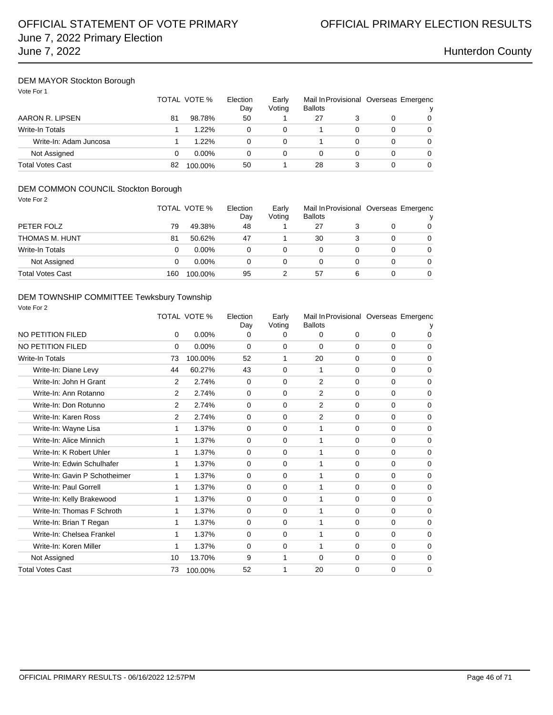## DEM MAYOR Stockton Borough

|                         |    | TOTAL VOTE % |    | Early<br>Voting | <b>Ballots</b> |  | Mail In Provisional Overseas Emergenc |  |
|-------------------------|----|--------------|----|-----------------|----------------|--|---------------------------------------|--|
| AARON R. LIPSEN         | 81 | 98.78%       | 50 |                 | 27             |  |                                       |  |
| Write-In Totals         |    | $1.22\%$     | 0  | 0               |                |  |                                       |  |
| Write-In: Adam Juncosa  |    | 1.22%        | 0  | 0               |                |  |                                       |  |
| Not Assigned            |    | $0.00\%$     | 0  | 0               | 0              |  |                                       |  |
| <b>Total Votes Cast</b> | 82 | 100.00%      | 50 |                 | 28             |  |                                       |  |

## DEM COMMON COUNCIL Stockton Borough

|                         |     | TOTAL VOTE % | Election<br>Day | Early<br>Voting | Mail In Provisional Overseas Emergenc<br><b>Ballots</b> |   |   | v        |
|-------------------------|-----|--------------|-----------------|-----------------|---------------------------------------------------------|---|---|----------|
| PETER FOLZ              | 79  | 49.38%       | 48              |                 | 27                                                      |   |   | 0        |
| THOMAS M. HUNT          | 81  | 50.62%       | 47              |                 | 30                                                      |   | 0 | 0        |
| Write-In Totals         |     | $0.00\%$     |                 |                 |                                                         |   | 0 | 0        |
| Not Assigned            |     | $0.00\%$     |                 | 0               |                                                         |   |   | 0        |
| <b>Total Votes Cast</b> | 160 | 100.00%      | 95              |                 | 57                                                      | 6 |   | $\Omega$ |

### DEM TOWNSHIP COMMITTEE Tewksbury Township

| Vote For 2                    |                |                     |                 |                 |                                                         |             |             |             |
|-------------------------------|----------------|---------------------|-----------------|-----------------|---------------------------------------------------------|-------------|-------------|-------------|
|                               |                | <b>TOTAL VOTE %</b> | Election<br>Day | Early<br>Voting | Mail In Provisional Overseas Emergenc<br><b>Ballots</b> |             |             |             |
| NO PETITION FILED             | 0              | 0.00%               | 0               | 0               | 0                                                       | $\mathbf 0$ | $\mathbf 0$ | 0           |
| <b>NO PETITION FILED</b>      | 0              | 0.00%               | $\Omega$        | $\mathbf 0$     | 0                                                       | $\mathbf 0$ | $\mathbf 0$ | $\Omega$    |
| Write-In Totals               | 73             | 100.00%             | 52              | 1               | 20                                                      | $\Omega$    | $\Omega$    | $\Omega$    |
| Write-In: Diane Levy          | 44             | 60.27%              | 43              | 0               | 1                                                       | $\Omega$    | $\Omega$    | $\Omega$    |
| Write-In: John H Grant        | 2              | 2.74%               | $\Omega$        | $\mathbf 0$     | $\overline{2}$                                          | 0           | $\Omega$    | $\Omega$    |
| Write-In: Ann Rotanno         | 2              | 2.74%               | $\Omega$        | $\mathbf 0$     | 2                                                       | $\Omega$    | $\Omega$    | $\Omega$    |
| Write-In: Don Rotunno         | $\overline{2}$ | 2.74%               | $\Omega$        | $\mathbf 0$     | 2                                                       | $\Omega$    | $\Omega$    | $\mathbf 0$ |
| Write-In: Karen Ross          | $\overline{2}$ | 2.74%               | $\Omega$        | 0               | $\overline{2}$                                          | 0           | $\Omega$    | $\Omega$    |
| Write-In: Wayne Lisa          | 1              | 1.37%               | $\Omega$        | 0               | 1                                                       | 0           | 0           | $\mathbf 0$ |
| Write-In: Alice Minnich       | 1              | 1.37%               | $\Omega$        | $\mathbf 0$     | 1                                                       | $\Omega$    | $\Omega$    | $\Omega$    |
| Write-In: K Robert Uhler      | 1              | 1.37%               | 0               | $\mathbf 0$     | 1                                                       | $\Omega$    | $\mathbf 0$ | $\Omega$    |
| Write-In: Edwin Schulhafer    | 1              | 1.37%               | $\Omega$        | 0               | 1                                                       | 0           | $\Omega$    | $\Omega$    |
| Write-In: Gavin P Schotheimer | 1              | 1.37%               | $\Omega$        | 0               | 1                                                       | 0           | $\Omega$    | $\mathbf 0$ |
| Write-In: Paul Gorrell        | 1              | 1.37%               | $\Omega$        | 0               | 1                                                       | 0           | $\Omega$    | $\Omega$    |
| Write-In: Kelly Brakewood     | 1              | 1.37%               | $\Omega$        | $\mathbf 0$     | 1                                                       | $\Omega$    | $\Omega$    | $\Omega$    |
| Write-In: Thomas F Schroth    | 1              | 1.37%               | $\Omega$        | 0               | 1                                                       | 0           | $\Omega$    | $\Omega$    |
| Write-In: Brian T Regan       | 1              | 1.37%               | $\Omega$        | 0               | 1                                                       | 0           | $\Omega$    | $\Omega$    |
| Write-In: Chelsea Frankel     | 1              | 1.37%               | $\Omega$        | 0               | 1                                                       | $\Omega$    | $\Omega$    | $\mathbf 0$ |
| Write-In: Koren Miller        | 1              | 1.37%               | 0               | 0               | 1                                                       | $\Omega$    | $\Omega$    | $\Omega$    |
| Not Assigned                  | 10             | 13.70%              | 9               | 1               | $\Omega$                                                | $\Omega$    | $\Omega$    | $\Omega$    |
| <b>Total Votes Cast</b>       | 73             | 100.00%             | 52              | 1               | 20                                                      | 0           | 0           | $\mathbf 0$ |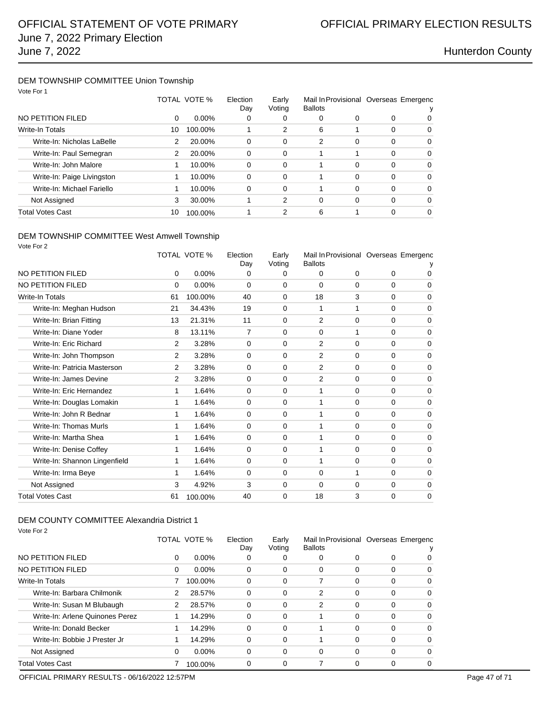### DEM TOWNSHIP COMMITTEE Union Township Vote For 1

| VOIE FOI I                 |    |              |                 |                 |                                                         |   |          |          |
|----------------------------|----|--------------|-----------------|-----------------|---------------------------------------------------------|---|----------|----------|
|                            |    | TOTAL VOTE % | Election<br>Day | Early<br>Voting | Mail In Provisional Overseas Emergenc<br><b>Ballots</b> |   |          |          |
| NO PETITION FILED          | 0  | $0.00\%$     | 0               | 0               | 0                                                       | 0 | 0        | 0        |
| <b>Write-In Totals</b>     | 10 | 100.00%      |                 | 2               | 6                                                       |   | $\Omega$ | $\Omega$ |
| Write-In: Nicholas LaBelle | 2  | 20.00%       | 0               | 0               | $\overline{2}$                                          | 0 | $\Omega$ | $\Omega$ |
| Write-In: Paul Semegran    | 2  | 20.00%       | $\Omega$        | 0               |                                                         |   | $\Omega$ | $\Omega$ |
| Write-In: John Malore      |    | 10.00%       | 0               | 0               |                                                         | 0 | $\Omega$ | $\Omega$ |
| Write-In: Paige Livingston |    | 10.00%       | $\Omega$        | 0               |                                                         | 0 | $\Omega$ | $\Omega$ |
| Write-In: Michael Fariello | 1  | 10.00%       | 0               | 0               |                                                         | 0 | $\Omega$ | $\Omega$ |
| Not Assigned               | 3  | 30.00%       |                 | 2               | 0                                                       | 0 | $\Omega$ | $\Omega$ |
| <b>Total Votes Cast</b>    | 10 | 100.00%      |                 | 2               | 6                                                       |   | 0        | $\Omega$ |
|                            |    |              |                 |                 |                                                         |   |          |          |

### DEM TOWNSHIP COMMITTEE West Amwell Township

| Vote For 2                    |          |                     |                 |                 |                |             |          |                                       |
|-------------------------------|----------|---------------------|-----------------|-----------------|----------------|-------------|----------|---------------------------------------|
|                               |          | <b>TOTAL VOTE %</b> | Election<br>Day | Early<br>Voting | <b>Ballots</b> |             |          | Mail In Provisional Overseas Emergenc |
| NO PETITION FILED             | 0        | 0.00%               | 0               | 0               | $\Omega$       | $\Omega$    | 0        | 0                                     |
| <b>NO PETITION FILED</b>      | $\Omega$ | 0.00%               | $\Omega$        | 0               | $\Omega$       | 0           | $\Omega$ | $\Omega$                              |
| Write-In Totals               | 61       | 100.00%             | 40              | 0               | 18             | 3           | $\Omega$ | $\mathbf 0$                           |
| Write-In: Meghan Hudson       | 21       | 34.43%              | 19              | $\Omega$        | 1              | 1           | $\Omega$ | $\Omega$                              |
| Write-In: Brian Fitting       | 13       | 21.31%              | 11              | 0               | 2              | 0           | 0        | $\mathbf 0$                           |
| Write-In: Diane Yoder         | 8        | 13.11%              | $\overline{7}$  | $\Omega$        | $\Omega$       | 1           | 0        | $\Omega$                              |
| Write-In: Eric Richard        | 2        | 3.28%               | $\Omega$        | $\Omega$        | 2              | $\Omega$    | $\Omega$ | $\Omega$                              |
| Write-In: John Thompson       | 2        | 3.28%               | $\mathbf 0$     | 0               | 2              | $\mathbf 0$ | 0        | $\mathbf 0$                           |
| Write-In: Patricia Masterson  | 2        | 3.28%               | $\Omega$        | 0               | $\overline{2}$ | $\mathbf 0$ | $\Omega$ | $\mathbf 0$                           |
| Write-In: James Devine        | 2        | 3.28%               | $\Omega$        | 0               | 2              | $\mathbf 0$ | 0        | 0                                     |
| Write-In: Eric Hernandez      | 1        | 1.64%               | $\Omega$        | 0               | 1              | $\Omega$    | $\Omega$ | $\Omega$                              |
| Write-In: Douglas Lomakin     | 1        | 1.64%               | $\Omega$        | 0               | 1              | 0           | $\Omega$ | $\mathbf 0$                           |
| Write-In: John R Bednar       | 1        | 1.64%               | $\mathbf 0$     | 0               | 1              | $\mathbf 0$ | 0        | $\mathbf 0$                           |
| Write-In: Thomas Murls        | 1        | 1.64%               | 0               | $\Omega$        | 1              | $\Omega$    | 0        | $\Omega$                              |
| Write-In: Martha Shea         | 1        | 1.64%               | $\Omega$        | 0               | 1              | $\Omega$    | $\Omega$ | $\mathbf 0$                           |
| Write-In: Denise Coffey       | 1        | 1.64%               | $\mathbf 0$     | 0               | 1              | $\mathbf 0$ | 0        | $\mathbf 0$                           |
| Write-In: Shannon Lingenfield | 1        | 1.64%               | $\Omega$        | 0               | 1              | $\Omega$    | 0        | $\Omega$                              |
| Write-In: Irma Beye           | 1        | 1.64%               | $\Omega$        | 0               | $\Omega$       | 1           | $\Omega$ | $\Omega$                              |
| Not Assigned                  | 3        | 4.92%               | 3               | $\mathbf 0$     | $\mathbf 0$    | 0           | 0        | $\mathbf 0$                           |
| <b>Total Votes Cast</b>       | 61       | 100.00%             | 40              | 0               | 18             | 3           | 0        | 0                                     |

### DEM COUNTY COMMITTEE Alexandria District 1

Vote For 2

|                                 |   | TOTAL VOTE % | Election<br>Day | Early<br>Voting | Mail In Provisional Overseas Emergenc<br><b>Ballots</b> |          |   |          |
|---------------------------------|---|--------------|-----------------|-----------------|---------------------------------------------------------|----------|---|----------|
| NO PETITION FILED               | 0 | $0.00\%$     | O               | O               | 0                                                       | 0        | 0 |          |
| NO PETITION FILED               | 0 | $0.00\%$     | 0               | 0               | 0                                                       | 0        | 0 | 0        |
| <b>Write-In Totals</b>          |   | 100.00%      | $\Omega$        | 0               |                                                         | 0        | 0 | 0        |
| Write-In: Barbara Chilmonik     | 2 | 28.57%       | $\Omega$        | 0               | 2                                                       | 0        | 0 | $\Omega$ |
| Write-In: Susan M Blubaugh      | 2 | 28.57%       | 0               | 0               | $\overline{2}$                                          | 0        | 0 | $\Omega$ |
| Write-In: Arlene Quinones Perez |   | 14.29%       | $\Omega$        | 0               |                                                         | 0        | 0 | 0        |
| Write-In: Donald Becker         | 1 | 14.29%       | $\Omega$        | 0               |                                                         | 0        | 0 | 0        |
| Write-In: Bobbie J Prester Jr   |   | 14.29%       | 0               | 0               |                                                         | 0        | 0 | 0        |
| Not Assigned                    | 0 | $0.00\%$     | $\Omega$        | 0               | 0                                                       | $\Omega$ | 0 | 0        |
| Total Votes Cast                |   | 100.00%      | 0               | 0               |                                                         | 0        | 0 | 0        |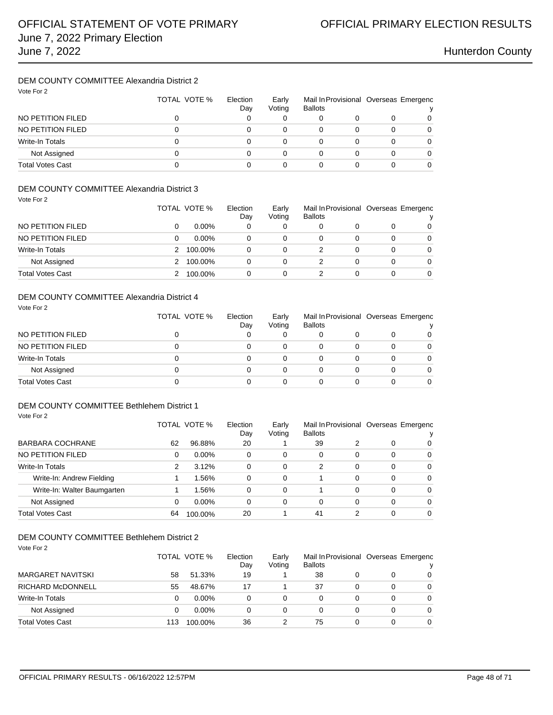## DEM COUNTY COMMITTEE Alexandria District 2

| Vote For 2              | TOTAL VOTE % | Election<br>Day | Early<br>Voting | Mail In Provisional Overseas Emergenc<br><b>Ballots</b> |   |   | v |
|-------------------------|--------------|-----------------|-----------------|---------------------------------------------------------|---|---|---|
| NO PETITION FILED       | 0            |                 |                 |                                                         |   | 0 | 0 |
| NO PETITION FILED       | 0            |                 |                 | 0                                                       |   |   |   |
| Write-In Totals         | 0            |                 |                 | 0                                                       |   | 0 |   |
| Not Assigned            | 0            |                 | 0               | 0                                                       | 0 | 0 |   |
| <b>Total Votes Cast</b> |              |                 |                 | 0                                                       |   |   |   |

### DEM COUNTY COMMITTEE Alexandria District 3

Vote For 2

Vote For 2

|                         | TOTAL VOTE % | Election<br>Day | Early<br>Voting | Mail In Provisional Overseas Emergenc<br><b>Ballots</b> |          |             |
|-------------------------|--------------|-----------------|-----------------|---------------------------------------------------------|----------|-------------|
| NO PETITION FILED       | $0.00\%$     | 0               | 0               |                                                         |          | $\mathbf 0$ |
| NO PETITION FILED       | $0.00\%$     | 0               | 0               |                                                         | 0        | $\Omega$    |
| Write-In Totals         | 100.00%      | 0               | 0               |                                                         | 0        | 0           |
| Not Assigned            | 100.00%      | 0               | 0               |                                                         | $\Omega$ | 0           |
| <b>Total Votes Cast</b> | 100.00%      | 0               | 0               |                                                         | 0        | 0           |

### DEM COUNTY COMMITTEE Alexandria District 4

| Vote For 2              | TOTAL VOTE % | Election<br>Day | Early<br>Voting | <b>Ballots</b> |          | Mail In Provisional Overseas Emergenc<br>v |
|-------------------------|--------------|-----------------|-----------------|----------------|----------|--------------------------------------------|
| NO PETITION FILED       | 0            |                 |                 |                | 0        | 0                                          |
| NO PETITION FILED       | 0            | 0               | 0               | 0              | $\Omega$ | $\Omega$                                   |
| Write-In Totals         | 0            | 0               | 0               | 0              | 0        | $\Omega$                                   |
| Not Assigned            | 0            | 0               | 0               | 0              | 0        | 0                                          |
| <b>Total Votes Cast</b> | 0            |                 | 0               |                | 0        |                                            |

## DEM COUNTY COMMITTEE Bethlehem District 1

|                             |    | TOTAL VOTE % | Election<br>Dav | Early<br>Voting | Mail In Provisional Overseas Emergenc<br><b>Ballots</b> |          |   |                |
|-----------------------------|----|--------------|-----------------|-----------------|---------------------------------------------------------|----------|---|----------------|
| <b>BARBARA COCHRANE</b>     | 62 | 96.88%       | 20              |                 | 39                                                      |          | 0 | $\Omega$       |
| NO PETITION FILED           | 0  | $0.00\%$     | 0               | 0               | 0                                                       | 0        | 0 | 0              |
| Write-In Totals             | 2  | 3.12%        | 0               | 0               | 2                                                       | 0        | 0 | $\overline{0}$ |
| Write-In: Andrew Fielding   |    | 1.56%        | 0               | 0               |                                                         | 0        | 0 | 0              |
| Write-In: Walter Baumgarten |    | 1.56%        | 0               | 0               |                                                         | $\Omega$ | 0 | $\Omega$       |
| Not Assigned                | 0  | $0.00\%$     | 0               | 0               | 0                                                       | 0        | 0 | $\Omega$       |
| Total Votes Cast            | 64 | 100.00%      | 20              |                 | 41                                                      | າ        | 0 | $\Omega$       |

### DEM COUNTY COMMITTEE Bethlehem District 2

| Vote For 2               |     |              |          |        |                |   |   |                                       |
|--------------------------|-----|--------------|----------|--------|----------------|---|---|---------------------------------------|
|                          |     | TOTAL VOTE % | Election | Early  |                |   |   | Mail In Provisional Overseas Emergenc |
|                          |     |              | Day      | Voting | <b>Ballots</b> |   |   |                                       |
| <b>MARGARET NAVITSKI</b> | 58  | 51.33%       | 19       |        | 38             | 0 | 0 | 0                                     |
| <b>RICHARD McDONNELL</b> | 55  | 48.67%       | 17       |        | 37             | 0 | 0 | $\Omega$                              |
| Write-In Totals          | 0   | $0.00\%$     | 0        | 0      | 0              | 0 | 0 | $\Omega$                              |
| Not Assigned             | 0   | $0.00\%$     | 0        | 0      | 0              | 0 | 0 | 0                                     |
| <b>Total Votes Cast</b>  | 113 | 100.00%      | 36       |        | 75             | 0 | 0 | $\Omega$                              |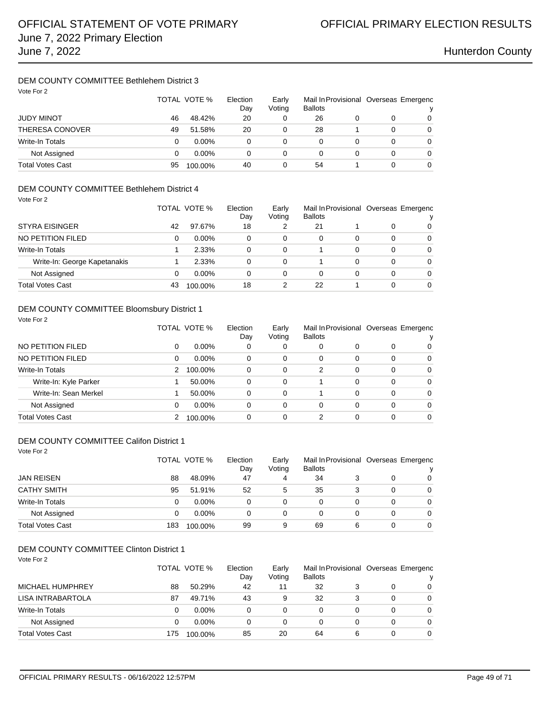## DEM COUNTY COMMITTEE Bethlehem District 3

| Vote For 2              | TOTAL VOTE % |          | Election<br>Day | Early<br>Voting | <b>Ballots</b> |   | Mail In Provisional Overseas Emergenc |   |
|-------------------------|--------------|----------|-----------------|-----------------|----------------|---|---------------------------------------|---|
| <b>JUDY MINOT</b>       | 46           | 48.42%   | 20              | 0               | 26             |   |                                       | 0 |
| <b>THERESA CONOVER</b>  | 49           | 51.58%   | 20              |                 | 28             |   | 0                                     | 0 |
| Write-In Totals         | 0            | $0.00\%$ | 0               | 0               | 0              | 0 | 0                                     | 0 |
| Not Assigned            | 0            | $0.00\%$ | 0               | 0               | 0              | 0 | 0                                     | 0 |
| <b>Total Votes Cast</b> | 95           | 100.00%  | 40              | 0               | 54             |   | 0                                     | 0 |

## DEM COUNTY COMMITTEE Bethlehem District 4

| Vote For 2                   | TOTAL VOTE % |          | Election<br>Day | Early<br>Voting | <b>Ballots</b> |   | Mail In Provisional Overseas Emergenc |          |
|------------------------------|--------------|----------|-----------------|-----------------|----------------|---|---------------------------------------|----------|
| <b>STYRA EISINGER</b>        | 42           | 97.67%   | 18              | 2               | 21             |   | 0                                     | 0        |
| NO PETITION FILED            | 0            | $0.00\%$ | 0               | 0               | 0              | 0 | 0                                     | 0        |
| <b>Write-In Totals</b>       |              | 2.33%    | 0               | 0               |                | 0 | 0                                     | $\Omega$ |
| Write-In: George Kapetanakis |              | 2.33%    | 0               | 0               |                | 0 | 0                                     | $\Omega$ |
| Not Assigned                 | 0            | $0.00\%$ | 0               | 0               | 0              | 0 | 0                                     | $\Omega$ |
| Total Votes Cast             | 43           | 100.00%  | 18              | 2               | 22             |   | 0                                     | $\Omega$ |

### DEM COUNTY COMMITTEE Bloomsbury District 1 Vote For 2

|                        |   | TOTAL VOTE %<br>Election |   | Early<br>Voting | Mail In Provisional Overseas Emergenc<br><b>Ballots</b> |   |          |          |
|------------------------|---|--------------------------|---|-----------------|---------------------------------------------------------|---|----------|----------|
| NO PETITION FILED      | 0 | $0.00\%$                 | 0 | 0               | 0                                                       | 0 | 0        | 0        |
| NO PETITION FILED      | 0 | $0.00\%$                 | 0 | 0               | 0                                                       | 0 | $\Omega$ | 0        |
| <b>Write-In Totals</b> | 2 | 100.00%                  | 0 | 0               | 2                                                       | 0 | $\Omega$ | $\Omega$ |
| Write-In: Kyle Parker  |   | 50.00%                   | 0 | 0               |                                                         | 0 | $\Omega$ | $\Omega$ |
| Write-In: Sean Merkel  |   | 50.00%                   | 0 | 0               |                                                         | 0 | $\Omega$ | $\Omega$ |
| Not Assigned           | 0 | $0.00\%$                 | 0 | 0               | 0                                                       | 0 | $\Omega$ | $\Omega$ |
| Total Votes Cast       |   | 100.00%                  | 0 | 0               | 2                                                       | 0 | 0        | $\Omega$ |

### DEM COUNTY COMMITTEE Califon District 1

Vote For 2

|                         |     | TOTAL VOTE % | Election<br>Day | Early<br>Voting | Mail In Provisional Overseas Emergenc<br><b>Ballots</b> |   |   | v |
|-------------------------|-----|--------------|-----------------|-----------------|---------------------------------------------------------|---|---|---|
| <b>JAN REISEN</b>       | 88  | 48.09%       | 47              | 4               | 34                                                      |   |   | 0 |
| <b>CATHY SMITH</b>      | 95  | 51.91%       | 52              | 5               | 35                                                      |   | 0 | 0 |
| Write-In Totals         | 0   | $0.00\%$     | 0               | 0               | 0                                                       |   |   | 0 |
| Not Assigned            | 0   | $0.00\%$     | 0               | $\Omega$        | 0                                                       |   | 0 | 0 |
| <b>Total Votes Cast</b> | 183 | 100.00%      | 99              | 9               | 69                                                      | 6 | 0 | 0 |

### DEM COUNTY COMMITTEE Clinton District 1

|                         |     | TOTAL VOTE % |    | Early<br>Voting | <b>Ballots</b> |   | Mail In Provisional Overseas Emergenc |          |
|-------------------------|-----|--------------|----|-----------------|----------------|---|---------------------------------------|----------|
| <b>MICHAEL HUMPHREY</b> | 88  | 50.29%       | 42 | 11              | 32             |   | 0                                     | 0        |
| LISA INTRABARTOLA       | 87  | 49.71%       | 43 | 9               | 32             | 3 | 0                                     | 0        |
| Write-In Totals         |     | $0.00\%$     | 0  | 0               |                | 0 | 0                                     | $\Omega$ |
| Not Assigned            |     | $0.00\%$     | 0  | 0               |                |   | 0                                     | $\Omega$ |
| <b>Total Votes Cast</b> | 175 | 100.00%      | 85 | 20              | 64             | 6 | 0                                     | 0        |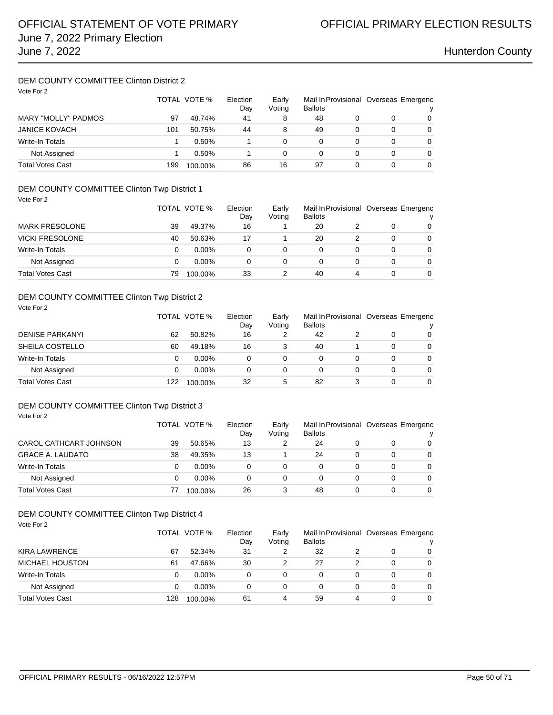### DEM COUNTY COMMITTEE Clinton District 2 Vote For 2

| VOIE FUIZ                  | TOTAL VOTE % |         | Election<br>Day | Early<br>Voting | <b>Ballots</b> |   | Mail In Provisional Overseas Emergenc |   |
|----------------------------|--------------|---------|-----------------|-----------------|----------------|---|---------------------------------------|---|
| <b>MARY "MOLLY" PADMOS</b> | 97           | 48.74%  | 41              | 8               | 48             |   |                                       | 0 |
| <b>JANICE KOVACH</b>       | 101          | 50.75%  | 44              | 8               | 49             |   |                                       | 0 |
| <b>Write-In Totals</b>     |              | 0.50%   |                 |                 | 0              | 0 |                                       | 0 |
| Not Assigned               |              | 0.50%   |                 | 0               | 0              |   | 0                                     | 0 |
| <b>Total Votes Cast</b>    | 199          | 100.00% | 86              | 16              | 97             |   | 0                                     | 0 |

### DEM COUNTY COMMITTEE Clinton Twp District 1 Vote For 2

| VUCIUIZ                 |    | TOTAL VOTE % | Election<br>Day | Early<br>Voting | <b>Ballots</b> |   | Mail In Provisional Overseas Emergenc<br>v |
|-------------------------|----|--------------|-----------------|-----------------|----------------|---|--------------------------------------------|
| <b>MARK FRESOLONE</b>   | 39 | 49.37%       | 16              |                 | 20             |   | 0                                          |
| <b>VICKI FRESOLONE</b>  | 40 | 50.63%       | 17              |                 | 20             |   | $\Omega$                                   |
| <b>Write-In Totals</b>  | 0  | $0.00\%$     | 0               |                 |                |   | $\Omega$                                   |
| Not Assigned            |    | $0.00\%$     | 0               | 0               |                |   | $\Omega$                                   |
| <b>Total Votes Cast</b> | 79 | 100.00%      | 33              |                 | 40             | 4 | $\Omega$                                   |

### DEM COUNTY COMMITTEE Clinton Twp District 2

| Vote For 2              |     | TOTAL VOTE % |    | Election<br>Early<br>Voting<br>Day |    |   | Mail In Provisional Overseas Emergenc<br>v |          |  |
|-------------------------|-----|--------------|----|------------------------------------|----|---|--------------------------------------------|----------|--|
| <b>DENISE PARKANYI</b>  | 62  | 50.82%       | 16 | 2                                  | 42 |   | 0                                          | $\Omega$ |  |
| SHEILA COSTELLO         | 60  | 49.18%       | 16 | 3                                  | 40 |   | 0                                          | $\Omega$ |  |
| <b>Write-In Totals</b>  | 0   | $0.00\%$     | 0  | 0                                  | 0  | 0 | 0                                          | $\Omega$ |  |
| Not Assigned            | 0   | $0.00\%$     | 0  | 0                                  | 0  | 0 | 0                                          | $\Omega$ |  |
| <b>Total Votes Cast</b> | 122 | 100.00%      | 32 | 5                                  | 82 | 3 | 0                                          | $\Omega$ |  |

## DEM COUNTY COMMITTEE Clinton Twp District 3

Vote For 2

|                         | TOTAL VOTE % |          | Election<br>Dav | Early<br>Voting | <b>Ballots</b> |  | Mail In Provisional Overseas Emergenc |          |
|-------------------------|--------------|----------|-----------------|-----------------|----------------|--|---------------------------------------|----------|
| CAROL CATHCART JOHNSON  | 39           | 50.65%   | 13              | 2               | 24             |  | 0                                     | 0        |
| <b>GRACE A. LAUDATO</b> | 38           | 49.35%   | 13              |                 | 24             |  | 0                                     | $\Omega$ |
| Write-In Totals         |              | $0.00\%$ |                 | 0               |                |  | 0                                     | $\Omega$ |
| Not Assigned            |              | $0.00\%$ |                 | 0               |                |  | 0                                     | $\Omega$ |
| <b>Total Votes Cast</b> | 77           | 100.00%  | 26              | 3               | 48             |  | 0                                     | $\Omega$ |

### DEM COUNTY COMMITTEE Clinton Twp District 4

| Vote For 2              | TOTAL VOTE % |          | Election<br>Day | Early<br>Voting | <b>Ballots</b> |   | Mail In Provisional Overseas Emergenc |          |
|-------------------------|--------------|----------|-----------------|-----------------|----------------|---|---------------------------------------|----------|
| <b>KIRA LAWRENCE</b>    | 67           | 52.34%   | 31              | 2               | 32             |   | 0                                     | $\Omega$ |
| <b>MICHAEL HOUSTON</b>  | 61           | 47.66%   | 30              | 2               | 27             |   | 0                                     | $\Omega$ |
| <b>Write-In Totals</b>  | 0            | $0.00\%$ | $\Omega$        | 0               | 0              | 0 | 0                                     | $\Omega$ |
| Not Assigned            | 0            | $0.00\%$ | 0               | 0               | 0              | 0 | 0                                     | $\Omega$ |
| <b>Total Votes Cast</b> | 128          | 100.00%  | 61              | 4               | 59             | 4 | 0                                     | 0        |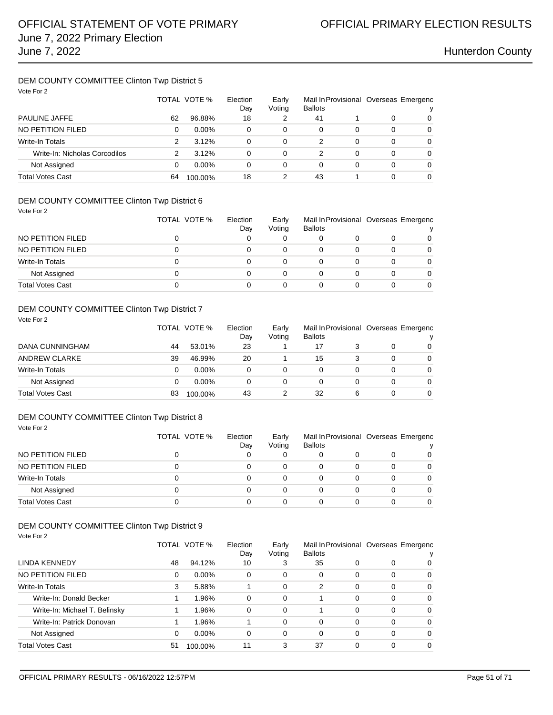### DEM COUNTY COMMITTEE Clinton Twp District 5 Vote For 2

| Vote For 2                    | TOTAL VOTE % |          | Election<br>Early<br>Voting<br>Day |   | <b>Ballots</b> |   | Mail In Provisional Overseas Emergenc<br>v |          |
|-------------------------------|--------------|----------|------------------------------------|---|----------------|---|--------------------------------------------|----------|
| <b>PAULINE JAFFE</b>          | 62           | 96.88%   | 18                                 | 2 | 41             |   | 0                                          | 0        |
| NO PETITION FILED             | 0            | $0.00\%$ | 0                                  | 0 | 0              | 0 | 0                                          | $\Omega$ |
| <b>Write-In Totals</b>        | 2            | 3.12%    | 0                                  | 0 | 2              | 0 | 0                                          | 0        |
| Write-In: Nicholas Corcodilos | 2            | 3.12%    | 0                                  | 0 | 2              | 0 | 0                                          | 0        |
| Not Assigned                  | 0            | $0.00\%$ | 0                                  | 0 | 0              | 0 | 0                                          | 0        |
| <b>Total Votes Cast</b>       | 64           | 100.00%  | 18                                 |   | 43             |   | 0                                          | 0        |

### DEM COUNTY COMMITTEE Clinton Twp District 6

Vote For 2

| NO PETITION FILED<br>NO PETITION FILED<br>0<br>Write-In Totals<br>0<br>Not Assigned<br>0<br>Total Votes Cast | TOTAL VOTE % | Election<br>Day | Early<br>Voting | <b>Ballots</b> | Mail In Provisional Overseas Emergenc |  | v        |
|--------------------------------------------------------------------------------------------------------------|--------------|-----------------|-----------------|----------------|---------------------------------------|--|----------|
|                                                                                                              |              |                 |                 |                |                                       |  | $\Omega$ |
|                                                                                                              |              |                 |                 |                |                                       |  | 0        |
|                                                                                                              |              |                 |                 |                |                                       |  | $\Omega$ |
|                                                                                                              |              |                 |                 |                |                                       |  | $\Omega$ |
|                                                                                                              |              |                 |                 |                |                                       |  | $\Omega$ |

### DEM COUNTY COMMITTEE Clinton Twp District 7

Vote For 2

|                         |    | TOTAL VOTE % |    | Early<br>Voting | Mail In Provisional Overseas Emergenc<br><b>Ballots</b> |   |   | v        |  |
|-------------------------|----|--------------|----|-----------------|---------------------------------------------------------|---|---|----------|--|
| DANA CUNNINGHAM         | 44 | 53.01%       | 23 |                 | 17                                                      |   |   | $\Omega$ |  |
| <b>ANDREW CLARKE</b>    | 39 | 46.99%       | 20 |                 | 15                                                      |   |   | $\Omega$ |  |
| Write-In Totals         |    | $0.00\%$     | 0  | $\Omega$        | 0                                                       |   | 0 | $\Omega$ |  |
| Not Assigned            |    | $0.00\%$     | 0  | 0               | 0                                                       |   | 0 | $\Omega$ |  |
| <b>Total Votes Cast</b> | 83 | 100.00%      | 43 |                 | 32                                                      | 6 |   | $\Omega$ |  |

### DEM COUNTY COMMITTEE Clinton Twp District 8 Vote For 2

|                         | TOTAL VOTE % | Election<br>Day | Early<br>Voting | <b>Ballots</b> | Mail In Provisional Overseas Emergenc |  |          |
|-------------------------|--------------|-----------------|-----------------|----------------|---------------------------------------|--|----------|
| NO PETITION FILED       |              |                 | 0               | 0              |                                       |  | 0        |
| NO PETITION FILED       | 0            |                 | 0               | 0              |                                       |  | $\Omega$ |
| Write-In Totals         | 0            |                 | 0               | 0              |                                       |  | $\Omega$ |
| Not Assigned            |              |                 | 0               | 0              |                                       |  | $\Omega$ |
| <b>Total Votes Cast</b> |              |                 |                 |                |                                       |  | 0        |

### DEM COUNTY COMMITTEE Clinton Twp District 9 Vote For 2

|                               | TOTAL VOTE %<br>Election<br>Day |          | Early<br>Voting | <b>Ballots</b> |    |          | Mail In Provisional Overseas Emergenc |          |
|-------------------------------|---------------------------------|----------|-----------------|----------------|----|----------|---------------------------------------|----------|
| LINDA KENNEDY                 | 48                              | 94.12%   | 10              | 3              | 35 | 0        | 0                                     | 0        |
| NO PETITION FILED             | 0                               | $0.00\%$ | 0               | 0              | 0  | $\Omega$ | 0                                     | $\Omega$ |
| <b>Write-In Totals</b>        | 3                               | 5.88%    |                 | 0              | 2  | $\Omega$ | 0                                     | $\Omega$ |
| Write-In: Donald Becker       |                                 | 1.96%    | $\Omega$        | 0              |    | 0        | 0                                     | $\Omega$ |
| Write-In: Michael T. Belinsky |                                 | 1.96%    | 0               | $\Omega$       |    | 0        | 0                                     | $\Omega$ |
| Write-In: Patrick Donovan     |                                 | 1.96%    |                 | 0              | 0  | 0        | 0                                     | 0        |
| Not Assigned                  | 0                               | $0.00\%$ | 0               | 0              | 0  | 0        | 0                                     | 0        |
| Total Votes Cast              | 51                              | 100.00%  | 11              | 3              | 37 | 0        | 0                                     | 0        |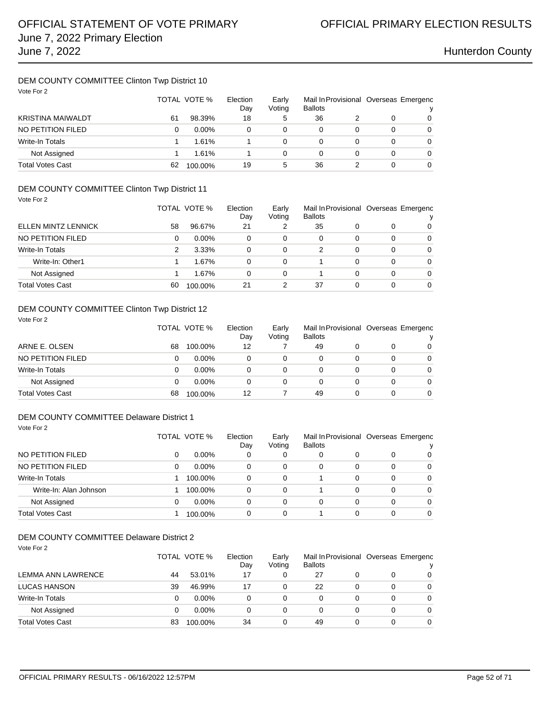### DEM COUNTY COMMITTEE Clinton Twp District 10 Vote For 2

| VOTE FOR 2               | TOTAL VOTE %<br>Election<br>Early<br>Voting<br>Day |          |    |   | <b>Ballots</b> | Mail In Provisional Overseas Emergenc<br>v |          |
|--------------------------|----------------------------------------------------|----------|----|---|----------------|--------------------------------------------|----------|
| <b>KRISTINA MAIWALDT</b> | 61                                                 | 98.39%   | 18 | 5 | 36             | 0                                          | $\Omega$ |
| NO PETITION FILED        | 0                                                  | $0.00\%$ | 0  | 0 | 0              | 0                                          | $\Omega$ |
| <b>Write-In Totals</b>   |                                                    | 1.61%    |    | 0 | 0              | 0                                          | $\Omega$ |
| Not Assigned             |                                                    | 1.61%    |    | 0 | 0              | 0                                          | $\Omega$ |
| <b>Total Votes Cast</b>  | 62                                                 | 100.00%  | 19 | 5 | 36             | 0                                          | 0        |

## DEM COUNTY COMMITTEE Clinton Twp District 11

| Vote For 2                 |    | TOTAL VOTE % | Election<br>Day | Early<br>Voting | <b>Ballots</b> |   |          | Mail In Provisional Overseas Emergenc<br>ν |
|----------------------------|----|--------------|-----------------|-----------------|----------------|---|----------|--------------------------------------------|
| <b>ELLEN MINTZ LENNICK</b> | 58 | 96.67%       | 21              | 2               | 35             | 0 | 0        | 0                                          |
| NO PETITION FILED          | 0  | $0.00\%$     | 0               | 0               | 0              | 0 | 0        | $\Omega$                                   |
| Write-In Totals            | 2  | 3.33%        | 0               | $\Omega$        | 2              | 0 | 0        | $\Omega$                                   |
| Write-In: Other1           |    | 1.67%        | $\Omega$        | $\Omega$        |                | 0 | 0        | 0                                          |
| Not Assigned               |    | 1.67%        | $\Omega$        | $\Omega$        |                | 0 | $\Omega$ | $\Omega$                                   |
| <b>Total Votes Cast</b>    | 60 | 100.00%      | 21              | 2               | 37             | 0 | 0        | $\Omega$                                   |

## DEM COUNTY COMMITTEE Clinton Twp District 12

Vote For 2

| ARNE E. OLSEN           |    | TOTAL VOTE % |          | Early<br>Voting | Mail In Provisional Overseas Emergenc<br><b>Ballots</b> |   |          |   |  |
|-------------------------|----|--------------|----------|-----------------|---------------------------------------------------------|---|----------|---|--|
|                         | 68 | 100.00%      | 12       |                 | 49                                                      |   |          | 0 |  |
| NO PETITION FILED       | O  | $0.00\%$     | 0        | 0               |                                                         |   | 0        | 0 |  |
| Write-In Totals         | 0  | $0.00\%$     | $\Omega$ | 0               |                                                         |   | $\Omega$ | 0 |  |
| Not Assigned            |    | $0.00\%$     | 0        | 0               |                                                         | 0 | 0        | 0 |  |
| <b>Total Votes Cast</b> | 68 | 100.00%      | 12       |                 | 49                                                      | 0 | 0        | 0 |  |

### DEM COUNTY COMMITTEE Delaware District 1 Vote For 2

|                         |   | TOTAL VOTE % | Election<br>Day | Early<br>Voting | Mail In Provisional Overseas Emergenc<br><b>Ballots</b> |   |   |                |  |
|-------------------------|---|--------------|-----------------|-----------------|---------------------------------------------------------|---|---|----------------|--|
| NO PETITION FILED       | 0 | $0.00\%$     | 0               | 0               | 0                                                       |   | 0 | 0              |  |
| NO PETITION FILED       | 0 | $0.00\%$     | 0               | 0               | $\Omega$                                                | 0 | 0 | 0              |  |
| <b>Write-In Totals</b>  |   | 100.00%      | 0               | $\Omega$        |                                                         | 0 | 0 | $\overline{0}$ |  |
| Write-In: Alan Johnson  |   | 100.00%      | 0               | $\Omega$        |                                                         | 0 | 0 | $\Omega$       |  |
| Not Assigned            | 0 | $0.00\%$     | 0               | $\Omega$        | $\Omega$                                                | 0 | 0 | $\Omega$       |  |
| <b>Total Votes Cast</b> |   | 100.00%      | 0               | 0               |                                                         |   | 0 | $\Omega$       |  |

## DEM COUNTY COMMITTEE Delaware District 2

| Vote For 2                |    |              |          |        |                |   |   |                                       |
|---------------------------|----|--------------|----------|--------|----------------|---|---|---------------------------------------|
|                           |    | TOTAL VOTE % | Election | Early  |                |   |   | Mail In Provisional Overseas Emergenc |
|                           |    |              | Day      | Voting | <b>Ballots</b> |   |   |                                       |
| <b>LEMMA ANN LAWRENCE</b> | 44 | 53.01%       | 17       | 0      | 27             | 0 | 0 | 0                                     |
| <b>LUCAS HANSON</b>       | 39 | 46.99%       | 17       | 0      | 22             | 0 | 0 | 0                                     |
| Write-In Totals           | 0  | $0.00\%$     | 0        | 0      | 0              | 0 | 0 | 0                                     |
| Not Assigned              | 0  | $0.00\%$     | 0        | 0      | 0              | 0 | 0 | 0                                     |
| <b>Total Votes Cast</b>   | 83 | 100.00%      | 34       | 0      | 49             | 0 | 0 | 0                                     |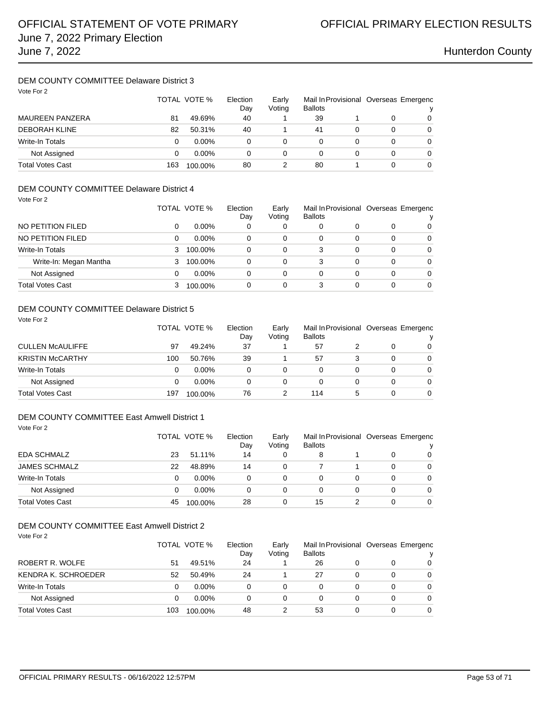## DEM COUNTY COMMITTEE Delaware District 3

| Vote For 2              |     | TOTAL VOTE % | Election<br>Day | Early<br>Voting | Mail In Provisional Overseas Emergenc<br><b>Ballots</b> |   |   |   |
|-------------------------|-----|--------------|-----------------|-----------------|---------------------------------------------------------|---|---|---|
| <b>MAUREEN PANZERA</b>  | 81  | 49.69%       | 40              |                 | 39                                                      |   |   | 0 |
| <b>DEBORAH KLINE</b>    | 82  | 50.31%       | 40              |                 | 41                                                      | 0 | 0 | 0 |
| Write-In Totals         | 0   | $0.00\%$     | 0               | 0               | 0                                                       | 0 | 0 | 0 |
| Not Assigned            | 0   | $0.00\%$     | 0               | 0               | 0                                                       | 0 | 0 | 0 |
| <b>Total Votes Cast</b> | 163 | 100.00%      | 80              |                 | 80                                                      |   | 0 | 0 |

### DEM COUNTY COMMITTEE Delaware District 4 Vote For 2

| 1000 I UI 4             |   | TOTAL VOTE % | Election<br>Day | Mail In Provisional Overseas Emergenc<br>Early<br><b>Ballots</b><br>Voting |   |   |   |          |  |
|-------------------------|---|--------------|-----------------|----------------------------------------------------------------------------|---|---|---|----------|--|
| NO PETITION FILED       | 0 | $0.00\%$     | 0               | 0                                                                          | 0 |   | O | 0        |  |
| NO PETITION FILED       | 0 | $0.00\%$     | $\Omega$        | 0                                                                          | 0 | 0 | 0 | $\Omega$ |  |
| Write-In Totals         | 3 | 100.00%      | $\Omega$        | 0                                                                          | 3 | 0 | 0 | $\Omega$ |  |
| Write-In: Megan Mantha  | 3 | 100.00%      | $\Omega$        | 0                                                                          | 3 | 0 | 0 | $\Omega$ |  |
| Not Assigned            | 0 | $0.00\%$     | 0               | 0                                                                          | 0 | 0 | 0 | $\Omega$ |  |
| <b>Total Votes Cast</b> | 3 | 100.00%      | 0               | 0                                                                          | 3 |   | 0 | $\Omega$ |  |

## DEM COUNTY COMMITTEE Delaware District 5

Vote For 2

|                         |     | TOTAL VOTE % | Election<br>Dav | Early<br>Voting | Mail In Provisional Overseas Emergenc<br><b>Ballots</b> |   |   | v        |  |
|-------------------------|-----|--------------|-----------------|-----------------|---------------------------------------------------------|---|---|----------|--|
| CULLEN McAULIFFE        | 97  | 49.24%       | 37              |                 | 57                                                      |   |   | $\Omega$ |  |
| <b>KRISTIN McCARTHY</b> | 100 | 50.76%       | 39              |                 | 57                                                      |   |   | $\Omega$ |  |
| Write-In Totals         | 0   | $0.00\%$     | 0               | 0               | 0                                                       |   | 0 | $\Omega$ |  |
| Not Assigned            | 0   | $0.00\%$     | 0               | 0               |                                                         |   |   | $\Omega$ |  |
| Total Votes Cast        | 197 | 100.00%      | 76              |                 | 114                                                     | 5 | 0 | $\Omega$ |  |

### DEM COUNTY COMMITTEE East Amwell District 1 Vote For 2

| <b>EDA SCHMALZ</b>      |    | TOTAL VOTE % | Election<br>Day | Early<br>Voting | Mail In Provisional Overseas Emergenc<br><b>Ballots</b> |  |   |          |  |
|-------------------------|----|--------------|-----------------|-----------------|---------------------------------------------------------|--|---|----------|--|
|                         | 23 | 51.11%       | 14              | 0               | 8                                                       |  | 0 |          |  |
| <b>JAMES SCHMALZ</b>    | 22 | 48.89%       | 14              | $\Omega$        |                                                         |  |   | 0        |  |
| Write-In Totals         | 0  | $0.00\%$     | 0               | 0               | 0                                                       |  | 0 | $\Omega$ |  |
| Not Assigned            | 0  | $0.00\%$     | 0               | 0               | 0                                                       |  | O | 0        |  |
| <b>Total Votes Cast</b> | 45 | 100.00%      | 28              | 0               | 15                                                      |  | ი | 0        |  |

## DEM COUNTY COMMITTEE East Amwell District 2

| Vote For 2              |     | TOTAL VOTE % | Election<br>Day | Early<br>Voting | Mail In Provisional Overseas Emergenc<br><b>Ballots</b> |   |   |          |
|-------------------------|-----|--------------|-----------------|-----------------|---------------------------------------------------------|---|---|----------|
| ROBERT R. WOLFE         | 51  | 49.51%       | 24              |                 | 26                                                      | 0 | 0 | 0        |
| KENDRA K. SCHROEDER     | 52  | 50.49%       | 24              |                 | 27                                                      | 0 | 0 | 0        |
| Write-In Totals         | 0   | $0.00\%$     | 0               | 0               | 0                                                       | 0 | 0 | $\Omega$ |
| Not Assigned            | 0   | $0.00\%$     | 0               | 0               | 0                                                       | 0 | 0 | $\Omega$ |
| <b>Total Votes Cast</b> | 103 | 100.00%      | 48              |                 | 53                                                      | 0 | 0 | 0        |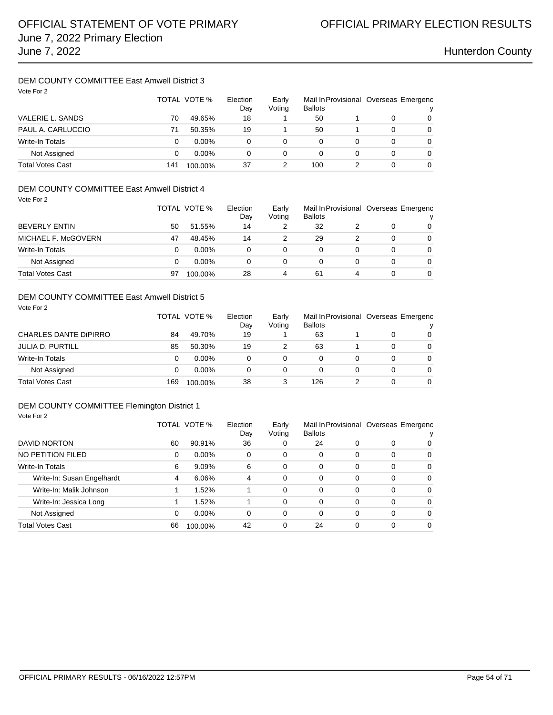## DEM COUNTY COMMITTEE East Amwell District 3

| Vote For 2              |     | TOTAL VOTE % | Election<br>Day | Early<br>Voting | <b>Ballots</b> |   | Mail In Provisional Overseas Emergenc<br>v |   |  |
|-------------------------|-----|--------------|-----------------|-----------------|----------------|---|--------------------------------------------|---|--|
| VALERIE L. SANDS        | 70  | 49.65%       | 18              |                 | 50             |   | 0                                          | 0 |  |
| PAUL A. CARLUCCIO       | 71  | 50.35%       | 19              |                 | 50             |   | 0                                          | 0 |  |
| Write-In Totals         | 0   | $0.00\%$     | 0               | 0               | 0              | 0 | 0                                          | 0 |  |
| Not Assigned            | 0   | $0.00\%$     | 0               | 0               | 0              | 0 | 0                                          | 0 |  |
| <b>Total Votes Cast</b> | 141 | 100.00%      | 37              |                 | 100            |   | 0                                          | 0 |  |

## DEM COUNTY COMMITTEE East Amwell District 4

| Vote For 2              |    | TOTAL VOTE % | Election<br>Day | Early<br>Voting | <b>Ballots</b> |   | Mail In Provisional Overseas Emergenc |          |
|-------------------------|----|--------------|-----------------|-----------------|----------------|---|---------------------------------------|----------|
| <b>BEVERLY ENTIN</b>    | 50 | 51.55%       | 14              | 2               | 32             |   | 0                                     | $\Omega$ |
| MICHAEL F. McGOVERN     | 47 | 48.45%       | 14              | 2               | 29             | 2 | 0                                     | $\Omega$ |
| <b>Write-In Totals</b>  | 0  | $0.00\%$     | 0               | $\Omega$        | 0              | 0 | 0                                     | $\Omega$ |
| Not Assigned            | 0  | $0.00\%$     | 0               | 0               | 0              | 0 | 0                                     | $\Omega$ |
| <b>Total Votes Cast</b> | 97 | 100.00%      | 28              | 4               | 61             | 4 | 0                                     | $\Omega$ |

### DEM COUNTY COMMITTEE East Amwell District 5

| Vote For 2                   |     | TOTAL VOTE % | Election<br>Day | Early<br>Voting | Mail In Provisional Overseas Emergenc<br><b>Ballots</b> |   |   | v        |
|------------------------------|-----|--------------|-----------------|-----------------|---------------------------------------------------------|---|---|----------|
| <b>CHARLES DANTE DIPIRRO</b> | 84  | 49.70%       | 19              |                 | 63                                                      |   | 0 | $\Omega$ |
| <b>JULIA D. PURTILL</b>      | 85  | 50.30%       | 19              |                 | 63                                                      |   | 0 | $\Omega$ |
| <b>Write-In Totals</b>       | 0   | $0.00\%$     | 0               | 0               | 0                                                       | 0 | 0 | $\Omega$ |
| Not Assigned                 | 0   | $0.00\%$     | 0               | 0               | 0                                                       | 0 | 0 | $\Omega$ |
| <b>Total Votes Cast</b>      | 169 | 100.00%      | 38              | 3               | 126                                                     |   | 0 | $\Omega$ |

## DEM COUNTY COMMITTEE Flemington District 1

| Vote For 2                 |          |              |                 |                 |                |   |                                       |          |
|----------------------------|----------|--------------|-----------------|-----------------|----------------|---|---------------------------------------|----------|
|                            |          | TOTAL VOTE % | Election<br>Day | Early<br>Voting | <b>Ballots</b> |   | Mail In Provisional Overseas Emergenc |          |
| DAVID NORTON               | 60       | 90.91%       | 36              | 0               | 24             | 0 | 0                                     | 0        |
| NO PETITION FILED          | $\Omega$ | $0.00\%$     | 0               | 0               | 0              | 0 | 0                                     | 0        |
| <b>Write-In Totals</b>     | 6        | 9.09%        | 6               | 0               | 0              | 0 | 0                                     | $\Omega$ |
| Write-In: Susan Engelhardt | 4        | 6.06%        | 4               | 0               | 0              | 0 | 0                                     | 0        |
| Write-In: Malik Johnson    |          | 1.52%        |                 | 0               | 0              | 0 | 0                                     | 0        |
| Write-In: Jessica Long     |          | 1.52%        |                 | 0               | 0              | 0 | 0                                     | $\Omega$ |
| Not Assigned               | 0        | $0.00\%$     | 0               | 0               | 0              | 0 | 0                                     | $\Omega$ |
| <b>Total Votes Cast</b>    | 66       | 100.00%      | 42              | 0               | 24             | 0 | 0                                     | $\Omega$ |
|                            |          |              |                 |                 |                |   |                                       |          |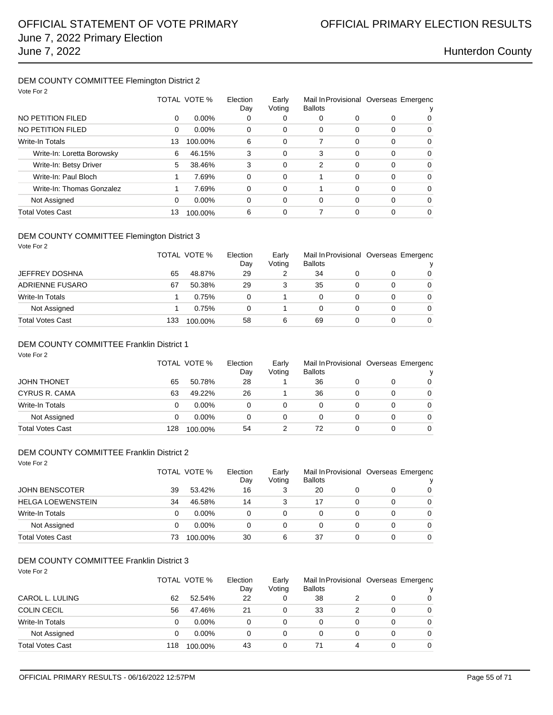### DEM COUNTY COMMITTEE Flemington District 2 Vote For 2

| VOTE FOR 2                 |    |              |                                                                                               |          |   |          |          |          |
|----------------------------|----|--------------|-----------------------------------------------------------------------------------------------|----------|---|----------|----------|----------|
|                            |    | TOTAL VOTE % | Election<br>Early<br>Mail In Provisional Overseas Emergenc<br>Voting<br><b>Ballots</b><br>Day |          |   |          |          |          |
| NO PETITION FILED          | 0  | $0.00\%$     | 0                                                                                             | 0        | 0 | 0        | 0        | $\Omega$ |
| NO PETITION FILED          | 0  | $0.00\%$     | 0                                                                                             | $\Omega$ | 0 | 0        | $\Omega$ | $\Omega$ |
| <b>Write-In Totals</b>     | 13 | 100.00%      | 6                                                                                             | 0        |   | $\Omega$ | $\Omega$ | $\Omega$ |
| Write-In: Loretta Borowsky | 6  | 46.15%       | 3                                                                                             | 0        | 3 | $\Omega$ | $\Omega$ | $\Omega$ |
| Write-In: Betsy Driver     | 5  | 38.46%       | 3                                                                                             | 0        | 2 | 0        | $\Omega$ | $\Omega$ |
| Write-In: Paul Bloch       |    | 7.69%        | 0                                                                                             | 0        |   | $\Omega$ | $\Omega$ | $\Omega$ |
| Write-In: Thomas Gonzalez  |    | 7.69%        | 0                                                                                             | 0        |   | 0        | $\Omega$ | $\Omega$ |
| Not Assigned               | 0  | $0.00\%$     | 0                                                                                             | $\Omega$ | 0 | $\Omega$ | $\Omega$ | $\Omega$ |
| <b>Total Votes Cast</b>    | 13 | 100.00%      | 6                                                                                             | 0        |   | 0        | $\Omega$ | $\Omega$ |
|                            |    |              |                                                                                               |          |   |          |          |          |

### DEM COUNTY COMMITTEE Flemington District 3 Vote For 2

|                         |     | TOTAL VOTE % | Election<br>Day | Early<br>Voting | <b>Ballots</b> |   | Mail In Provisional Overseas Emergenc<br>v |
|-------------------------|-----|--------------|-----------------|-----------------|----------------|---|--------------------------------------------|
| <b>JEFFREY DOSHNA</b>   | 65  | 48.87%       | 29              |                 | 34             | 0 | $\Omega$                                   |
| ADRIENNE FUSARO         | 67  | 50.38%       | 29              |                 | 35             | 0 | $\Omega$                                   |
| <b>Write-In Totals</b>  |     | 0.75%        | 0               |                 |                | 0 | $\Omega$                                   |
| Not Assigned            |     | 0.75%        | 0               |                 | 0              | 0 | $\Omega$                                   |
| <b>Total Votes Cast</b> | 133 | 100.00%      | 58              | 6               | 69             | 0 | $\Omega$                                   |

### DEM COUNTY COMMITTEE Franklin District 1

| Vote For 2              |     |              |          |        |                |   |                                       |          |
|-------------------------|-----|--------------|----------|--------|----------------|---|---------------------------------------|----------|
|                         |     | TOTAL VOTE % | Election | Early  |                |   | Mail In Provisional Overseas Emergenc |          |
|                         |     |              | Day      | Voting | <b>Ballots</b> |   |                                       |          |
| <b>JOHN THONET</b>      | 65  | 50.78%       | 28       |        | 36             | 0 | 0                                     | 0        |
| CYRUS R. CAMA           | 63  | 49.22%       | 26       |        | 36             | 0 | 0                                     | 0        |
| Write-In Totals         | 0   | $0.00\%$     | 0        | 0      | 0              | 0 | 0                                     | 0        |
| Not Assigned            | 0   | $0.00\%$     | 0        | 0      | 0              | 0 | 0                                     | $\Omega$ |
| <b>Total Votes Cast</b> | 128 | 100.00%      | 54       | 2      | 72             | 0 | 0                                     | 0        |

## DEM COUNTY COMMITTEE Franklin District 2

| Vote For 2               |    | TOTAL VOTE % | Election<br>Day | Early<br>Voting | <b>Ballots</b> |   |   | Mail In Provisional Overseas Emergenc<br>v |
|--------------------------|----|--------------|-----------------|-----------------|----------------|---|---|--------------------------------------------|
| <b>JOHN BENSCOTER</b>    | 39 | 53.42%       | 16              | 3               | 20             |   | 0 | $\Omega$                                   |
| <b>HELGA LOEWENSTEIN</b> | 34 | 46.58%       | 14              | 3               | 17             | 0 | 0 | $\Omega$                                   |
| Write-In Totals          | 0  | $0.00\%$     | 0               | 0               | 0              |   | 0 | $\Omega$                                   |
| Not Assigned             | 0  | $0.00\%$     | 0               | 0               | 0              |   | 0 | $\Omega$                                   |
| <b>Total Votes Cast</b>  | 73 | 100.00%      | 30              | 6               | 37             |   | 0 | $\Omega$                                   |

## DEM COUNTY COMMITTEE Franklin District 3

| Vote For 2 |  |  |  |
|------------|--|--|--|
|------------|--|--|--|

|                         |     | TOTAL VOTE % |    | Early<br>Voting | Mail In Provisional Overseas Emergenc<br><b>Ballots</b> |   |   |   |
|-------------------------|-----|--------------|----|-----------------|---------------------------------------------------------|---|---|---|
| CAROL L. LULING         | 62  | 52.54%       | 22 |                 | 38                                                      |   |   | 0 |
| <b>COLIN CECIL</b>      | 56  | 47.46%       | 21 |                 | 33                                                      |   |   | 0 |
| <b>Write-In Totals</b>  | 0   | $0.00\%$     | 0  |                 | 0                                                       |   | 0 | 0 |
| Not Assigned            | 0   | $0.00\%$     | 0  | 0               | 0                                                       |   | 0 | 0 |
| <b>Total Votes Cast</b> | 118 | 100.00%      | 43 |                 |                                                         | 4 |   | 0 |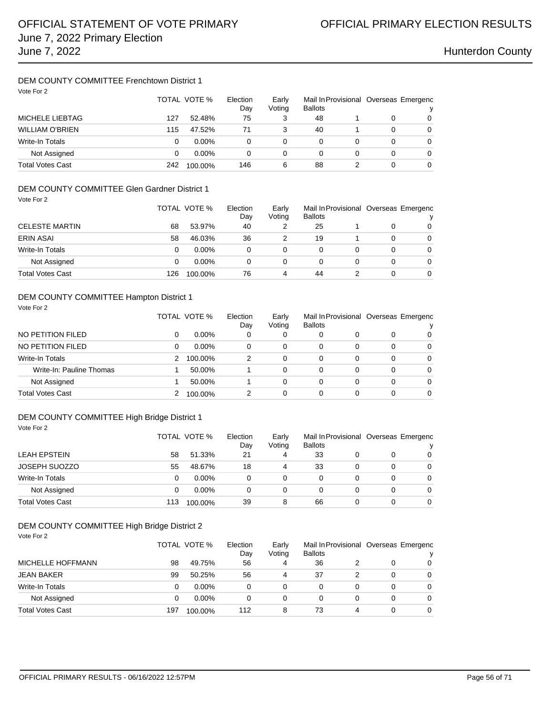## DEM COUNTY COMMITTEE Frenchtown District 1

| Vote For 2              |     | TOTAL VOTE % | Election<br>Day | Early<br>Voting | Mail In Provisional Overseas Emergenc<br><b>Ballots</b> |   |          | v |
|-------------------------|-----|--------------|-----------------|-----------------|---------------------------------------------------------|---|----------|---|
| MICHELE LIEBTAG         | 127 | 52.48%       | 75              | 3               | 48                                                      |   | $\Omega$ | 0 |
| <b>WILLIAM O'BRIEN</b>  | 115 | 47.52%       | 71              | 3               | 40                                                      |   | 0        | 0 |
| Write-In Totals         | 0   | $0.00\%$     | 0               | 0               | 0                                                       |   | 0        | 0 |
| Not Assigned            | 0   | $0.00\%$     | 0               | 0               | 0                                                       | 0 | 0        | 0 |
| <b>Total Votes Cast</b> | 242 | 100.00%      | 146             | 6               | 88                                                      |   | 0        | 0 |

### DEM COUNTY COMMITTEE Glen Gardner District 1 Vote For 2

| VUVUU1                  |     | TOTAL VOTE % | Election<br>Day | Early<br>Voting | <b>Ballots</b> |   |   | Mail In Provisional Overseas Emergenc<br>$\mathbf{v}$ |
|-------------------------|-----|--------------|-----------------|-----------------|----------------|---|---|-------------------------------------------------------|
| <b>CELESTE MARTIN</b>   | 68  | 53.97%       | 40              |                 | 25             |   |   | 0                                                     |
| <b>ERIN ASAI</b>        | 58  | 46.03%       | 36              |                 | 19             |   |   | 0                                                     |
| Write-In Totals         | 0   | $0.00\%$     | 0               | 0               | 0              | 0 | 0 | 0                                                     |
| Not Assigned            | 0   | $0.00\%$     | 0               | 0               | 0              | 0 | 0 | $\Omega$                                              |
| <b>Total Votes Cast</b> | 126 | 100.00%      | 76              | 4               | 44             |   |   | $\Omega$                                              |

### DEM COUNTY COMMITTEE Hampton District 1

| Vote For 2               |   |              |                 |                 |                                                         |   |   |          |
|--------------------------|---|--------------|-----------------|-----------------|---------------------------------------------------------|---|---|----------|
|                          |   | TOTAL VOTE % | Election<br>Day | Early<br>Voting | Mail In Provisional Overseas Emergenc<br><b>Ballots</b> |   |   | v        |
| NO PETITION FILED        | 0 | $0.00\%$     | 0               | 0               | 0                                                       | 0 | 0 | $\Omega$ |
| NO PETITION FILED        | 0 | $0.00\%$     | $\Omega$        | 0               | 0                                                       | 0 | 0 | 0        |
| <b>Write-In Totals</b>   | 2 | 100.00%      | 2               | $\Omega$        | 0                                                       | 0 | 0 | $\Omega$ |
| Write-In: Pauline Thomas |   | 50.00%       |                 | 0               | 0                                                       | 0 | 0 | $\Omega$ |
| Not Assigned             |   | 50.00%       |                 | 0               | 0                                                       | 0 | 0 | $\Omega$ |
| Total Votes Cast         | 2 | 100.00%      | 2               | 0               | 0                                                       | 0 | 0 | $\Omega$ |

### DEM COUNTY COMMITTEE High Bridge District 1 Vote For 2

|                         |     | TOTAL VOTE % | Election<br>Day | Early<br>Voting | <b>Ballots</b> |   | Mail In Provisional Overseas Emergenc |
|-------------------------|-----|--------------|-----------------|-----------------|----------------|---|---------------------------------------|
| <b>LEAH EPSTEIN</b>     | 58  | 51.33%       | 21              | 4               | 33             | O | 0                                     |
| <b>JOSEPH SUOZZO</b>    | 55  | 48.67%       | 18              | 4               | 33             | 0 | 0                                     |
| Write-In Totals         | 0   | $0.00\%$     | 0               | 0               | 0              | 0 | $\Omega$                              |
| Not Assigned            | 0   | $0.00\%$     | 0               | 0               | 0              | O | $\Omega$                              |
| <b>Total Votes Cast</b> | 113 | 100.00%      | 39              | 8               | 66             |   | 0                                     |

### DEM COUNTY COMMITTEE High Bridge District 2 Vote For 2

|                          |     | TOTAL VOTE %<br>Election |     | Early<br>Voting | <b>Ballots</b> | Mail In Provisional Overseas Emergenc |   |          |
|--------------------------|-----|--------------------------|-----|-----------------|----------------|---------------------------------------|---|----------|
| <b>MICHELLE HOFFMANN</b> | 98  | 49.75%                   | 56  | 4               | 36             |                                       | 0 | 0        |
| <b>JEAN BAKER</b>        | 99  | 50.25%                   | 56  |                 | 37             |                                       | 0 | 0        |
| Write-In Totals          |     | $0.00\%$                 | 0   | 0               | 0              | 0                                     | 0 | 0        |
| Not Assigned             |     | $0.00\%$                 | 0   | 0               | 0              | 0                                     | 0 | 0        |
| <b>Total Votes Cast</b>  | 197 | 100.00%                  | 112 | 8               | 73             |                                       | 0 | $\Omega$ |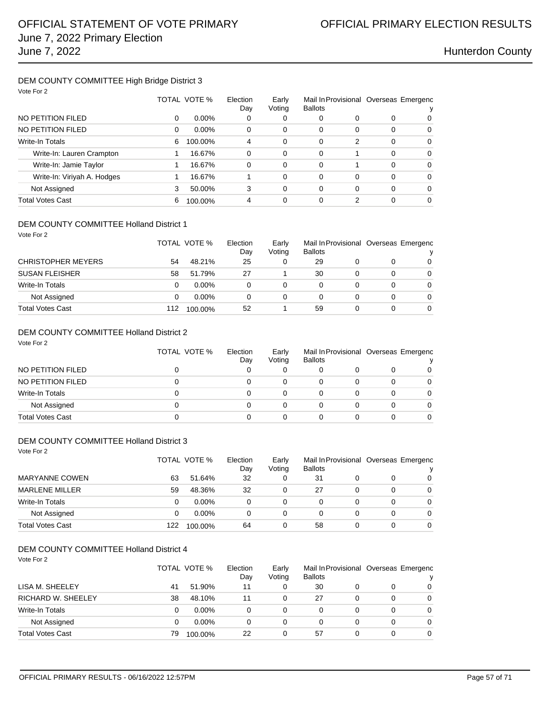### DEM COUNTY COMMITTEE High Bridge District 3 Vote For 2

| VOTE FOR 2                  |   |              |                 |                 |                                                         |   |          |          |
|-----------------------------|---|--------------|-----------------|-----------------|---------------------------------------------------------|---|----------|----------|
|                             |   | TOTAL VOTE % | Election<br>Day | Early<br>Voting | Mail In Provisional Overseas Emergenc<br><b>Ballots</b> |   |          |          |
| NO PETITION FILED           | 0 | $0.00\%$     | 0               | 0               | 0                                                       | 0 | 0        | 0        |
| NO PETITION FILED           | 0 | $0.00\%$     | 0               | 0               | 0                                                       | 0 | $\Omega$ | $\Omega$ |
| <b>Write-In Totals</b>      | 6 | 100.00%      | 4               | 0               | 0                                                       | 2 | $\Omega$ | $\Omega$ |
| Write-In: Lauren Crampton   |   | 16.67%       | $\Omega$        | 0               | 0                                                       |   | 0        | $\Omega$ |
| Write-In: Jamie Taylor      |   | 16.67%       | 0               | 0               | 0                                                       |   | $\Omega$ | $\Omega$ |
| Write-In: Viriyah A. Hodges |   | 16.67%       |                 | 0               | 0                                                       | 0 | $\Omega$ | $\Omega$ |
| Not Assigned                | 3 | 50.00%       | 3               | 0               | 0                                                       | 0 | $\Omega$ | $\Omega$ |
| <b>Total Votes Cast</b>     | 6 | 100.00%      | 4               | 0               | 0                                                       |   | 0        | 0        |

### DEM COUNTY COMMITTEE Holland District 1

| Vote For 2                |     | TOTAL VOTE % | Election<br>Day | Early<br>Voting | <b>Ballots</b> |   | Mail In Provisional Overseas Emergenc |          |
|---------------------------|-----|--------------|-----------------|-----------------|----------------|---|---------------------------------------|----------|
| <b>CHRISTOPHER MEYERS</b> | 54  | 48.21%       | 25              | 0               | 29             | 0 | 0                                     | 0        |
|                           |     |              |                 |                 |                |   |                                       |          |
| <b>SUSAN FLEISHER</b>     | 58  | 51.79%       | 27              |                 | 30             | 0 | 0                                     | $\Omega$ |
| Write-In Totals           | 0   | $0.00\%$     | 0               | 0               | 0              | 0 | 0                                     | 0        |
| Not Assigned              | 0   | $0.00\%$     | 0               | 0               | 0              | 0 | 0                                     | $\Omega$ |
| <b>Total Votes Cast</b>   | 112 | 100.00%      | 52              |                 | 59             | 0 | 0                                     | 0        |

### DEM COUNTY COMMITTEE Holland District 2 Vote For 2

| VUVUU1                  | TOTAL VOTE % | Election<br>Day | Early<br>Voting | <b>Ballots</b> |  |  | Mail In Provisional Overseas Emergenc |  |
|-------------------------|--------------|-----------------|-----------------|----------------|--|--|---------------------------------------|--|
| NO PETITION FILED       |              |                 |                 |                |  |  | 0                                     |  |
| NO PETITION FILED       |              |                 | 0               |                |  |  | 0                                     |  |
| Write-In Totals         |              |                 | 0               |                |  |  | 0                                     |  |
| Not Assigned            |              |                 | 0               |                |  |  | 0                                     |  |
| <b>Total Votes Cast</b> |              |                 |                 |                |  |  |                                       |  |

### DEM COUNTY COMMITTEE Holland District 3

| Vote For 2              | TOTAL VOTE %<br>Election<br>Day |          |    |   | <b>Ballots</b> |   | Mail In Provisional Overseas Emergenc |          |
|-------------------------|---------------------------------|----------|----|---|----------------|---|---------------------------------------|----------|
| <b>MARYANNE COWEN</b>   | 63                              | 51.64%   | 32 | 0 | 31             | 0 | 0                                     | 0        |
| <b>MARLENE MILLER</b>   | 59                              | 48.36%   | 32 | 0 | 27             | 0 | 0                                     | $\Omega$ |
| Write-In Totals         | 0                               | $0.00\%$ | 0  | 0 | 0              | 0 | 0                                     | 0        |
| Not Assigned            | 0                               | $0.00\%$ | 0  | 0 | 0              | 0 | 0                                     | $\Omega$ |
| <b>Total Votes Cast</b> | 122                             | 100.00%  | 64 | 0 | 58             | 0 | 0                                     | $\Omega$ |

### DEM COUNTY COMMITTEE Holland District 4

Vote For 2

| .                         |    | TOTAL VOTE % |    | Early<br>Voting | <b>Ballots</b> |   |   | Mail In Provisional Overseas Emergenc |
|---------------------------|----|--------------|----|-----------------|----------------|---|---|---------------------------------------|
| LISA M. SHEELEY           | 41 | 51.90%       | 11 | 0               | 30             |   | 0 | 0                                     |
| <b>RICHARD W. SHEELEY</b> | 38 | 48.10%       | 11 | 0               | 27             |   | 0 | 0                                     |
| Write-In Totals           |    | $0.00\%$     | 0  | 0               |                | 0 | 0 | $\Omega$                              |
| Not Assigned              |    | $0.00\%$     | 0  | 0               |                |   | 0 | $\Omega$                              |
| <b>Total Votes Cast</b>   | 79 | 100.00%      | 22 | 0               | 57             |   | 0 | 0                                     |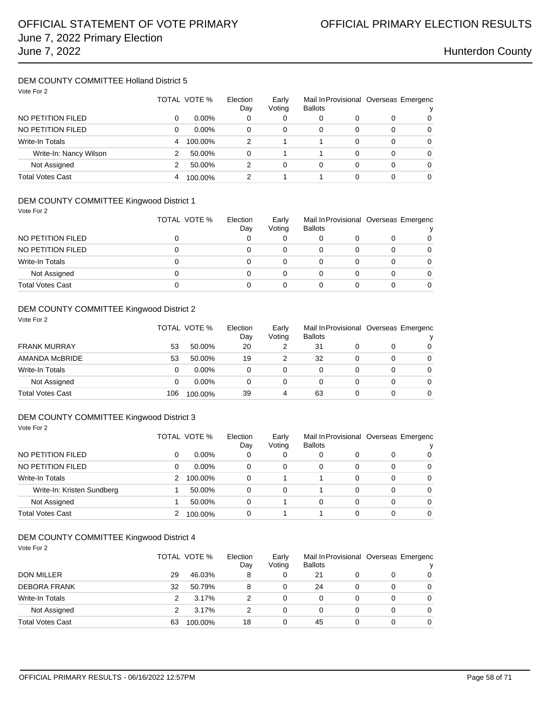### DEM COUNTY COMMITTEE Holland District 5 Vote For 2

| VOIE FOI Z             |   | TOTAL VOTE % |          | Early<br>Voting | <b>Ballots</b> |          | Mail In Provisional Overseas Emergenc<br>v |   |
|------------------------|---|--------------|----------|-----------------|----------------|----------|--------------------------------------------|---|
| NO PETITION FILED      | 0 | $0.00\%$     | Day<br>0 | 0               | 0              | 0        | 0                                          | 0 |
| NO PETITION FILED      | 0 | $0.00\%$     | 0        | 0               | $\Omega$       | 0        | 0                                          | 0 |
| <b>Write-In Totals</b> | 4 | 100.00%      | 2        |                 |                | 0        | 0                                          | 0 |
| Write-In: Nancy Wilson | 2 | 50.00%       | 0        |                 |                | $\Omega$ | 0                                          | 0 |
| Not Assigned           |   | 50.00%       | 2        | $\Omega$        | $\Omega$       | 0        | 0                                          | 0 |
| Total Votes Cast       | 4 | 100.00%      | 2        |                 |                | 0        | 0                                          | 0 |

## DEM COUNTY COMMITTEE Kingwood District 1

Vote For 2

|                         | TOTAL VOTE % | Election<br>Day | Early<br>Voting | <b>Ballots</b> | Mail In Provisional Overseas Emergenc |  | $\mathbf{v}$ |  |
|-------------------------|--------------|-----------------|-----------------|----------------|---------------------------------------|--|--------------|--|
| NO PETITION FILED       |              |                 |                 |                |                                       |  | 0            |  |
| NO PETITION FILED       |              |                 | 0               |                |                                       |  | $\Omega$     |  |
| Write-In Totals         |              |                 | 0               |                |                                       |  | $\Omega$     |  |
| Not Assigned            |              |                 | 0               | 0              |                                       |  | $\Omega$     |  |
| <b>Total Votes Cast</b> |              |                 |                 |                |                                       |  |              |  |

### DEM COUNTY COMMITTEE Kingwood District 2

Vote For 2

|                         |     | TOTAL VOTE % |    | Early<br>Voting | <b>Ballots</b> | Mail In Provisional Overseas Emergenc |   | v        |
|-------------------------|-----|--------------|----|-----------------|----------------|---------------------------------------|---|----------|
| <b>FRANK MURRAY</b>     | 53  | 50.00%       | 20 |                 | 31             |                                       |   | $\Omega$ |
| AMANDA McBRIDE          | 53  | 50.00%       | 19 |                 | 32             |                                       | 0 | $\Omega$ |
| Write-In Totals         |     | $0.00\%$     | 0  |                 |                |                                       | 0 | $\Omega$ |
| Not Assigned            |     | $0.00\%$     |    |                 |                |                                       |   | $\Omega$ |
| <b>Total Votes Cast</b> | 106 | 100.00%      | 39 | 4               | 63             |                                       | 0 | $\Omega$ |

### DEM COUNTY COMMITTEE Kingwood District 3 Vote For 2

|                            |   | TOTAL VOTE % |          | Early<br>Voting | Mail In Provisional Overseas Emergenc<br><b>Ballots</b> |   |   |          |  |
|----------------------------|---|--------------|----------|-----------------|---------------------------------------------------------|---|---|----------|--|
| NO PETITION FILED          | 0 | $0.00\%$     | 0        | 0               | 0                                                       |   | O | 0        |  |
| NO PETITION FILED          | 0 | $0.00\%$     | 0        | 0               | 0                                                       | 0 | 0 | $\Omega$ |  |
| Write-In Totals            | 2 | 100.00%      | 0        |                 |                                                         | 0 | 0 | $\Omega$ |  |
| Write-In: Kristen Sundberg |   | 50.00%       | $\Omega$ | $\Omega$        |                                                         | 0 | 0 | $\Omega$ |  |
| Not Assigned               |   | 50.00%       | $\Omega$ |                 | 0                                                       | 0 | 0 | $\Omega$ |  |
| <b>Total Votes Cast</b>    |   | 100.00%      | 0        |                 |                                                         |   | 0 | 0        |  |

## DEM COUNTY COMMITTEE Kingwood District 4

| Vote For 2              |    |              |          |        |                |          |   |                                       |  |
|-------------------------|----|--------------|----------|--------|----------------|----------|---|---------------------------------------|--|
|                         |    | TOTAL VOTE % | Election | Early  |                |          |   | Mail In Provisional Overseas Emergenc |  |
|                         |    |              | Day      | Voting | <b>Ballots</b> |          |   | ν                                     |  |
| <b>DON MILLER</b>       | 29 | 46.03%       | 8        | 0      | 21             | 0        | O | 0                                     |  |
| <b>DEBORA FRANK</b>     | 32 | 50.79%       | 8        | 0      | 24             | 0        | 0 | 0                                     |  |
| Write-In Totals         | 2  | 3.17%        | 2        | 0      | $\Omega$       | $\Omega$ | 0 | $\Omega$                              |  |
| Not Assigned            | 2  | 3.17%        | 2        | 0      | $\Omega$       | 0        | 0 | $\Omega$                              |  |
| <b>Total Votes Cast</b> | 63 | 100.00%      | 18       | 0      | 45             | 0        | 0 | $\Omega$                              |  |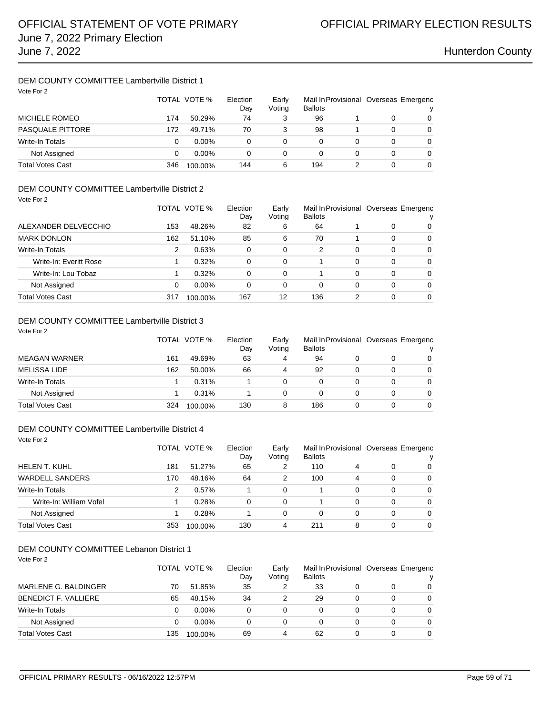## DEM COUNTY COMMITTEE Lambertville District 1

| Vote For 2              | TOTAL VOTE % |          | Election<br>Day | Early<br>Voting | <b>Ballots</b> |   | Mail In Provisional Overseas Emergenc<br>v |   |
|-------------------------|--------------|----------|-----------------|-----------------|----------------|---|--------------------------------------------|---|
| MICHELE ROMEO           | 174          | 50.29%   | 74              | 3               | 96             |   | $\Omega$                                   | 0 |
| <b>PASQUALE PITTORE</b> | 172          | 49.71%   | 70              | 3               | 98             |   | 0                                          | 0 |
| <b>Write-In Totals</b>  | 0            | $0.00\%$ | 0               | 0               | 0              |   | 0                                          | 0 |
| Not Assigned            | 0            | $0.00\%$ | 0               | 0               | 0              | 0 | 0                                          | 0 |
| <b>Total Votes Cast</b> | 346          | 100.00%  | 144             | 6               | 194            |   | 0                                          | 0 |

### DEM COUNTY COMMITTEE Lambertville District 2 Vote For 2

| $\mathbf{v}$ . $\mathbf{v}$ . $\mathbf{v}$ . $\mathbf{v}$ |     | TOTAL VOTE %<br>Election |     | Early<br>Voting | <b>Ballots</b> |   |   | Mail In Provisional Overseas Emergenc |  |
|-----------------------------------------------------------|-----|--------------------------|-----|-----------------|----------------|---|---|---------------------------------------|--|
| ALEXANDER DELVECCHIO                                      | 153 | 48.26%                   | 82  | 6               | 64             |   | 0 | 0                                     |  |
| <b>MARK DONLON</b>                                        | 162 | 51.10%                   | 85  | 6               | 70             |   | 0 | 0                                     |  |
| Write-In Totals                                           | 2   | 0.63%                    | 0   | 0               | 2              | 0 | 0 | 0                                     |  |
| Write-In: Everitt Rose                                    |     | 0.32%                    | 0   | 0               |                | 0 | 0 | $\Omega$                              |  |
| Write-In: Lou Tobaz                                       |     | 0.32%                    | 0   | $\Omega$        |                | 0 | 0 | $\Omega$                              |  |
| Not Assigned                                              | 0   | $0.00\%$                 | 0   | 0               | 0              | 0 | 0 | $\Omega$                              |  |
| Total Votes Cast                                          | 317 | 100.00%                  | 167 | 12              | 136            | 2 | 0 | $\Omega$                              |  |

## DEM COUNTY COMMITTEE Lambertville District 3

| Vote For 2              |              |         |          |          |                |  |                                       |              |
|-------------------------|--------------|---------|----------|----------|----------------|--|---------------------------------------|--------------|
|                         | TOTAL VOTE % |         | Election | Early    |                |  | Mail In Provisional Overseas Emergenc |              |
|                         |              |         | Day      | Voting   | <b>Ballots</b> |  |                                       | $\mathbf{v}$ |
| <b>MEAGAN WARNER</b>    | 161          | 49.69%  | 63       | 4        | 94             |  | 0                                     | 0            |
| <b>MELISSA LIDE</b>     | 162          | 50.00%  | 66       | 4        | 92             |  | 0                                     | $\Omega$     |
| Write-In Totals         |              | 0.31%   |          | $\Omega$ | 0              |  | 0                                     | $\Omega$     |
| Not Assigned            |              | 0.31%   |          | 0        | 0              |  | 0                                     | $\Omega$     |
| <b>Total Votes Cast</b> | 324          | 100.00% | 130      | 8        | 186            |  | 0                                     | 0            |

### DEM COUNTY COMMITTEE Lambertville District 4

Vote For 2

|                         |     | TOTAL VOTE % | Election<br>Day | Early<br>Voting | Mail In Provisional Overseas Emergenc<br><b>Ballots</b> |   |   |          |
|-------------------------|-----|--------------|-----------------|-----------------|---------------------------------------------------------|---|---|----------|
| <b>HELEN T. KUHL</b>    | 181 | 51.27%       | 65              | 2               | 110                                                     | 4 | O | 0        |
| <b>WARDELL SANDERS</b>  | 170 | 48.16%       | 64              | 2               | 100                                                     | 4 | 0 | $\Omega$ |
| <b>Write-In Totals</b>  | 2   | 0.57%        |                 | $\Omega$        |                                                         | 0 | 0 | $\Omega$ |
| Write-In: William Vofel |     | 0.28%        | 0               | 0               |                                                         | 0 | 0 | $\Omega$ |
| Not Assigned            |     | 0.28%        |                 | 0               | 0                                                       | 0 | 0 | $\Omega$ |
| Total Votes Cast        | 353 | 100.00%      | 130             | 4               | 211                                                     | 8 | 0 | 0        |

## DEM COUNTY COMMITTEE Labanon District 1

| DEM COUNTY COMMITTEE Lebanon District 1<br>Vote For 2 |     |              |                 |                 |                |   |          |                                       |
|-------------------------------------------------------|-----|--------------|-----------------|-----------------|----------------|---|----------|---------------------------------------|
|                                                       |     | TOTAL VOTE % | Election<br>Dav | Early<br>Voting | <b>Ballots</b> |   |          | Mail In Provisional Overseas Emergenc |
| MARLENE G. BALDINGER                                  | 70  | 51.85%       | 35              | 2               | 33             | 0 | 0        | $\Omega$                              |
| <b>BENEDICT F. VALLIERE</b>                           | 65  | 48.15%       | 34              | 2               | 29             | 0 | $\Omega$ | $\Omega$                              |
| Write-In Totals                                       | 0   | $0.00\%$     | 0               | 0               | 0              | 0 | $\Omega$ | $\Omega$                              |
| Not Assigned                                          | 0   | $0.00\%$     | 0               | 0               | 0              | 0 | 0        | $\Omega$                              |
| <b>Total Votes Cast</b>                               | 135 | 100.00%      | 69              | 4               | 62             | 0 | 0        | $\Omega$                              |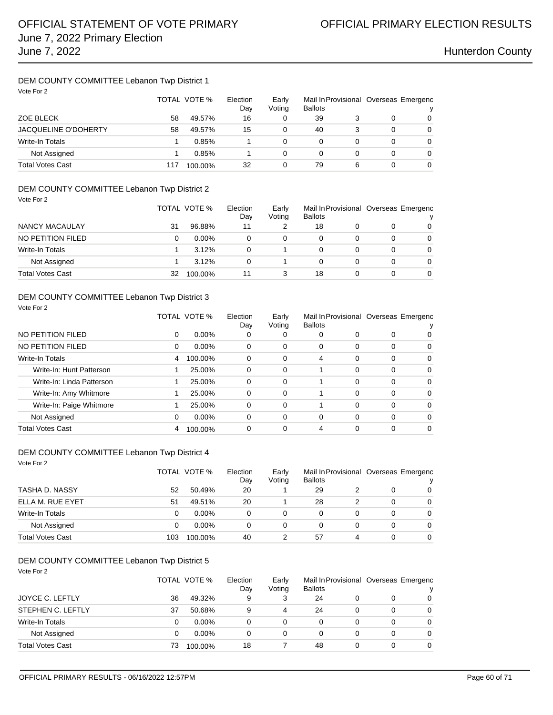## DEM COUNTY COMMITTEE Lebanon Twp District 1

| Vote For 2                  |     | TOTAL VOTE % | Election<br>Day | Early<br>Voting | Mail In Provisional Overseas Emergenc<br><b>Ballots</b> |   |   |   |
|-----------------------------|-----|--------------|-----------------|-----------------|---------------------------------------------------------|---|---|---|
| ZOE BLECK                   | 58  | 49.57%       | 16              | 0               | 39                                                      |   |   | 0 |
| <b>JACQUELINE O'DOHERTY</b> | 58  | 49.57%       | 15              |                 | 40                                                      | 3 | 0 | 0 |
| <b>Write-In Totals</b>      |     | 0.85%        |                 | 0               | 0                                                       | 0 | 0 | 0 |
| Not Assigned                |     | 0.85%        |                 | 0               | 0                                                       | 0 | 0 | 0 |
| <b>Total Votes Cast</b>     | 117 | 100.00%      | 32              | 0               | 79                                                      | 6 | 0 | 0 |

### DEM COUNTY COMMITTEE Lebanon Twp District 2 Vote For 2

| VUVUU1                  |    | TOTAL VOTE % | Election<br>Day | Early<br>Voting | <b>Ballots</b> |   |   | Mail In Provisional Overseas Emergenc |
|-------------------------|----|--------------|-----------------|-----------------|----------------|---|---|---------------------------------------|
| NANCY MACAULAY          | 31 | 96.88%       | 11              |                 | 18             |   | O | 0                                     |
| NO PETITION FILED       | 0  | $0.00\%$     | 0               | 0               |                |   | O | 0                                     |
| Write-In Totals         |    | 3.12%        | 0               |                 |                | 0 | 0 | 0                                     |
| Not Assigned            |    | 3.12%        | 0               |                 |                | 0 | 0 | $\Omega$                              |
| <b>Total Votes Cast</b> | 32 | 100.00%      | 11              |                 | 18             |   |   | 0                                     |

### DEM COUNTY COMMITTEE Lebanon Twp District 3

| Vote For 2                |   |              |                 |                 |                |          |          |                                       |
|---------------------------|---|--------------|-----------------|-----------------|----------------|----------|----------|---------------------------------------|
|                           |   | TOTAL VOTE % | Election<br>Day | Early<br>Voting | <b>Ballots</b> |          |          | Mail In Provisional Overseas Emergenc |
| NO PETITION FILED         | 0 | $0.00\%$     | 0               | O               | 0              | 0        | 0        | 0                                     |
| NO PETITION FILED         | 0 | $0.00\%$     | 0               | 0               | 0              | $\Omega$ | $\Omega$ | $\Omega$                              |
| <b>Write-In Totals</b>    | 4 | 100.00%      | 0               | 0               | 4              | 0        | $\Omega$ | 0                                     |
| Write-In: Hunt Patterson  |   | 25.00%       | 0               | 0               |                | 0        | $\Omega$ | $\Omega$                              |
| Write-In: Linda Patterson |   | 25.00%       | 0               | 0               |                | 0        | $\Omega$ | $\Omega$                              |
| Write-In: Amy Whitmore    |   | 25.00%       | $\Omega$        | 0               |                | 0        | $\Omega$ | $\Omega$                              |
| Write-In: Paige Whitmore  |   | 25.00%       | $\Omega$        | 0               |                | 0        | $\Omega$ | $\Omega$                              |
| Not Assigned              | 0 | $0.00\%$     | $\Omega$        | 0               | $\Omega$       | $\Omega$ | $\Omega$ | $\Omega$                              |
| <b>Total Votes Cast</b>   | 4 | 100.00%      | 0               | 0               | 4              |          | $\Omega$ | $\Omega$                              |

### DEM COUNTY COMMITTEE Lebanon Twp District 4

| Vote For 2              |     | TOTAL VOTE % | Election<br>Day | Early<br>Voting | <b>Ballots</b> |   |   | Mail In Provisional Overseas Emergenc |
|-------------------------|-----|--------------|-----------------|-----------------|----------------|---|---|---------------------------------------|
| TASHA D. NASSY          | 52  | 50.49%       | 20              |                 | 29             |   | 0 | 0                                     |
| ELLA M. RUE EYET        | 51  | 49.51%       | 20              |                 | 28             | 2 | 0 | 0                                     |
| Write-In Totals         | 0   | $0.00\%$     | 0               | 0               | $\Omega$       | 0 | 0 | $\Omega$                              |
| Not Assigned            | 0   | $0.00\%$     | 0               | 0               | 0              | 0 | 0 | $\Omega$                              |
| <b>Total Votes Cast</b> | 103 | 100.00%      | 40              | 2               | 57             | 4 | 0 | $\Omega$                              |

## DEM COUNTY COMMITTEE Lebanon Twp District 5

| Vote For 2 |  |
|------------|--|

|                         |    | TOTAL VOTE % | Election<br>Day | Early<br>Voting | <b>Ballots</b> |   | Mail In Provisional Overseas Emergenc<br>v |
|-------------------------|----|--------------|-----------------|-----------------|----------------|---|--------------------------------------------|
| JOYCE C. LEFTLY         | 36 | 49.32%       | 9               | 3               | 24             | 0 | $\Omega$                                   |
| STEPHEN C. LEFTLY       | 37 | 50.68%       | 9               | 4               | 24             | 0 | $\Omega$                                   |
| Write-In Totals         | 0  | $0.00\%$     | 0               | 0               |                | 0 | $\Omega$                                   |
| Not Assigned            | 0  | $0.00\%$     | 0               | 0               |                | 0 | $\Omega$                                   |
| <b>Total Votes Cast</b> | 73 | 100.00%      | 18              |                 | 48             | 0 | $\Omega$                                   |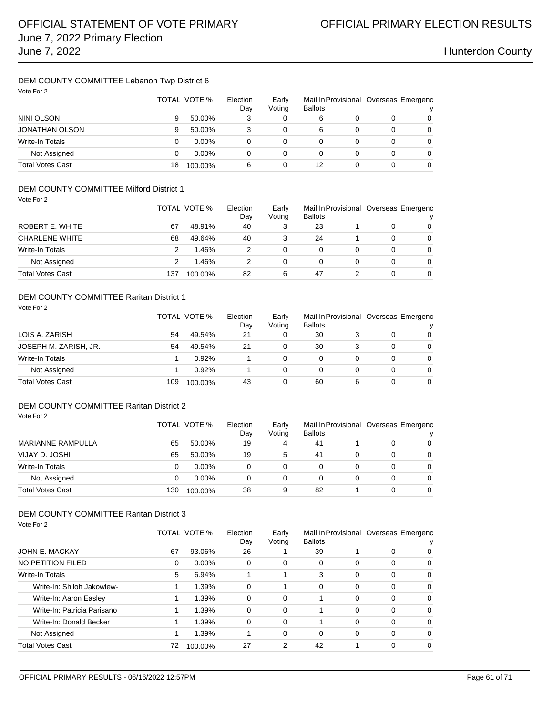### DEM COUNTY COMMITTEE Lebanon Twp District 6 Vote For 2

| Vote For 2              | TOTAL VOTE % |          | Election<br>Day | Early<br>Voting | <b>Ballots</b> |   | Mail In Provisional Overseas Emergenc<br>ν |   |
|-------------------------|--------------|----------|-----------------|-----------------|----------------|---|--------------------------------------------|---|
| NINI OLSON              | 9            | 50.00%   | 3               |                 | 6              |   |                                            | 0 |
| <b>JONATHAN OLSON</b>   | 9            | 50.00%   | 3               | 0               | 6              | 0 |                                            | 0 |
| Write-In Totals         | 0            | $0.00\%$ | 0               | 0               | 0              | 0 | 0                                          | 0 |
| Not Assigned            | 0            | $0.00\%$ | 0               | 0               | 0              |   | 0                                          | 0 |
| <b>Total Votes Cast</b> | 18           | 100.00%  | 6               | 0               | 12             | 0 | 0                                          | 0 |

## DEM COUNTY COMMITTEE Milford District 1

| Vote For 2              |     |              |          |        |                |   |   |                                       |
|-------------------------|-----|--------------|----------|--------|----------------|---|---|---------------------------------------|
|                         |     | TOTAL VOTE % | Election | Early  |                |   |   | Mail In Provisional Overseas Emergenc |
|                         |     |              | Day      | Voting | <b>Ballots</b> |   |   | ν                                     |
| ROBERT E. WHITE         | 67  | 48.91%       | 40       | 3      | 23             |   | 0 | 0                                     |
| <b>CHARLENE WHITE</b>   | 68  | 49.64%       | 40       | 3      | 24             |   | 0 | 0                                     |
| Write-In Totals         | 2   | 1.46%        | 2        | 0      | 0              | 0 | 0 | $\Omega$                              |
| Not Assigned            |     | 1.46%        | 2        | 0      | 0              | 0 | 0 | $\Omega$                              |
| <b>Total Votes Cast</b> | 137 | 100.00%      | 82       | 6      | 47             |   | 0 | $\Omega$                              |

### DEM COUNTY COMMITTEE Raritan District 1

| Vote For 2              |     | TOTAL VOTE % | Election<br>Day | Early<br>Voting | <b>Ballots</b> |   |   | Mail In Provisional Overseas Emergenc<br>v |
|-------------------------|-----|--------------|-----------------|-----------------|----------------|---|---|--------------------------------------------|
| LOIS A. ZARISH          | 54  | 49.54%       | 21              | 0               | 30             |   | 0 | $\Omega$                                   |
| JOSEPH M. ZARISH, JR.   | 54  | 49.54%       | 21              | 0               | 30             | 3 | 0 | $\Omega$                                   |
| <b>Write-In Totals</b>  |     | 0.92%        |                 | 0               | 0              | 0 | 0 | $\Omega$                                   |
| Not Assigned            |     | 0.92%        |                 | 0               | 0              |   | 0 | $\Omega$                                   |
| <b>Total Votes Cast</b> | 109 | 100.00%      | 43              | 0               | 60             | 6 | 0 | $\Omega$                                   |

## DEM COUNTY COMMITTEE Raritan District 2

Vote For 2

|                          |     | TOTAL VOTE %<br>Election |    | Early<br>Voting | <b>Ballots</b> |  | Mail In Provisional Overseas Emergenc |          |
|--------------------------|-----|--------------------------|----|-----------------|----------------|--|---------------------------------------|----------|
| <b>MARIANNE RAMPULLA</b> | 65  | 50.00%                   | 19 | 4               | 41             |  | 0                                     | 0        |
| VIJAY D. JOSHI           | 65  | 50.00%                   | 19 | 5               | 41             |  | 0                                     | 0        |
| Write-In Totals          | 0   | $0.00\%$                 |    | 0               |                |  | 0                                     | $\Omega$ |
| Not Assigned             | 0   | $0.00\%$                 |    | 0               |                |  | 0                                     | $\Omega$ |
| <b>Total Votes Cast</b>  | 130 | 100.00%                  | 38 | 9               | 82             |  | 0                                     | 0        |

| Vote For 2                  |              |          |                 |                 |                |   |                                       |          |
|-----------------------------|--------------|----------|-----------------|-----------------|----------------|---|---------------------------------------|----------|
|                             | TOTAL VOTE % |          | Election<br>Day | Early<br>Voting | <b>Ballots</b> |   | Mail In Provisional Overseas Emergenc |          |
| JOHN E. MACKAY              | 67           | 93.06%   | 26              |                 | 39             |   | 0                                     | 0        |
| NO PETITION FILED           | 0            | $0.00\%$ | 0               | 0               | $\Omega$       | 0 | 0                                     | 0        |
| <b>Write-In Totals</b>      | 5            | 6.94%    |                 |                 | 3              | 0 | 0                                     | 0        |
| Write-In: Shiloh Jakowlew-  |              | 1.39%    | 0               |                 | $\Omega$       | 0 | 0                                     | $\Omega$ |
| Write-In: Aaron Easley      |              | 1.39%    | 0               | $\Omega$        |                | 0 | 0                                     | 0        |
| Write-In: Patricia Parisano | 1            | 1.39%    | 0               | 0               | 1              | 0 | 0                                     | 0        |
| Write-In: Donald Becker     | 1            | 1.39%    | 0               | 0               |                | 0 | 0                                     | $\Omega$ |
| Not Assigned                | 1            | 1.39%    |                 | $\Omega$        | $\Omega$       | 0 | $\Omega$                              | $\Omega$ |
| <b>Total Votes Cast</b>     | 72           | 100.00%  | 27              | 2               | 42             |   | 0                                     | $\Omega$ |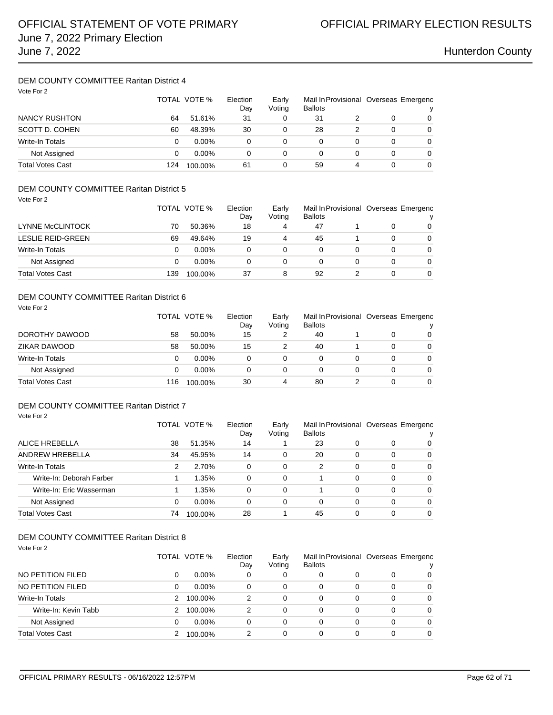### DEM COUNTY COMMITTEE Raritan District 4  $V_{\text{obs}}$  For 2

| VOIE FOI Z              |     | TOTAL VOTE % | Mail In Provisional Overseas Emergenc<br>Election<br>Early<br>Voting<br><b>Ballots</b><br>Day |   |    |   |   | ν |  |
|-------------------------|-----|--------------|-----------------------------------------------------------------------------------------------|---|----|---|---|---|--|
| NANCY RUSHTON           | 64  | 51.61%       | 31                                                                                            | 0 | 31 |   | 0 | 0 |  |
| SCOTT D. COHEN          | 60  | 48.39%       | 30                                                                                            | 0 | 28 |   | 0 | 0 |  |
| <b>Write-In Totals</b>  | 0   | $0.00\%$     | 0                                                                                             | 0 |    |   | 0 | 0 |  |
| Not Assigned            | 0   | $0.00\%$     | 0                                                                                             | 0 |    |   | 0 | 0 |  |
| <b>Total Votes Cast</b> | 124 | 100.00%      | 61                                                                                            | 0 | 59 | 4 | 0 | 0 |  |

### DEM COUNTY COMMITTEE Raritan District 5 Vote For 2

| VUVUU1                   |     | TOTAL VOTE % | Election<br>Day | Early<br>Voting | <b>Ballots</b> |   | Mail In Provisional Overseas Emergenc<br>v |
|--------------------------|-----|--------------|-----------------|-----------------|----------------|---|--------------------------------------------|
| LYNNE McCLINTOCK         | 70  | 50.36%       | 18              | 4               | 47             |   | $\Omega$                                   |
| <b>LESLIE REID-GREEN</b> | 69  | 49.64%       | 19              | 4               | 45             | 0 | $\Omega$                                   |
| <b>Write-In Totals</b>   | 0   | $0.00\%$     | 0               | 0               |                | 0 | $\Omega$                                   |
| Not Assigned             | 0   | $0.00\%$     | 0               | 0               |                | 0 | $\Omega$                                   |
| <b>Total Votes Cast</b>  | 139 | 100.00%      | 37              | 8               | 92             | 0 | $\Omega$                                   |

## DEM COUNTY COMMITTEE Raritan District 6

| Vote For 2              |     | TOTAL VOTE % |    | Early<br>Voting | Mail In Provisional Overseas Emergenc<br><b>Ballots</b> |   |   | v        |
|-------------------------|-----|--------------|----|-----------------|---------------------------------------------------------|---|---|----------|
| DOROTHY DAWOOD          | 58  | 50.00%       | 15 | 2               | 40                                                      |   | 0 | $\Omega$ |
| ZIKAR DAWOOD            | 58  | 50.00%       | 15 | 2               | 40                                                      |   | 0 | $\Omega$ |
| <b>Write-In Totals</b>  | 0   | $0.00\%$     | 0  | 0               | 0                                                       | 0 | 0 | $\Omega$ |
| Not Assigned            | 0   | $0.00\%$     | 0  | 0               | 0                                                       | 0 | 0 | $\Omega$ |
| <b>Total Votes Cast</b> | 116 | 100.00%      | 30 | 4               | 80                                                      |   | 0 | $\Omega$ |

## DEM COUNTY COMMITTEE Raritan District 7

Vote For 2

|                          |    | TOTAL VOTE % | Early<br>Election<br>Voting<br>Day |   | <b>Ballots</b> |   | Mail In Provisional Overseas Emergenc |          |
|--------------------------|----|--------------|------------------------------------|---|----------------|---|---------------------------------------|----------|
| ALICE HREBELLA           | 38 | 51.35%       | 14                                 |   | 23             | 0 | 0                                     | 0        |
| ANDREW HREBELLA          | 34 | 45.95%       | 14                                 | 0 | 20             | 0 | 0                                     | $\Omega$ |
| <b>Write-In Totals</b>   | 2  | 2.70%        | 0                                  | 0 | 2              | 0 | $\Omega$                              | $\Omega$ |
| Write-In: Deborah Farber |    | 1.35%        | 0                                  | 0 |                | 0 | $\Omega$                              | $\Omega$ |
| Write-In: Eric Wasserman |    | 1.35%        | 0                                  | 0 |                | 0 | 0                                     | $\Omega$ |
| Not Assigned             | 0  | $0.00\%$     | 0                                  | 0 | 0              | 0 | $\Omega$                              | $\Omega$ |
| Total Votes Cast         | 74 | 100.00%      | 28                                 |   | 45             | 0 | 0                                     | $\Omega$ |

| Vote For 2             |   |              |                 |                 |                |   |   |                                       |
|------------------------|---|--------------|-----------------|-----------------|----------------|---|---|---------------------------------------|
|                        |   | TOTAL VOTE % | Election<br>Day | Early<br>Voting | <b>Ballots</b> |   |   | Mail In Provisional Overseas Emergenc |
| NO PETITION FILED      | 0 | $0.00\%$     | 0               | 0               | 0              | 0 | 0 | 0                                     |
| NO PETITION FILED      | 0 | $0.00\%$     | 0               | 0               | 0              | 0 | 0 | 0                                     |
| <b>Write-In Totals</b> | 2 | 100.00%      | 2               | 0               | 0              | 0 | 0 | $\Omega$                              |
| Write-In: Kevin Tabb   | 2 | 100.00%      | 2               | 0               | 0              | 0 | 0 | $\Omega$                              |
| Not Assigned           | 0 | $0.00\%$     | 0               | 0               | 0              | 0 | 0 | 0                                     |
| Total Votes Cast       |   | 100.00%      | 2               | 0               | 0              | 0 | 0 | 0                                     |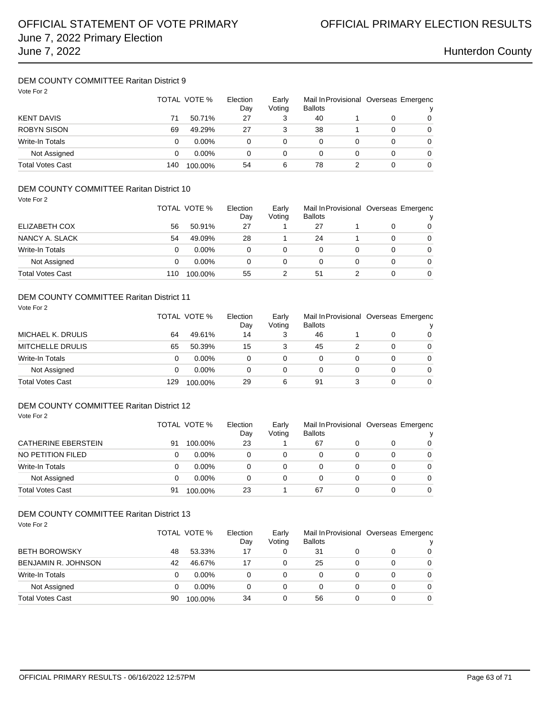## DEM COUNTY COMMITTEE Raritan District 9

| Vote For 2              |     | TOTAL VOTE %<br>Election |    | Early<br>Voting | <b>Ballots</b> |          | Mail In Provisional Overseas Emergenc<br>ν |   |
|-------------------------|-----|--------------------------|----|-----------------|----------------|----------|--------------------------------------------|---|
| <b>KENT DAVIS</b>       | 71  | 50.71%                   | 27 | 3               | 40             |          | 0                                          | 0 |
| <b>ROBYN SISON</b>      | 69  | 49.29%                   | 27 | 3               | 38             |          | 0                                          | 0 |
| <b>Write-In Totals</b>  | 0   | $0.00\%$                 | 0  | 0               | 0              | $\Omega$ | 0                                          | 0 |
| Not Assigned            | 0   | $0.00\%$                 | 0  | 0               | 0              | 0        | 0                                          | 0 |
| <b>Total Votes Cast</b> | 140 | 100.00%                  | 54 | 6               | 78             |          | 0                                          | 0 |

### DEM COUNTY COMMITTEE Raritan District 10 Vote For 2

| , , , , , , , <u>,</u>  |     | TOTAL VOTE % | Election<br>Day | Early<br>Voting | <b>Ballots</b> |   |   | Mail In Provisional Overseas Emergenc<br>v |
|-------------------------|-----|--------------|-----------------|-----------------|----------------|---|---|--------------------------------------------|
| ELIZABETH COX           | 56  | 50.91%       | 27              |                 | 27             |   |   | 0                                          |
| NANCY A. SLACK          | 54  | 49.09%       | 28              |                 | 24             |   | 0 | $\Omega$                                   |
| Write-In Totals         | 0   | $0.00\%$     | 0               | 0               | 0              | 0 | 0 | $\Omega$                                   |
| Not Assigned            | 0   | $0.00\%$     | 0               | 0               | 0              | 0 | 0 | $\Omega$                                   |
| <b>Total Votes Cast</b> | 110 | 100.00%      | 55              |                 | 51             |   |   | 0                                          |

### DEM COUNTY COMMITTEE Raritan District 11

| Vote For 2              |     | TOTAL VOTE % |    | Early<br>Voting | Mail In Provisional Overseas Emergenc<br><b>Ballots</b> |   |   | v        |
|-------------------------|-----|--------------|----|-----------------|---------------------------------------------------------|---|---|----------|
| MICHAEL K. DRULIS       | 64  | 49.61%       | 14 | 3               | 46                                                      |   | 0 | $\Omega$ |
| <b>MITCHELLE DRULIS</b> | 65  | 50.39%       | 15 | 3               | 45                                                      | 2 | 0 | $\Omega$ |
| <b>Write-In Totals</b>  | 0   | $0.00\%$     | 0  | 0               | 0                                                       | 0 | 0 | $\Omega$ |
| Not Assigned            | 0   | $0.00\%$     | 0  | 0               | 0                                                       |   | 0 | $\Omega$ |
| <b>Total Votes Cast</b> | 129 | 100.00%      | 29 | 6               | 91                                                      | 3 | 0 | $\Omega$ |

## DEM COUNTY COMMITTEE Raritan District 12

Vote For 2

| <b>CATHERINE EBERSTEIN</b> |    | TOTAL VOTE % | Election<br>Early<br>Voting<br><b>Ballots</b><br>Dav |   |    | Mail In Provisional Overseas Emergenc |          |          |
|----------------------------|----|--------------|------------------------------------------------------|---|----|---------------------------------------|----------|----------|
|                            | 91 | 100.00%      | 23                                                   |   | 67 |                                       | 0        | 0        |
| NO PETITION FILED          |    | $0.00\%$     |                                                      | 0 |    |                                       | 0        | 0        |
| Write-In Totals            |    | $0.00\%$     |                                                      | 0 |    | 0                                     | 0        | $\Omega$ |
| Not Assigned               |    | $0.00\%$     | 0                                                    | 0 |    | 0                                     | $\Omega$ | $\Omega$ |
| <b>Total Votes Cast</b>    | 91 | 100.00%      | 23                                                   |   | 67 | n                                     | 0        | 0        |

| Vote For 2              |    | TOTAL VOTE % | Election<br>Day | Early<br>Voting | Mail In Provisional Overseas Emergenc<br><b>Ballots</b> |   |   |          |  |
|-------------------------|----|--------------|-----------------|-----------------|---------------------------------------------------------|---|---|----------|--|
| <b>BETH BOROWSKY</b>    | 48 | 53.33%       | 17              | 0               | 31                                                      | 0 | 0 | 0        |  |
| BENJAMIN R. JOHNSON     | 42 | 46.67%       | 17              | 0               | 25                                                      | 0 | 0 | $\Omega$ |  |
| Write-In Totals         | 0  | $0.00\%$     | 0               | 0               | $\Omega$                                                | 0 | 0 | $\Omega$ |  |
| Not Assigned            | 0  | $0.00\%$     | 0               | 0               | 0                                                       | 0 | 0 | $\Omega$ |  |
| <b>Total Votes Cast</b> | 90 | 100.00%      | 34              | 0               | 56                                                      | 0 | 0 | 0        |  |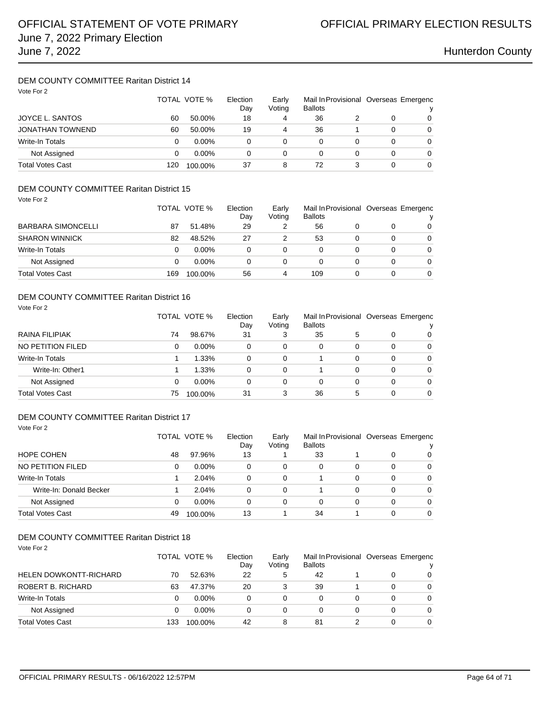## DEM COUNTY COMMITTEE Raritan District 14

| Vote For 2              | TOTAL VOTE %<br>Election<br>Day |          | Early<br>Voting | Mail In Provisional Overseas Emergenc<br><b>Ballots</b> |    |   |          |          |
|-------------------------|---------------------------------|----------|-----------------|---------------------------------------------------------|----|---|----------|----------|
| <b>JOYCE L. SANTOS</b>  | 60                              | 50.00%   | 18              | 4                                                       | 36 |   | 0        | 0        |
| <b>JONATHAN TOWNEND</b> | 60                              | 50.00%   | 19              | 4                                                       | 36 |   | 0        | 0        |
| Write-In Totals         | 0                               | $0.00\%$ | 0               | 0                                                       | 0  |   | 0        | $\Omega$ |
| Not Assigned            | 0                               | $0.00\%$ | 0               | 0                                                       | 0  | 0 | 0        | $\Omega$ |
| <b>Total Votes Cast</b> | 120                             | 100.00%  | 37              | 8                                                       | 72 |   | $\Omega$ | 0        |

### DEM COUNTY COMMITTEE Raritan District 15 Vote For 2

| VUVUU1                    |     | TOTAL VOTE % | Election<br>Day | Early<br>Voting | <b>Ballots</b> |   | Mail In Provisional Overseas Emergenc<br>v |
|---------------------------|-----|--------------|-----------------|-----------------|----------------|---|--------------------------------------------|
| <b>BARBARA SIMONCELLI</b> | 87  | 51.48%       | 29              |                 | 56             |   | $\Omega$                                   |
| <b>SHARON WINNICK</b>     | 82  | 48.52%       | 27              |                 | 53             | 0 | $\Omega$                                   |
| Write-In Totals           | 0   | $0.00\%$     | 0               | 0               |                | 0 | $\Omega$                                   |
| Not Assigned              | 0   | $0.00\%$     | 0               | 0               |                | 0 | $\Omega$                                   |
| <b>Total Votes Cast</b>   | 169 | 100.00%      | 56              | 4               | 109            |   | $\Omega$                                   |

### DEM COUNTY COMMITTEE Raritan District 16

| Vote For 2             |    |              |                 |                 |                |   |   |                                            |
|------------------------|----|--------------|-----------------|-----------------|----------------|---|---|--------------------------------------------|
|                        |    | TOTAL VOTE % | Election<br>Day | Early<br>Voting | <b>Ballots</b> |   |   | Mail In Provisional Overseas Emergenc<br>v |
| RAINA FILIPIAK         | 74 | 98.67%       | 31              | 3               | 35             | 5 | 0 | 0                                          |
| NO PETITION FILED      | 0  | $0.00\%$     | 0               | 0               | 0              | 0 | 0 | $\Omega$                                   |
| <b>Write-In Totals</b> |    | 1.33%        | 0               | 0               |                | 0 | 0 | $\Omega$                                   |
| Write-In: Other1       |    | 1.33%        | 0               | 0               |                | 0 | 0 | $\Omega$                                   |
| Not Assigned           | 0  | $0.00\%$     | 0               | 0               | 0              | 0 | 0 | $\Omega$                                   |
| Total Votes Cast       | 75 | 100.00%      | 31              | 3               | 36             | 5 | 0 | $\Omega$                                   |

### DEM COUNTY COMMITTEE Raritan District 17 Vote For 2

|                         |    | TOTAL VOTE % |    | Early<br>Voting | <b>Ballots</b> |   | Mail In Provisional Overseas Emergenc |                |
|-------------------------|----|--------------|----|-----------------|----------------|---|---------------------------------------|----------------|
| HOPE COHEN              | 48 | 97.96%       | 13 |                 | 33             |   | 0                                     | 0              |
| NO PETITION FILED       | 0  | $0.00\%$     | 0  | 0               | $\Omega$       | 0 | 0                                     | $\overline{0}$ |
| Write-In Totals         |    | 2.04%        | 0  | 0               |                | 0 | 0                                     | $\Omega$       |
| Write-In: Donald Becker |    | 2.04%        | 0  | 0               |                | 0 | 0                                     | $\Omega$       |
| Not Assigned            | 0  | $0.00\%$     | 0  | 0               | $\Omega$       | 0 | 0                                     | $\Omega$       |
| Total Votes Cast        | 49 | 100.00%      | 13 |                 | 34             |   | 0                                     | $\Omega$       |

| Vote For 2                    |     |              |          |        |                |   |   |                                       |  |
|-------------------------------|-----|--------------|----------|--------|----------------|---|---|---------------------------------------|--|
|                               |     | TOTAL VOTE % | Election | Early  |                |   |   | Mail In Provisional Overseas Emergenc |  |
|                               |     |              | Day      | Voting | <b>Ballots</b> |   |   | ν                                     |  |
| <b>HELEN DOWKONTT-RICHARD</b> | 70  | 52.63%       | 22       | 5      | 42             |   | 0 | 0                                     |  |
| ROBERT B. RICHARD             | 63  | 47.37%       | 20       |        | 39             |   | 0 | $\Omega$                              |  |
| Write-In Totals               | 0   | $0.00\%$     | 0        | 0      | 0              | 0 | 0 | $\Omega$                              |  |
| Not Assigned                  | 0   | $0.00\%$     | 0        | 0      | $\Omega$       | 0 | 0 | $\Omega$                              |  |
| <b>Total Votes Cast</b>       | 133 | 100.00%      | 42       | 8      | 81             |   | 0 | $\Omega$                              |  |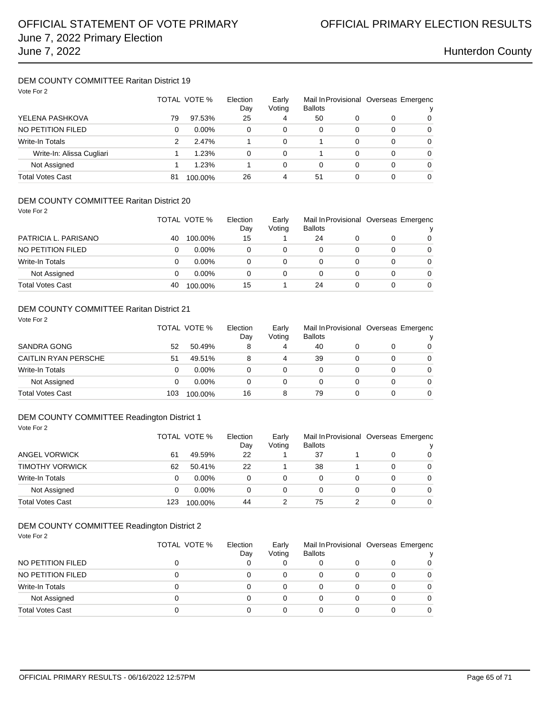### DEM COUNTY COMMITTEE Raritan District 19 Vote For 2

| VOIE FOI Z                |    | TOTAL VOTE % |    | Early<br>Voting | <b>Ballots</b> |          | Mail In Provisional Overseas Emergenc |   |
|---------------------------|----|--------------|----|-----------------|----------------|----------|---------------------------------------|---|
| YELENA PASHKOVA           | 79 | 97.53%       | 25 | 4               | 50             | 0        | 0                                     | 0 |
| NO PETITION FILED         | 0  | $0.00\%$     | 0  | 0               | $\Omega$       | $\Omega$ | 0                                     | 0 |
| <b>Write-In Totals</b>    | 2  | 2.47%        |    | $\Omega$        |                | 0        | 0                                     | 0 |
| Write-In: Alissa Cugliari |    | 1.23%        | 0  | 0               |                | 0        | 0                                     | 0 |
| Not Assigned              |    | 1.23%        |    | $\Omega$        | $\Omega$       | 0        | 0                                     | 0 |
| Total Votes Cast          | 81 | 100.00%      | 26 | 4               | 51             | 0        | 0                                     | 0 |

## DEM COUNTY COMMITTEE Raritan District 20

Vote For 2

|                      |    | TOTAL VOTE % | Election<br>Day | Early<br>Voting | Mail In Provisional Overseas Emergenc<br><b>Ballots</b> |   | v        |
|----------------------|----|--------------|-----------------|-----------------|---------------------------------------------------------|---|----------|
| PATRICIA L. PARISANO | 40 | 100.00%      | 15              |                 | 24                                                      | 0 | 0        |
| NO PETITION FILED    |    | $0.00\%$     |                 |                 |                                                         | 0 | 0        |
| Write-In Totals      |    | $0.00\%$     | 0               | 0               |                                                         | 0 | $\Omega$ |
| Not Assigned         |    | $0.00\%$     | 0               |                 | 0                                                       | 0 | $\Omega$ |
| Total Votes Cast     | 40 | 100.00%      | 15              |                 | 24                                                      | 0 | $\Omega$ |

## DEM COUNTY COMMITTEE Raritan District 21

| Vote For 2                  |     |              |                 |        |                         |   |   |          |                                       |
|-----------------------------|-----|--------------|-----------------|--------|-------------------------|---|---|----------|---------------------------------------|
|                             |     | TOTAL VOTE % | Election<br>Day | Voting | Early<br><b>Ballots</b> |   |   |          | Mail In Provisional Overseas Emergenc |
| <b>SANDRA GONG</b>          | 52  | 50.49%       | 8               | 4      | 40                      |   | 0 | 0        |                                       |
| <b>CAITLIN RYAN PERSCHE</b> | 51  | 49.51%       | 8               | 4      | 39                      | 0 | 0 | 0        |                                       |
| Write-In Totals             | 0   | $0.00\%$     | $\Omega$        | 0      | 0                       |   | 0 | $\Omega$ |                                       |
| Not Assigned                | 0   | $0.00\%$     | 0               | 0      | 0                       | 0 | 0 | 0        |                                       |
| <b>Total Votes Cast</b>     | 103 | 100.00%      | 16              | 8      | 79                      |   | 0 | $\Omega$ |                                       |

### DEM COUNTY COMMITTEE Readington District 1 Vote For 2

| ANGEL VORWICK           |     | TOTAL VOTE % | Election<br>Day | Early<br>Voting | <b>Ballots</b> | Mail In Provisional Overseas Emergenc |   |          |  |
|-------------------------|-----|--------------|-----------------|-----------------|----------------|---------------------------------------|---|----------|--|
|                         | 61  | 49.59%       | 22              |                 | 37             |                                       |   | $\Omega$ |  |
| <b>TIMOTHY VORWICK</b>  | 62  | 50.41%       | 22              |                 | 38             |                                       |   | 0        |  |
| Write-In Totals         |     | $0.00\%$     |                 | $\Omega$        | 0              |                                       |   | $\Omega$ |  |
| Not Assigned            | 0   | $0.00\%$     | 0               | 0               | 0              |                                       | 0 | $\Omega$ |  |
| <b>Total Votes Cast</b> | 123 | 100.00%      | 44              |                 | 75             |                                       |   | 0        |  |

### DEM COUNTY COMMITTEE Readington District 2 Vote For 2

| NO PETITION FILED       | TOTAL VOTE % | Election<br>Day | Early<br>Voting | <b>Ballots</b> |   | Mail In Provisional Overseas Emergenc |          |  |
|-------------------------|--------------|-----------------|-----------------|----------------|---|---------------------------------------|----------|--|
|                         |              |                 |                 |                | Ω |                                       | 0        |  |
| NO PETITION FILED       |              |                 | 0               |                | 0 | 0                                     | 0        |  |
| <b>Write-In Totals</b>  |              |                 | 0               |                |   | 0                                     | 0        |  |
| Not Assigned            |              |                 | 0               |                | 0 | 0                                     | $\Omega$ |  |
| <b>Total Votes Cast</b> |              |                 | 0               |                | 0 |                                       | $\Omega$ |  |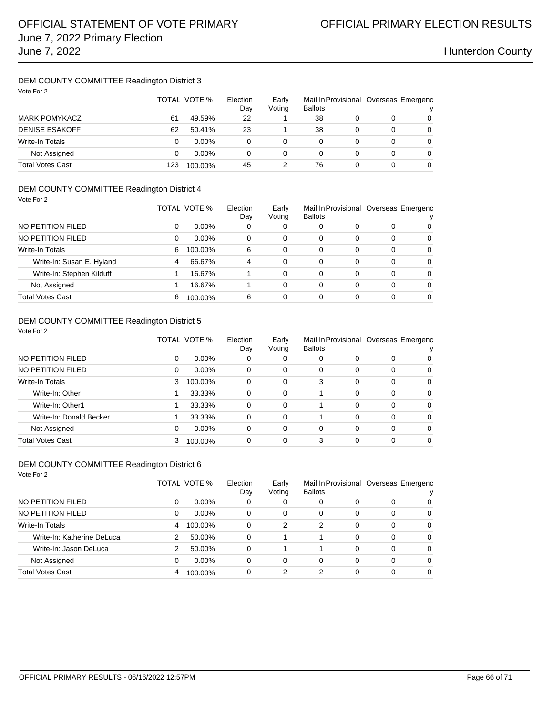### DEM COUNTY COMMITTEE Readington District 3 Vote For 2

| Vote For 2              | TOTAL VOTE % |          | Election<br>Day | Early<br>Voting | <b>Ballots</b> |   | Mail In Provisional Overseas Emergenc<br>ν |   |
|-------------------------|--------------|----------|-----------------|-----------------|----------------|---|--------------------------------------------|---|
| <b>MARK POMYKACZ</b>    | 61           | 49.59%   | 22              |                 | 38             | 0 |                                            | 0 |
| <b>DENISE ESAKOFF</b>   | 62           | 50.41%   | 23              |                 | 38             | 0 | 0                                          | 0 |
| <b>Write-In Totals</b>  | 0            | $0.00\%$ | 0               | 0               | 0              | 0 | 0                                          | 0 |
| Not Assigned            | 0            | $0.00\%$ | 0               | 0               | 0              |   | 0                                          | 0 |
| <b>Total Votes Cast</b> | 123          | 100.00%  | 45              |                 | 76             | 0 | 0                                          | 0 |

## DEM COUNTY COMMITTEE Readington District 4

| Vote For 2                |   |              |                 |                 |                |          |   |                                       |
|---------------------------|---|--------------|-----------------|-----------------|----------------|----------|---|---------------------------------------|
|                           |   | TOTAL VOTE % | Election<br>Day | Early<br>Voting | <b>Ballots</b> |          |   | Mail In Provisional Overseas Emergenc |
| NO PETITION FILED         | 0 | $0.00\%$     | 0               | 0               | 0              | 0        | 0 | 0                                     |
| NO PETITION FILED         | 0 | $0.00\%$     | 0               | 0               | 0              | $\Omega$ | 0 | 0                                     |
| Write-In Totals           | 6 | 100.00%      | 6               | 0               | 0              | 0        | 0 | 0                                     |
| Write-In: Susan E. Hyland | 4 | 66.67%       | 4               | 0               | 0              | 0        | 0 | $\Omega$                              |
| Write-In: Stephen Kilduff |   | 16.67%       |                 | 0               | 0              | 0        | 0 | $\Omega$                              |
| Not Assigned              |   | 16.67%       |                 | 0               | 0              | $\Omega$ | 0 | $\Omega$                              |
| Total Votes Cast          | 6 | 100.00%      | 6               | 0               | $\Omega$       | 0        | 0 | $\Omega$                              |

## DEM COUNTY COMMITTEE Readington District 5

| Vote For 2              |   |              |                 |                 |                |          |          |                                       |  |
|-------------------------|---|--------------|-----------------|-----------------|----------------|----------|----------|---------------------------------------|--|
|                         |   | TOTAL VOTE % | Election<br>Day | Early<br>Voting | <b>Ballots</b> |          |          | Mail In Provisional Overseas Emergenc |  |
| NO PETITION FILED       | 0 | $0.00\%$     | 0               | 0               | 0              | 0        | 0        | 0                                     |  |
| NO PETITION FILED       | 0 | $0.00\%$     | 0               | 0               | 0              | 0        | $\Omega$ | 0                                     |  |
| <b>Write-In Totals</b>  | 3 | 100.00%      | $\Omega$        | $\Omega$        | 3              | $\Omega$ | 0        | $\Omega$                              |  |
| Write-In: Other         |   | 33.33%       | 0               | 0               |                | 0        | 0        | $\Omega$                              |  |
| Write-In: Other1        |   | 33.33%       | 0               | $\Omega$        |                | $\Omega$ | $\Omega$ | $\Omega$                              |  |
| Write-In: Donald Becker |   | 33.33%       | $\Omega$        | $\Omega$        |                | $\Omega$ | $\Omega$ | $\Omega$                              |  |
| Not Assigned            | 0 | $0.00\%$     | 0               | 0               | 0              | 0        | 0        | $\Omega$                              |  |
| <b>Total Votes Cast</b> | 3 | 100.00%      | 0               | 0               | 3              |          | 0        | $\Omega$                              |  |

| Vote For 2                 |               |              |                 |                 |                                                         |          |          |          |
|----------------------------|---------------|--------------|-----------------|-----------------|---------------------------------------------------------|----------|----------|----------|
|                            |               | TOTAL VOTE % | Election<br>Day | Early<br>Voting | Mail In Provisional Overseas Emergenc<br><b>Ballots</b> |          |          |          |
| NO PETITION FILED          | 0             | $0.00\%$     | 0               | 0               | 0                                                       | 0        | 0        | 0        |
| NO PETITION FILED          | 0             | $0.00\%$     | 0               | 0               | $\Omega$                                                | 0        | 0        | $\Omega$ |
| <b>Write-In Totals</b>     | 4             | 100.00%      | 0               | 2               | $\overline{2}$                                          | $\Omega$ | 0        | $\Omega$ |
| Write-In: Katherine DeLuca | 2             | 50.00%       | 0               |                 |                                                         | $\Omega$ | $\Omega$ | $\Omega$ |
| Write-In: Jason DeLuca     | $\mathcal{P}$ | 50.00%       | 0               |                 |                                                         | $\Omega$ | $\Omega$ | $\Omega$ |
| Not Assigned               | 0             | $0.00\%$     | 0               | 0               | $\Omega$                                                | 0        | $\Omega$ | $\Omega$ |
| <b>Total Votes Cast</b>    | 4             | 100.00%      | 0               | 2               | 2                                                       | $\Omega$ | 0        | 0        |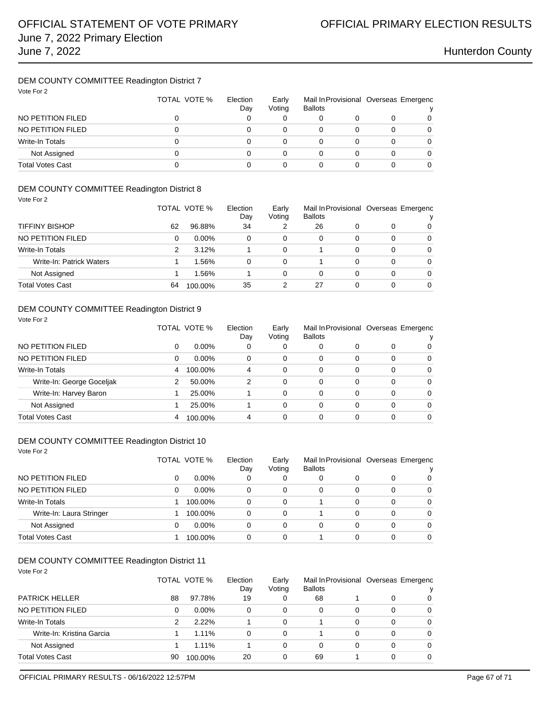## DEM COUNTY COMMITTEE Readington District 7

| Vote For 2              | TOTAL VOTE % | Election<br>Day | Early<br>Voting | Mail In Provisional Overseas Emergenc<br><b>Ballots</b> |   |   |
|-------------------------|--------------|-----------------|-----------------|---------------------------------------------------------|---|---|
| NO PETITION FILED       | 0            |                 |                 | 0                                                       |   | 0 |
| NO PETITION FILED       |              |                 | 0               | 0                                                       |   | 0 |
| Write-In Totals         |              |                 |                 | 0                                                       | 0 | 0 |
| Not Assigned            | 0            |                 | 0               | 0                                                       | 0 | 0 |
| <b>Total Votes Cast</b> |              |                 |                 | 0                                                       |   |   |

### DEM COUNTY COMMITTEE Readington District 8

Vote For 2

Vote For 2

|                          |    | TOTAL VOTE % | Election<br>Day | Early<br>Voting | Mail In Provisional Overseas Emergenc<br><b>Ballots</b> |   |   |          |
|--------------------------|----|--------------|-----------------|-----------------|---------------------------------------------------------|---|---|----------|
| <b>TIFFINY BISHOP</b>    | 62 | 96.88%       | 34              | 2               | 26                                                      |   | O | 0        |
| NO PETITION FILED        | 0  | $0.00\%$     | 0               | $\Omega$        | 0                                                       | 0 | 0 | $\Omega$ |
| Write-In Totals          | 2  | 3.12%        |                 | 0               |                                                         | 0 | 0 | $\Omega$ |
| Write-In: Patrick Waters |    | 1.56%        | 0               | 0               |                                                         | 0 | 0 | $\Omega$ |
| Not Assigned             |    | 1.56%        |                 | 0               | 0                                                       | 0 | 0 | $\Omega$ |
| <b>Total Votes Cast</b>  | 64 | 100.00%      | 35              | 2               | 27                                                      | 0 | 0 | 0        |

## DEM COUNTY COMMITTEE Readington District 9

|                           |   | TOTAL VOTE % | Election<br>Dav | Early<br>Voting | Mail In Provisional Overseas Emergenc<br><b>Ballots</b> |   |          | v        |
|---------------------------|---|--------------|-----------------|-----------------|---------------------------------------------------------|---|----------|----------|
| NO PETITION FILED         | 0 | $0.00\%$     | 0               | 0               | 0                                                       | 0 | 0        | 0        |
| NO PETITION FILED         | 0 | $0.00\%$     | 0               | $\Omega$        | 0                                                       | 0 | 0        | $\Omega$ |
| Write-In Totals           | 4 | 100.00%      | 4               | $\Omega$        | 0                                                       | 0 | 0        | $\Omega$ |
| Write-In: George Goceljak | 2 | 50.00%       | 2               | $\Omega$        | $\Omega$                                                | 0 | $\Omega$ | $\Omega$ |
| Write-In: Harvey Baron    |   | 25.00%       |                 | $\Omega$        | 0                                                       | 0 | $\Omega$ | $\Omega$ |
| Not Assigned              |   | 25.00%       |                 | 0               | 0                                                       | 0 | $\Omega$ | $\Omega$ |
| Total Votes Cast          | 4 | 100.00%      | 4               | 0               | 0                                                       | 0 | 0        | $\Omega$ |

### DEM COUNTY COMMITTEE Readington District 10

| Vote For 2               |   |              |                 |                 |                                                         |   |          |          |
|--------------------------|---|--------------|-----------------|-----------------|---------------------------------------------------------|---|----------|----------|
|                          |   | TOTAL VOTE % | Election<br>Day | Early<br>Voting | Mail In Provisional Overseas Emergenc<br><b>Ballots</b> |   |          |          |
| NO PETITION FILED        | 0 | $0.00\%$     | 0               | 0               | 0                                                       | 0 | 0        | 0        |
| NO PETITION FILED        | 0 | $0.00\%$     | 0               | 0               | 0                                                       | 0 | 0        | 0        |
| Write-In Totals          |   | 100.00%      | 0               | 0               |                                                         | 0 | 0        | $\Omega$ |
| Write-In: Laura Stringer |   | 100.00%      | 0               | 0               |                                                         | 0 | 0        | 0        |
| Not Assigned             | 0 | $0.00\%$     | 0               | 0               | 0                                                       | 0 | 0        | 0        |
| Total Votes Cast         |   | 100.00%      | 0               | 0               |                                                         | 0 | $\Omega$ | $\Omega$ |

| Vote For 2 |  |
|------------|--|
|            |  |

|                           |    | TOTAL VOTE % | Election<br>Day | Early<br>Voting | Mail In Provisional Overseas Emergenc<br><b>Ballots</b> |   |   |   |
|---------------------------|----|--------------|-----------------|-----------------|---------------------------------------------------------|---|---|---|
| <b>PATRICK HELLER</b>     | 88 | 97.78%       | 19              |                 | 68                                                      |   | 0 | 0 |
| NO PETITION FILED         | 0  | $0.00\%$     | 0               | 0               | 0                                                       | 0 | 0 | 0 |
| Write-In Totals           | 2  | 2.22%        |                 | $\Omega$        |                                                         | 0 | 0 | 0 |
| Write-In: Kristina Garcia |    | $1.11\%$     | 0               | $\Omega$        |                                                         | 0 | 0 | 0 |
| Not Assigned              |    | $1.11\%$     |                 | 0               | 0                                                       | 0 | 0 | 0 |
| Total Votes Cast          | 90 | 100.00%      | 20              |                 | 69                                                      |   | O | 0 |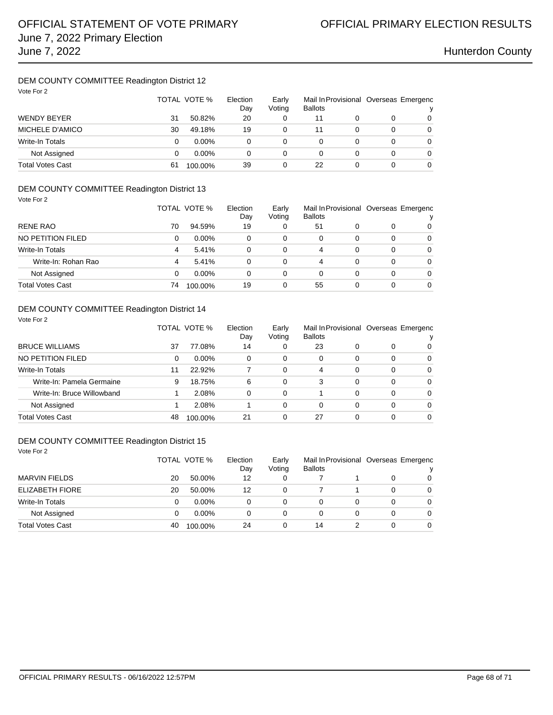## DEM COUNTY COMMITTEE Readington District 12

| Vote For 2             | TOTAL VOTE % |          | Election<br>Day | Early<br>Voting | <b>Ballots</b> |   | Mail In Provisional Overseas Emergenc |   |
|------------------------|--------------|----------|-----------------|-----------------|----------------|---|---------------------------------------|---|
| <b>WENDY BEYER</b>     | 31           | 50.82%   | 20              |                 | 11             |   |                                       | 0 |
| MICHELE D'AMICO        | 30           | 49.18%   | 19              |                 | 11             | 0 | 0                                     | 0 |
| <b>Write-In Totals</b> | 0            | $0.00\%$ | 0               |                 | 0              | 0 | 0                                     | 0 |
| Not Assigned           | 0            | $0.00\%$ | 0               | 0               | 0              | 0 | 0                                     | 0 |
| Total Votes Cast       | 61           | 100.00%  | 39              |                 | 22             | 0 | 0                                     | 0 |

## DEM COUNTY COMMITTEE Readington District 13

| Vote For 2              |    | TOTAL VOTE % | Election<br>Day | Early<br>Voting | <b>Ballots</b> |   |          | Mail In Provisional Overseas Emergenc |
|-------------------------|----|--------------|-----------------|-----------------|----------------|---|----------|---------------------------------------|
| <b>RENE RAO</b>         | 70 | 94.59%       | 19              | 0               | 51             | 0 | 0        | 0                                     |
| NO PETITION FILED       | 0  | $0.00\%$     | 0               | 0               | 0              | 0 | 0        | $\Omega$                              |
| Write-In Totals         | 4  | 5.41%        | 0               | 0               | 4              | 0 | $\Omega$ | 0                                     |
| Write-In: Rohan Rao     | 4  | 5.41%        | 0               | 0               | 4              | 0 | 0        | $\Omega$                              |
| Not Assigned            | 0  | $0.00\%$     | 0               | 0               | 0              | 0 | 0        | $\Omega$                              |
| <b>Total Votes Cast</b> | 74 | 100.00%      | 19              | 0               | 55             | 0 | 0        | $\Omega$                              |

### DEM COUNTY COMMITTEE Readington District 14 Vote For 2

|                            |    | TOTAL VOTE % | Election<br>Dav | Early<br>Voting | <b>Ballots</b> |          |          | Mail In Provisional Overseas Emergenc |
|----------------------------|----|--------------|-----------------|-----------------|----------------|----------|----------|---------------------------------------|
| <b>BRUCE WILLIAMS</b>      | 37 | 77.08%       | 14              | 0               | 23             | 0        | 0        | 0                                     |
| NO PETITION FILED          | 0  | $0.00\%$     | 0               | $\Omega$        | 0              | 0        | 0        | $\Omega$                              |
| Write-In Totals            | 11 | 22.92%       |                 | 0               | 4              | 0        | 0        | $\Omega$                              |
| Write-In: Pamela Germaine  | 9  | 18.75%       | 6               | $\Omega$        | 3              | 0        | $\Omega$ | $\Omega$                              |
| Write-In: Bruce Willowband |    | 2.08%        | 0               | $\Omega$        |                | $\Omega$ | 0        | $\Omega$                              |
| Not Assigned               |    | 2.08%        |                 | 0               | 0              | 0        | 0        | 0                                     |
| Total Votes Cast           | 48 | 100.00%      | 21              | 0               | 27             | 0        | 0        | $\Omega$                              |

| Vote For 2              |    | TOTAL VOTE % | Election<br>Day | Early<br>Voting | Mail In Provisional Overseas Emergenc<br><b>Ballots</b> |   |   |          |
|-------------------------|----|--------------|-----------------|-----------------|---------------------------------------------------------|---|---|----------|
| <b>MARVIN FIELDS</b>    | 20 | 50.00%       | 12              | 0               |                                                         |   | 0 | $\Omega$ |
| <b>ELIZABETH FIORE</b>  | 20 | 50.00%       | 12              | 0               |                                                         |   | 0 | 0        |
| Write-In Totals         | 0  | $0.00\%$     | 0               | 0               | 0                                                       | 0 | 0 | 0        |
| Not Assigned            | 0  | $0.00\%$     | 0               | 0               | 0                                                       | 0 | 0 | $\Omega$ |
| <b>Total Votes Cast</b> | 40 | 100.00%      | 24              | 0               | 14                                                      | 2 | 0 | $\Omega$ |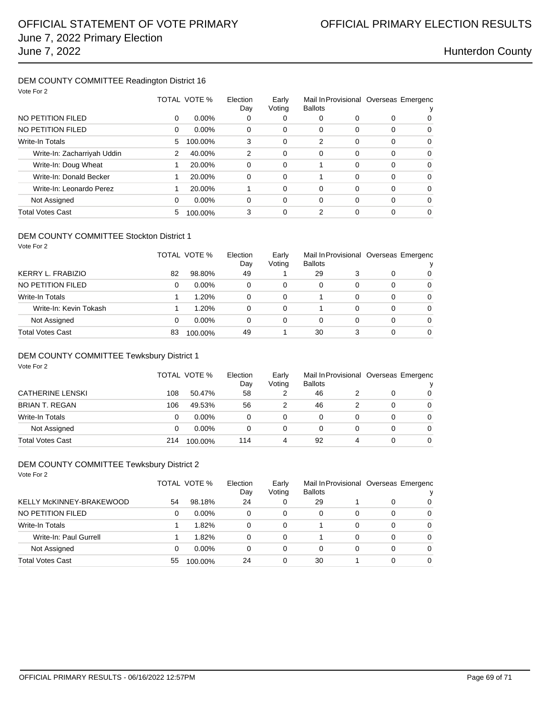### DEM COUNTY COMMITTEE Readington District 16 Vote For 2

| VOTE FOR 2                  |   |              |                 |                 |                |          |                                       |          |
|-----------------------------|---|--------------|-----------------|-----------------|----------------|----------|---------------------------------------|----------|
|                             |   | TOTAL VOTE % | Election<br>Day | Early<br>Voting | <b>Ballots</b> |          | Mail In Provisional Overseas Emergenc |          |
| NO PETITION FILED           | 0 | $0.00\%$     | 0               | 0               | 0              | 0        | 0                                     | 0        |
| NO PETITION FILED           | 0 | $0.00\%$     | 0               | 0               | 0              | 0        | $\Omega$                              | 0        |
| <b>Write-In Totals</b>      | 5 | 100.00%      | 3               | 0               | $\overline{2}$ | 0        | $\Omega$                              | $\Omega$ |
| Write-In: Zacharriyah Uddin | 2 | 40.00%       | $\overline{2}$  | 0               | 0              | 0        | $\Omega$                              | $\Omega$ |
| Write-In: Doug Wheat        | 1 | 20.00%       | 0               | 0               |                | 0        | $\Omega$                              | $\Omega$ |
| Write-In: Donald Becker     |   | 20.00%       | 0               | 0               |                | 0        | $\Omega$                              | $\Omega$ |
| Write-In: Leonardo Perez    |   | 20.00%       |                 | 0               | 0              | $\Omega$ | $\Omega$                              | $\Omega$ |
| Not Assigned                | 0 | $0.00\%$     | $\Omega$        | 0               | $\Omega$       | $\Omega$ | $\Omega$                              | $\Omega$ |
| <b>Total Votes Cast</b>     | 5 | 100.00%      | 3               | 0               | 2              | 0        | $\Omega$                              | $\Omega$ |
|                             |   |              |                 |                 |                |          |                                       |          |

### DEM COUNTY COMMITTEE Stockton District 1 Vote For 2

|                         |    | TOTAL VOTE % | Election<br>Day | Early<br>Voting | <b>Ballots</b> |   |   | Mail In Provisional Overseas Emergenc<br>v |
|-------------------------|----|--------------|-----------------|-----------------|----------------|---|---|--------------------------------------------|
| KERRY L. FRABIZIO       | 82 | 98.80%       | 49              |                 | 29             |   | 0 | 0                                          |
| NO PETITION FILED       | 0  | $0.00\%$     | 0               | 0               | 0              | 0 | 0 | 0                                          |
| <b>Write-In Totals</b>  |    | 1.20%        | 0               | 0               |                | 0 | 0 | $\Omega$                                   |
| Write-In: Kevin Tokash  |    | 1.20%        | $\Omega$        | $\Omega$        |                | 0 | 0 | $\Omega$                                   |
| Not Assigned            | 0  | $0.00\%$     | $\Omega$        | 0               | 0              |   | 0 | $\Omega$                                   |
| <b>Total Votes Cast</b> | 83 | 100.00%      | 49              |                 | 30             | 3 | 0 | $\Omega$                                   |

### DEM COUNTY COMMITTEE Tewksbury District 1

| Vote For 2              |     |              |                 |                 |                |   |   |                                            |
|-------------------------|-----|--------------|-----------------|-----------------|----------------|---|---|--------------------------------------------|
|                         |     | TOTAL VOTE % | Election<br>Day | Early<br>Voting | <b>Ballots</b> |   |   | Mail In Provisional Overseas Emergenc<br>ν |
| <b>CATHERINE LENSKI</b> | 108 | 50.47%       | 58              | 2               | 46             |   | 0 | $\Omega$                                   |
| <b>BRIAN T. REGAN</b>   | 106 | 49.53%       | 56              | 2               | 46             | 2 | 0 | $\Omega$                                   |
|                         |     |              |                 |                 |                |   |   |                                            |
| <b>Write-In Totals</b>  | 0   | $0.00\%$     | 0               | 0               | 0              | 0 | 0 | $\Omega$                                   |
| Not Assigned            | 0   | $0.00\%$     | 0               | 0               | 0              | 0 | 0 | 0                                          |
| <b>Total Votes Cast</b> | 214 | 100.00%      | 114             | 4               | 92             | 4 | 0 | 0                                          |

### DEM COUNTY COMMITTEE Tewksbury District 2

| Vote For 2               |    |              |                 |                 |                                                         |   |   |          |
|--------------------------|----|--------------|-----------------|-----------------|---------------------------------------------------------|---|---|----------|
|                          |    | TOTAL VOTE % | Election<br>Day | Early<br>Voting | Mail In Provisional Overseas Emergenc<br><b>Ballots</b> |   |   |          |
| KELLY McKINNEY-BRAKEWOOD | 54 | 98.18%       | 24              | 0               | 29                                                      |   | 0 | 0        |
| NO PETITION FILED        | 0  | $0.00\%$     | 0               | 0               | 0                                                       | 0 | 0 | $\Omega$ |
| Write-In Totals          |    | 1.82%        | 0               | $\Omega$        |                                                         | 0 | 0 | $\Omega$ |
| Write-In: Paul Gurrell   |    | 1.82%        | 0               | 0               |                                                         | 0 | 0 | $\Omega$ |
| Not Assigned             | 0  | $0.00\%$     | 0               | 0               | $\Omega$                                                | 0 | 0 | 0        |
| <b>Total Votes Cast</b>  | 55 | 100.00%      | 24              | 0               | 30                                                      |   | 0 | $\Omega$ |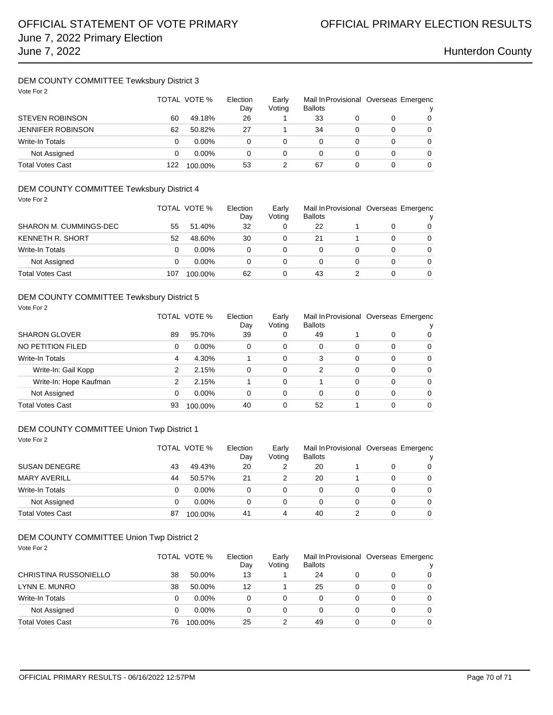### DEM COUNTY COMMITTEE Tewksbury District 3 Vote For 2

| Vote For 2               |     | TOTAL VOTE % | Election<br>Day | Early<br>Voting | Mail In Provisional Overseas Emergenc<br><b>Ballots</b> |   |          |
|--------------------------|-----|--------------|-----------------|-----------------|---------------------------------------------------------|---|----------|
| <b>STEVEN ROBINSON</b>   | 60  | 49.18%       | 26              |                 | 33                                                      |   | 0        |
| <b>JENNIFER ROBINSON</b> | 62  | 50.82%       | 27              |                 | 34                                                      | 0 | $\Omega$ |
| <b>Write-In Totals</b>   | 0   | $0.00\%$     | 0               |                 |                                                         | 0 | 0        |
| Not Assigned             | 0   | $0.00\%$     | 0               | 0               | 0                                                       | 0 | $\Omega$ |
| <b>Total Votes Cast</b>  | 122 | 100.00%      | 53              |                 | 67                                                      | 0 | 0        |

## DEM COUNTY COMMITTEE Tewksbury District 4

| Vote For 2              |     |              |     |        |                |   |                                       |          |
|-------------------------|-----|--------------|-----|--------|----------------|---|---------------------------------------|----------|
|                         |     | TOTAL VOTE % |     | Early  |                |   | Mail In Provisional Overseas Emergenc |          |
|                         |     |              | Day | Voting | <b>Ballots</b> |   |                                       |          |
| SHARON M. CUMMINGS-DEC  | 55  | 51.40%       | 32  | 0      | 22             |   | 0                                     | 0        |
| <b>KENNETH R. SHORT</b> | 52  | 48.60%       | 30  | 0      | 21             |   | 0                                     | 0        |
| Write-In Totals         | 0   | $0.00\%$     | 0   | 0      | 0              | 0 | 0                                     | $\Omega$ |
| Not Assigned            | 0   | $0.00\%$     | 0   | 0      | 0              | 0 | 0                                     | $\Omega$ |
| <b>Total Votes Cast</b> | 107 | 100.00%      | 62  | 0      | 43             |   | 0                                     | $\Omega$ |

### DEM COUNTY COMMITTEE Tewksbury District 5

| Vote For 2             |    |              |                 |                 |                |          |          |                                       |
|------------------------|----|--------------|-----------------|-----------------|----------------|----------|----------|---------------------------------------|
|                        |    | TOTAL VOTE % | Election<br>Day | Early<br>Voting | <b>Ballots</b> |          |          | Mail In Provisional Overseas Emergenc |
| <b>SHARON GLOVER</b>   | 89 | 95.70%       | 39              | 0               | 49             |          | 0        | 0                                     |
| NO PETITION FILED      | 0  | $0.00\%$     | 0               | $\Omega$        | 0              | $\Omega$ | $\Omega$ | $\Omega$                              |
| <b>Write-In Totals</b> | 4  | 4.30%        |                 | 0               | 3              | $\Omega$ | $\Omega$ | $\Omega$                              |
| Write-In: Gail Kopp    | 2  | 2.15%        | 0               | $\Omega$        | 2              | $\Omega$ | $\Omega$ | $\Omega$                              |
| Write-In: Hope Kaufman | 2  | 2.15%        |                 | 0               |                | $\Omega$ | $\Omega$ | $\Omega$                              |
| Not Assigned           | 0  | $0.00\%$     | 0               | 0               | 0              | $\Omega$ | $\Omega$ | $\Omega$                              |
| Total Votes Cast       | 93 | 100.00%      | 40              | 0               | 52             |          | $\Omega$ | $\Omega$                              |

### DEM COUNTY COMMITTEE Union Twp District 1

| Vote For 2             |    |              |                 |                 |                                                         |  |          |
|------------------------|----|--------------|-----------------|-----------------|---------------------------------------------------------|--|----------|
|                        |    | TOTAL VOTE % | Election<br>Day | Early<br>Voting | Mail In Provisional Overseas Emergenc<br><b>Ballots</b> |  |          |
| <b>SUSAN DENEGRE</b>   | 43 | 49.43%       | 20              |                 | 20                                                      |  | $\Omega$ |
| <b>MARY AVERILL</b>    | 44 | 50.57%       | 21              |                 | 20                                                      |  | $\Omega$ |
| <b>Write-In Totals</b> |    | $0.00\%$     | 0               | 0               |                                                         |  | $\Omega$ |
| Not Assigned           |    | $0.00\%$     |                 |                 |                                                         |  | 0        |

## DEM COUNTY COMMITTEE Union Twp District 2

| Vote For 2                   |    |              | Election |                 |                                                         |   |   |          |  |
|------------------------------|----|--------------|----------|-----------------|---------------------------------------------------------|---|---|----------|--|
|                              |    | TOTAL VOTE % |          | Early<br>Voting | Mail In Provisional Overseas Emergenc<br><b>Ballots</b> |   |   | ν        |  |
| <b>CHRISTINA RUSSONIELLO</b> | 38 | 50.00%       | 13       |                 | 24                                                      | 0 | O | 0        |  |
| LYNN E. MUNRO                | 38 | 50.00%       | 12       |                 | 25                                                      | 0 | 0 | $\Omega$ |  |
| Write-In Totals              | 0  | $0.00\%$     | 0        | 0               | 0                                                       | 0 | 0 | $\Omega$ |  |
| Not Assigned                 | 0  | $0.00\%$     | 0        | $\Omega$        | 0                                                       | 0 | 0 | $\Omega$ |  |
| <b>Total Votes Cast</b>      | 76 | 100.00%      | 25       | 2               | 49                                                      | 0 | 0 | $\Omega$ |  |

Total Votes Cast **87** 100.00% 41 4 40 2 0 0